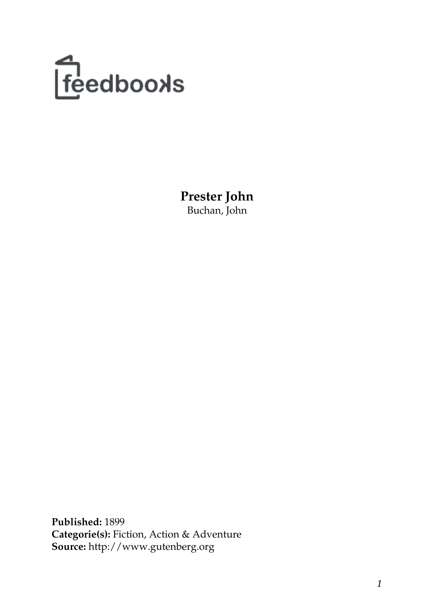

**Prester John** Buchan, John

**Published:** 1899 **Categorie(s):** Fiction, Action & Adventure **Source:** http://www.gutenberg.org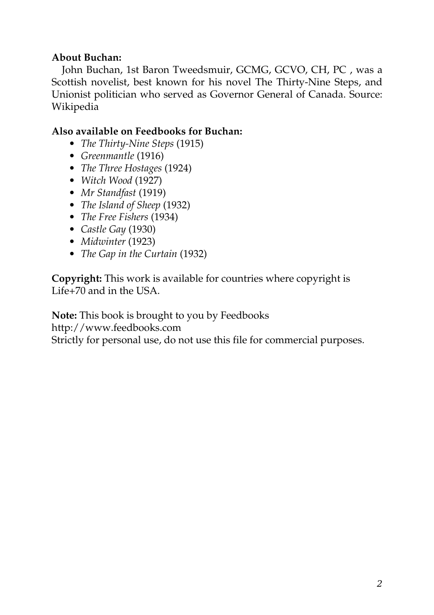#### **About Buchan:**

John Buchan, 1st Baron Tweedsmuir, GCMG, GCVO, CH, PC , was a Scottish novelist, best known for his novel The Thirty-Nine Steps, and Unionist politician who served as Governor General of Canada. Source: Wikipedia

#### **Also available on Feedbooks for Buchan:**

- *[The Thirty-Nine Steps](http://generation.feedbooks.com/book/41.pdf)* (1915)
- *[Greenmantle](http://generation.feedbooks.com/book/42.pdf)* (1916)
- *[The Three Hostages](http://generation.feedbooks.com/book/1184.pdf)* (1924)
- *[Witch Wood](http://generation.feedbooks.com/book/1191.pdf)* (1927)
- *[Mr Standfast](http://generation.feedbooks.com/book/43.pdf)* (1919)
- *[The Island of Sheep](http://generation.feedbooks.com/book/1211.pdf)* (1932)
- *[The Free Fishers](http://generation.feedbooks.com/book/1194.pdf)* (1934)
- *[Castle Gay](http://generation.feedbooks.com/book/1192.pdf)* (1930)
- *[Midwinter](http://generation.feedbooks.com/book/1185.pdf)* (1923)
- *[The Gap in the Curtain](http://generation.feedbooks.com/book/1189.pdf)* (1932)

**Copyright:** This work is available for countries where copyright is [Life+70](http://en.wikisource.org/wiki/Help:Public_domain#Copyright_terms_by_country) and in the USA.

**Note:** This book is brought to you by Feedbooks

<http://www.feedbooks.com>

Strictly for personal use, do not use this file for commercial purposes.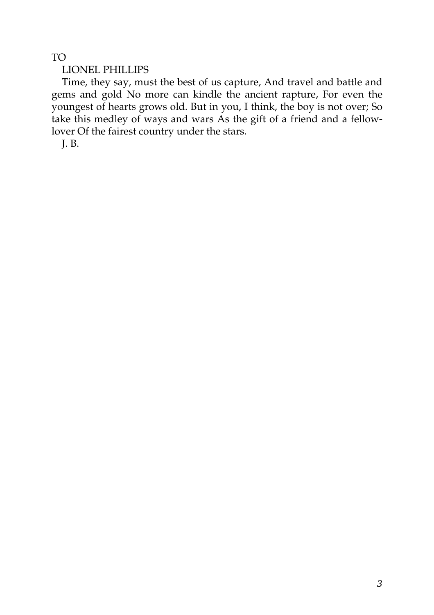TO

LIONEL PHILLIPS

Time, they say, must the best of us capture, And travel and battle and gems and gold No more can kindle the ancient rapture, For even the youngest of hearts grows old. But in you, I think, the boy is not over; So take this medley of ways and wars As the gift of a friend and a fellowlover Of the fairest country under the stars.

J. B.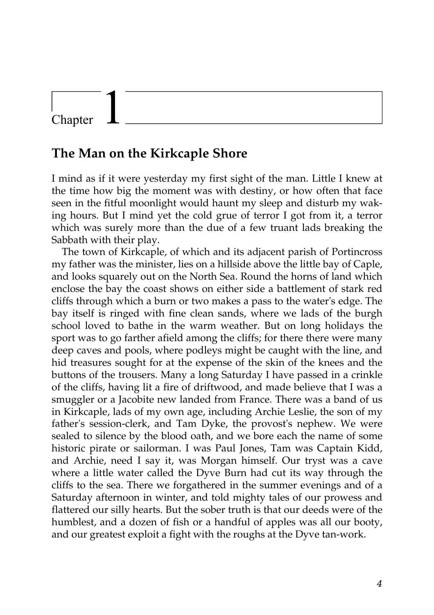### Chapter

#### **The Man on the Kirkcaple Shore**

I mind as if it were yesterday my first sight of the man. Little I knew at the time how big the moment was with destiny, or how often that face seen in the fitful moonlight would haunt my sleep and disturb my waking hours. But I mind yet the cold grue of terror I got from it, a terror which was surely more than the due of a few truant lads breaking the Sabbath with their play.

The town of Kirkcaple, of which and its adjacent parish of Portincross my father was the minister, lies on a hillside above the little bay of Caple, and looks squarely out on the North Sea. Round the horns of land which enclose the bay the coast shows on either side a battlement of stark red cliffs through which a burn or two makes a pass to the water's edge. The bay itself is ringed with fine clean sands, where we lads of the burgh school loved to bathe in the warm weather. But on long holidays the sport was to go farther afield among the cliffs; for there there were many deep caves and pools, where podleys might be caught with the line, and hid treasures sought for at the expense of the skin of the knees and the buttons of the trousers. Many a long Saturday I have passed in a crinkle of the cliffs, having lit a fire of driftwood, and made believe that I was a smuggler or a Jacobite new landed from France. There was a band of us in Kirkcaple, lads of my own age, including Archie Leslie, the son of my father's session-clerk, and Tam Dyke, the provost's nephew. We were sealed to silence by the blood oath, and we bore each the name of some historic pirate or sailorman. I was Paul Jones, Tam was Captain Kidd, and Archie, need I say it, was Morgan himself. Our tryst was a cave where a little water called the Dyve Burn had cut its way through the cliffs to the sea. There we forgathered in the summer evenings and of a Saturday afternoon in winter, and told mighty tales of our prowess and flattered our silly hearts. But the sober truth is that our deeds were of the humblest, and a dozen of fish or a handful of apples was all our booty, and our greatest exploit a fight with the roughs at the Dyve tan-work.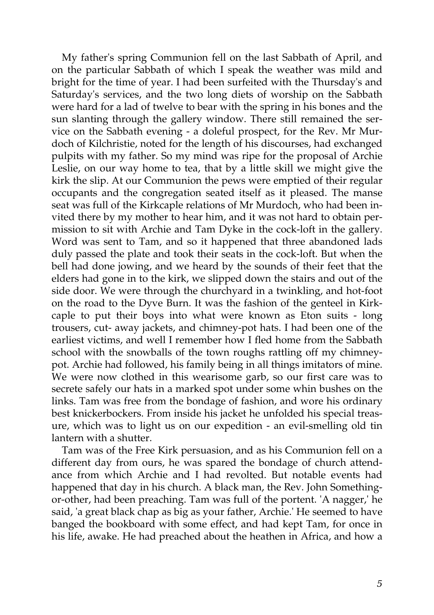My father's spring Communion fell on the last Sabbath of April, and on the particular Sabbath of which I speak the weather was mild and bright for the time of year. I had been surfeited with the Thursday's and Saturday's services, and the two long diets of worship on the Sabbath were hard for a lad of twelve to bear with the spring in his bones and the sun slanting through the gallery window. There still remained the service on the Sabbath evening - a doleful prospect, for the Rev. Mr Murdoch of Kilchristie, noted for the length of his discourses, had exchanged pulpits with my father. So my mind was ripe for the proposal of Archie Leslie, on our way home to tea, that by a little skill we might give the kirk the slip. At our Communion the pews were emptied of their regular occupants and the congregation seated itself as it pleased. The manse seat was full of the Kirkcaple relations of Mr Murdoch, who had been invited there by my mother to hear him, and it was not hard to obtain permission to sit with Archie and Tam Dyke in the cock-loft in the gallery. Word was sent to Tam, and so it happened that three abandoned lads duly passed the plate and took their seats in the cock-loft. But when the bell had done jowing, and we heard by the sounds of their feet that the elders had gone in to the kirk, we slipped down the stairs and out of the side door. We were through the churchyard in a twinkling, and hot-foot on the road to the Dyve Burn. It was the fashion of the genteel in Kirkcaple to put their boys into what were known as Eton suits - long trousers, cut- away jackets, and chimney-pot hats. I had been one of the earliest victims, and well I remember how I fled home from the Sabbath school with the snowballs of the town roughs rattling off my chimneypot. Archie had followed, his family being in all things imitators of mine. We were now clothed in this wearisome garb, so our first care was to secrete safely our hats in a marked spot under some whin bushes on the links. Tam was free from the bondage of fashion, and wore his ordinary best knickerbockers. From inside his jacket he unfolded his special treasure, which was to light us on our expedition - an evil-smelling old tin lantern with a shutter.

Tam was of the Free Kirk persuasion, and as his Communion fell on a different day from ours, he was spared the bondage of church attendance from which Archie and I had revolted. But notable events had happened that day in his church. A black man, the Rev. John Somethingor-other, had been preaching. Tam was full of the portent. 'A nagger,' he said, 'a great black chap as big as your father, Archie.' He seemed to have banged the bookboard with some effect, and had kept Tam, for once in his life, awake. He had preached about the heathen in Africa, and how a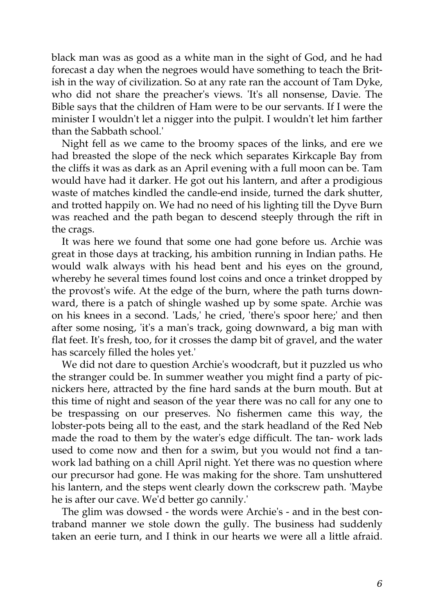black man was as good as a white man in the sight of God, and he had forecast a day when the negroes would have something to teach the British in the way of civilization. So at any rate ran the account of Tam Dyke, who did not share the preacher's views. 'It's all nonsense, Davie. The Bible says that the children of Ham were to be our servants. If I were the minister I wouldn't let a nigger into the pulpit. I wouldn't let him farther than the Sabbath school.'

Night fell as we came to the broomy spaces of the links, and ere we had breasted the slope of the neck which separates Kirkcaple Bay from the cliffs it was as dark as an April evening with a full moon can be. Tam would have had it darker. He got out his lantern, and after a prodigious waste of matches kindled the candle-end inside, turned the dark shutter, and trotted happily on. We had no need of his lighting till the Dyve Burn was reached and the path began to descend steeply through the rift in the crags.

It was here we found that some one had gone before us. Archie was great in those days at tracking, his ambition running in Indian paths. He would walk always with his head bent and his eyes on the ground, whereby he several times found lost coins and once a trinket dropped by the provost's wife. At the edge of the burn, where the path turns downward, there is a patch of shingle washed up by some spate. Archie was on his knees in a second. 'Lads,' he cried, 'there's spoor here;' and then after some nosing, 'it's a man's track, going downward, a big man with flat feet. It's fresh, too, for it crosses the damp bit of gravel, and the water has scarcely filled the holes yet.'

We did not dare to question Archie's woodcraft, but it puzzled us who the stranger could be. In summer weather you might find a party of picnickers here, attracted by the fine hard sands at the burn mouth. But at this time of night and season of the year there was no call for any one to be trespassing on our preserves. No fishermen came this way, the lobster-pots being all to the east, and the stark headland of the Red Neb made the road to them by the water's edge difficult. The tan- work lads used to come now and then for a swim, but you would not find a tanwork lad bathing on a chill April night. Yet there was no question where our precursor had gone. He was making for the shore. Tam unshuttered his lantern, and the steps went clearly down the corkscrew path. 'Maybe he is after our cave. We'd better go cannily.'

The glim was dowsed - the words were Archie's - and in the best contraband manner we stole down the gully. The business had suddenly taken an eerie turn, and I think in our hearts we were all a little afraid.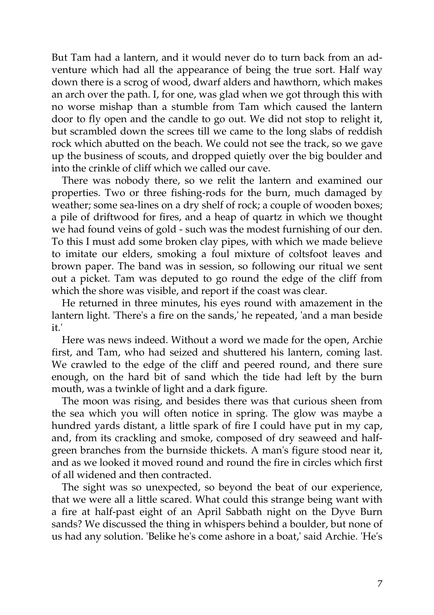But Tam had a lantern, and it would never do to turn back from an adventure which had all the appearance of being the true sort. Half way down there is a scrog of wood, dwarf alders and hawthorn, which makes an arch over the path. I, for one, was glad when we got through this with no worse mishap than a stumble from Tam which caused the lantern door to fly open and the candle to go out. We did not stop to relight it, but scrambled down the screes till we came to the long slabs of reddish rock which abutted on the beach. We could not see the track, so we gave up the business of scouts, and dropped quietly over the big boulder and into the crinkle of cliff which we called our cave.

There was nobody there, so we relit the lantern and examined our properties. Two or three fishing-rods for the burn, much damaged by weather; some sea-lines on a dry shelf of rock; a couple of wooden boxes; a pile of driftwood for fires, and a heap of quartz in which we thought we had found veins of gold - such was the modest furnishing of our den. To this I must add some broken clay pipes, with which we made believe to imitate our elders, smoking a foul mixture of coltsfoot leaves and brown paper. The band was in session, so following our ritual we sent out a picket. Tam was deputed to go round the edge of the cliff from which the shore was visible, and report if the coast was clear.

He returned in three minutes, his eyes round with amazement in the lantern light. 'There's a fire on the sands,' he repeated, 'and a man beside it.'

Here was news indeed. Without a word we made for the open, Archie first, and Tam, who had seized and shuttered his lantern, coming last. We crawled to the edge of the cliff and peered round, and there sure enough, on the hard bit of sand which the tide had left by the burn mouth, was a twinkle of light and a dark figure.

The moon was rising, and besides there was that curious sheen from the sea which you will often notice in spring. The glow was maybe a hundred yards distant, a little spark of fire I could have put in my cap, and, from its crackling and smoke, composed of dry seaweed and halfgreen branches from the burnside thickets. A man's figure stood near it, and as we looked it moved round and round the fire in circles which first of all widened and then contracted.

The sight was so unexpected, so beyond the beat of our experience, that we were all a little scared. What could this strange being want with a fire at half-past eight of an April Sabbath night on the Dyve Burn sands? We discussed the thing in whispers behind a boulder, but none of us had any solution. 'Belike he's come ashore in a boat,' said Archie. 'He's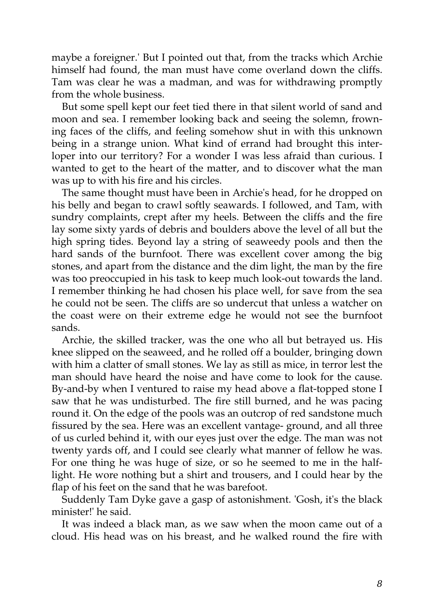maybe a foreigner.' But I pointed out that, from the tracks which Archie himself had found, the man must have come overland down the cliffs. Tam was clear he was a madman, and was for withdrawing promptly from the whole business.

But some spell kept our feet tied there in that silent world of sand and moon and sea. I remember looking back and seeing the solemn, frowning faces of the cliffs, and feeling somehow shut in with this unknown being in a strange union. What kind of errand had brought this interloper into our territory? For a wonder I was less afraid than curious. I wanted to get to the heart of the matter, and to discover what the man was up to with his fire and his circles.

The same thought must have been in Archie's head, for he dropped on his belly and began to crawl softly seawards. I followed, and Tam, with sundry complaints, crept after my heels. Between the cliffs and the fire lay some sixty yards of debris and boulders above the level of all but the high spring tides. Beyond lay a string of seaweedy pools and then the hard sands of the burnfoot. There was excellent cover among the big stones, and apart from the distance and the dim light, the man by the fire was too preoccupied in his task to keep much look-out towards the land. I remember thinking he had chosen his place well, for save from the sea he could not be seen. The cliffs are so undercut that unless a watcher on the coast were on their extreme edge he would not see the burnfoot sands.

Archie, the skilled tracker, was the one who all but betrayed us. His knee slipped on the seaweed, and he rolled off a boulder, bringing down with him a clatter of small stones. We lay as still as mice, in terror lest the man should have heard the noise and have come to look for the cause. By-and-by when I ventured to raise my head above a flat-topped stone I saw that he was undisturbed. The fire still burned, and he was pacing round it. On the edge of the pools was an outcrop of red sandstone much fissured by the sea. Here was an excellent vantage- ground, and all three of us curled behind it, with our eyes just over the edge. The man was not twenty yards off, and I could see clearly what manner of fellow he was. For one thing he was huge of size, or so he seemed to me in the halflight. He wore nothing but a shirt and trousers, and I could hear by the flap of his feet on the sand that he was barefoot.

Suddenly Tam Dyke gave a gasp of astonishment. 'Gosh, it's the black minister!' he said.

It was indeed a black man, as we saw when the moon came out of a cloud. His head was on his breast, and he walked round the fire with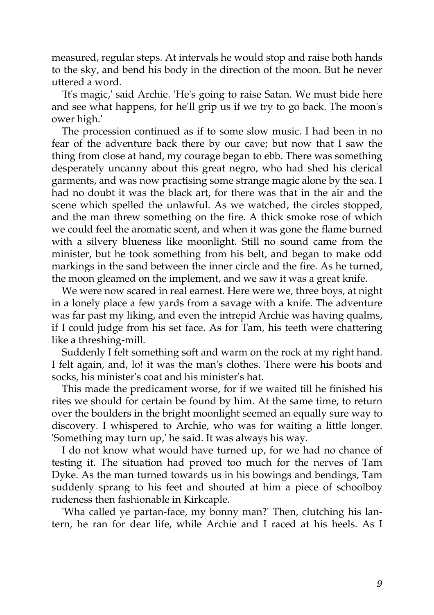measured, regular steps. At intervals he would stop and raise both hands to the sky, and bend his body in the direction of the moon. But he never uttered a word.

'It's magic,' said Archie. 'He's going to raise Satan. We must bide here and see what happens, for he'll grip us if we try to go back. The moon's ower high.'

The procession continued as if to some slow music. I had been in no fear of the adventure back there by our cave; but now that I saw the thing from close at hand, my courage began to ebb. There was something desperately uncanny about this great negro, who had shed his clerical garments, and was now practising some strange magic alone by the sea. I had no doubt it was the black art, for there was that in the air and the scene which spelled the unlawful. As we watched, the circles stopped, and the man threw something on the fire. A thick smoke rose of which we could feel the aromatic scent, and when it was gone the flame burned with a silvery blueness like moonlight. Still no sound came from the minister, but he took something from his belt, and began to make odd markings in the sand between the inner circle and the fire. As he turned, the moon gleamed on the implement, and we saw it was a great knife.

We were now scared in real earnest. Here were we, three boys, at night in a lonely place a few yards from a savage with a knife. The adventure was far past my liking, and even the intrepid Archie was having qualms, if I could judge from his set face. As for Tam, his teeth were chattering like a threshing-mill.

Suddenly I felt something soft and warm on the rock at my right hand. I felt again, and, lo! it was the man's clothes. There were his boots and socks, his minister's coat and his minister's hat.

This made the predicament worse, for if we waited till he finished his rites we should for certain be found by him. At the same time, to return over the boulders in the bright moonlight seemed an equally sure way to discovery. I whispered to Archie, who was for waiting a little longer. 'Something may turn up,' he said. It was always his way.

I do not know what would have turned up, for we had no chance of testing it. The situation had proved too much for the nerves of Tam Dyke. As the man turned towards us in his bowings and bendings, Tam suddenly sprang to his feet and shouted at him a piece of schoolboy rudeness then fashionable in Kirkcaple.

'Wha called ye partan-face, my bonny man?' Then, clutching his lantern, he ran for dear life, while Archie and I raced at his heels. As I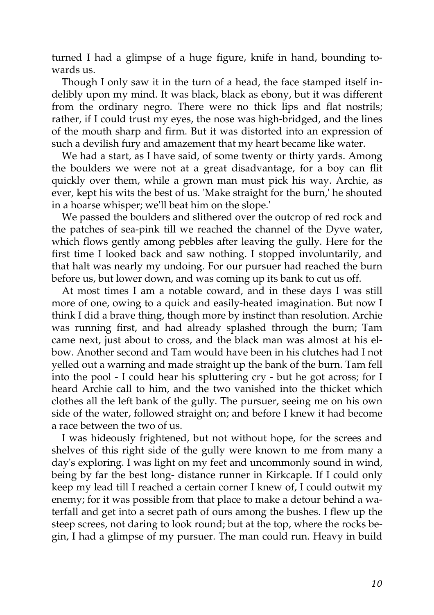turned I had a glimpse of a huge figure, knife in hand, bounding towards us.

Though I only saw it in the turn of a head, the face stamped itself indelibly upon my mind. It was black, black as ebony, but it was different from the ordinary negro. There were no thick lips and flat nostrils; rather, if I could trust my eyes, the nose was high-bridged, and the lines of the mouth sharp and firm. But it was distorted into an expression of such a devilish fury and amazement that my heart became like water.

We had a start, as I have said, of some twenty or thirty yards. Among the boulders we were not at a great disadvantage, for a boy can flit quickly over them, while a grown man must pick his way. Archie, as ever, kept his wits the best of us. 'Make straight for the burn,' he shouted in a hoarse whisper; we'll beat him on the slope.'

We passed the boulders and slithered over the outcrop of red rock and the patches of sea-pink till we reached the channel of the Dyve water, which flows gently among pebbles after leaving the gully. Here for the first time I looked back and saw nothing. I stopped involuntarily, and that halt was nearly my undoing. For our pursuer had reached the burn before us, but lower down, and was coming up its bank to cut us off.

At most times I am a notable coward, and in these days I was still more of one, owing to a quick and easily-heated imagination. But now I think I did a brave thing, though more by instinct than resolution. Archie was running first, and had already splashed through the burn; Tam came next, just about to cross, and the black man was almost at his elbow. Another second and Tam would have been in his clutches had I not yelled out a warning and made straight up the bank of the burn. Tam fell into the pool - I could hear his spluttering cry - but he got across; for I heard Archie call to him, and the two vanished into the thicket which clothes all the left bank of the gully. The pursuer, seeing me on his own side of the water, followed straight on; and before I knew it had become a race between the two of us.

I was hideously frightened, but not without hope, for the screes and shelves of this right side of the gully were known to me from many a day's exploring. I was light on my feet and uncommonly sound in wind, being by far the best long- distance runner in Kirkcaple. If I could only keep my lead till I reached a certain corner I knew of, I could outwit my enemy; for it was possible from that place to make a detour behind a waterfall and get into a secret path of ours among the bushes. I flew up the steep screes, not daring to look round; but at the top, where the rocks begin, I had a glimpse of my pursuer. The man could run. Heavy in build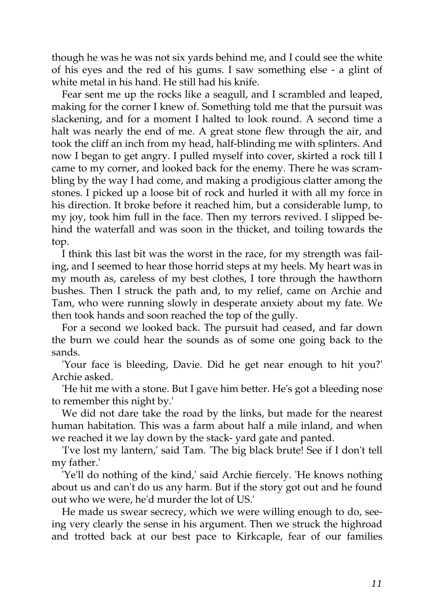though he was he was not six yards behind me, and I could see the white of his eyes and the red of his gums. I saw something else - a glint of white metal in his hand. He still had his knife.

Fear sent me up the rocks like a seagull, and I scrambled and leaped, making for the corner I knew of. Something told me that the pursuit was slackening, and for a moment I halted to look round. A second time a halt was nearly the end of me. A great stone flew through the air, and took the cliff an inch from my head, half-blinding me with splinters. And now I began to get angry. I pulled myself into cover, skirted a rock till I came to my corner, and looked back for the enemy. There he was scrambling by the way I had come, and making a prodigious clatter among the stones. I picked up a loose bit of rock and hurled it with all my force in his direction. It broke before it reached him, but a considerable lump, to my joy, took him full in the face. Then my terrors revived. I slipped behind the waterfall and was soon in the thicket, and toiling towards the top.

I think this last bit was the worst in the race, for my strength was failing, and I seemed to hear those horrid steps at my heels. My heart was in my mouth as, careless of my best clothes, I tore through the hawthorn bushes. Then I struck the path and, to my relief, came on Archie and Tam, who were running slowly in desperate anxiety about my fate. We then took hands and soon reached the top of the gully.

For a second we looked back. The pursuit had ceased, and far down the burn we could hear the sounds as of some one going back to the sands.

'Your face is bleeding, Davie. Did he get near enough to hit you?' Archie asked.

'He hit me with a stone. But I gave him better. He's got a bleeding nose to remember this night by.'

We did not dare take the road by the links, but made for the nearest human habitation. This was a farm about half a mile inland, and when we reached it we lay down by the stack- yard gate and panted.

'I've lost my lantern,' said Tam. 'The big black brute! See if I don't tell my father.'

'Ye'll do nothing of the kind,' said Archie fiercely. 'He knows nothing about us and can't do us any harm. But if the story got out and he found out who we were, he'd murder the lot of US.'

He made us swear secrecy, which we were willing enough to do, seeing very clearly the sense in his argument. Then we struck the highroad and trotted back at our best pace to Kirkcaple, fear of our families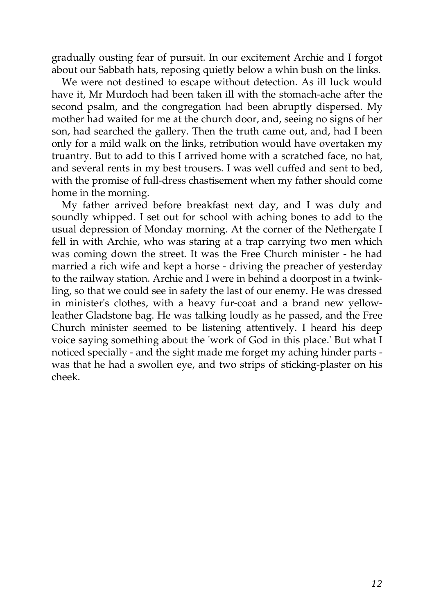gradually ousting fear of pursuit. In our excitement Archie and I forgot about our Sabbath hats, reposing quietly below a whin bush on the links.

We were not destined to escape without detection. As ill luck would have it, Mr Murdoch had been taken ill with the stomach-ache after the second psalm, and the congregation had been abruptly dispersed. My mother had waited for me at the church door, and, seeing no signs of her son, had searched the gallery. Then the truth came out, and, had I been only for a mild walk on the links, retribution would have overtaken my truantry. But to add to this I arrived home with a scratched face, no hat, and several rents in my best trousers. I was well cuffed and sent to bed, with the promise of full-dress chastisement when my father should come home in the morning.

My father arrived before breakfast next day, and I was duly and soundly whipped. I set out for school with aching bones to add to the usual depression of Monday morning. At the corner of the Nethergate I fell in with Archie, who was staring at a trap carrying two men which was coming down the street. It was the Free Church minister - he had married a rich wife and kept a horse - driving the preacher of yesterday to the railway station. Archie and I were in behind a doorpost in a twinkling, so that we could see in safety the last of our enemy. He was dressed in minister's clothes, with a heavy fur-coat and a brand new yellowleather Gladstone bag. He was talking loudly as he passed, and the Free Church minister seemed to be listening attentively. I heard his deep voice saying something about the 'work of God in this place.' But what I noticed specially - and the sight made me forget my aching hinder parts was that he had a swollen eye, and two strips of sticking-plaster on his cheek.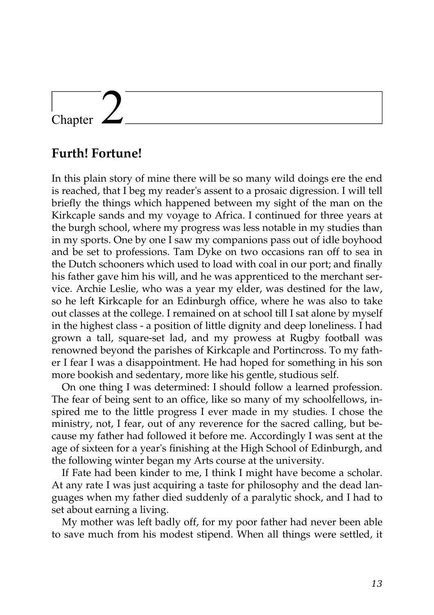## Chapter

### **Furth! Fortune!**

In this plain story of mine there will be so many wild doings ere the end is reached, that I beg my reader's assent to a prosaic digression. I will tell briefly the things which happened between my sight of the man on the Kirkcaple sands and my voyage to Africa. I continued for three years at the burgh school, where my progress was less notable in my studies than in my sports. One by one I saw my companions pass out of idle boyhood and be set to professions. Tam Dyke on two occasions ran off to sea in the Dutch schooners which used to load with coal in our port; and finally his father gave him his will, and he was apprenticed to the merchant service. Archie Leslie, who was a year my elder, was destined for the law, so he left Kirkcaple for an Edinburgh office, where he was also to take out classes at the college. I remained on at school till I sat alone by myself in the highest class - a position of little dignity and deep loneliness. I had grown a tall, square-set lad, and my prowess at Rugby football was renowned beyond the parishes of Kirkcaple and Portincross. To my father I fear I was a disappointment. He had hoped for something in his son more bookish and sedentary, more like his gentle, studious self.

On one thing I was determined: I should follow a learned profession. The fear of being sent to an office, like so many of my schoolfellows, inspired me to the little progress I ever made in my studies. I chose the ministry, not, I fear, out of any reverence for the sacred calling, but because my father had followed it before me. Accordingly I was sent at the age of sixteen for a year's finishing at the High School of Edinburgh, and the following winter began my Arts course at the university.

If Fate had been kinder to me, I think I might have become a scholar. At any rate I was just acquiring a taste for philosophy and the dead languages when my father died suddenly of a paralytic shock, and I had to set about earning a living.

My mother was left badly off, for my poor father had never been able to save much from his modest stipend. When all things were settled, it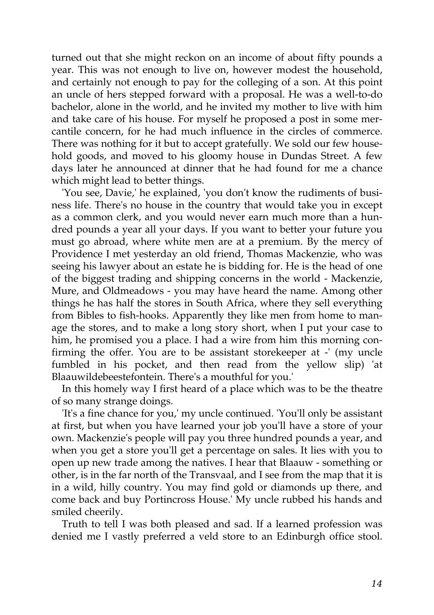turned out that she might reckon on an income of about fifty pounds a year. This was not enough to live on, however modest the household, and certainly not enough to pay for the colleging of a son. At this point an uncle of hers stepped forward with a proposal. He was a well-to-do bachelor, alone in the world, and he invited my mother to live with him and take care of his house. For myself he proposed a post in some mercantile concern, for he had much influence in the circles of commerce. There was nothing for it but to accept gratefully. We sold our few household goods, and moved to his gloomy house in Dundas Street. A few days later he announced at dinner that he had found for me a chance which might lead to better things.

'You see, Davie,' he explained, 'you don't know the rudiments of business life. There's no house in the country that would take you in except as a common clerk, and you would never earn much more than a hundred pounds a year all your days. If you want to better your future you must go abroad, where white men are at a premium. By the mercy of Providence I met yesterday an old friend, Thomas Mackenzie, who was seeing his lawyer about an estate he is bidding for. He is the head of one of the biggest trading and shipping concerns in the world - Mackenzie, Mure, and Oldmeadows - you may have heard the name. Among other things he has half the stores in South Africa, where they sell everything from Bibles to fish-hooks. Apparently they like men from home to manage the stores, and to make a long story short, when I put your case to him, he promised you a place. I had a wire from him this morning confirming the offer. You are to be assistant storekeeper at -' (my uncle fumbled in his pocket, and then read from the yellow slip) 'at Blaauwildebeestefontein. There's a mouthful for you.'

In this homely way I first heard of a place which was to be the theatre of so many strange doings.

'It's a fine chance for you,' my uncle continued. 'You'll only be assistant at first, but when you have learned your job you'll have a store of your own. Mackenzie's people will pay you three hundred pounds a year, and when you get a store you'll get a percentage on sales. It lies with you to open up new trade among the natives. I hear that Blaauw - something or other, is in the far north of the Transvaal, and I see from the map that it is in a wild, hilly country. You may find gold or diamonds up there, and come back and buy Portincross House.' My uncle rubbed his hands and smiled cheerily.

Truth to tell I was both pleased and sad. If a learned profession was denied me I vastly preferred a veld store to an Edinburgh office stool.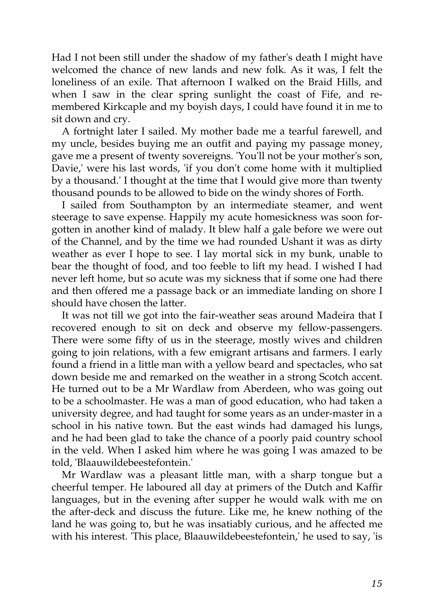Had I not been still under the shadow of my father's death I might have welcomed the chance of new lands and new folk. As it was, I felt the loneliness of an exile. That afternoon I walked on the Braid Hills, and when I saw in the clear spring sunlight the coast of Fife, and remembered Kirkcaple and my boyish days, I could have found it in me to sit down and cry.

A fortnight later I sailed. My mother bade me a tearful farewell, and my uncle, besides buying me an outfit and paying my passage money, gave me a present of twenty sovereigns. 'You'll not be your mother's son, Davie,' were his last words, 'if you don't come home with it multiplied by a thousand.' I thought at the time that I would give more than twenty thousand pounds to be allowed to bide on the windy shores of Forth.

I sailed from Southampton by an intermediate steamer, and went steerage to save expense. Happily my acute homesickness was soon forgotten in another kind of malady. It blew half a gale before we were out of the Channel, and by the time we had rounded Ushant it was as dirty weather as ever I hope to see. I lay mortal sick in my bunk, unable to bear the thought of food, and too feeble to lift my head. I wished I had never left home, but so acute was my sickness that if some one had there and then offered me a passage back or an immediate landing on shore I should have chosen the latter.

It was not till we got into the fair-weather seas around Madeira that I recovered enough to sit on deck and observe my fellow-passengers. There were some fifty of us in the steerage, mostly wives and children going to join relations, with a few emigrant artisans and farmers. I early found a friend in a little man with a yellow beard and spectacles, who sat down beside me and remarked on the weather in a strong Scotch accent. He turned out to be a Mr Wardlaw from Aberdeen, who was going out to be a schoolmaster. He was a man of good education, who had taken a university degree, and had taught for some years as an under-master in a school in his native town. But the east winds had damaged his lungs, and he had been glad to take the chance of a poorly paid country school in the veld. When I asked him where he was going I was amazed to be told, 'Blaauwildebeestefontein.'

Mr Wardlaw was a pleasant little man, with a sharp tongue but a cheerful temper. He laboured all day at primers of the Dutch and Kaffir languages, but in the evening after supper he would walk with me on the after-deck and discuss the future. Like me, he knew nothing of the land he was going to, but he was insatiably curious, and he affected me with his interest. 'This place, Blaauwildebeestefontein,' he used to say, 'is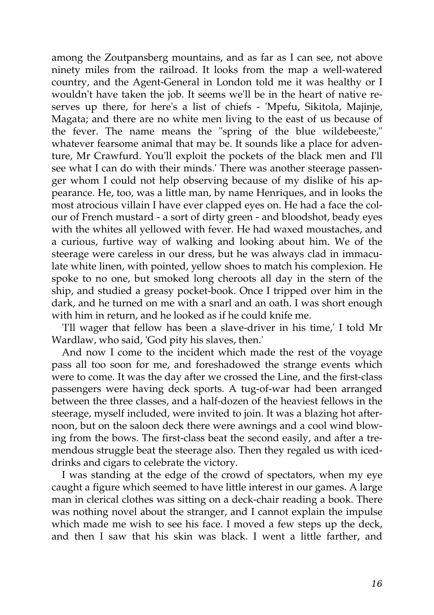among the Zoutpansberg mountains, and as far as I can see, not above ninety miles from the railroad. It looks from the map a well-watered country, and the Agent-General in London told me it was healthy or I wouldn't have taken the job. It seems we'll be in the heart of native reserves up there, for here's a list of chiefs - 'Mpefu, Sikitola, Majinje, Magata; and there are no white men living to the east of us because of the fever. The name means the "spring of the blue wildebeeste," whatever fearsome animal that may be. It sounds like a place for adventure, Mr Crawfurd. You'll exploit the pockets of the black men and I'll see what I can do with their minds.' There was another steerage passenger whom I could not help observing because of my dislike of his appearance. He, too, was a little man, by name Henriques, and in looks the most atrocious villain I have ever clapped eyes on. He had a face the colour of French mustard - a sort of dirty green - and bloodshot, beady eyes with the whites all yellowed with fever. He had waxed moustaches, and a curious, furtive way of walking and looking about him. We of the steerage were careless in our dress, but he was always clad in immaculate white linen, with pointed, yellow shoes to match his complexion. He spoke to no one, but smoked long cheroots all day in the stern of the ship, and studied a greasy pocket-book. Once I tripped over him in the dark, and he turned on me with a snarl and an oath. I was short enough with him in return, and he looked as if he could knife me.

'I'll wager that fellow has been a slave-driver in his time,' I told Mr Wardlaw, who said, 'God pity his slaves, then.'

And now I come to the incident which made the rest of the voyage pass all too soon for me, and foreshadowed the strange events which were to come. It was the day after we crossed the Line, and the first-class passengers were having deck sports. A tug-of-war had been arranged between the three classes, and a half-dozen of the heaviest fellows in the steerage, myself included, were invited to join. It was a blazing hot afternoon, but on the saloon deck there were awnings and a cool wind blowing from the bows. The first-class beat the second easily, and after a tremendous struggle beat the steerage also. Then they regaled us with iceddrinks and cigars to celebrate the victory.

I was standing at the edge of the crowd of spectators, when my eye caught a figure which seemed to have little interest in our games. A large man in clerical clothes was sitting on a deck-chair reading a book. There was nothing novel about the stranger, and I cannot explain the impulse which made me wish to see his face. I moved a few steps up the deck, and then I saw that his skin was black. I went a little farther, and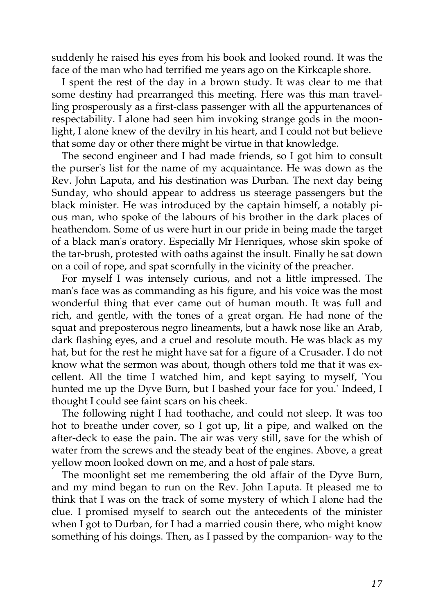suddenly he raised his eyes from his book and looked round. It was the face of the man who had terrified me years ago on the Kirkcaple shore.

I spent the rest of the day in a brown study. It was clear to me that some destiny had prearranged this meeting. Here was this man travelling prosperously as a first-class passenger with all the appurtenances of respectability. I alone had seen him invoking strange gods in the moonlight, I alone knew of the devilry in his heart, and I could not but believe that some day or other there might be virtue in that knowledge.

The second engineer and I had made friends, so I got him to consult the purser's list for the name of my acquaintance. He was down as the Rev. John Laputa, and his destination was Durban. The next day being Sunday, who should appear to address us steerage passengers but the black minister. He was introduced by the captain himself, a notably pious man, who spoke of the labours of his brother in the dark places of heathendom. Some of us were hurt in our pride in being made the target of a black man's oratory. Especially Mr Henriques, whose skin spoke of the tar-brush, protested with oaths against the insult. Finally he sat down on a coil of rope, and spat scornfully in the vicinity of the preacher.

For myself I was intensely curious, and not a little impressed. The man's face was as commanding as his figure, and his voice was the most wonderful thing that ever came out of human mouth. It was full and rich, and gentle, with the tones of a great organ. He had none of the squat and preposterous negro lineaments, but a hawk nose like an Arab, dark flashing eyes, and a cruel and resolute mouth. He was black as my hat, but for the rest he might have sat for a figure of a Crusader. I do not know what the sermon was about, though others told me that it was excellent. All the time I watched him, and kept saying to myself, 'You hunted me up the Dyve Burn, but I bashed your face for you.' Indeed, I thought I could see faint scars on his cheek.

The following night I had toothache, and could not sleep. It was too hot to breathe under cover, so I got up, lit a pipe, and walked on the after-deck to ease the pain. The air was very still, save for the whish of water from the screws and the steady beat of the engines. Above, a great yellow moon looked down on me, and a host of pale stars.

The moonlight set me remembering the old affair of the Dyve Burn, and my mind began to run on the Rev. John Laputa. It pleased me to think that I was on the track of some mystery of which I alone had the clue. I promised myself to search out the antecedents of the minister when I got to Durban, for I had a married cousin there, who might know something of his doings. Then, as I passed by the companion- way to the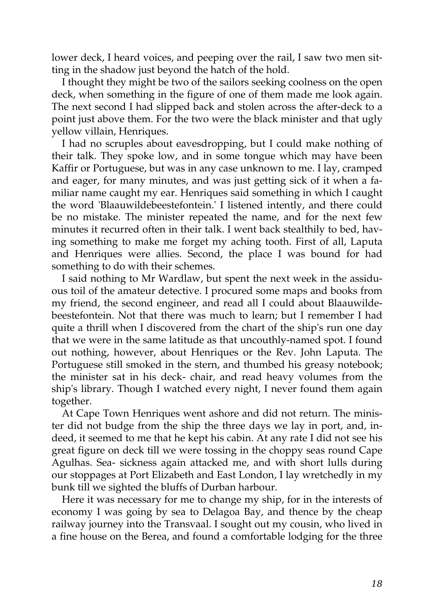lower deck, I heard voices, and peeping over the rail, I saw two men sitting in the shadow just beyond the hatch of the hold.

I thought they might be two of the sailors seeking coolness on the open deck, when something in the figure of one of them made me look again. The next second I had slipped back and stolen across the after-deck to a point just above them. For the two were the black minister and that ugly yellow villain, Henriques.

I had no scruples about eavesdropping, but I could make nothing of their talk. They spoke low, and in some tongue which may have been Kaffir or Portuguese, but was in any case unknown to me. I lay, cramped and eager, for many minutes, and was just getting sick of it when a familiar name caught my ear. Henriques said something in which I caught the word 'Blaauwildebeestefontein.' I listened intently, and there could be no mistake. The minister repeated the name, and for the next few minutes it recurred often in their talk. I went back stealthily to bed, having something to make me forget my aching tooth. First of all, Laputa and Henriques were allies. Second, the place I was bound for had something to do with their schemes.

I said nothing to Mr Wardlaw, but spent the next week in the assiduous toil of the amateur detective. I procured some maps and books from my friend, the second engineer, and read all I could about Blaauwildebeestefontein. Not that there was much to learn; but I remember I had quite a thrill when I discovered from the chart of the ship's run one day that we were in the same latitude as that uncouthly-named spot. I found out nothing, however, about Henriques or the Rev. John Laputa. The Portuguese still smoked in the stern, and thumbed his greasy notebook; the minister sat in his deck- chair, and read heavy volumes from the ship's library. Though I watched every night, I never found them again together.

At Cape Town Henriques went ashore and did not return. The minister did not budge from the ship the three days we lay in port, and, indeed, it seemed to me that he kept his cabin. At any rate I did not see his great figure on deck till we were tossing in the choppy seas round Cape Agulhas. Sea- sickness again attacked me, and with short lulls during our stoppages at Port Elizabeth and East London, I lay wretchedly in my bunk till we sighted the bluffs of Durban harbour.

Here it was necessary for me to change my ship, for in the interests of economy I was going by sea to Delagoa Bay, and thence by the cheap railway journey into the Transvaal. I sought out my cousin, who lived in a fine house on the Berea, and found a comfortable lodging for the three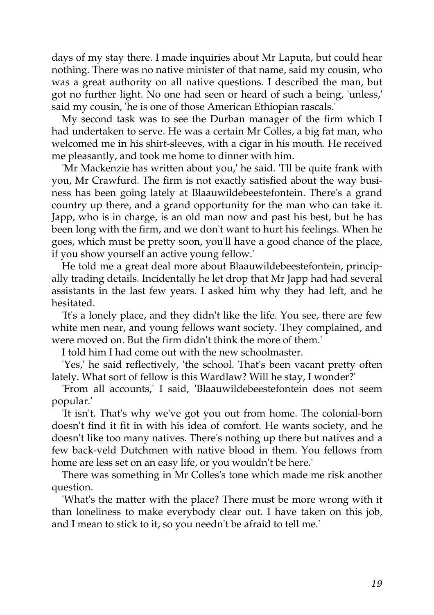days of my stay there. I made inquiries about Mr Laputa, but could hear nothing. There was no native minister of that name, said my cousin, who was a great authority on all native questions. I described the man, but got no further light. No one had seen or heard of such a being, 'unless,' said my cousin, 'he is one of those American Ethiopian rascals.'

My second task was to see the Durban manager of the firm which I had undertaken to serve. He was a certain Mr Colles, a big fat man, who welcomed me in his shirt-sleeves, with a cigar in his mouth. He received me pleasantly, and took me home to dinner with him.

'Mr Mackenzie has written about you,' he said. 'I'll be quite frank with you, Mr Crawfurd. The firm is not exactly satisfied about the way business has been going lately at Blaauwildebeestefontein. There's a grand country up there, and a grand opportunity for the man who can take it. Japp, who is in charge, is an old man now and past his best, but he has been long with the firm, and we don't want to hurt his feelings. When he goes, which must be pretty soon, you'll have a good chance of the place, if you show yourself an active young fellow.'

He told me a great deal more about Blaauwildebeestefontein, principally trading details. Incidentally he let drop that Mr Japp had had several assistants in the last few years. I asked him why they had left, and he hesitated.

'It's a lonely place, and they didn't like the life. You see, there are few white men near, and young fellows want society. They complained, and were moved on. But the firm didn't think the more of them.'

I told him I had come out with the new schoolmaster.

'Yes,' he said reflectively, 'the school. That's been vacant pretty often lately. What sort of fellow is this Wardlaw? Will he stay, I wonder?'

'From all accounts,' I said, 'Blaauwildebeestefontein does not seem popular.'

'It isn't. That's why we've got you out from home. The colonial-born doesn't find it fit in with his idea of comfort. He wants society, and he doesn't like too many natives. There's nothing up there but natives and a few back-veld Dutchmen with native blood in them. You fellows from home are less set on an easy life, or you wouldn't be here.'

There was something in Mr Colles's tone which made me risk another question.

'What's the matter with the place? There must be more wrong with it than loneliness to make everybody clear out. I have taken on this job, and I mean to stick to it, so you needn't be afraid to tell me.'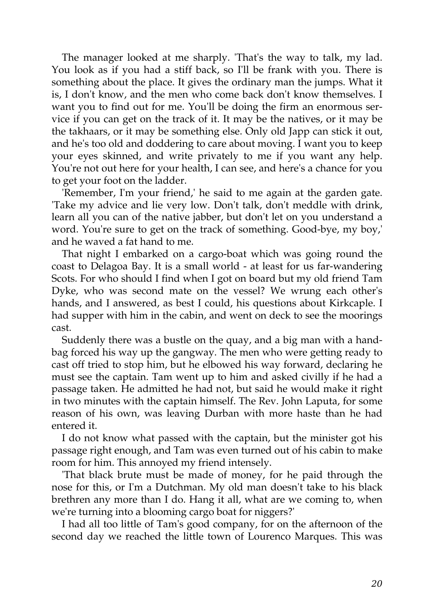The manager looked at me sharply. 'That's the way to talk, my lad. You look as if you had a stiff back, so I'll be frank with you. There is something about the place. It gives the ordinary man the jumps. What it is, I don't know, and the men who come back don't know themselves. I want you to find out for me. You'll be doing the firm an enormous service if you can get on the track of it. It may be the natives, or it may be the takhaars, or it may be something else. Only old Japp can stick it out, and he's too old and doddering to care about moving. I want you to keep your eyes skinned, and write privately to me if you want any help. You're not out here for your health, I can see, and here's a chance for you to get your foot on the ladder.

'Remember, I'm your friend,' he said to me again at the garden gate. 'Take my advice and lie very low. Don't talk, don't meddle with drink, learn all you can of the native jabber, but don't let on you understand a word. You're sure to get on the track of something. Good-bye, my boy,' and he waved a fat hand to me.

That night I embarked on a cargo-boat which was going round the coast to Delagoa Bay. It is a small world - at least for us far-wandering Scots. For who should I find when I got on board but my old friend Tam Dyke, who was second mate on the vessel? We wrung each other's hands, and I answered, as best I could, his questions about Kirkcaple. I had supper with him in the cabin, and went on deck to see the moorings cast.

Suddenly there was a bustle on the quay, and a big man with a handbag forced his way up the gangway. The men who were getting ready to cast off tried to stop him, but he elbowed his way forward, declaring he must see the captain. Tam went up to him and asked civilly if he had a passage taken. He admitted he had not, but said he would make it right in two minutes with the captain himself. The Rev. John Laputa, for some reason of his own, was leaving Durban with more haste than he had entered it.

I do not know what passed with the captain, but the minister got his passage right enough, and Tam was even turned out of his cabin to make room for him. This annoyed my friend intensely.

'That black brute must be made of money, for he paid through the nose for this, or I'm a Dutchman. My old man doesn't take to his black brethren any more than I do. Hang it all, what are we coming to, when we're turning into a blooming cargo boat for niggers?'

I had all too little of Tam's good company, for on the afternoon of the second day we reached the little town of Lourenco Marques. This was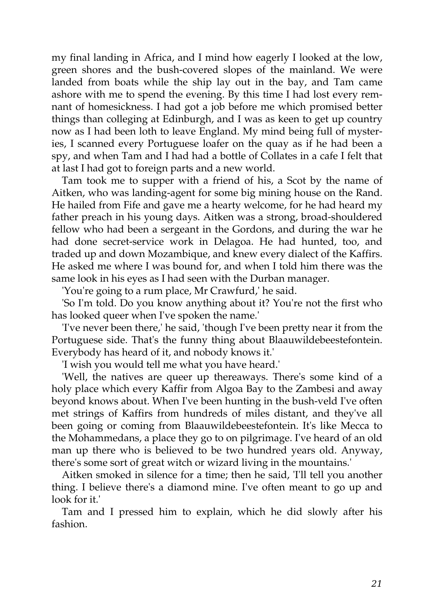my final landing in Africa, and I mind how eagerly I looked at the low, green shores and the bush-covered slopes of the mainland. We were landed from boats while the ship lay out in the bay, and Tam came ashore with me to spend the evening. By this time I had lost every remnant of homesickness. I had got a job before me which promised better things than colleging at Edinburgh, and I was as keen to get up country now as I had been loth to leave England. My mind being full of mysteries, I scanned every Portuguese loafer on the quay as if he had been a spy, and when Tam and I had had a bottle of Collates in a cafe I felt that at last I had got to foreign parts and a new world.

Tam took me to supper with a friend of his, a Scot by the name of Aitken, who was landing-agent for some big mining house on the Rand. He hailed from Fife and gave me a hearty welcome, for he had heard my father preach in his young days. Aitken was a strong, broad-shouldered fellow who had been a sergeant in the Gordons, and during the war he had done secret-service work in Delagoa. He had hunted, too, and traded up and down Mozambique, and knew every dialect of the Kaffirs. He asked me where I was bound for, and when I told him there was the same look in his eyes as I had seen with the Durban manager.

'You're going to a rum place, Mr Crawfurd,' he said.

'So I'm told. Do you know anything about it? You're not the first who has looked queer when I've spoken the name.'

'I've never been there,' he said, 'though I've been pretty near it from the Portuguese side. That's the funny thing about Blaauwildebeestefontein. Everybody has heard of it, and nobody knows it.'

'I wish you would tell me what you have heard.'

'Well, the natives are queer up thereaways. There's some kind of a holy place which every Kaffir from Algoa Bay to the Zambesi and away beyond knows about. When I've been hunting in the bush-veld I've often met strings of Kaffirs from hundreds of miles distant, and they've all been going or coming from Blaauwildebeestefontein. It's like Mecca to the Mohammedans, a place they go to on pilgrimage. I've heard of an old man up there who is believed to be two hundred years old. Anyway, there's some sort of great witch or wizard living in the mountains.'

Aitken smoked in silence for a time; then he said, 'I'll tell you another thing. I believe there's a diamond mine. I've often meant to go up and look for it.'

Tam and I pressed him to explain, which he did slowly after his fashion.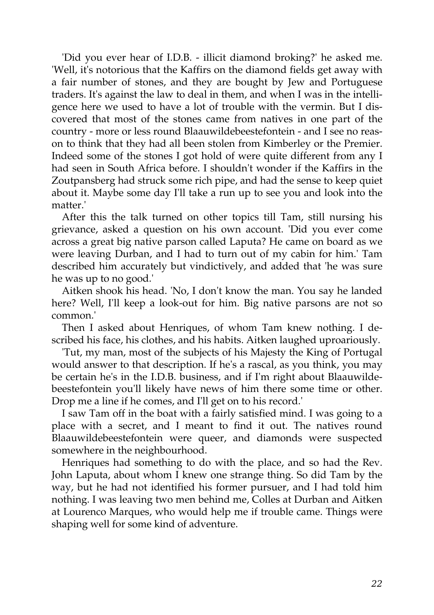'Did you ever hear of I.D.B. - illicit diamond broking?' he asked me. 'Well, it's notorious that the Kaffirs on the diamond fields get away with a fair number of stones, and they are bought by Jew and Portuguese traders. It's against the law to deal in them, and when I was in the intelligence here we used to have a lot of trouble with the vermin. But I discovered that most of the stones came from natives in one part of the country - more or less round Blaauwildebeestefontein - and I see no reason to think that they had all been stolen from Kimberley or the Premier. Indeed some of the stones I got hold of were quite different from any I had seen in South Africa before. I shouldn't wonder if the Kaffirs in the Zoutpansberg had struck some rich pipe, and had the sense to keep quiet about it. Maybe some day I'll take a run up to see you and look into the matter.'

After this the talk turned on other topics till Tam, still nursing his grievance, asked a question on his own account. 'Did you ever come across a great big native parson called Laputa? He came on board as we were leaving Durban, and I had to turn out of my cabin for him.' Tam described him accurately but vindictively, and added that 'he was sure he was up to no good.'

Aitken shook his head. 'No, I don't know the man. You say he landed here? Well, I'll keep a look-out for him. Big native parsons are not so common.'

Then I asked about Henriques, of whom Tam knew nothing. I described his face, his clothes, and his habits. Aitken laughed uproariously.

'Tut, my man, most of the subjects of his Majesty the King of Portugal would answer to that description. If he's a rascal, as you think, you may be certain he's in the I.D.B. business, and if I'm right about Blaauwildebeestefontein you'll likely have news of him there some time or other. Drop me a line if he comes, and I'll get on to his record.'

I saw Tam off in the boat with a fairly satisfied mind. I was going to a place with a secret, and I meant to find it out. The natives round Blaauwildebeestefontein were queer, and diamonds were suspected somewhere in the neighbourhood.

Henriques had something to do with the place, and so had the Rev. John Laputa, about whom I knew one strange thing. So did Tam by the way, but he had not identified his former pursuer, and I had told him nothing. I was leaving two men behind me, Colles at Durban and Aitken at Lourenco Marques, who would help me if trouble came. Things were shaping well for some kind of adventure.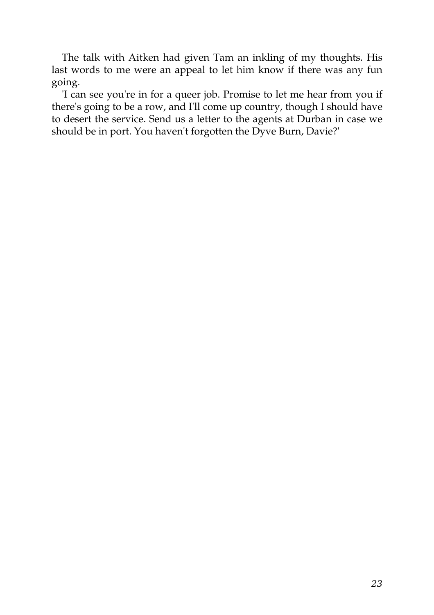The talk with Aitken had given Tam an inkling of my thoughts. His last words to me were an appeal to let him know if there was any fun going.

'I can see you're in for a queer job. Promise to let me hear from you if there's going to be a row, and I'll come up country, though I should have to desert the service. Send us a letter to the agents at Durban in case we should be in port. You haven't forgotten the Dyve Burn, Davie?'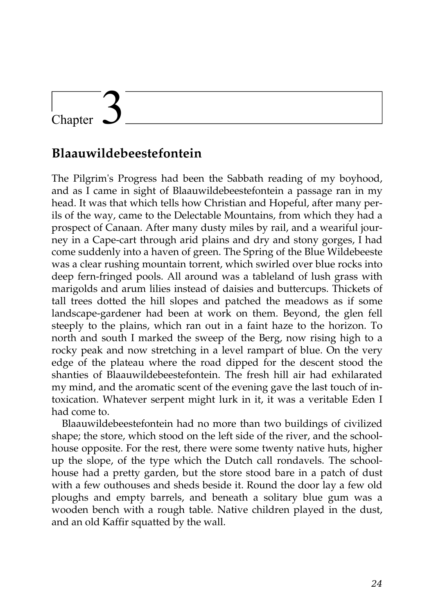# Chapter

### **Blaauwildebeestefontein**

The Pilgrim's Progress had been the Sabbath reading of my boyhood, and as I came in sight of Blaauwildebeestefontein a passage ran in my head. It was that which tells how Christian and Hopeful, after many perils of the way, came to the Delectable Mountains, from which they had a prospect of Canaan. After many dusty miles by rail, and a weariful journey in a Cape-cart through arid plains and dry and stony gorges, I had come suddenly into a haven of green. The Spring of the Blue Wildebeeste was a clear rushing mountain torrent, which swirled over blue rocks into deep fern-fringed pools. All around was a tableland of lush grass with marigolds and arum lilies instead of daisies and buttercups. Thickets of tall trees dotted the hill slopes and patched the meadows as if some landscape-gardener had been at work on them. Beyond, the glen fell steeply to the plains, which ran out in a faint haze to the horizon. To north and south I marked the sweep of the Berg, now rising high to a rocky peak and now stretching in a level rampart of blue. On the very edge of the plateau where the road dipped for the descent stood the shanties of Blaauwildebeestefontein. The fresh hill air had exhilarated my mind, and the aromatic scent of the evening gave the last touch of intoxication. Whatever serpent might lurk in it, it was a veritable Eden I had come to.

Blaauwildebeestefontein had no more than two buildings of civilized shape; the store, which stood on the left side of the river, and the schoolhouse opposite. For the rest, there were some twenty native huts, higher up the slope, of the type which the Dutch call rondavels. The schoolhouse had a pretty garden, but the store stood bare in a patch of dust with a few outhouses and sheds beside it. Round the door lay a few old ploughs and empty barrels, and beneath a solitary blue gum was a wooden bench with a rough table. Native children played in the dust, and an old Kaffir squatted by the wall.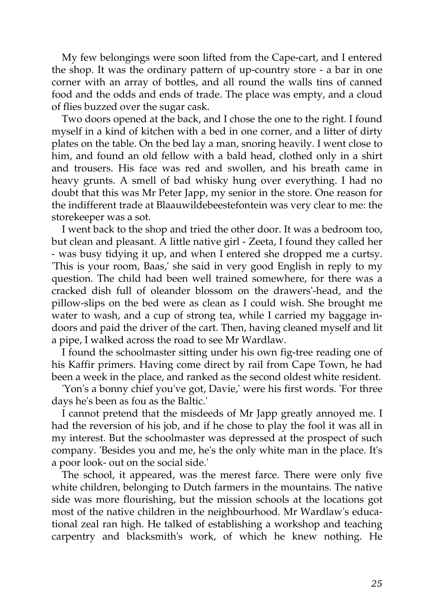My few belongings were soon lifted from the Cape-cart, and I entered the shop. It was the ordinary pattern of up-country store - a bar in one corner with an array of bottles, and all round the walls tins of canned food and the odds and ends of trade. The place was empty, and a cloud of flies buzzed over the sugar cask.

Two doors opened at the back, and I chose the one to the right. I found myself in a kind of kitchen with a bed in one corner, and a litter of dirty plates on the table. On the bed lay a man, snoring heavily. I went close to him, and found an old fellow with a bald head, clothed only in a shirt and trousers. His face was red and swollen, and his breath came in heavy grunts. A smell of bad whisky hung over everything. I had no doubt that this was Mr Peter Japp, my senior in the store. One reason for the indifferent trade at Blaauwildebeestefontein was very clear to me: the storekeeper was a sot.

I went back to the shop and tried the other door. It was a bedroom too, but clean and pleasant. A little native girl - Zeeta, I found they called her - was busy tidying it up, and when I entered she dropped me a curtsy. 'This is your room, Baas,' she said in very good English in reply to my question. The child had been well trained somewhere, for there was a cracked dish full of oleander blossom on the drawers'-head, and the pillow-slips on the bed were as clean as I could wish. She brought me water to wash, and a cup of strong tea, while I carried my baggage indoors and paid the driver of the cart. Then, having cleaned myself and lit a pipe, I walked across the road to see Mr Wardlaw.

I found the schoolmaster sitting under his own fig-tree reading one of his Kaffir primers. Having come direct by rail from Cape Town, he had been a week in the place, and ranked as the second oldest white resident.

'Yon's a bonny chief you've got, Davie,' were his first words. 'For three days he's been as fou as the Baltic.'

I cannot pretend that the misdeeds of Mr Japp greatly annoyed me. I had the reversion of his job, and if he chose to play the fool it was all in my interest. But the schoolmaster was depressed at the prospect of such company. 'Besides you and me, he's the only white man in the place. It's a poor look- out on the social side.'

The school, it appeared, was the merest farce. There were only five white children, belonging to Dutch farmers in the mountains. The native side was more flourishing, but the mission schools at the locations got most of the native children in the neighbourhood. Mr Wardlaw's educational zeal ran high. He talked of establishing a workshop and teaching carpentry and blacksmith's work, of which he knew nothing. He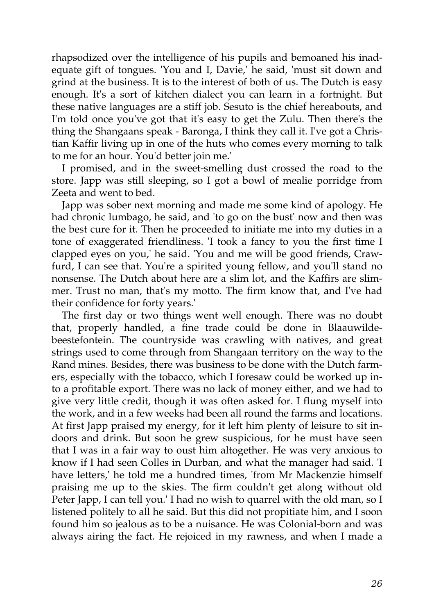rhapsodized over the intelligence of his pupils and bemoaned his inadequate gift of tongues. 'You and I, Davie,' he said, 'must sit down and grind at the business. It is to the interest of both of us. The Dutch is easy enough. It's a sort of kitchen dialect you can learn in a fortnight. But these native languages are a stiff job. Sesuto is the chief hereabouts, and I'm told once you've got that it's easy to get the Zulu. Then there's the thing the Shangaans speak - Baronga, I think they call it. I've got a Christian Kaffir living up in one of the huts who comes every morning to talk to me for an hour. You'd better join me.'

I promised, and in the sweet-smelling dust crossed the road to the store. Japp was still sleeping, so I got a bowl of mealie porridge from Zeeta and went to bed.

Japp was sober next morning and made me some kind of apology. He had chronic lumbago, he said, and 'to go on the bust' now and then was the best cure for it. Then he proceeded to initiate me into my duties in a tone of exaggerated friendliness. 'I took a fancy to you the first time I clapped eyes on you,' he said. 'You and me will be good friends, Crawfurd, I can see that. You're a spirited young fellow, and you'll stand no nonsense. The Dutch about here are a slim lot, and the Kaffirs are slimmer. Trust no man, that's my motto. The firm know that, and I've had their confidence for forty years.'

The first day or two things went well enough. There was no doubt that, properly handled, a fine trade could be done in Blaauwildebeestefontein. The countryside was crawling with natives, and great strings used to come through from Shangaan territory on the way to the Rand mines. Besides, there was business to be done with the Dutch farmers, especially with the tobacco, which I foresaw could be worked up into a profitable export. There was no lack of money either, and we had to give very little credit, though it was often asked for. I flung myself into the work, and in a few weeks had been all round the farms and locations. At first Japp praised my energy, for it left him plenty of leisure to sit indoors and drink. But soon he grew suspicious, for he must have seen that I was in a fair way to oust him altogether. He was very anxious to know if I had seen Colles in Durban, and what the manager had said. 'I have letters,' he told me a hundred times, 'from Mr Mackenzie himself praising me up to the skies. The firm couldn't get along without old Peter Japp, I can tell you.' I had no wish to quarrel with the old man, so I listened politely to all he said. But this did not propitiate him, and I soon found him so jealous as to be a nuisance. He was Colonial-born and was always airing the fact. He rejoiced in my rawness, and when I made a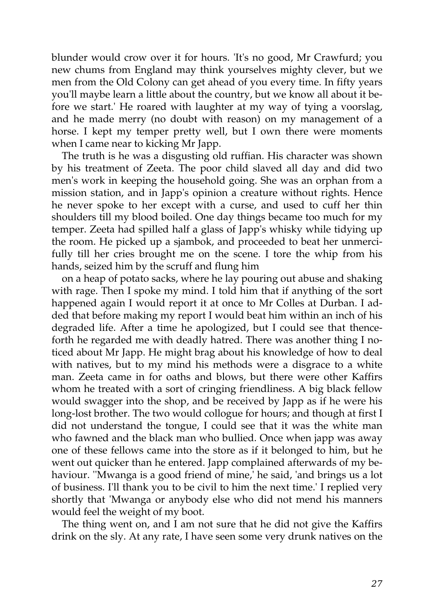blunder would crow over it for hours. 'It's no good, Mr Crawfurd; you new chums from England may think yourselves mighty clever, but we men from the Old Colony can get ahead of you every time. In fifty years you'll maybe learn a little about the country, but we know all about it before we start.' He roared with laughter at my way of tying a voorslag, and he made merry (no doubt with reason) on my management of a horse. I kept my temper pretty well, but I own there were moments when I came near to kicking Mr Japp.

The truth is he was a disgusting old ruffian. His character was shown by his treatment of Zeeta. The poor child slaved all day and did two men's work in keeping the household going. She was an orphan from a mission station, and in Japp's opinion a creature without rights. Hence he never spoke to her except with a curse, and used to cuff her thin shoulders till my blood boiled. One day things became too much for my temper. Zeeta had spilled half a glass of Japp's whisky while tidying up the room. He picked up a sjambok, and proceeded to beat her unmercifully till her cries brought me on the scene. I tore the whip from his hands, seized him by the scruff and flung him

on a heap of potato sacks, where he lay pouring out abuse and shaking with rage. Then I spoke my mind. I told him that if anything of the sort happened again I would report it at once to Mr Colles at Durban. I added that before making my report I would beat him within an inch of his degraded life. After a time he apologized, but I could see that thenceforth he regarded me with deadly hatred. There was another thing I noticed about Mr Japp. He might brag about his knowledge of how to deal with natives, but to my mind his methods were a disgrace to a white man. Zeeta came in for oaths and blows, but there were other Kaffirs whom he treated with a sort of cringing friendliness. A big black fellow would swagger into the shop, and be received by Japp as if he were his long-lost brother. The two would collogue for hours; and though at first I did not understand the tongue, I could see that it was the white man who fawned and the black man who bullied. Once when japp was away one of these fellows came into the store as if it belonged to him, but he went out quicker than he entered. Japp complained afterwards of my behaviour. ''Mwanga is a good friend of mine,' he said, 'and brings us a lot of business. I'll thank you to be civil to him the next time.' I replied very shortly that 'Mwanga or anybody else who did not mend his manners would feel the weight of my boot.

The thing went on, and I am not sure that he did not give the Kaffirs drink on the sly. At any rate, I have seen some very drunk natives on the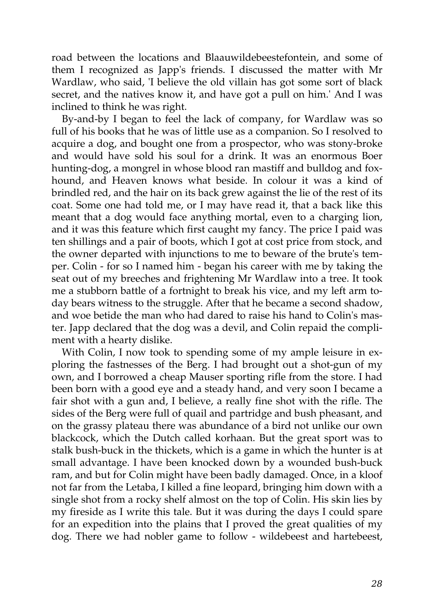road between the locations and Blaauwildebeestefontein, and some of them I recognized as Japp's friends. I discussed the matter with Mr Wardlaw, who said, 'I believe the old villain has got some sort of black secret, and the natives know it, and have got a pull on him.' And I was inclined to think he was right.

By-and-by I began to feel the lack of company, for Wardlaw was so full of his books that he was of little use as a companion. So I resolved to acquire a dog, and bought one from a prospector, who was stony-broke and would have sold his soul for a drink. It was an enormous Boer hunting-dog, a mongrel in whose blood ran mastiff and bulldog and foxhound, and Heaven knows what beside. In colour it was a kind of brindled red, and the hair on its back grew against the lie of the rest of its coat. Some one had told me, or I may have read it, that a back like this meant that a dog would face anything mortal, even to a charging lion, and it was this feature which first caught my fancy. The price I paid was ten shillings and a pair of boots, which I got at cost price from stock, and the owner departed with injunctions to me to beware of the brute's temper. Colin - for so I named him - began his career with me by taking the seat out of my breeches and frightening Mr Wardlaw into a tree. It took me a stubborn battle of a fortnight to break his vice, and my left arm today bears witness to the struggle. After that he became a second shadow, and woe betide the man who had dared to raise his hand to Colin's master. Japp declared that the dog was a devil, and Colin repaid the compliment with a hearty dislike.

With Colin, I now took to spending some of my ample leisure in exploring the fastnesses of the Berg. I had brought out a shot-gun of my own, and I borrowed a cheap Mauser sporting rifle from the store. I had been born with a good eye and a steady hand, and very soon I became a fair shot with a gun and, I believe, a really fine shot with the rifle. The sides of the Berg were full of quail and partridge and bush pheasant, and on the grassy plateau there was abundance of a bird not unlike our own blackcock, which the Dutch called korhaan. But the great sport was to stalk bush-buck in the thickets, which is a game in which the hunter is at small advantage. I have been knocked down by a wounded bush-buck ram, and but for Colin might have been badly damaged. Once, in a kloof not far from the Letaba, I killed a fine leopard, bringing him down with a single shot from a rocky shelf almost on the top of Colin. His skin lies by my fireside as I write this tale. But it was during the days I could spare for an expedition into the plains that I proved the great qualities of my dog. There we had nobler game to follow - wildebeest and hartebeest,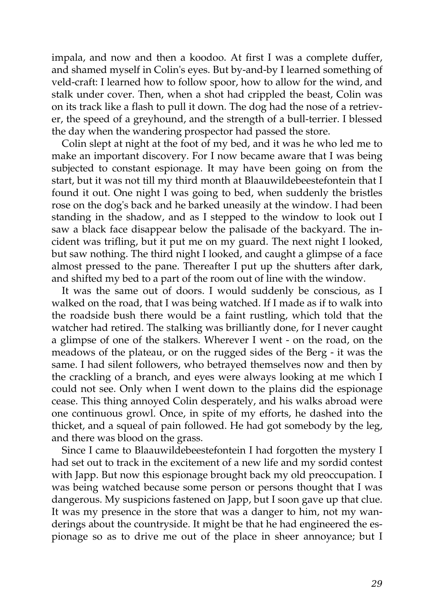impala, and now and then a koodoo. At first I was a complete duffer, and shamed myself in Colin's eyes. But by-and-by I learned something of veld-craft: I learned how to follow spoor, how to allow for the wind, and stalk under cover. Then, when a shot had crippled the beast, Colin was on its track like a flash to pull it down. The dog had the nose of a retriever, the speed of a greyhound, and the strength of a bull-terrier. I blessed the day when the wandering prospector had passed the store.

Colin slept at night at the foot of my bed, and it was he who led me to make an important discovery. For I now became aware that I was being subjected to constant espionage. It may have been going on from the start, but it was not till my third month at Blaauwildebeestefontein that I found it out. One night I was going to bed, when suddenly the bristles rose on the dog's back and he barked uneasily at the window. I had been standing in the shadow, and as I stepped to the window to look out I saw a black face disappear below the palisade of the backyard. The incident was trifling, but it put me on my guard. The next night I looked, but saw nothing. The third night I looked, and caught a glimpse of a face almost pressed to the pane. Thereafter I put up the shutters after dark, and shifted my bed to a part of the room out of line with the window.

It was the same out of doors. I would suddenly be conscious, as I walked on the road, that I was being watched. If I made as if to walk into the roadside bush there would be a faint rustling, which told that the watcher had retired. The stalking was brilliantly done, for I never caught a glimpse of one of the stalkers. Wherever I went - on the road, on the meadows of the plateau, or on the rugged sides of the Berg - it was the same. I had silent followers, who betrayed themselves now and then by the crackling of a branch, and eyes were always looking at me which I could not see. Only when I went down to the plains did the espionage cease. This thing annoyed Colin desperately, and his walks abroad were one continuous growl. Once, in spite of my efforts, he dashed into the thicket, and a squeal of pain followed. He had got somebody by the leg, and there was blood on the grass.

Since I came to Blaauwildebeestefontein I had forgotten the mystery I had set out to track in the excitement of a new life and my sordid contest with Japp. But now this espionage brought back my old preoccupation. I was being watched because some person or persons thought that I was dangerous. My suspicions fastened on Japp, but I soon gave up that clue. It was my presence in the store that was a danger to him, not my wanderings about the countryside. It might be that he had engineered the espionage so as to drive me out of the place in sheer annoyance; but I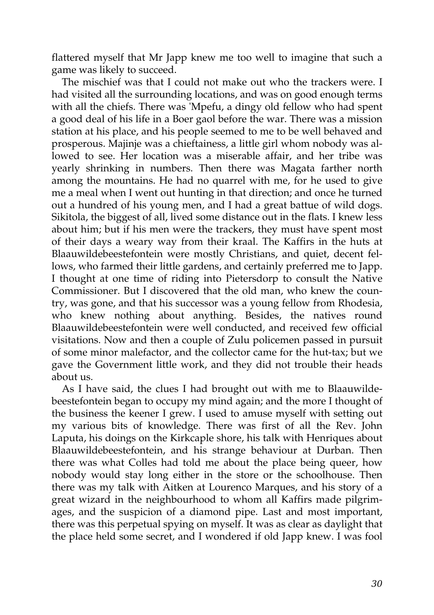flattered myself that Mr Japp knew me too well to imagine that such a game was likely to succeed.

The mischief was that I could not make out who the trackers were. I had visited all the surrounding locations, and was on good enough terms with all the chiefs. There was 'Mpefu, a dingy old fellow who had spent a good deal of his life in a Boer gaol before the war. There was a mission station at his place, and his people seemed to me to be well behaved and prosperous. Majinje was a chieftainess, a little girl whom nobody was allowed to see. Her location was a miserable affair, and her tribe was yearly shrinking in numbers. Then there was Magata farther north among the mountains. He had no quarrel with me, for he used to give me a meal when I went out hunting in that direction; and once he turned out a hundred of his young men, and I had a great battue of wild dogs. Sikitola, the biggest of all, lived some distance out in the flats. I knew less about him; but if his men were the trackers, they must have spent most of their days a weary way from their kraal. The Kaffirs in the huts at Blaauwildebeestefontein were mostly Christians, and quiet, decent fellows, who farmed their little gardens, and certainly preferred me to Japp. I thought at one time of riding into Pietersdorp to consult the Native Commissioner. But I discovered that the old man, who knew the country, was gone, and that his successor was a young fellow from Rhodesia, who knew nothing about anything. Besides, the natives round Blaauwildebeestefontein were well conducted, and received few official visitations. Now and then a couple of Zulu policemen passed in pursuit of some minor malefactor, and the collector came for the hut-tax; but we gave the Government little work, and they did not trouble their heads about us.

As I have said, the clues I had brought out with me to Blaauwildebeestefontein began to occupy my mind again; and the more I thought of the business the keener I grew. I used to amuse myself with setting out my various bits of knowledge. There was first of all the Rev. John Laputa, his doings on the Kirkcaple shore, his talk with Henriques about Blaauwildebeestefontein, and his strange behaviour at Durban. Then there was what Colles had told me about the place being queer, how nobody would stay long either in the store or the schoolhouse. Then there was my talk with Aitken at Lourenco Marques, and his story of a great wizard in the neighbourhood to whom all Kaffirs made pilgrimages, and the suspicion of a diamond pipe. Last and most important, there was this perpetual spying on myself. It was as clear as daylight that the place held some secret, and I wondered if old Japp knew. I was fool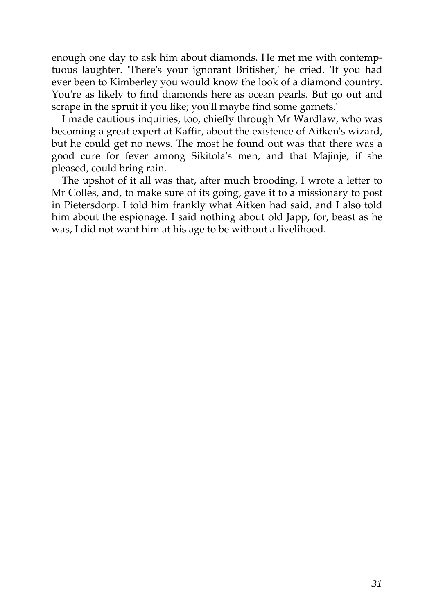enough one day to ask him about diamonds. He met me with contemptuous laughter. 'There's your ignorant Britisher,' he cried. 'If you had ever been to Kimberley you would know the look of a diamond country. You're as likely to find diamonds here as ocean pearls. But go out and scrape in the spruit if you like; you'll maybe find some garnets.'

I made cautious inquiries, too, chiefly through Mr Wardlaw, who was becoming a great expert at Kaffir, about the existence of Aitken's wizard, but he could get no news. The most he found out was that there was a good cure for fever among Sikitola's men, and that Majinje, if she pleased, could bring rain.

The upshot of it all was that, after much brooding, I wrote a letter to Mr Colles, and, to make sure of its going, gave it to a missionary to post in Pietersdorp. I told him frankly what Aitken had said, and I also told him about the espionage. I said nothing about old Japp, for, beast as he was, I did not want him at his age to be without a livelihood.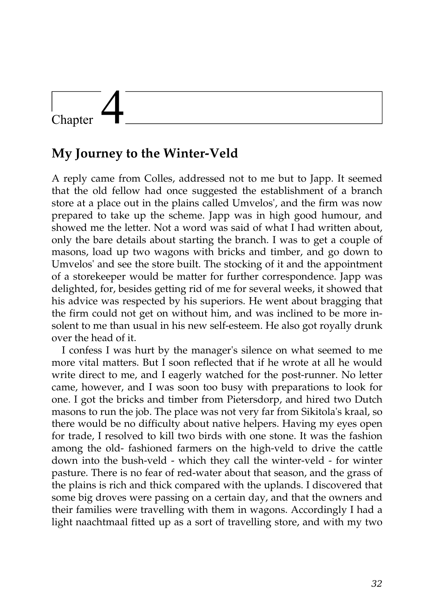# Chapter

### **My Journey to the Winter-Veld**

A reply came from Colles, addressed not to me but to Japp. It seemed that the old fellow had once suggested the establishment of a branch store at a place out in the plains called Umvelos', and the firm was now prepared to take up the scheme. Japp was in high good humour, and showed me the letter. Not a word was said of what I had written about, only the bare details about starting the branch. I was to get a couple of masons, load up two wagons with bricks and timber, and go down to Umvelos' and see the store built. The stocking of it and the appointment of a storekeeper would be matter for further correspondence. Japp was delighted, for, besides getting rid of me for several weeks, it showed that his advice was respected by his superiors. He went about bragging that the firm could not get on without him, and was inclined to be more insolent to me than usual in his new self-esteem. He also got royally drunk over the head of it.

I confess I was hurt by the manager's silence on what seemed to me more vital matters. But I soon reflected that if he wrote at all he would write direct to me, and I eagerly watched for the post-runner. No letter came, however, and I was soon too busy with preparations to look for one. I got the bricks and timber from Pietersdorp, and hired two Dutch masons to run the job. The place was not very far from Sikitola's kraal, so there would be no difficulty about native helpers. Having my eyes open for trade, I resolved to kill two birds with one stone. It was the fashion among the old- fashioned farmers on the high-veld to drive the cattle down into the bush-veld - which they call the winter-veld - for winter pasture. There is no fear of red-water about that season, and the grass of the plains is rich and thick compared with the uplands. I discovered that some big droves were passing on a certain day, and that the owners and their families were travelling with them in wagons. Accordingly I had a light naachtmaal fitted up as a sort of travelling store, and with my two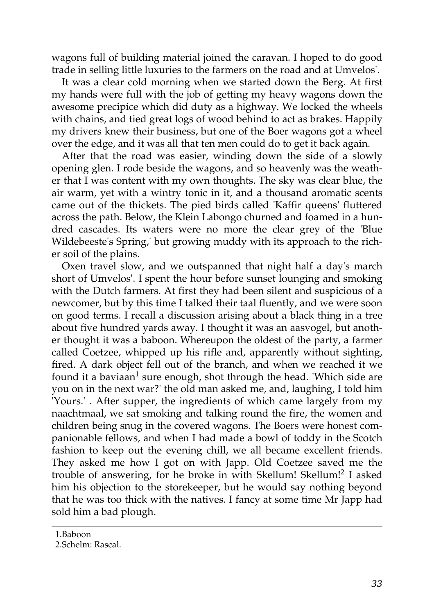wagons full of building material joined the caravan. I hoped to do good trade in selling little luxuries to the farmers on the road and at Umvelos'.

It was a clear cold morning when we started down the Berg. At first my hands were full with the job of getting my heavy wagons down the awesome precipice which did duty as a highway. We locked the wheels with chains, and tied great logs of wood behind to act as brakes. Happily my drivers knew their business, but one of the Boer wagons got a wheel over the edge, and it was all that ten men could do to get it back again.

After that the road was easier, winding down the side of a slowly opening glen. I rode beside the wagons, and so heavenly was the weather that I was content with my own thoughts. The sky was clear blue, the air warm, yet with a wintry tonic in it, and a thousand aromatic scents came out of the thickets. The pied birds called 'Kaffir queens' fluttered across the path. Below, the Klein Labongo churned and foamed in a hundred cascades. Its waters were no more the clear grey of the 'Blue Wildebeeste's Spring,' but growing muddy with its approach to the richer soil of the plains.

Oxen travel slow, and we outspanned that night half a day's march short of Umvelos'. I spent the hour before sunset lounging and smoking with the Dutch farmers. At first they had been silent and suspicious of a newcomer, but by this time I talked their taal fluently, and we were soon on good terms. I recall a discussion arising about a black thing in a tree about five hundred yards away. I thought it was an aasvogel, but another thought it was a baboon. Whereupon the oldest of the party, a farmer called Coetzee, whipped up his rifle and, apparently without sighting, fired. A dark object fell out of the branch, and when we reached it we found it a baviaan $^1$  sure enough, shot through the head. 'Which side are you on in the next war?' the old man asked me, and, laughing, I told him 'Yours.' . After supper, the ingredients of which came largely from my naachtmaal, we sat smoking and talking round the fire, the women and children being snug in the covered wagons. The Boers were honest companionable fellows, and when I had made a bowl of toddy in the Scotch fashion to keep out the evening chill, we all became excellent friends. They asked me how I got on with Japp. Old Coetzee saved me the trouble of answering, for he broke in with Skellum! Skellum!<sup>2</sup> I asked him his objection to the storekeeper, but he would say nothing beyond that he was too thick with the natives. I fancy at some time Mr Japp had sold him a bad plough.

<sup>1.</sup>Baboon

<sup>2.</sup>Schelm: Rascal.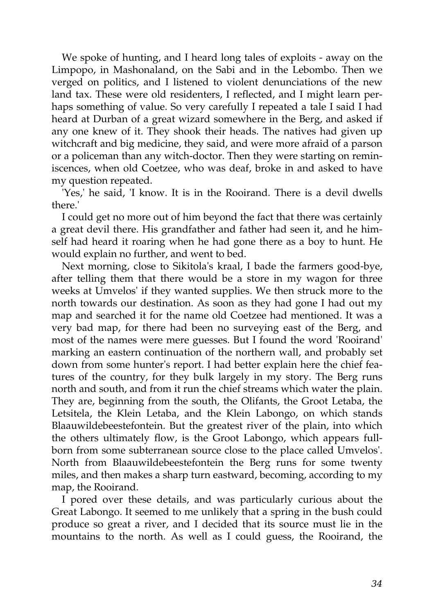We spoke of hunting, and I heard long tales of exploits - away on the Limpopo, in Mashonaland, on the Sabi and in the Lebombo. Then we verged on politics, and I listened to violent denunciations of the new land tax. These were old residenters, I reflected, and I might learn perhaps something of value. So very carefully I repeated a tale I said I had heard at Durban of a great wizard somewhere in the Berg, and asked if any one knew of it. They shook their heads. The natives had given up witchcraft and big medicine, they said, and were more afraid of a parson or a policeman than any witch-doctor. Then they were starting on reminiscences, when old Coetzee, who was deaf, broke in and asked to have my question repeated.

'Yes,' he said, 'I know. It is in the Rooirand. There is a devil dwells there.'

I could get no more out of him beyond the fact that there was certainly a great devil there. His grandfather and father had seen it, and he himself had heard it roaring when he had gone there as a boy to hunt. He would explain no further, and went to bed.

Next morning, close to Sikitola's kraal, I bade the farmers good-bye, after telling them that there would be a store in my wagon for three weeks at Umvelos' if they wanted supplies. We then struck more to the north towards our destination. As soon as they had gone I had out my map and searched it for the name old Coetzee had mentioned. It was a very bad map, for there had been no surveying east of the Berg, and most of the names were mere guesses. But I found the word 'Rooirand' marking an eastern continuation of the northern wall, and probably set down from some hunter's report. I had better explain here the chief features of the country, for they bulk largely in my story. The Berg runs north and south, and from it run the chief streams which water the plain. They are, beginning from the south, the Olifants, the Groot Letaba, the Letsitela, the Klein Letaba, and the Klein Labongo, on which stands Blaauwildebeestefontein. But the greatest river of the plain, into which the others ultimately flow, is the Groot Labongo, which appears fullborn from some subterranean source close to the place called Umvelos'. North from Blaauwildebeestefontein the Berg runs for some twenty miles, and then makes a sharp turn eastward, becoming, according to my map, the Rooirand.

I pored over these details, and was particularly curious about the Great Labongo. It seemed to me unlikely that a spring in the bush could produce so great a river, and I decided that its source must lie in the mountains to the north. As well as I could guess, the Rooirand, the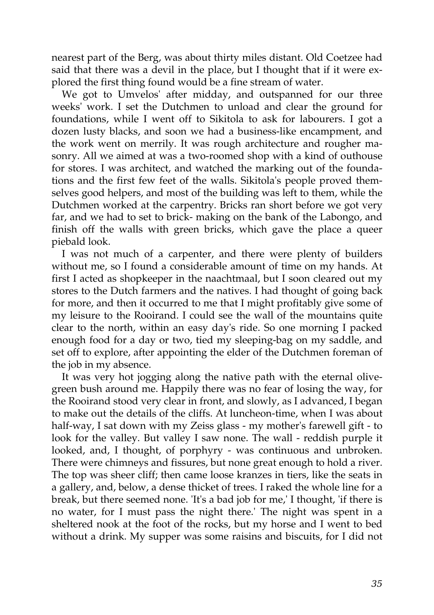nearest part of the Berg, was about thirty miles distant. Old Coetzee had said that there was a devil in the place, but I thought that if it were explored the first thing found would be a fine stream of water.

We got to Umvelos' after midday, and outspanned for our three weeks' work. I set the Dutchmen to unload and clear the ground for foundations, while I went off to Sikitola to ask for labourers. I got a dozen lusty blacks, and soon we had a business-like encampment, and the work went on merrily. It was rough architecture and rougher masonry. All we aimed at was a two-roomed shop with a kind of outhouse for stores. I was architect, and watched the marking out of the foundations and the first few feet of the walls. Sikitola's people proved themselves good helpers, and most of the building was left to them, while the Dutchmen worked at the carpentry. Bricks ran short before we got very far, and we had to set to brick- making on the bank of the Labongo, and finish off the walls with green bricks, which gave the place a queer piebald look.

I was not much of a carpenter, and there were plenty of builders without me, so I found a considerable amount of time on my hands. At first I acted as shopkeeper in the naachtmaal, but I soon cleared out my stores to the Dutch farmers and the natives. I had thought of going back for more, and then it occurred to me that I might profitably give some of my leisure to the Rooirand. I could see the wall of the mountains quite clear to the north, within an easy day's ride. So one morning I packed enough food for a day or two, tied my sleeping-bag on my saddle, and set off to explore, after appointing the elder of the Dutchmen foreman of the job in my absence.

It was very hot jogging along the native path with the eternal olivegreen bush around me. Happily there was no fear of losing the way, for the Rooirand stood very clear in front, and slowly, as I advanced, I began to make out the details of the cliffs. At luncheon-time, when I was about half-way, I sat down with my Zeiss glass - my mother's farewell gift - to look for the valley. But valley I saw none. The wall - reddish purple it looked, and, I thought, of porphyry - was continuous and unbroken. There were chimneys and fissures, but none great enough to hold a river. The top was sheer cliff; then came loose kranzes in tiers, like the seats in a gallery, and, below, a dense thicket of trees. I raked the whole line for a break, but there seemed none. 'It's a bad job for me,' I thought, 'if there is no water, for I must pass the night there.' The night was spent in a sheltered nook at the foot of the rocks, but my horse and I went to bed without a drink. My supper was some raisins and biscuits, for I did not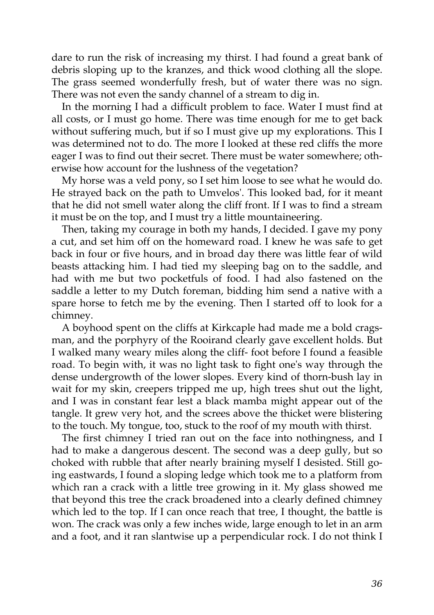dare to run the risk of increasing my thirst. I had found a great bank of debris sloping up to the kranzes, and thick wood clothing all the slope. The grass seemed wonderfully fresh, but of water there was no sign. There was not even the sandy channel of a stream to dig in.

In the morning I had a difficult problem to face. Water I must find at all costs, or I must go home. There was time enough for me to get back without suffering much, but if so I must give up my explorations. This I was determined not to do. The more I looked at these red cliffs the more eager I was to find out their secret. There must be water somewhere; otherwise how account for the lushness of the vegetation?

My horse was a veld pony, so I set him loose to see what he would do. He strayed back on the path to Umvelos'. This looked bad, for it meant that he did not smell water along the cliff front. If I was to find a stream it must be on the top, and I must try a little mountaineering.

Then, taking my courage in both my hands, I decided. I gave my pony a cut, and set him off on the homeward road. I knew he was safe to get back in four or five hours, and in broad day there was little fear of wild beasts attacking him. I had tied my sleeping bag on to the saddle, and had with me but two pocketfuls of food. I had also fastened on the saddle a letter to my Dutch foreman, bidding him send a native with a spare horse to fetch me by the evening. Then I started off to look for a chimney.

A boyhood spent on the cliffs at Kirkcaple had made me a bold cragsman, and the porphyry of the Rooirand clearly gave excellent holds. But I walked many weary miles along the cliff- foot before I found a feasible road. To begin with, it was no light task to fight one's way through the dense undergrowth of the lower slopes. Every kind of thorn-bush lay in wait for my skin, creepers tripped me up, high trees shut out the light, and I was in constant fear lest a black mamba might appear out of the tangle. It grew very hot, and the screes above the thicket were blistering to the touch. My tongue, too, stuck to the roof of my mouth with thirst.

The first chimney I tried ran out on the face into nothingness, and I had to make a dangerous descent. The second was a deep gully, but so choked with rubble that after nearly braining myself I desisted. Still going eastwards, I found a sloping ledge which took me to a platform from which ran a crack with a little tree growing in it. My glass showed me that beyond this tree the crack broadened into a clearly defined chimney which led to the top. If I can once reach that tree, I thought, the battle is won. The crack was only a few inches wide, large enough to let in an arm and a foot, and it ran slantwise up a perpendicular rock. I do not think I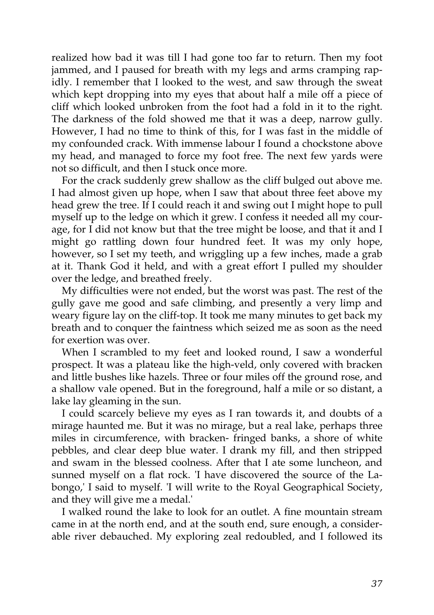realized how bad it was till I had gone too far to return. Then my foot jammed, and I paused for breath with my legs and arms cramping rapidly. I remember that I looked to the west, and saw through the sweat which kept dropping into my eyes that about half a mile off a piece of cliff which looked unbroken from the foot had a fold in it to the right. The darkness of the fold showed me that it was a deep, narrow gully. However, I had no time to think of this, for I was fast in the middle of my confounded crack. With immense labour I found a chockstone above my head, and managed to force my foot free. The next few yards were not so difficult, and then I stuck once more.

For the crack suddenly grew shallow as the cliff bulged out above me. I had almost given up hope, when I saw that about three feet above my head grew the tree. If I could reach it and swing out I might hope to pull myself up to the ledge on which it grew. I confess it needed all my courage, for I did not know but that the tree might be loose, and that it and I might go rattling down four hundred feet. It was my only hope, however, so I set my teeth, and wriggling up a few inches, made a grab at it. Thank God it held, and with a great effort I pulled my shoulder over the ledge, and breathed freely.

My difficulties were not ended, but the worst was past. The rest of the gully gave me good and safe climbing, and presently a very limp and weary figure lay on the cliff-top. It took me many minutes to get back my breath and to conquer the faintness which seized me as soon as the need for exertion was over.

When I scrambled to my feet and looked round, I saw a wonderful prospect. It was a plateau like the high-veld, only covered with bracken and little bushes like hazels. Three or four miles off the ground rose, and a shallow vale opened. But in the foreground, half a mile or so distant, a lake lay gleaming in the sun.

I could scarcely believe my eyes as I ran towards it, and doubts of a mirage haunted me. But it was no mirage, but a real lake, perhaps three miles in circumference, with bracken- fringed banks, a shore of white pebbles, and clear deep blue water. I drank my fill, and then stripped and swam in the blessed coolness. After that I ate some luncheon, and sunned myself on a flat rock. 'I have discovered the source of the Labongo,' I said to myself. 'I will write to the Royal Geographical Society, and they will give me a medal.'

I walked round the lake to look for an outlet. A fine mountain stream came in at the north end, and at the south end, sure enough, a considerable river debauched. My exploring zeal redoubled, and I followed its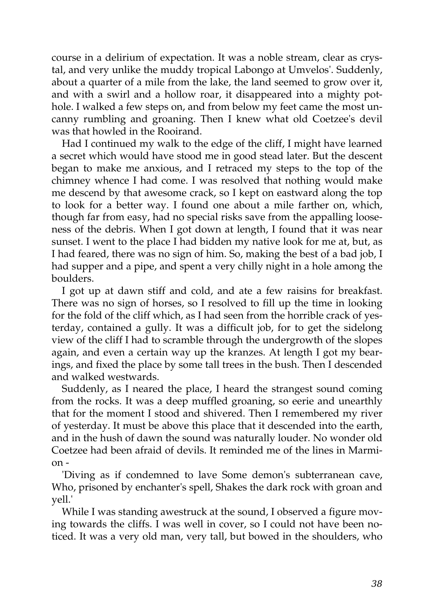course in a delirium of expectation. It was a noble stream, clear as crystal, and very unlike the muddy tropical Labongo at Umvelos'. Suddenly, about a quarter of a mile from the lake, the land seemed to grow over it, and with a swirl and a hollow roar, it disappeared into a mighty pothole. I walked a few steps on, and from below my feet came the most uncanny rumbling and groaning. Then I knew what old Coetzee's devil was that howled in the Rooirand.

Had I continued my walk to the edge of the cliff, I might have learned a secret which would have stood me in good stead later. But the descent began to make me anxious, and I retraced my steps to the top of the chimney whence I had come. I was resolved that nothing would make me descend by that awesome crack, so I kept on eastward along the top to look for a better way. I found one about a mile farther on, which, though far from easy, had no special risks save from the appalling looseness of the debris. When I got down at length, I found that it was near sunset. I went to the place I had bidden my native look for me at, but, as I had feared, there was no sign of him. So, making the best of a bad job, I had supper and a pipe, and spent a very chilly night in a hole among the boulders.

I got up at dawn stiff and cold, and ate a few raisins for breakfast. There was no sign of horses, so I resolved to fill up the time in looking for the fold of the cliff which, as I had seen from the horrible crack of yesterday, contained a gully. It was a difficult job, for to get the sidelong view of the cliff I had to scramble through the undergrowth of the slopes again, and even a certain way up the kranzes. At length I got my bearings, and fixed the place by some tall trees in the bush. Then I descended and walked westwards.

Suddenly, as I neared the place, I heard the strangest sound coming from the rocks. It was a deep muffled groaning, so eerie and unearthly that for the moment I stood and shivered. Then I remembered my river of yesterday. It must be above this place that it descended into the earth, and in the hush of dawn the sound was naturally louder. No wonder old Coetzee had been afraid of devils. It reminded me of the lines in Marmion -

'Diving as if condemned to lave Some demon's subterranean cave, Who, prisoned by enchanter's spell, Shakes the dark rock with groan and yell.'

While I was standing awestruck at the sound, I observed a figure moving towards the cliffs. I was well in cover, so I could not have been noticed. It was a very old man, very tall, but bowed in the shoulders, who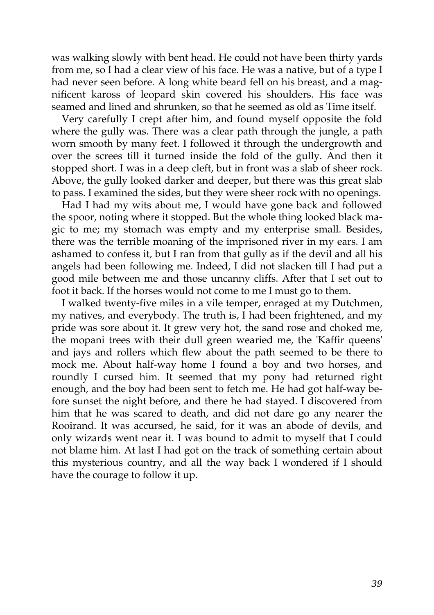was walking slowly with bent head. He could not have been thirty yards from me, so I had a clear view of his face. He was a native, but of a type I had never seen before. A long white beard fell on his breast, and a magnificent kaross of leopard skin covered his shoulders. His face was seamed and lined and shrunken, so that he seemed as old as Time itself.

Very carefully I crept after him, and found myself opposite the fold where the gully was. There was a clear path through the jungle, a path worn smooth by many feet. I followed it through the undergrowth and over the screes till it turned inside the fold of the gully. And then it stopped short. I was in a deep cleft, but in front was a slab of sheer rock. Above, the gully looked darker and deeper, but there was this great slab to pass. I examined the sides, but they were sheer rock with no openings.

Had I had my wits about me, I would have gone back and followed the spoor, noting where it stopped. But the whole thing looked black magic to me; my stomach was empty and my enterprise small. Besides, there was the terrible moaning of the imprisoned river in my ears. I am ashamed to confess it, but I ran from that gully as if the devil and all his angels had been following me. Indeed, I did not slacken till I had put a good mile between me and those uncanny cliffs. After that I set out to foot it back. If the horses would not come to me I must go to them.

I walked twenty-five miles in a vile temper, enraged at my Dutchmen, my natives, and everybody. The truth is, I had been frightened, and my pride was sore about it. It grew very hot, the sand rose and choked me, the mopani trees with their dull green wearied me, the 'Kaffir queens' and jays and rollers which flew about the path seemed to be there to mock me. About half-way home I found a boy and two horses, and roundly I cursed him. It seemed that my pony had returned right enough, and the boy had been sent to fetch me. He had got half-way before sunset the night before, and there he had stayed. I discovered from him that he was scared to death, and did not dare go any nearer the Rooirand. It was accursed, he said, for it was an abode of devils, and only wizards went near it. I was bound to admit to myself that I could not blame him. At last I had got on the track of something certain about this mysterious country, and all the way back I wondered if I should have the courage to follow it up.

*39*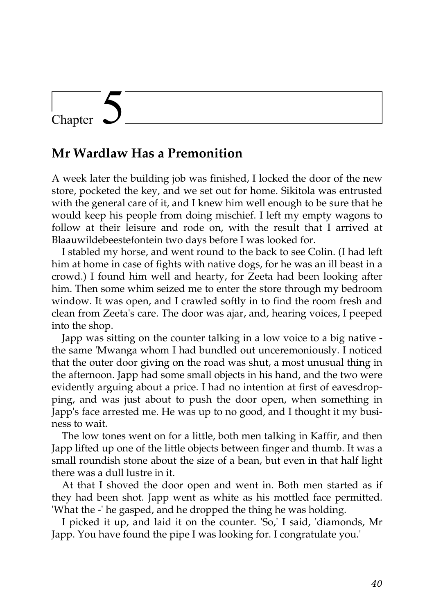## Chapter

#### **Mr Wardlaw Has a Premonition**

A week later the building job was finished, I locked the door of the new store, pocketed the key, and we set out for home. Sikitola was entrusted with the general care of it, and I knew him well enough to be sure that he would keep his people from doing mischief. I left my empty wagons to follow at their leisure and rode on, with the result that I arrived at Blaauwildebeestefontein two days before I was looked for.

I stabled my horse, and went round to the back to see Colin. (I had left him at home in case of fights with native dogs, for he was an ill beast in a crowd.) I found him well and hearty, for Zeeta had been looking after him. Then some whim seized me to enter the store through my bedroom window. It was open, and I crawled softly in to find the room fresh and clean from Zeeta's care. The door was ajar, and, hearing voices, I peeped into the shop.

Japp was sitting on the counter talking in a low voice to a big native the same 'Mwanga whom I had bundled out unceremoniously. I noticed that the outer door giving on the road was shut, a most unusual thing in the afternoon. Japp had some small objects in his hand, and the two were evidently arguing about a price. I had no intention at first of eavesdropping, and was just about to push the door open, when something in Japp's face arrested me. He was up to no good, and I thought it my business to wait.

The low tones went on for a little, both men talking in Kaffir, and then Japp lifted up one of the little objects between finger and thumb. It was a small roundish stone about the size of a bean, but even in that half light there was a dull lustre in it.

At that I shoved the door open and went in. Both men started as if they had been shot. Japp went as white as his mottled face permitted. 'What the -' he gasped, and he dropped the thing he was holding.

I picked it up, and laid it on the counter. 'So,' I said, 'diamonds, Mr Japp. You have found the pipe I was looking for. I congratulate you.'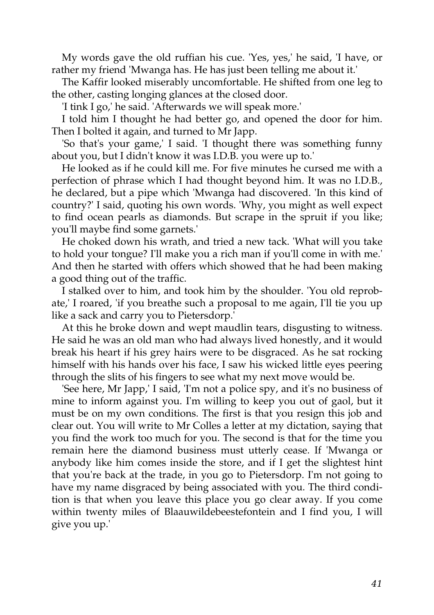My words gave the old ruffian his cue. 'Yes, yes,' he said, 'I have, or rather my friend 'Mwanga has. He has just been telling me about it.'

The Kaffir looked miserably uncomfortable. He shifted from one leg to the other, casting longing glances at the closed door.

'I tink I go,' he said. 'Afterwards we will speak more.'

I told him I thought he had better go, and opened the door for him. Then I bolted it again, and turned to Mr Japp.

'So that's your game,' I said. 'I thought there was something funny about you, but I didn't know it was I.D.B. you were up to.'

He looked as if he could kill me. For five minutes he cursed me with a perfection of phrase which I had thought beyond him. It was no I.D.B., he declared, but a pipe which 'Mwanga had discovered. 'In this kind of country?' I said, quoting his own words. 'Why, you might as well expect to find ocean pearls as diamonds. But scrape in the spruit if you like; you'll maybe find some garnets.'

He choked down his wrath, and tried a new tack. 'What will you take to hold your tongue? I'll make you a rich man if you'll come in with me.' And then he started with offers which showed that he had been making a good thing out of the traffic.

I stalked over to him, and took him by the shoulder. 'You old reprobate,' I roared, 'if you breathe such a proposal to me again, I'll tie you up like a sack and carry you to Pietersdorp.'

At this he broke down and wept maudlin tears, disgusting to witness. He said he was an old man who had always lived honestly, and it would break his heart if his grey hairs were to be disgraced. As he sat rocking himself with his hands over his face, I saw his wicked little eyes peering through the slits of his fingers to see what my next move would be.

'See here, Mr Japp,' I said, 'I'm not a police spy, and it's no business of mine to inform against you. I'm willing to keep you out of gaol, but it must be on my own conditions. The first is that you resign this job and clear out. You will write to Mr Colles a letter at my dictation, saying that you find the work too much for you. The second is that for the time you remain here the diamond business must utterly cease. If 'Mwanga or anybody like him comes inside the store, and if I get the slightest hint that you're back at the trade, in you go to Pietersdorp. I'm not going to have my name disgraced by being associated with you. The third condition is that when you leave this place you go clear away. If you come within twenty miles of Blaauwildebeestefontein and I find you, I will give you up.'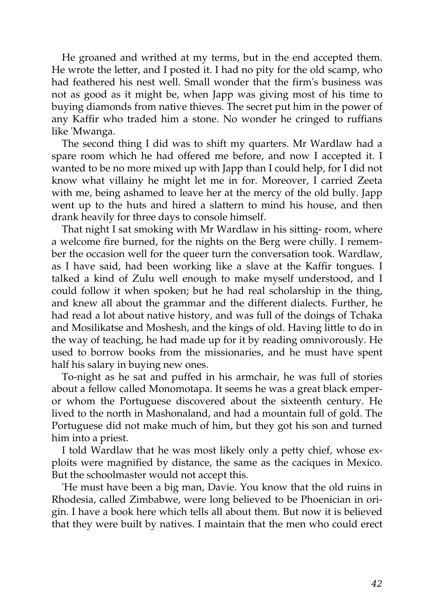He groaned and writhed at my terms, but in the end accepted them. He wrote the letter, and I posted it. I had no pity for the old scamp, who had feathered his nest well. Small wonder that the firm's business was not as good as it might be, when Japp was giving most of his time to buying diamonds from native thieves. The secret put him in the power of any Kaffir who traded him a stone. No wonder he cringed to ruffians like 'Mwanga.

The second thing I did was to shift my quarters. Mr Wardlaw had a spare room which he had offered me before, and now I accepted it. I wanted to be no more mixed up with Japp than I could help, for I did not know what villainy he might let me in for. Moreover, I carried Zeeta with me, being ashamed to leave her at the mercy of the old bully. Japp went up to the huts and hired a slattern to mind his house, and then drank heavily for three days to console himself.

That night I sat smoking with Mr Wardlaw in his sitting- room, where a welcome fire burned, for the nights on the Berg were chilly. I remember the occasion well for the queer turn the conversation took. Wardlaw, as I have said, had been working like a slave at the Kaffir tongues. I talked a kind of Zulu well enough to make myself understood, and I could follow it when spoken; but he had real scholarship in the thing, and knew all about the grammar and the different dialects. Further, he had read a lot about native history, and was full of the doings of Tchaka and Mosilikatse and Moshesh, and the kings of old. Having little to do in the way of teaching, he had made up for it by reading omnivorously. He used to borrow books from the missionaries, and he must have spent half his salary in buying new ones.

To-night as he sat and puffed in his armchair, he was full of stories about a fellow called Monomotapa. It seems he was a great black emperor whom the Portuguese discovered about the sixteenth century. He lived to the north in Mashonaland, and had a mountain full of gold. The Portuguese did not make much of him, but they got his son and turned him into a priest.

I told Wardlaw that he was most likely only a petty chief, whose exploits were magnified by distance, the same as the caciques in Mexico. But the schoolmaster would not accept this.

'He must have been a big man, Davie. You know that the old ruins in Rhodesia, called Zimbabwe, were long believed to be Phoenician in origin. I have a book here which tells all about them. But now it is believed that they were built by natives. I maintain that the men who could erect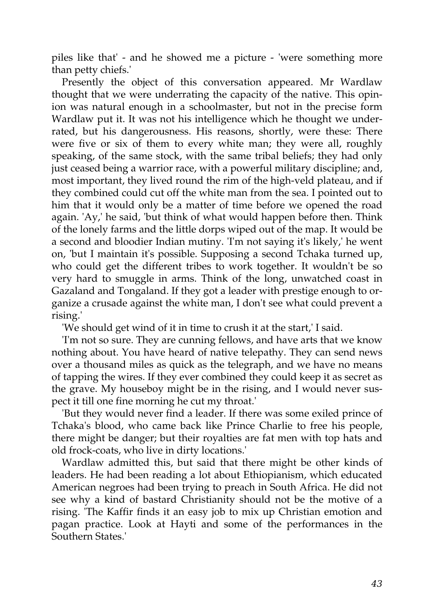piles like that' - and he showed me a picture - 'were something more than petty chiefs.'

Presently the object of this conversation appeared. Mr Wardlaw thought that we were underrating the capacity of the native. This opinion was natural enough in a schoolmaster, but not in the precise form Wardlaw put it. It was not his intelligence which he thought we underrated, but his dangerousness. His reasons, shortly, were these: There were five or six of them to every white man; they were all, roughly speaking, of the same stock, with the same tribal beliefs; they had only just ceased being a warrior race, with a powerful military discipline; and, most important, they lived round the rim of the high-veld plateau, and if they combined could cut off the white man from the sea. I pointed out to him that it would only be a matter of time before we opened the road again. 'Ay,' he said, 'but think of what would happen before then. Think of the lonely farms and the little dorps wiped out of the map. It would be a second and bloodier Indian mutiny. 'I'm not saying it's likely,' he went on, 'but I maintain it's possible. Supposing a second Tchaka turned up, who could get the different tribes to work together. It wouldn't be so very hard to smuggle in arms. Think of the long, unwatched coast in Gazaland and Tongaland. If they got a leader with prestige enough to organize a crusade against the white man, I don't see what could prevent a rising.'

'We should get wind of it in time to crush it at the start,' I said.

'I'm not so sure. They are cunning fellows, and have arts that we know nothing about. You have heard of native telepathy. They can send news over a thousand miles as quick as the telegraph, and we have no means of tapping the wires. If they ever combined they could keep it as secret as the grave. My houseboy might be in the rising, and I would never suspect it till one fine morning he cut my throat.'

'But they would never find a leader. If there was some exiled prince of Tchaka's blood, who came back like Prince Charlie to free his people, there might be danger; but their royalties are fat men with top hats and old frock-coats, who live in dirty locations.'

Wardlaw admitted this, but said that there might be other kinds of leaders. He had been reading a lot about Ethiopianism, which educated American negroes had been trying to preach in South Africa. He did not see why a kind of bastard Christianity should not be the motive of a rising. 'The Kaffir finds it an easy job to mix up Christian emotion and pagan practice. Look at Hayti and some of the performances in the Southern States.'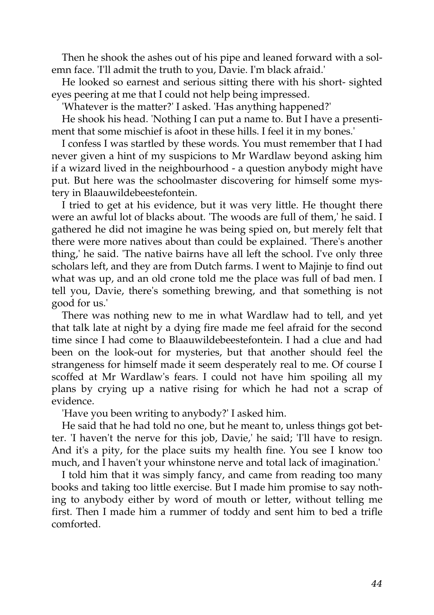Then he shook the ashes out of his pipe and leaned forward with a solemn face. 'I'll admit the truth to you, Davie. I'm black afraid.'

He looked so earnest and serious sitting there with his short- sighted eyes peering at me that I could not help being impressed.

'Whatever is the matter?' I asked. 'Has anything happened?'

He shook his head. 'Nothing I can put a name to. But I have a presentiment that some mischief is afoot in these hills. I feel it in my bones.'

I confess I was startled by these words. You must remember that I had never given a hint of my suspicions to Mr Wardlaw beyond asking him if a wizard lived in the neighbourhood - a question anybody might have put. But here was the schoolmaster discovering for himself some mystery in Blaauwildebeestefontein.

I tried to get at his evidence, but it was very little. He thought there were an awful lot of blacks about. 'The woods are full of them,' he said. I gathered he did not imagine he was being spied on, but merely felt that there were more natives about than could be explained. 'There's another thing,' he said. 'The native bairns have all left the school. I've only three scholars left, and they are from Dutch farms. I went to Majinje to find out what was up, and an old crone told me the place was full of bad men. I tell you, Davie, there's something brewing, and that something is not good for us.'

There was nothing new to me in what Wardlaw had to tell, and yet that talk late at night by a dying fire made me feel afraid for the second time since I had come to Blaauwildebeestefontein. I had a clue and had been on the look-out for mysteries, but that another should feel the strangeness for himself made it seem desperately real to me. Of course I scoffed at Mr Wardlaw's fears. I could not have him spoiling all my plans by crying up a native rising for which he had not a scrap of evidence.

'Have you been writing to anybody?' I asked him.

He said that he had told no one, but he meant to, unless things got better. 'I haven't the nerve for this job, Davie,' he said; 'I'll have to resign. And it's a pity, for the place suits my health fine. You see I know too much, and I haven't your whinstone nerve and total lack of imagination.'

I told him that it was simply fancy, and came from reading too many books and taking too little exercise. But I made him promise to say nothing to anybody either by word of mouth or letter, without telling me first. Then I made him a rummer of toddy and sent him to bed a trifle comforted.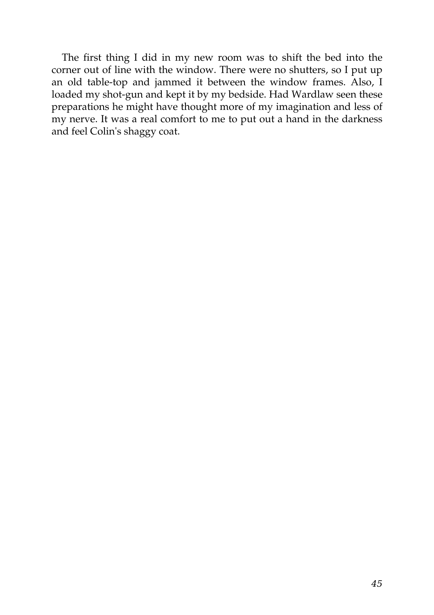The first thing I did in my new room was to shift the bed into the corner out of line with the window. There were no shutters, so I put up an old table-top and jammed it between the window frames. Also, I loaded my shot-gun and kept it by my bedside. Had Wardlaw seen these preparations he might have thought more of my imagination and less of my nerve. It was a real comfort to me to put out a hand in the darkness and feel Colin's shaggy coat.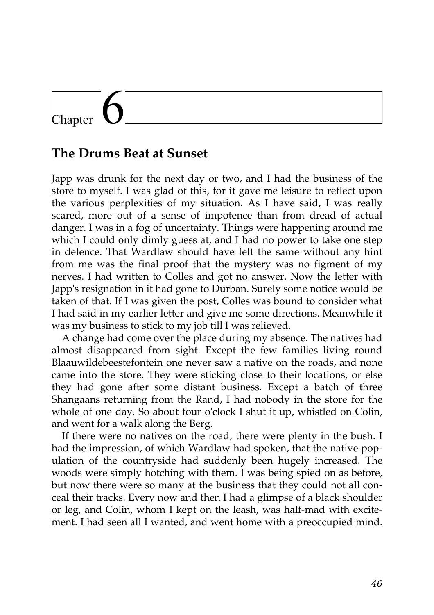# Chapter

#### **The Drums Beat at Sunset**

Japp was drunk for the next day or two, and I had the business of the store to myself. I was glad of this, for it gave me leisure to reflect upon the various perplexities of my situation. As I have said, I was really scared, more out of a sense of impotence than from dread of actual danger. I was in a fog of uncertainty. Things were happening around me which I could only dimly guess at, and I had no power to take one step in defence. That Wardlaw should have felt the same without any hint from me was the final proof that the mystery was no figment of my nerves. I had written to Colles and got no answer. Now the letter with Japp's resignation in it had gone to Durban. Surely some notice would be taken of that. If I was given the post, Colles was bound to consider what I had said in my earlier letter and give me some directions. Meanwhile it was my business to stick to my job till I was relieved.

A change had come over the place during my absence. The natives had almost disappeared from sight. Except the few families living round Blaauwildebeestefontein one never saw a native on the roads, and none came into the store. They were sticking close to their locations, or else they had gone after some distant business. Except a batch of three Shangaans returning from the Rand, I had nobody in the store for the whole of one day. So about four o'clock I shut it up, whistled on Colin, and went for a walk along the Berg.

If there were no natives on the road, there were plenty in the bush. I had the impression, of which Wardlaw had spoken, that the native population of the countryside had suddenly been hugely increased. The woods were simply hotching with them. I was being spied on as before, but now there were so many at the business that they could not all conceal their tracks. Every now and then I had a glimpse of a black shoulder or leg, and Colin, whom I kept on the leash, was half-mad with excitement. I had seen all I wanted, and went home with a preoccupied mind.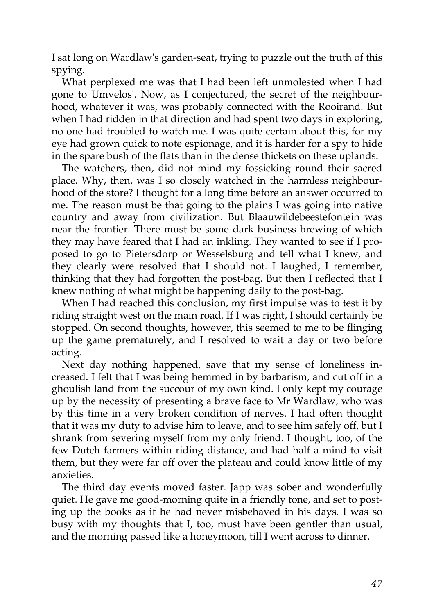I sat long on Wardlaw's garden-seat, trying to puzzle out the truth of this spying.

What perplexed me was that I had been left unmolested when I had gone to Umvelos'. Now, as I conjectured, the secret of the neighbourhood, whatever it was, was probably connected with the Rooirand. But when I had ridden in that direction and had spent two days in exploring, no one had troubled to watch me. I was quite certain about this, for my eye had grown quick to note espionage, and it is harder for a spy to hide in the spare bush of the flats than in the dense thickets on these uplands.

The watchers, then, did not mind my fossicking round their sacred place. Why, then, was I so closely watched in the harmless neighbourhood of the store? I thought for a long time before an answer occurred to me. The reason must be that going to the plains I was going into native country and away from civilization. But Blaauwildebeestefontein was near the frontier. There must be some dark business brewing of which they may have feared that I had an inkling. They wanted to see if I proposed to go to Pietersdorp or Wesselsburg and tell what I knew, and they clearly were resolved that I should not. I laughed, I remember, thinking that they had forgotten the post-bag. But then I reflected that I knew nothing of what might be happening daily to the post-bag.

When I had reached this conclusion, my first impulse was to test it by riding straight west on the main road. If I was right, I should certainly be stopped. On second thoughts, however, this seemed to me to be flinging up the game prematurely, and I resolved to wait a day or two before acting.

Next day nothing happened, save that my sense of loneliness increased. I felt that I was being hemmed in by barbarism, and cut off in a ghoulish land from the succour of my own kind. I only kept my courage up by the necessity of presenting a brave face to Mr Wardlaw, who was by this time in a very broken condition of nerves. I had often thought that it was my duty to advise him to leave, and to see him safely off, but I shrank from severing myself from my only friend. I thought, too, of the few Dutch farmers within riding distance, and had half a mind to visit them, but they were far off over the plateau and could know little of my anxieties.

The third day events moved faster. Japp was sober and wonderfully quiet. He gave me good-morning quite in a friendly tone, and set to posting up the books as if he had never misbehaved in his days. I was so busy with my thoughts that I, too, must have been gentler than usual, and the morning passed like a honeymoon, till I went across to dinner.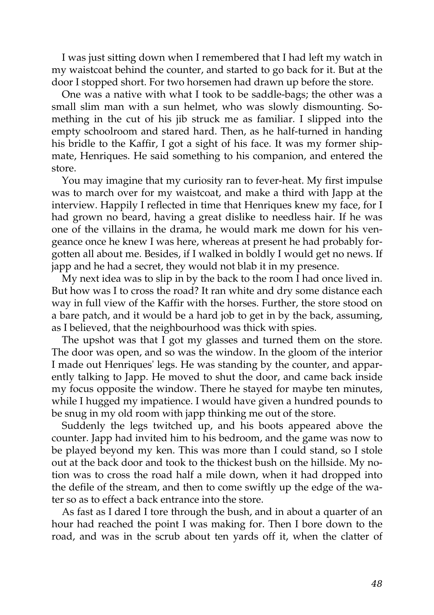I was just sitting down when I remembered that I had left my watch in my waistcoat behind the counter, and started to go back for it. But at the door I stopped short. For two horsemen had drawn up before the store.

One was a native with what I took to be saddle-bags; the other was a small slim man with a sun helmet, who was slowly dismounting. Something in the cut of his jib struck me as familiar. I slipped into the empty schoolroom and stared hard. Then, as he half-turned in handing his bridle to the Kaffir, I got a sight of his face. It was my former shipmate, Henriques. He said something to his companion, and entered the store.

You may imagine that my curiosity ran to fever-heat. My first impulse was to march over for my waistcoat, and make a third with Japp at the interview. Happily I reflected in time that Henriques knew my face, for I had grown no beard, having a great dislike to needless hair. If he was one of the villains in the drama, he would mark me down for his vengeance once he knew I was here, whereas at present he had probably forgotten all about me. Besides, if I walked in boldly I would get no news. If japp and he had a secret, they would not blab it in my presence.

My next idea was to slip in by the back to the room I had once lived in. But how was I to cross the road? It ran white and dry some distance each way in full view of the Kaffir with the horses. Further, the store stood on a bare patch, and it would be a hard job to get in by the back, assuming, as I believed, that the neighbourhood was thick with spies.

The upshot was that I got my glasses and turned them on the store. The door was open, and so was the window. In the gloom of the interior I made out Henriques' legs. He was standing by the counter, and apparently talking to Japp. He moved to shut the door, and came back inside my focus opposite the window. There he stayed for maybe ten minutes, while I hugged my impatience. I would have given a hundred pounds to be snug in my old room with japp thinking me out of the store.

Suddenly the legs twitched up, and his boots appeared above the counter. Japp had invited him to his bedroom, and the game was now to be played beyond my ken. This was more than I could stand, so I stole out at the back door and took to the thickest bush on the hillside. My notion was to cross the road half a mile down, when it had dropped into the defile of the stream, and then to come swiftly up the edge of the water so as to effect a back entrance into the store.

As fast as I dared I tore through the bush, and in about a quarter of an hour had reached the point I was making for. Then I bore down to the road, and was in the scrub about ten yards off it, when the clatter of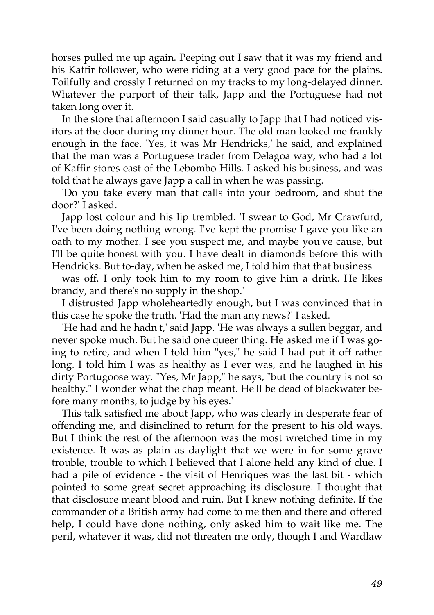horses pulled me up again. Peeping out I saw that it was my friend and his Kaffir follower, who were riding at a very good pace for the plains. Toilfully and crossly I returned on my tracks to my long-delayed dinner. Whatever the purport of their talk, Japp and the Portuguese had not taken long over it.

In the store that afternoon I said casually to Japp that I had noticed visitors at the door during my dinner hour. The old man looked me frankly enough in the face. 'Yes, it was Mr Hendricks,' he said, and explained that the man was a Portuguese trader from Delagoa way, who had a lot of Kaffir stores east of the Lebombo Hills. I asked his business, and was told that he always gave Japp a call in when he was passing.

'Do you take every man that calls into your bedroom, and shut the door?' I asked.

Japp lost colour and his lip trembled. 'I swear to God, Mr Crawfurd, I've been doing nothing wrong. I've kept the promise I gave you like an oath to my mother. I see you suspect me, and maybe you've cause, but I'll be quite honest with you. I have dealt in diamonds before this with Hendricks. But to-day, when he asked me, I told him that that business

was off. I only took him to my room to give him a drink. He likes brandy, and there's no supply in the shop.'

I distrusted Japp wholeheartedly enough, but I was convinced that in this case he spoke the truth. 'Had the man any news?' I asked.

'He had and he hadn't,' said Japp. 'He was always a sullen beggar, and never spoke much. But he said one queer thing. He asked me if I was going to retire, and when I told him "yes," he said I had put it off rather long. I told him I was as healthy as I ever was, and he laughed in his dirty Portugoose way. "Yes, Mr Japp," he says, "but the country is not so healthy." I wonder what the chap meant. He'll be dead of blackwater before many months, to judge by his eyes.'

This talk satisfied me about Japp, who was clearly in desperate fear of offending me, and disinclined to return for the present to his old ways. But I think the rest of the afternoon was the most wretched time in my existence. It was as plain as daylight that we were in for some grave trouble, trouble to which I believed that I alone held any kind of clue. I had a pile of evidence - the visit of Henriques was the last bit - which pointed to some great secret approaching its disclosure. I thought that that disclosure meant blood and ruin. But I knew nothing definite. If the commander of a British army had come to me then and there and offered help, I could have done nothing, only asked him to wait like me. The peril, whatever it was, did not threaten me only, though I and Wardlaw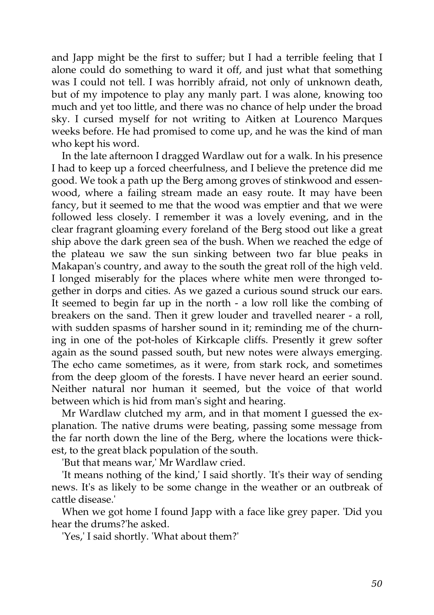and Japp might be the first to suffer; but I had a terrible feeling that I alone could do something to ward it off, and just what that something was I could not tell. I was horribly afraid, not only of unknown death, but of my impotence to play any manly part. I was alone, knowing too much and yet too little, and there was no chance of help under the broad sky. I cursed myself for not writing to Aitken at Lourenco Marques weeks before. He had promised to come up, and he was the kind of man who kept his word.

In the late afternoon I dragged Wardlaw out for a walk. In his presence I had to keep up a forced cheerfulness, and I believe the pretence did me good. We took a path up the Berg among groves of stinkwood and essenwood, where a failing stream made an easy route. It may have been fancy, but it seemed to me that the wood was emptier and that we were followed less closely. I remember it was a lovely evening, and in the clear fragrant gloaming every foreland of the Berg stood out like a great ship above the dark green sea of the bush. When we reached the edge of the plateau we saw the sun sinking between two far blue peaks in Makapan's country, and away to the south the great roll of the high veld. I longed miserably for the places where white men were thronged together in dorps and cities. As we gazed a curious sound struck our ears. It seemed to begin far up in the north - a low roll like the combing of breakers on the sand. Then it grew louder and travelled nearer - a roll, with sudden spasms of harsher sound in it; reminding me of the churning in one of the pot-holes of Kirkcaple cliffs. Presently it grew softer again as the sound passed south, but new notes were always emerging. The echo came sometimes, as it were, from stark rock, and sometimes from the deep gloom of the forests. I have never heard an eerier sound. Neither natural nor human it seemed, but the voice of that world between which is hid from man's sight and hearing.

Mr Wardlaw clutched my arm, and in that moment I guessed the explanation. The native drums were beating, passing some message from the far north down the line of the Berg, where the locations were thickest, to the great black population of the south.

'But that means war,' Mr Wardlaw cried.

'It means nothing of the kind,' I said shortly. 'It's their way of sending news. It's as likely to be some change in the weather or an outbreak of cattle disease.'

When we got home I found Japp with a face like grey paper. 'Did you hear the drums?'he asked.

'Yes,' I said shortly. 'What about them?'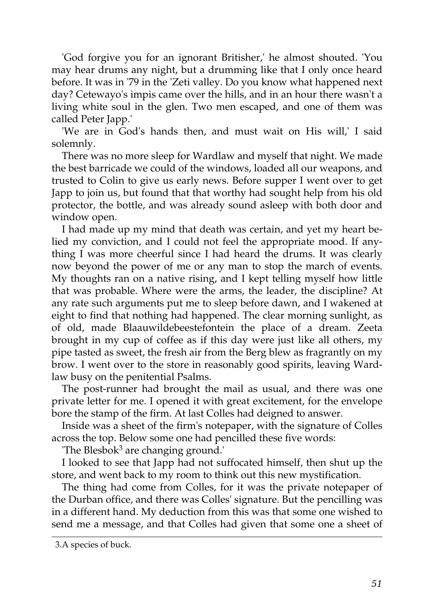'God forgive you for an ignorant Britisher,' he almost shouted. 'You may hear drums any night, but a drumming like that I only once heard before. It was in '79 in the 'Zeti valley. Do you know what happened next day? Cetewayo's impis came over the hills, and in an hour there wasn't a living white soul in the glen. Two men escaped, and one of them was called Peter Japp.'

'We are in God's hands then, and must wait on His will,' I said solemnly.

There was no more sleep for Wardlaw and myself that night. We made the best barricade we could of the windows, loaded all our weapons, and trusted to Colin to give us early news. Before supper I went over to get Japp to join us, but found that that worthy had sought help from his old protector, the bottle, and was already sound asleep with both door and window open.

I had made up my mind that death was certain, and yet my heart belied my conviction, and I could not feel the appropriate mood. If anything I was more cheerful since I had heard the drums. It was clearly now beyond the power of me or any man to stop the march of events. My thoughts ran on a native rising, and I kept telling myself how little that was probable. Where were the arms, the leader, the discipline? At any rate such arguments put me to sleep before dawn, and I wakened at eight to find that nothing had happened. The clear morning sunlight, as of old, made Blaauwildebeestefontein the place of a dream. Zeeta brought in my cup of coffee as if this day were just like all others, my pipe tasted as sweet, the fresh air from the Berg blew as fragrantly on my brow. I went over to the store in reasonably good spirits, leaving Wardlaw busy on the penitential Psalms.

The post-runner had brought the mail as usual, and there was one private letter for me. I opened it with great excitement, for the envelope bore the stamp of the firm. At last Colles had deigned to answer.

Inside was a sheet of the firm's notepaper, with the signature of Colles across the top. Below some one had pencilled these five words:

The Blesbok<sup>3</sup> are changing ground.

I looked to see that Japp had not suffocated himself, then shut up the store, and went back to my room to think out this new mystification.

The thing had come from Colles, for it was the private notepaper of the Durban office, and there was Colles' signature. But the pencilling was in a different hand. My deduction from this was that some one wished to send me a message, and that Colles had given that some one a sheet of

<sup>3.</sup>A species of buck.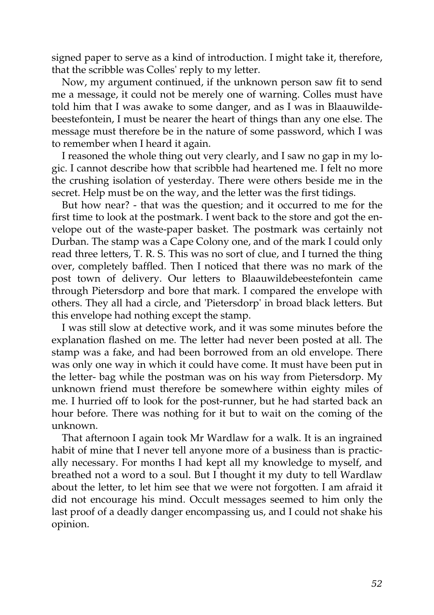signed paper to serve as a kind of introduction. I might take it, therefore, that the scribble was Colles' reply to my letter.

Now, my argument continued, if the unknown person saw fit to send me a message, it could not be merely one of warning. Colles must have told him that I was awake to some danger, and as I was in Blaauwildebeestefontein, I must be nearer the heart of things than any one else. The message must therefore be in the nature of some password, which I was to remember when I heard it again.

I reasoned the whole thing out very clearly, and I saw no gap in my logic. I cannot describe how that scribble had heartened me. I felt no more the crushing isolation of yesterday. There were others beside me in the secret. Help must be on the way, and the letter was the first tidings.

But how near? - that was the question; and it occurred to me for the first time to look at the postmark. I went back to the store and got the envelope out of the waste-paper basket. The postmark was certainly not Durban. The stamp was a Cape Colony one, and of the mark I could only read three letters, T. R. S. This was no sort of clue, and I turned the thing over, completely baffled. Then I noticed that there was no mark of the post town of delivery. Our letters to Blaauwildebeestefontein came through Pietersdorp and bore that mark. I compared the envelope with others. They all had a circle, and 'Pietersdorp' in broad black letters. But this envelope had nothing except the stamp.

I was still slow at detective work, and it was some minutes before the explanation flashed on me. The letter had never been posted at all. The stamp was a fake, and had been borrowed from an old envelope. There was only one way in which it could have come. It must have been put in the letter- bag while the postman was on his way from Pietersdorp. My unknown friend must therefore be somewhere within eighty miles of me. I hurried off to look for the post-runner, but he had started back an hour before. There was nothing for it but to wait on the coming of the unknown.

That afternoon I again took Mr Wardlaw for a walk. It is an ingrained habit of mine that I never tell anyone more of a business than is practically necessary. For months I had kept all my knowledge to myself, and breathed not a word to a soul. But I thought it my duty to tell Wardlaw about the letter, to let him see that we were not forgotten. I am afraid it did not encourage his mind. Occult messages seemed to him only the last proof of a deadly danger encompassing us, and I could not shake his opinion.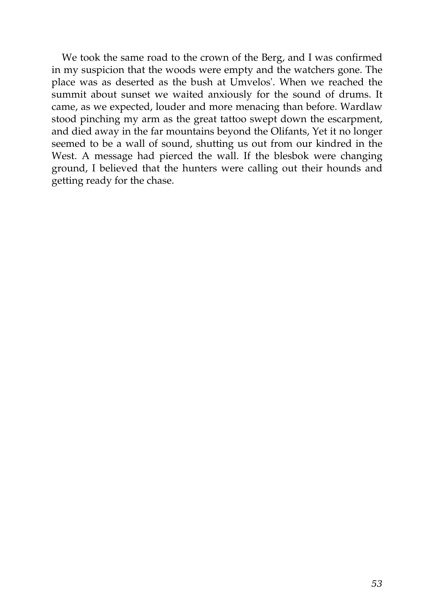We took the same road to the crown of the Berg, and I was confirmed in my suspicion that the woods were empty and the watchers gone. The place was as deserted as the bush at Umvelos'. When we reached the summit about sunset we waited anxiously for the sound of drums. It came, as we expected, louder and more menacing than before. Wardlaw stood pinching my arm as the great tattoo swept down the escarpment, and died away in the far mountains beyond the Olifants, Yet it no longer seemed to be a wall of sound, shutting us out from our kindred in the West. A message had pierced the wall. If the blesbok were changing ground, I believed that the hunters were calling out their hounds and getting ready for the chase.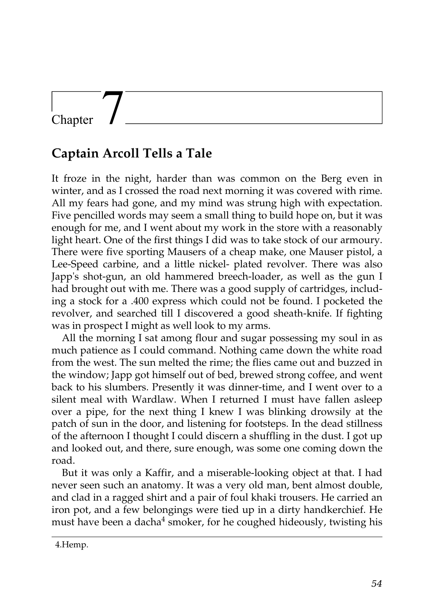### Chapter

### **Captain Arcoll Tells a Tale**

It froze in the night, harder than was common on the Berg even in winter, and as I crossed the road next morning it was covered with rime. All my fears had gone, and my mind was strung high with expectation. Five pencilled words may seem a small thing to build hope on, but it was enough for me, and I went about my work in the store with a reasonably light heart. One of the first things I did was to take stock of our armoury. There were five sporting Mausers of a cheap make, one Mauser pistol, a Lee-Speed carbine, and a little nickel- plated revolver. There was also Japp's shot-gun, an old hammered breech-loader, as well as the gun I had brought out with me. There was a good supply of cartridges, including a stock for a .400 express which could not be found. I pocketed the revolver, and searched till I discovered a good sheath-knife. If fighting was in prospect I might as well look to my arms.

All the morning I sat among flour and sugar possessing my soul in as much patience as I could command. Nothing came down the white road from the west. The sun melted the rime; the flies came out and buzzed in the window; Japp got himself out of bed, brewed strong coffee, and went back to his slumbers. Presently it was dinner-time, and I went over to a silent meal with Wardlaw. When I returned I must have fallen asleep over a pipe, for the next thing I knew I was blinking drowsily at the patch of sun in the door, and listening for footsteps. In the dead stillness of the afternoon I thought I could discern a shuffling in the dust. I got up and looked out, and there, sure enough, was some one coming down the road.

But it was only a Kaffir, and a miserable-looking object at that. I had never seen such an anatomy. It was a very old man, bent almost double, and clad in a ragged shirt and a pair of foul khaki trousers. He carried an iron pot, and a few belongings were tied up in a dirty handkerchief. He must have been a dacha<sup>4</sup> smoker, for he coughed hideously, twisting his

<sup>4.</sup>Hemp.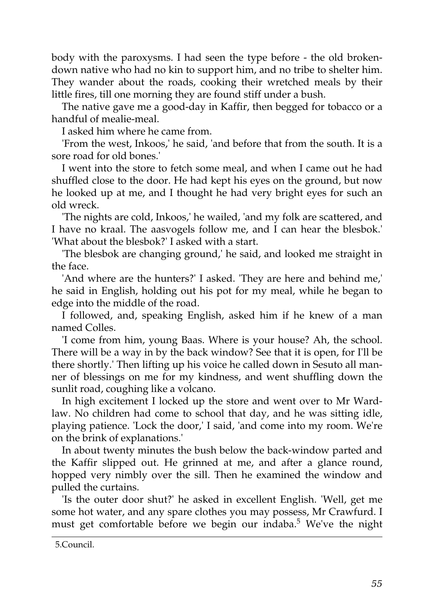body with the paroxysms. I had seen the type before - the old brokendown native who had no kin to support him, and no tribe to shelter him. They wander about the roads, cooking their wretched meals by their little fires, till one morning they are found stiff under a bush.

The native gave me a good-day in Kaffir, then begged for tobacco or a handful of mealie-meal.

I asked him where he came from.

'From the west, Inkoos,' he said, 'and before that from the south. It is a sore road for old bones.'

I went into the store to fetch some meal, and when I came out he had shuffled close to the door. He had kept his eyes on the ground, but now he looked up at me, and I thought he had very bright eyes for such an old wreck.

'The nights are cold, Inkoos,' he wailed, 'and my folk are scattered, and I have no kraal. The aasvogels follow me, and I can hear the blesbok.' 'What about the blesbok?' I asked with a start.

'The blesbok are changing ground,' he said, and looked me straight in the face.

'And where are the hunters?' I asked. 'They are here and behind me,' he said in English, holding out his pot for my meal, while he began to edge into the middle of the road.

I followed, and, speaking English, asked him if he knew of a man named Colles.

'I come from him, young Baas. Where is your house? Ah, the school. There will be a way in by the back window? See that it is open, for I'll be there shortly.' Then lifting up his voice he called down in Sesuto all manner of blessings on me for my kindness, and went shuffling down the sunlit road, coughing like a volcano.

In high excitement I locked up the store and went over to Mr Wardlaw. No children had come to school that day, and he was sitting idle, playing patience. 'Lock the door,' I said, 'and come into my room. We're on the brink of explanations.'

In about twenty minutes the bush below the back-window parted and the Kaffir slipped out. He grinned at me, and after a glance round, hopped very nimbly over the sill. Then he examined the window and pulled the curtains.

'Is the outer door shut?' he asked in excellent English. 'Well, get me some hot water, and any spare clothes you may possess, Mr Crawfurd. I must get comfortable before we begin our indaba.<sup>5</sup> We've the night

<sup>5.</sup>Council.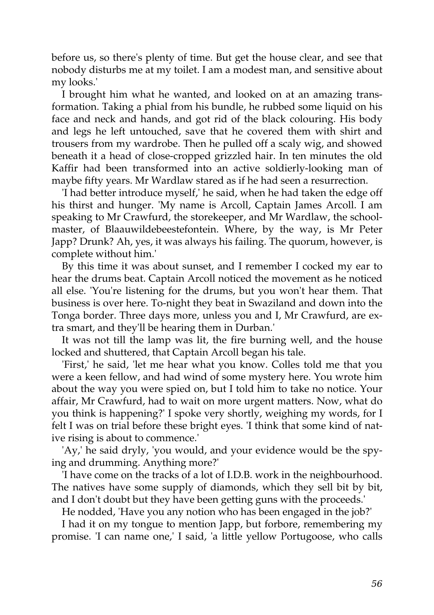before us, so there's plenty of time. But get the house clear, and see that nobody disturbs me at my toilet. I am a modest man, and sensitive about my looks.'

I brought him what he wanted, and looked on at an amazing transformation. Taking a phial from his bundle, he rubbed some liquid on his face and neck and hands, and got rid of the black colouring. His body and legs he left untouched, save that he covered them with shirt and trousers from my wardrobe. Then he pulled off a scaly wig, and showed beneath it a head of close-cropped grizzled hair. In ten minutes the old Kaffir had been transformed into an active soldierly-looking man of maybe fifty years. Mr Wardlaw stared as if he had seen a resurrection.

'I had better introduce myself,' he said, when he had taken the edge off his thirst and hunger. 'My name is Arcoll, Captain James Arcoll. I am speaking to Mr Crawfurd, the storekeeper, and Mr Wardlaw, the schoolmaster, of Blaauwildebeestefontein. Where, by the way, is Mr Peter Japp? Drunk? Ah, yes, it was always his failing. The quorum, however, is complete without him.'

By this time it was about sunset, and I remember I cocked my ear to hear the drums beat. Captain Arcoll noticed the movement as he noticed all else. 'You're listening for the drums, but you won't hear them. That business is over here. To-night they beat in Swaziland and down into the Tonga border. Three days more, unless you and I, Mr Crawfurd, are extra smart, and they'll be hearing them in Durban.'

It was not till the lamp was lit, the fire burning well, and the house locked and shuttered, that Captain Arcoll began his tale.

'First,' he said, 'let me hear what you know. Colles told me that you were a keen fellow, and had wind of some mystery here. You wrote him about the way you were spied on, but I told him to take no notice. Your affair, Mr Crawfurd, had to wait on more urgent matters. Now, what do you think is happening?' I spoke very shortly, weighing my words, for I felt I was on trial before these bright eyes. 'I think that some kind of native rising is about to commence.'

'Ay,' he said dryly, 'you would, and your evidence would be the spying and drumming. Anything more?'

'I have come on the tracks of a lot of I.D.B. work in the neighbourhood. The natives have some supply of diamonds, which they sell bit by bit, and I don't doubt but they have been getting guns with the proceeds.'

He nodded, 'Have you any notion who has been engaged in the job?'

I had it on my tongue to mention Japp, but forbore, remembering my promise. 'I can name one,' I said, 'a little yellow Portugoose, who calls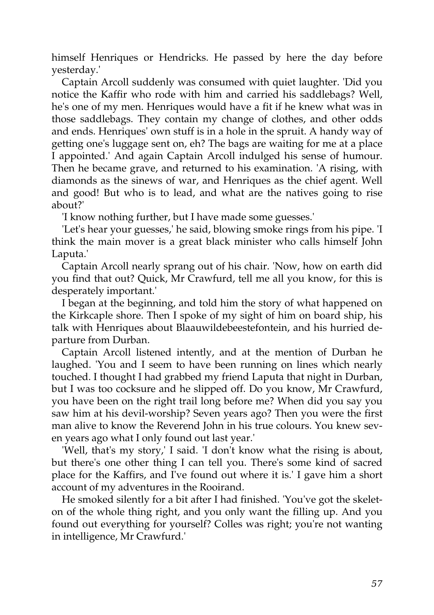himself Henriques or Hendricks. He passed by here the day before yesterday.'

Captain Arcoll suddenly was consumed with quiet laughter. 'Did you notice the Kaffir who rode with him and carried his saddlebags? Well, he's one of my men. Henriques would have a fit if he knew what was in those saddlebags. They contain my change of clothes, and other odds and ends. Henriques' own stuff is in a hole in the spruit. A handy way of getting one's luggage sent on, eh? The bags are waiting for me at a place I appointed.' And again Captain Arcoll indulged his sense of humour. Then he became grave, and returned to his examination. 'A rising, with diamonds as the sinews of war, and Henriques as the chief agent. Well and good! But who is to lead, and what are the natives going to rise about?'

'I know nothing further, but I have made some guesses.'

'Let's hear your guesses,' he said, blowing smoke rings from his pipe. 'I think the main mover is a great black minister who calls himself John Laputa.'

Captain Arcoll nearly sprang out of his chair. 'Now, how on earth did you find that out? Quick, Mr Crawfurd, tell me all you know, for this is desperately important.'

I began at the beginning, and told him the story of what happened on the Kirkcaple shore. Then I spoke of my sight of him on board ship, his talk with Henriques about Blaauwildebeestefontein, and his hurried departure from Durban.

Captain Arcoll listened intently, and at the mention of Durban he laughed. 'You and I seem to have been running on lines which nearly touched. I thought I had grabbed my friend Laputa that night in Durban, but I was too cocksure and he slipped off. Do you know, Mr Crawfurd, you have been on the right trail long before me? When did you say you saw him at his devil-worship? Seven years ago? Then you were the first man alive to know the Reverend John in his true colours. You knew seven years ago what I only found out last year.'

'Well, that's my story,' I said. 'I don't know what the rising is about, but there's one other thing I can tell you. There's some kind of sacred place for the Kaffirs, and I've found out where it is.' I gave him a short account of my adventures in the Rooirand.

He smoked silently for a bit after I had finished. 'You've got the skeleton of the whole thing right, and you only want the filling up. And you found out everything for yourself? Colles was right; you're not wanting in intelligence, Mr Crawfurd.'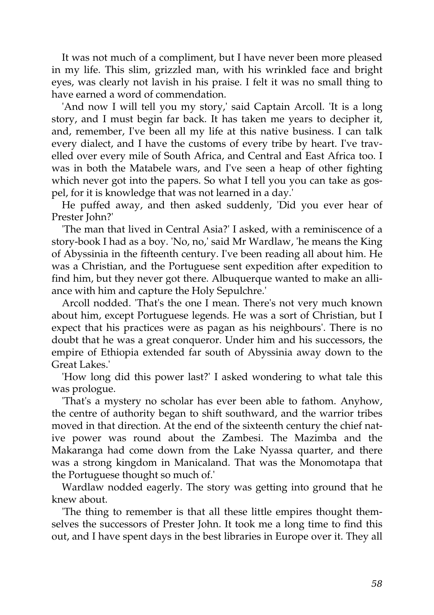It was not much of a compliment, but I have never been more pleased in my life. This slim, grizzled man, with his wrinkled face and bright eyes, was clearly not lavish in his praise. I felt it was no small thing to have earned a word of commendation.

'And now I will tell you my story,' said Captain Arcoll. 'It is a long story, and I must begin far back. It has taken me years to decipher it, and, remember, I've been all my life at this native business. I can talk every dialect, and I have the customs of every tribe by heart. I've travelled over every mile of South Africa, and Central and East Africa too. I was in both the Matabele wars, and I've seen a heap of other fighting which never got into the papers. So what I tell you you can take as gospel, for it is knowledge that was not learned in a day.'

He puffed away, and then asked suddenly, 'Did you ever hear of Prester John?'

'The man that lived in Central Asia?' I asked, with a reminiscence of a story-book I had as a boy. 'No, no,' said Mr Wardlaw, 'he means the King of Abyssinia in the fifteenth century. I've been reading all about him. He was a Christian, and the Portuguese sent expedition after expedition to find him, but they never got there. Albuquerque wanted to make an alliance with him and capture the Holy Sepulchre.'

Arcoll nodded. 'That's the one I mean. There's not very much known about him, except Portuguese legends. He was a sort of Christian, but I expect that his practices were as pagan as his neighbours'. There is no doubt that he was a great conqueror. Under him and his successors, the empire of Ethiopia extended far south of Abyssinia away down to the Great Lakes.'

'How long did this power last?' I asked wondering to what tale this was prologue.

'That's a mystery no scholar has ever been able to fathom. Anyhow, the centre of authority began to shift southward, and the warrior tribes moved in that direction. At the end of the sixteenth century the chief native power was round about the Zambesi. The Mazimba and the Makaranga had come down from the Lake Nyassa quarter, and there was a strong kingdom in Manicaland. That was the Monomotapa that the Portuguese thought so much of.'

Wardlaw nodded eagerly. The story was getting into ground that he knew about.

'The thing to remember is that all these little empires thought themselves the successors of Prester John. It took me a long time to find this out, and I have spent days in the best libraries in Europe over it. They all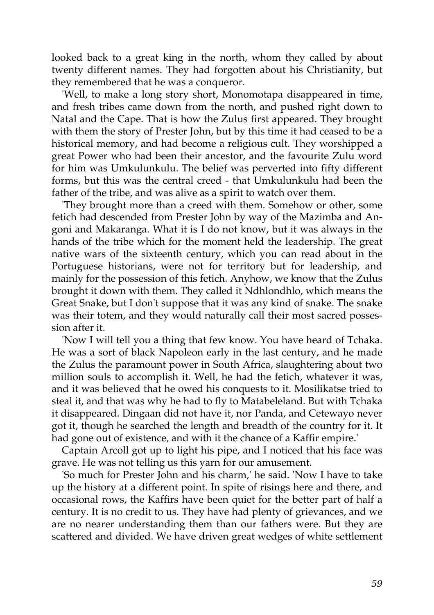looked back to a great king in the north, whom they called by about twenty different names. They had forgotten about his Christianity, but they remembered that he was a conqueror.

'Well, to make a long story short, Monomotapa disappeared in time, and fresh tribes came down from the north, and pushed right down to Natal and the Cape. That is how the Zulus first appeared. They brought with them the story of Prester John, but by this time it had ceased to be a historical memory, and had become a religious cult. They worshipped a great Power who had been their ancestor, and the favourite Zulu word for him was Umkulunkulu. The belief was perverted into fifty different forms, but this was the central creed - that Umkulunkulu had been the father of the tribe, and was alive as a spirit to watch over them.

'They brought more than a creed with them. Somehow or other, some fetich had descended from Prester John by way of the Mazimba and Angoni and Makaranga. What it is I do not know, but it was always in the hands of the tribe which for the moment held the leadership. The great native wars of the sixteenth century, which you can read about in the Portuguese historians, were not for territory but for leadership, and mainly for the possession of this fetich. Anyhow, we know that the Zulus brought it down with them. They called it Ndhlondhlo, which means the Great Snake, but I don't suppose that it was any kind of snake. The snake was their totem, and they would naturally call their most sacred possession after it.

'Now I will tell you a thing that few know. You have heard of Tchaka. He was a sort of black Napoleon early in the last century, and he made the Zulus the paramount power in South Africa, slaughtering about two million souls to accomplish it. Well, he had the fetich, whatever it was, and it was believed that he owed his conquests to it. Mosilikatse tried to steal it, and that was why he had to fly to Matabeleland. But with Tchaka it disappeared. Dingaan did not have it, nor Panda, and Cetewayo never got it, though he searched the length and breadth of the country for it. It had gone out of existence, and with it the chance of a Kaffir empire.'

Captain Arcoll got up to light his pipe, and I noticed that his face was grave. He was not telling us this yarn for our amusement.

'So much for Prester John and his charm,' he said. 'Now I have to take up the history at a different point. In spite of risings here and there, and occasional rows, the Kaffirs have been quiet for the better part of half a century. It is no credit to us. They have had plenty of grievances, and we are no nearer understanding them than our fathers were. But they are scattered and divided. We have driven great wedges of white settlement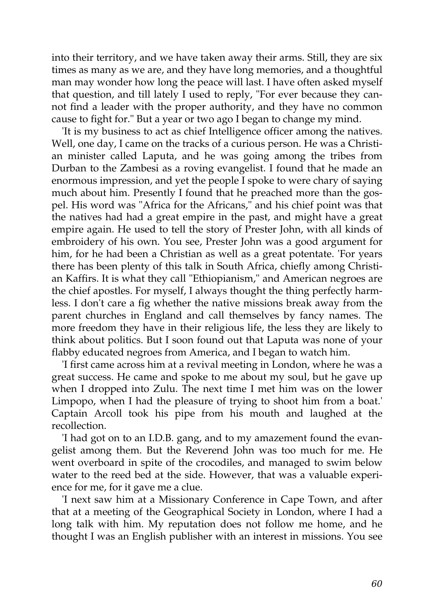into their territory, and we have taken away their arms. Still, they are six times as many as we are, and they have long memories, and a thoughtful man may wonder how long the peace will last. I have often asked myself that question, and till lately I used to reply, "For ever because they cannot find a leader with the proper authority, and they have no common cause to fight for." But a year or two ago I began to change my mind.

'It is my business to act as chief Intelligence officer among the natives. Well, one day, I came on the tracks of a curious person. He was a Christian minister called Laputa, and he was going among the tribes from Durban to the Zambesi as a roving evangelist. I found that he made an enormous impression, and yet the people I spoke to were chary of saying much about him. Presently I found that he preached more than the gospel. His word was "Africa for the Africans," and his chief point was that the natives had had a great empire in the past, and might have a great empire again. He used to tell the story of Prester John, with all kinds of embroidery of his own. You see, Prester John was a good argument for him, for he had been a Christian as well as a great potentate. 'For years there has been plenty of this talk in South Africa, chiefly among Christian Kaffirs. It is what they call "Ethiopianism," and American negroes are the chief apostles. For myself, I always thought the thing perfectly harmless. I don't care a fig whether the native missions break away from the parent churches in England and call themselves by fancy names. The more freedom they have in their religious life, the less they are likely to think about politics. But I soon found out that Laputa was none of your flabby educated negroes from America, and I began to watch him.

'I first came across him at a revival meeting in London, where he was a great success. He came and spoke to me about my soul, but he gave up when I dropped into Zulu. The next time I met him was on the lower Limpopo, when I had the pleasure of trying to shoot him from a boat.' Captain Arcoll took his pipe from his mouth and laughed at the recollection.

'I had got on to an I.D.B. gang, and to my amazement found the evangelist among them. But the Reverend John was too much for me. He went overboard in spite of the crocodiles, and managed to swim below water to the reed bed at the side. However, that was a valuable experience for me, for it gave me a clue.

'I next saw him at a Missionary Conference in Cape Town, and after that at a meeting of the Geographical Society in London, where I had a long talk with him. My reputation does not follow me home, and he thought I was an English publisher with an interest in missions. You see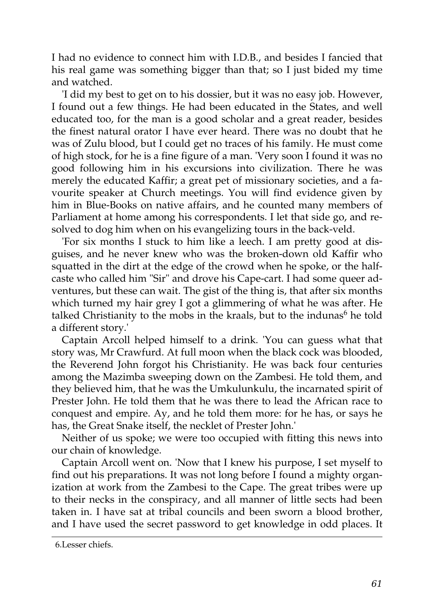I had no evidence to connect him with I.D.B., and besides I fancied that his real game was something bigger than that; so I just bided my time and watched.

'I did my best to get on to his dossier, but it was no easy job. However, I found out a few things. He had been educated in the States, and well educated too, for the man is a good scholar and a great reader, besides the finest natural orator I have ever heard. There was no doubt that he was of Zulu blood, but I could get no traces of his family. He must come of high stock, for he is a fine figure of a man. 'Very soon I found it was no good following him in his excursions into civilization. There he was merely the educated Kaffir; a great pet of missionary societies, and a favourite speaker at Church meetings. You will find evidence given by him in Blue-Books on native affairs, and he counted many members of Parliament at home among his correspondents. I let that side go, and resolved to dog him when on his evangelizing tours in the back-veld.

'For six months I stuck to him like a leech. I am pretty good at disguises, and he never knew who was the broken-down old Kaffir who squatted in the dirt at the edge of the crowd when he spoke, or the halfcaste who called him "Sir" and drove his Cape-cart. I had some queer adventures, but these can wait. The gist of the thing is, that after six months which turned my hair grey I got a glimmering of what he was after. He talked Christianity to the mobs in the kraals, but to the indunas<sup>6</sup> he told a different story.'

Captain Arcoll helped himself to a drink. 'You can guess what that story was, Mr Crawfurd. At full moon when the black cock was blooded, the Reverend John forgot his Christianity. He was back four centuries among the Mazimba sweeping down on the Zambesi. He told them, and they believed him, that he was the Umkulunkulu, the incarnated spirit of Prester John. He told them that he was there to lead the African race to conquest and empire. Ay, and he told them more: for he has, or says he has, the Great Snake itself, the necklet of Prester John.'

Neither of us spoke; we were too occupied with fitting this news into our chain of knowledge.

Captain Arcoll went on. 'Now that I knew his purpose, I set myself to find out his preparations. It was not long before I found a mighty organization at work from the Zambesi to the Cape. The great tribes were up to their necks in the conspiracy, and all manner of little sects had been taken in. I have sat at tribal councils and been sworn a blood brother, and I have used the secret password to get knowledge in odd places. It

<sup>6.</sup>Lesser chiefs.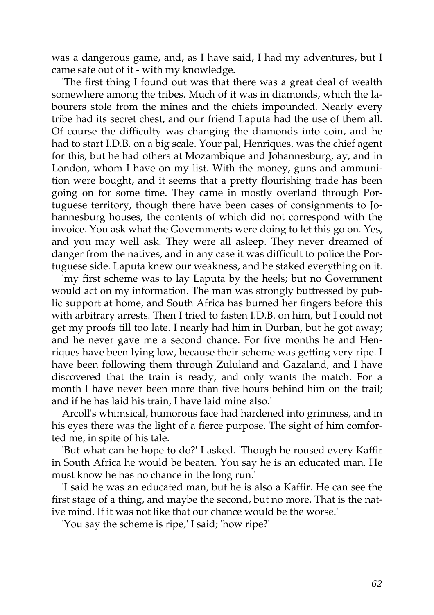was a dangerous game, and, as I have said, I had my adventures, but I came safe out of it - with my knowledge.

'The first thing I found out was that there was a great deal of wealth somewhere among the tribes. Much of it was in diamonds, which the labourers stole from the mines and the chiefs impounded. Nearly every tribe had its secret chest, and our friend Laputa had the use of them all. Of course the difficulty was changing the diamonds into coin, and he had to start I.D.B. on a big scale. Your pal, Henriques, was the chief agent for this, but he had others at Mozambique and Johannesburg, ay, and in London, whom I have on my list. With the money, guns and ammunition were bought, and it seems that a pretty flourishing trade has been going on for some time. They came in mostly overland through Portuguese territory, though there have been cases of consignments to Johannesburg houses, the contents of which did not correspond with the invoice. You ask what the Governments were doing to let this go on. Yes, and you may well ask. They were all asleep. They never dreamed of danger from the natives, and in any case it was difficult to police the Portuguese side. Laputa knew our weakness, and he staked everything on it.

'my first scheme was to lay Laputa by the heels; but no Government would act on my information. The man was strongly buttressed by public support at home, and South Africa has burned her fingers before this with arbitrary arrests. Then I tried to fasten I.D.B. on him, but I could not get my proofs till too late. I nearly had him in Durban, but he got away; and he never gave me a second chance. For five months he and Henriques have been lying low, because their scheme was getting very ripe. I have been following them through Zululand and Gazaland, and I have discovered that the train is ready, and only wants the match. For a month I have never been more than five hours behind him on the trail; and if he has laid his train, I have laid mine also.'

Arcoll's whimsical, humorous face had hardened into grimness, and in his eyes there was the light of a fierce purpose. The sight of him comforted me, in spite of his tale.

'But what can he hope to do?' I asked. 'Though he roused every Kaffir in South Africa he would be beaten. You say he is an educated man. He must know he has no chance in the long run.'

'I said he was an educated man, but he is also a Kaffir. He can see the first stage of a thing, and maybe the second, but no more. That is the native mind. If it was not like that our chance would be the worse.'

'You say the scheme is ripe,' I said; 'how ripe?'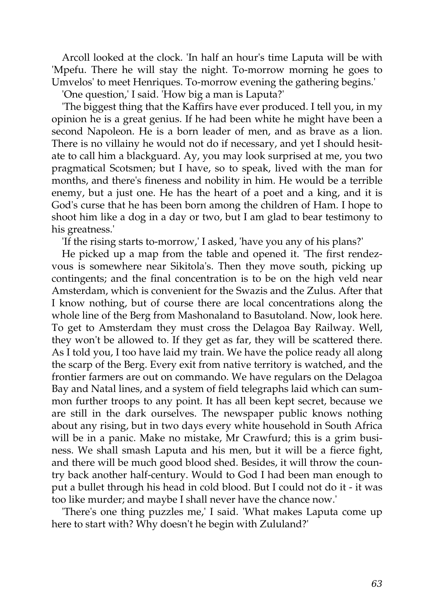Arcoll looked at the clock. 'In half an hour's time Laputa will be with 'Mpefu. There he will stay the night. To-morrow morning he goes to Umvelos' to meet Henriques. To-morrow evening the gathering begins.'

'One question,' I said. 'How big a man is Laputa?'

'The biggest thing that the Kaffirs have ever produced. I tell you, in my opinion he is a great genius. If he had been white he might have been a second Napoleon. He is a born leader of men, and as brave as a lion. There is no villainy he would not do if necessary, and yet I should hesitate to call him a blackguard. Ay, you may look surprised at me, you two pragmatical Scotsmen; but I have, so to speak, lived with the man for months, and there's fineness and nobility in him. He would be a terrible enemy, but a just one. He has the heart of a poet and a king, and it is God's curse that he has been born among the children of Ham. I hope to shoot him like a dog in a day or two, but I am glad to bear testimony to his greatness.'

'If the rising starts to-morrow,' I asked, 'have you any of his plans?'

He picked up a map from the table and opened it. 'The first rendezvous is somewhere near Sikitola's. Then they move south, picking up contingents; and the final concentration is to be on the high veld near Amsterdam, which is convenient for the Swazis and the Zulus. After that I know nothing, but of course there are local concentrations along the whole line of the Berg from Mashonaland to Basutoland. Now, look here. To get to Amsterdam they must cross the Delagoa Bay Railway. Well, they won't be allowed to. If they get as far, they will be scattered there. As I told you, I too have laid my train. We have the police ready all along the scarp of the Berg. Every exit from native territory is watched, and the frontier farmers are out on commando. We have regulars on the Delagoa Bay and Natal lines, and a system of field telegraphs laid which can summon further troops to any point. It has all been kept secret, because we are still in the dark ourselves. The newspaper public knows nothing about any rising, but in two days every white household in South Africa will be in a panic. Make no mistake, Mr Crawfurd; this is a grim business. We shall smash Laputa and his men, but it will be a fierce fight, and there will be much good blood shed. Besides, it will throw the country back another half-century. Would to God I had been man enough to put a bullet through his head in cold blood. But I could not do it - it was too like murder; and maybe I shall never have the chance now.'

'There's one thing puzzles me,' I said. 'What makes Laputa come up here to start with? Why doesn't he begin with Zululand?'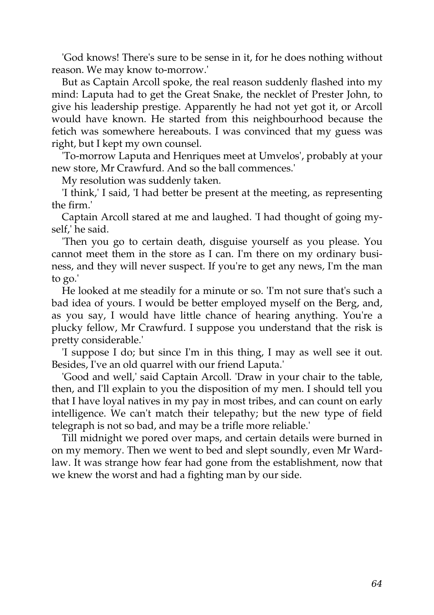'God knows! There's sure to be sense in it, for he does nothing without reason. We may know to-morrow.'

But as Captain Arcoll spoke, the real reason suddenly flashed into my mind: Laputa had to get the Great Snake, the necklet of Prester John, to give his leadership prestige. Apparently he had not yet got it, or Arcoll would have known. He started from this neighbourhood because the fetich was somewhere hereabouts. I was convinced that my guess was right, but I kept my own counsel.

'To-morrow Laputa and Henriques meet at Umvelos', probably at your new store, Mr Crawfurd. And so the ball commences.'

My resolution was suddenly taken.

'I think,' I said, 'I had better be present at the meeting, as representing the firm.'

Captain Arcoll stared at me and laughed. 'I had thought of going myself,' he said.

'Then you go to certain death, disguise yourself as you please. You cannot meet them in the store as I can. I'm there on my ordinary business, and they will never suspect. If you're to get any news, I'm the man to go.'

He looked at me steadily for a minute or so. 'I'm not sure that's such a bad idea of yours. I would be better employed myself on the Berg, and, as you say, I would have little chance of hearing anything. You're a plucky fellow, Mr Crawfurd. I suppose you understand that the risk is pretty considerable.'

'I suppose I do; but since I'm in this thing, I may as well see it out. Besides, I've an old quarrel with our friend Laputa.'

'Good and well,' said Captain Arcoll. 'Draw in your chair to the table, then, and I'll explain to you the disposition of my men. I should tell you that I have loyal natives in my pay in most tribes, and can count on early intelligence. We can't match their telepathy; but the new type of field telegraph is not so bad, and may be a trifle more reliable.'

Till midnight we pored over maps, and certain details were burned in on my memory. Then we went to bed and slept soundly, even Mr Wardlaw. It was strange how fear had gone from the establishment, now that we knew the worst and had a fighting man by our side.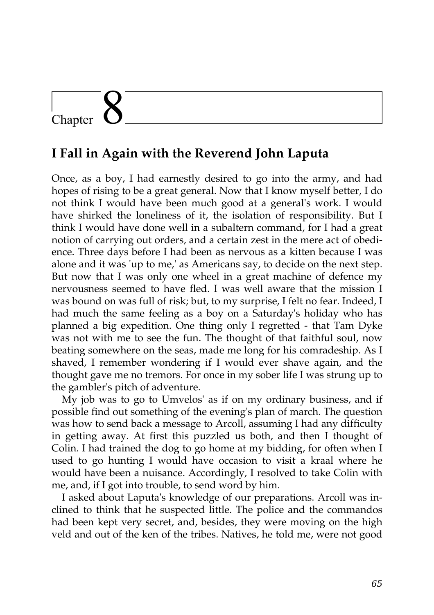# Chapter

### **I Fall in Again with the Reverend John Laputa**

Once, as a boy, I had earnestly desired to go into the army, and had hopes of rising to be a great general. Now that I know myself better, I do not think I would have been much good at a general's work. I would have shirked the loneliness of it, the isolation of responsibility. But I think I would have done well in a subaltern command, for I had a great notion of carrying out orders, and a certain zest in the mere act of obedience. Three days before I had been as nervous as a kitten because I was alone and it was 'up to me,' as Americans say, to decide on the next step. But now that I was only one wheel in a great machine of defence my nervousness seemed to have fled. I was well aware that the mission I was bound on was full of risk; but, to my surprise, I felt no fear. Indeed, I had much the same feeling as a boy on a Saturday's holiday who has planned a big expedition. One thing only I regretted - that Tam Dyke was not with me to see the fun. The thought of that faithful soul, now beating somewhere on the seas, made me long for his comradeship. As I shaved, I remember wondering if I would ever shave again, and the thought gave me no tremors. For once in my sober life I was strung up to the gambler's pitch of adventure.

My job was to go to Umvelos' as if on my ordinary business, and if possible find out something of the evening's plan of march. The question was how to send back a message to Arcoll, assuming I had any difficulty in getting away. At first this puzzled us both, and then I thought of Colin. I had trained the dog to go home at my bidding, for often when I used to go hunting I would have occasion to visit a kraal where he would have been a nuisance. Accordingly, I resolved to take Colin with me, and, if I got into trouble, to send word by him.

I asked about Laputa's knowledge of our preparations. Arcoll was inclined to think that he suspected little. The police and the commandos had been kept very secret, and, besides, they were moving on the high veld and out of the ken of the tribes. Natives, he told me, were not good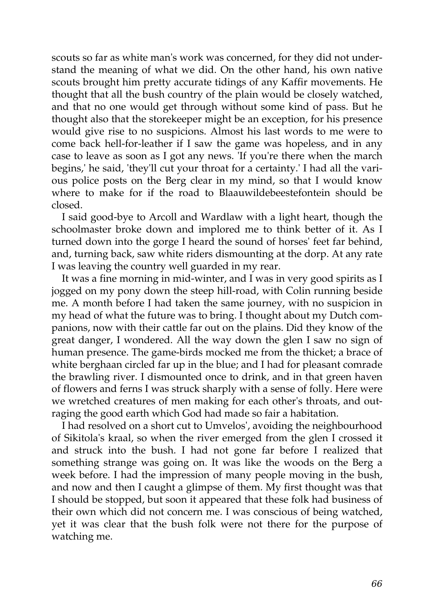scouts so far as white man's work was concerned, for they did not understand the meaning of what we did. On the other hand, his own native scouts brought him pretty accurate tidings of any Kaffir movements. He thought that all the bush country of the plain would be closely watched, and that no one would get through without some kind of pass. But he thought also that the storekeeper might be an exception, for his presence would give rise to no suspicions. Almost his last words to me were to come back hell-for-leather if I saw the game was hopeless, and in any case to leave as soon as I got any news. 'If you're there when the march begins,' he said, 'they'll cut your throat for a certainty.' I had all the various police posts on the Berg clear in my mind, so that I would know where to make for if the road to Blaauwildebeestefontein should be closed.

I said good-bye to Arcoll and Wardlaw with a light heart, though the schoolmaster broke down and implored me to think better of it. As I turned down into the gorge I heard the sound of horses' feet far behind, and, turning back, saw white riders dismounting at the dorp. At any rate I was leaving the country well guarded in my rear.

It was a fine morning in mid-winter, and I was in very good spirits as I jogged on my pony down the steep hill-road, with Colin running beside me. A month before I had taken the same journey, with no suspicion in my head of what the future was to bring. I thought about my Dutch companions, now with their cattle far out on the plains. Did they know of the great danger, I wondered. All the way down the glen I saw no sign of human presence. The game-birds mocked me from the thicket; a brace of white berghaan circled far up in the blue; and I had for pleasant comrade the brawling river. I dismounted once to drink, and in that green haven of flowers and ferns I was struck sharply with a sense of folly. Here were we wretched creatures of men making for each other's throats, and outraging the good earth which God had made so fair a habitation.

I had resolved on a short cut to Umvelos', avoiding the neighbourhood of Sikitola's kraal, so when the river emerged from the glen I crossed it and struck into the bush. I had not gone far before I realized that something strange was going on. It was like the woods on the Berg a week before. I had the impression of many people moving in the bush, and now and then I caught a glimpse of them. My first thought was that I should be stopped, but soon it appeared that these folk had business of their own which did not concern me. I was conscious of being watched, yet it was clear that the bush folk were not there for the purpose of watching me.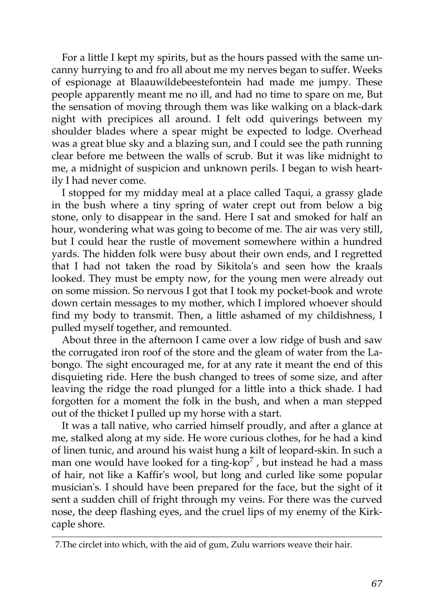For a little I kept my spirits, but as the hours passed with the same uncanny hurrying to and fro all about me my nerves began to suffer. Weeks of espionage at Blaauwildebeestefontein had made me jumpy. These people apparently meant me no ill, and had no time to spare on me, But the sensation of moving through them was like walking on a black-dark night with precipices all around. I felt odd quiverings between my shoulder blades where a spear might be expected to lodge. Overhead was a great blue sky and a blazing sun, and I could see the path running clear before me between the walls of scrub. But it was like midnight to me, a midnight of suspicion and unknown perils. I began to wish heartily I had never come.

I stopped for my midday meal at a place called Taqui, a grassy glade in the bush where a tiny spring of water crept out from below a big stone, only to disappear in the sand. Here I sat and smoked for half an hour, wondering what was going to become of me. The air was very still, but I could hear the rustle of movement somewhere within a hundred yards. The hidden folk were busy about their own ends, and I regretted that I had not taken the road by Sikitola's and seen how the kraals looked. They must be empty now, for the young men were already out on some mission. So nervous I got that I took my pocket-book and wrote down certain messages to my mother, which I implored whoever should find my body to transmit. Then, a little ashamed of my childishness, I pulled myself together, and remounted.

About three in the afternoon I came over a low ridge of bush and saw the corrugated iron roof of the store and the gleam of water from the Labongo. The sight encouraged me, for at any rate it meant the end of this disquieting ride. Here the bush changed to trees of some size, and after leaving the ridge the road plunged for a little into a thick shade. I had forgotten for a moment the folk in the bush, and when a man stepped out of the thicket I pulled up my horse with a start.

It was a tall native, who carried himself proudly, and after a glance at me, stalked along at my side. He wore curious clothes, for he had a kind of linen tunic, and around his waist hung a kilt of leopard-skin. In such a man one would have looked for a ting-kop<sup>7</sup>, but instead he had a mass of hair, not like a Kaffir's wool, but long and curled like some popular musician's. I should have been prepared for the face, but the sight of it sent a sudden chill of fright through my veins. For there was the curved nose, the deep flashing eyes, and the cruel lips of my enemy of the Kirkcaple shore.

<sup>7.</sup>The circlet into which, with the aid of gum, Zulu warriors weave their hair.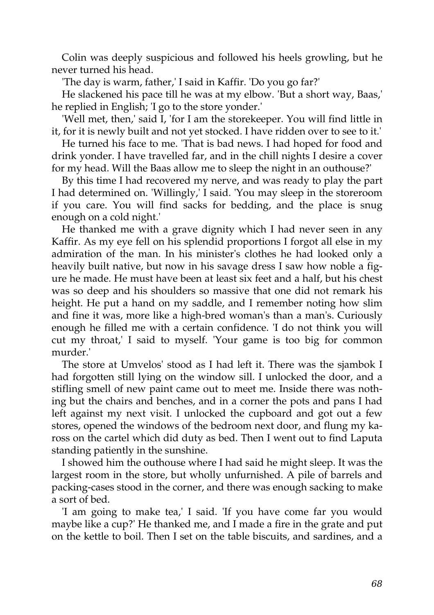Colin was deeply suspicious and followed his heels growling, but he never turned his head.

'The day is warm, father,' I said in Kaffir. 'Do you go far?'

He slackened his pace till he was at my elbow. 'But a short way, Baas,' he replied in English; 'I go to the store yonder.'

'Well met, then,' said I, 'for I am the storekeeper. You will find little in it, for it is newly built and not yet stocked. I have ridden over to see to it.'

He turned his face to me. 'That is bad news. I had hoped for food and drink yonder. I have travelled far, and in the chill nights I desire a cover for my head. Will the Baas allow me to sleep the night in an outhouse?'

By this time I had recovered my nerve, and was ready to play the part I had determined on. 'Willingly,' I said. 'You may sleep in the storeroom if you care. You will find sacks for bedding, and the place is snug enough on a cold night.'

He thanked me with a grave dignity which I had never seen in any Kaffir. As my eye fell on his splendid proportions I forgot all else in my admiration of the man. In his minister's clothes he had looked only a heavily built native, but now in his savage dress I saw how noble a figure he made. He must have been at least six feet and a half, but his chest was so deep and his shoulders so massive that one did not remark his height. He put a hand on my saddle, and I remember noting how slim and fine it was, more like a high-bred woman's than a man's. Curiously enough he filled me with a certain confidence. 'I do not think you will cut my throat,' I said to myself. 'Your game is too big for common murder.'

The store at Umvelos' stood as I had left it. There was the sjambok I had forgotten still lying on the window sill. I unlocked the door, and a stifling smell of new paint came out to meet me. Inside there was nothing but the chairs and benches, and in a corner the pots and pans I had left against my next visit. I unlocked the cupboard and got out a few stores, opened the windows of the bedroom next door, and flung my kaross on the cartel which did duty as bed. Then I went out to find Laputa standing patiently in the sunshine.

I showed him the outhouse where I had said he might sleep. It was the largest room in the store, but wholly unfurnished. A pile of barrels and packing-cases stood in the corner, and there was enough sacking to make a sort of bed.

'I am going to make tea,' I said. 'If you have come far you would maybe like a cup?' He thanked me, and I made a fire in the grate and put on the kettle to boil. Then I set on the table biscuits, and sardines, and a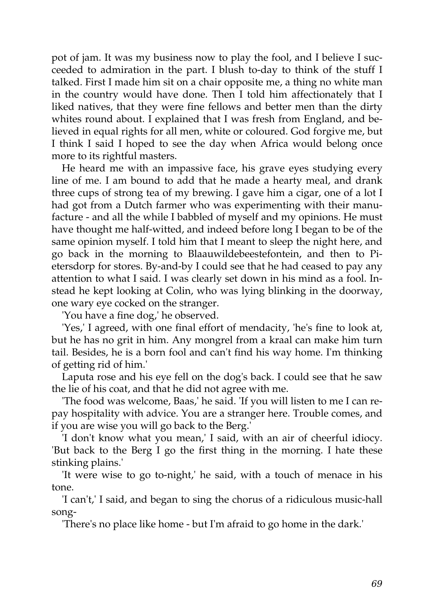pot of jam. It was my business now to play the fool, and I believe I succeeded to admiration in the part. I blush to-day to think of the stuff I talked. First I made him sit on a chair opposite me, a thing no white man in the country would have done. Then I told him affectionately that I liked natives, that they were fine fellows and better men than the dirty whites round about. I explained that I was fresh from England, and believed in equal rights for all men, white or coloured. God forgive me, but I think I said I hoped to see the day when Africa would belong once more to its rightful masters.

He heard me with an impassive face, his grave eyes studying every line of me. I am bound to add that he made a hearty meal, and drank three cups of strong tea of my brewing. I gave him a cigar, one of a lot I had got from a Dutch farmer who was experimenting with their manufacture - and all the while I babbled of myself and my opinions. He must have thought me half-witted, and indeed before long I began to be of the same opinion myself. I told him that I meant to sleep the night here, and go back in the morning to Blaauwildebeestefontein, and then to Pietersdorp for stores. By-and-by I could see that he had ceased to pay any attention to what I said. I was clearly set down in his mind as a fool. Instead he kept looking at Colin, who was lying blinking in the doorway, one wary eye cocked on the stranger.

'You have a fine dog,' he observed.

'Yes,' I agreed, with one final effort of mendacity, 'he's fine to look at, but he has no grit in him. Any mongrel from a kraal can make him turn tail. Besides, he is a born fool and can't find his way home. I'm thinking of getting rid of him.'

Laputa rose and his eye fell on the dog's back. I could see that he saw the lie of his coat, and that he did not agree with me.

'The food was welcome, Baas,' he said. 'If you will listen to me I can repay hospitality with advice. You are a stranger here. Trouble comes, and if you are wise you will go back to the Berg.'

'I don't know what you mean,' I said, with an air of cheerful idiocy. 'But back to the Berg I go the first thing in the morning. I hate these stinking plains.'

'It were wise to go to-night,' he said, with a touch of menace in his tone.

'I can't,' I said, and began to sing the chorus of a ridiculous music-hall song-

'There's no place like home - but I'm afraid to go home in the dark.'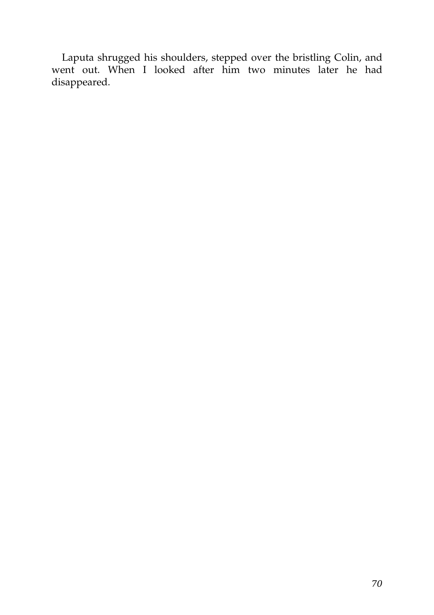Laputa shrugged his shoulders, stepped over the bristling Colin, and went out. When I looked after him two minutes later he had disappeared.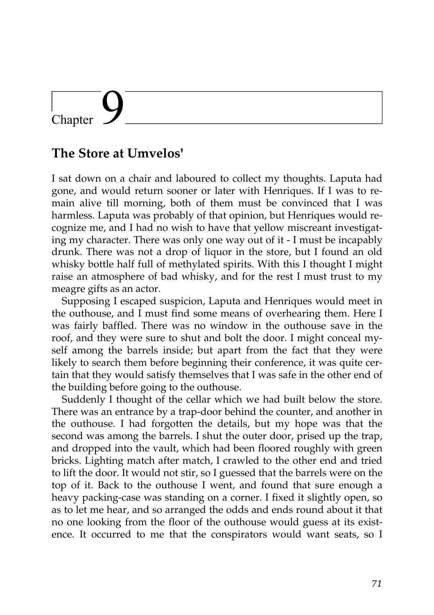# Chapter

### **The Store at Umvelos'**

I sat down on a chair and laboured to collect my thoughts. Laputa had gone, and would return sooner or later with Henriques. If I was to remain alive till morning, both of them must be convinced that I was harmless. Laputa was probably of that opinion, but Henriques would recognize me, and I had no wish to have that yellow miscreant investigating my character. There was only one way out of it - I must be incapably drunk. There was not a drop of liquor in the store, but I found an old whisky bottle half full of methylated spirits. With this I thought I might raise an atmosphere of bad whisky, and for the rest I must trust to my meagre gifts as an actor.

Supposing I escaped suspicion, Laputa and Henriques would meet in the outhouse, and I must find some means of overhearing them. Here I was fairly baffled. There was no window in the outhouse save in the roof, and they were sure to shut and bolt the door. I might conceal myself among the barrels inside; but apart from the fact that they were likely to search them before beginning their conference, it was quite certain that they would satisfy themselves that I was safe in the other end of the building before going to the outhouse.

Suddenly I thought of the cellar which we had built below the store. There was an entrance by a trap-door behind the counter, and another in the outhouse. I had forgotten the details, but my hope was that the second was among the barrels. I shut the outer door, prised up the trap, and dropped into the vault, which had been floored roughly with green bricks. Lighting match after match, I crawled to the other end and tried to lift the door. It would not stir, so I guessed that the barrels were on the top of it. Back to the outhouse I went, and found that sure enough a heavy packing-case was standing on a corner. I fixed it slightly open, so as to let me hear, and so arranged the odds and ends round about it that no one looking from the floor of the outhouse would guess at its existence. It occurred to me that the conspirators would want seats, so I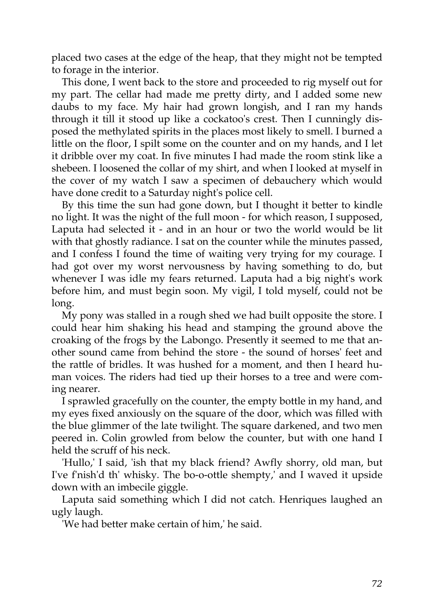placed two cases at the edge of the heap, that they might not be tempted to forage in the interior.

This done, I went back to the store and proceeded to rig myself out for my part. The cellar had made me pretty dirty, and I added some new daubs to my face. My hair had grown longish, and I ran my hands through it till it stood up like a cockatoo's crest. Then I cunningly disposed the methylated spirits in the places most likely to smell. I burned a little on the floor, I spilt some on the counter and on my hands, and I let it dribble over my coat. In five minutes I had made the room stink like a shebeen. I loosened the collar of my shirt, and when I looked at myself in the cover of my watch I saw a specimen of debauchery which would have done credit to a Saturday night's police cell.

By this time the sun had gone down, but I thought it better to kindle no light. It was the night of the full moon - for which reason, I supposed, Laputa had selected it - and in an hour or two the world would be lit with that ghostly radiance. I sat on the counter while the minutes passed, and I confess I found the time of waiting very trying for my courage. I had got over my worst nervousness by having something to do, but whenever I was idle my fears returned. Laputa had a big night's work before him, and must begin soon. My vigil, I told myself, could not be long.

My pony was stalled in a rough shed we had built opposite the store. I could hear him shaking his head and stamping the ground above the croaking of the frogs by the Labongo. Presently it seemed to me that another sound came from behind the store - the sound of horses' feet and the rattle of bridles. It was hushed for a moment, and then I heard human voices. The riders had tied up their horses to a tree and were coming nearer.

I sprawled gracefully on the counter, the empty bottle in my hand, and my eyes fixed anxiously on the square of the door, which was filled with the blue glimmer of the late twilight. The square darkened, and two men peered in. Colin growled from below the counter, but with one hand I held the scruff of his neck.

'Hullo,' I said, 'ish that my black friend? Awfly shorry, old man, but I've f'nish'd th' whisky. The bo-o-ottle shempty,' and I waved it upside down with an imbecile giggle.

Laputa said something which I did not catch. Henriques laughed an ugly laugh.

'We had better make certain of him,' he said.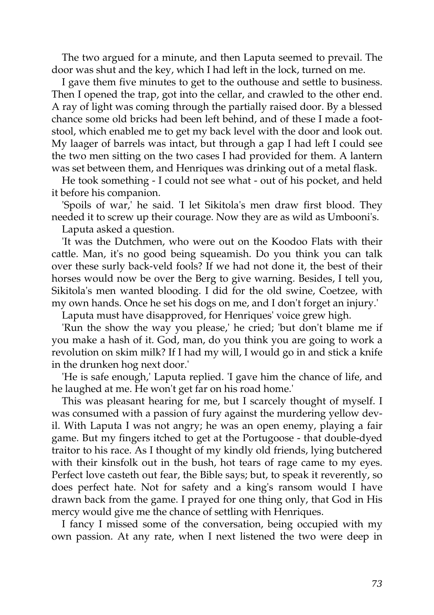The two argued for a minute, and then Laputa seemed to prevail. The door was shut and the key, which I had left in the lock, turned on me.

I gave them five minutes to get to the outhouse and settle to business. Then I opened the trap, got into the cellar, and crawled to the other end. A ray of light was coming through the partially raised door. By a blessed chance some old bricks had been left behind, and of these I made a footstool, which enabled me to get my back level with the door and look out. My laager of barrels was intact, but through a gap I had left I could see the two men sitting on the two cases I had provided for them. A lantern was set between them, and Henriques was drinking out of a metal flask.

He took something - I could not see what - out of his pocket, and held it before his companion.

'Spoils of war,' he said. 'I let Sikitola's men draw first blood. They needed it to screw up their courage. Now they are as wild as Umbooni's.

Laputa asked a question.

'It was the Dutchmen, who were out on the Koodoo Flats with their cattle. Man, it's no good being squeamish. Do you think you can talk over these surly back-veld fools? If we had not done it, the best of their horses would now be over the Berg to give warning. Besides, I tell you, Sikitola's men wanted blooding. I did for the old swine, Coetzee, with my own hands. Once he set his dogs on me, and I don't forget an injury.'

Laputa must have disapproved, for Henriques' voice grew high.

'Run the show the way you please,' he cried; 'but don't blame me if you make a hash of it. God, man, do you think you are going to work a revolution on skim milk? If I had my will, I would go in and stick a knife in the drunken hog next door.'

'He is safe enough,' Laputa replied. 'I gave him the chance of life, and he laughed at me. He won't get far on his road home.'

This was pleasant hearing for me, but I scarcely thought of myself. I was consumed with a passion of fury against the murdering yellow devil. With Laputa I was not angry; he was an open enemy, playing a fair game. But my fingers itched to get at the Portugoose - that double-dyed traitor to his race. As I thought of my kindly old friends, lying butchered with their kinsfolk out in the bush, hot tears of rage came to my eyes. Perfect love casteth out fear, the Bible says; but, to speak it reverently, so does perfect hate. Not for safety and a king's ransom would I have drawn back from the game. I prayed for one thing only, that God in His mercy would give me the chance of settling with Henriques.

I fancy I missed some of the conversation, being occupied with my own passion. At any rate, when I next listened the two were deep in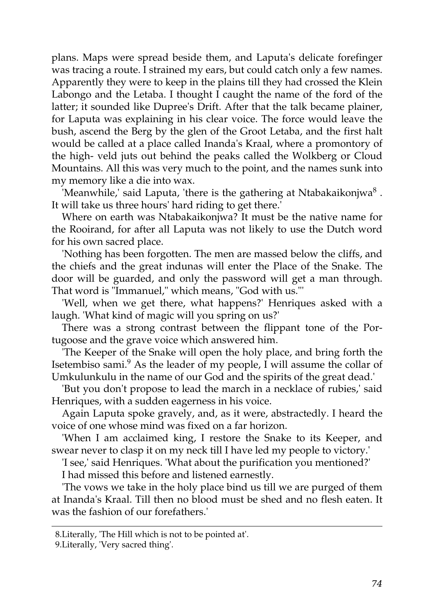plans. Maps were spread beside them, and Laputa's delicate forefinger was tracing a route. I strained my ears, but could catch only a few names. Apparently they were to keep in the plains till they had crossed the Klein Labongo and the Letaba. I thought I caught the name of the ford of the latter; it sounded like Dupree's Drift. After that the talk became plainer, for Laputa was explaining in his clear voice. The force would leave the bush, ascend the Berg by the glen of the Groot Letaba, and the first halt would be called at a place called Inanda's Kraal, where a promontory of the high- veld juts out behind the peaks called the Wolkberg or Cloud Mountains. All this was very much to the point, and the names sunk into my memory like a die into wax.

'Meanwhile,' said Laputa, 'there is the gathering at Ntabakaikonjwa $^8$ . It will take us three hours' hard riding to get there.'

Where on earth was Ntabakaikonjwa? It must be the native name for the Rooirand, for after all Laputa was not likely to use the Dutch word for his own sacred place.

'Nothing has been forgotten. The men are massed below the cliffs, and the chiefs and the great indunas will enter the Place of the Snake. The door will be guarded, and only the password will get a man through. That word is "Immanuel," which means, "God with us."'

'Well, when we get there, what happens?' Henriques asked with a laugh. 'What kind of magic will you spring on us?'

There was a strong contrast between the flippant tone of the Portugoose and the grave voice which answered him.

'The Keeper of the Snake will open the holy place, and bring forth the Isetembiso sami.<sup>9</sup> As the leader of my people, I will assume the collar of Umkulunkulu in the name of our God and the spirits of the great dead.'

'But you don't propose to lead the march in a necklace of rubies,' said Henriques, with a sudden eagerness in his voice.

Again Laputa spoke gravely, and, as it were, abstractedly. I heard the voice of one whose mind was fixed on a far horizon.

'When I am acclaimed king, I restore the Snake to its Keeper, and swear never to clasp it on my neck till I have led my people to victory.'

'I see,' said Henriques. 'What about the purification you mentioned?'

I had missed this before and listened earnestly.

'The vows we take in the holy place bind us till we are purged of them at Inanda's Kraal. Till then no blood must be shed and no flesh eaten. It was the fashion of our forefathers.'

<sup>8.</sup>Literally, 'The Hill which is not to be pointed at'.

<sup>9.</sup>Literally, 'Very sacred thing'.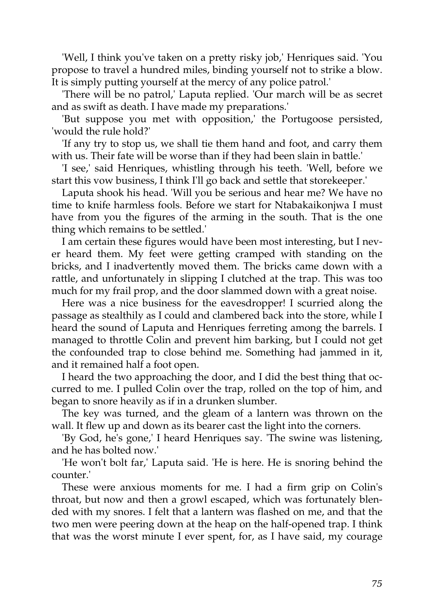'Well, I think you've taken on a pretty risky job,' Henriques said. 'You propose to travel a hundred miles, binding yourself not to strike a blow. It is simply putting yourself at the mercy of any police patrol.'

'There will be no patrol,' Laputa replied. 'Our march will be as secret and as swift as death. I have made my preparations.'

'But suppose you met with opposition,' the Portugoose persisted, 'would the rule hold?'

'If any try to stop us, we shall tie them hand and foot, and carry them with us. Their fate will be worse than if they had been slain in battle.'

'I see,' said Henriques, whistling through his teeth. 'Well, before we start this vow business, I think I'll go back and settle that storekeeper.'

Laputa shook his head. 'Will you be serious and hear me? We have no time to knife harmless fools. Before we start for Ntabakaikonjwa I must have from you the figures of the arming in the south. That is the one thing which remains to be settled.'

I am certain these figures would have been most interesting, but I never heard them. My feet were getting cramped with standing on the bricks, and I inadvertently moved them. The bricks came down with a rattle, and unfortunately in slipping I clutched at the trap. This was too much for my frail prop, and the door slammed down with a great noise.

Here was a nice business for the eavesdropper! I scurried along the passage as stealthily as I could and clambered back into the store, while I heard the sound of Laputa and Henriques ferreting among the barrels. I managed to throttle Colin and prevent him barking, but I could not get the confounded trap to close behind me. Something had jammed in it, and it remained half a foot open.

I heard the two approaching the door, and I did the best thing that occurred to me. I pulled Colin over the trap, rolled on the top of him, and began to snore heavily as if in a drunken slumber.

The key was turned, and the gleam of a lantern was thrown on the wall. It flew up and down as its bearer cast the light into the corners.

'By God, he's gone,' I heard Henriques say. 'The swine was listening, and he has bolted now.'

'He won't bolt far,' Laputa said. 'He is here. He is snoring behind the counter.'

These were anxious moments for me. I had a firm grip on Colin's throat, but now and then a growl escaped, which was fortunately blended with my snores. I felt that a lantern was flashed on me, and that the two men were peering down at the heap on the half-opened trap. I think that was the worst minute I ever spent, for, as I have said, my courage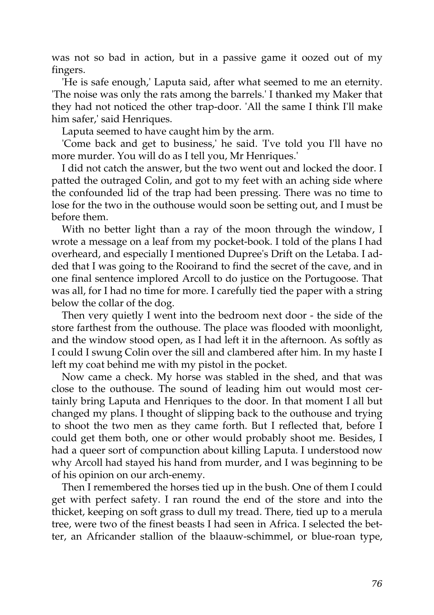was not so bad in action, but in a passive game it oozed out of my fingers.

'He is safe enough,' Laputa said, after what seemed to me an eternity. 'The noise was only the rats among the barrels.' I thanked my Maker that they had not noticed the other trap-door. 'All the same I think I'll make him safer,' said Henriques.

Laputa seemed to have caught him by the arm.

'Come back and get to business,' he said. 'I've told you I'll have no more murder. You will do as I tell you, Mr Henriques.'

I did not catch the answer, but the two went out and locked the door. I patted the outraged Colin, and got to my feet with an aching side where the confounded lid of the trap had been pressing. There was no time to lose for the two in the outhouse would soon be setting out, and I must be before them.

With no better light than a ray of the moon through the window, I wrote a message on a leaf from my pocket-book. I told of the plans I had overheard, and especially I mentioned Dupree's Drift on the Letaba. I added that I was going to the Rooirand to find the secret of the cave, and in one final sentence implored Arcoll to do justice on the Portugoose. That was all, for I had no time for more. I carefully tied the paper with a string below the collar of the dog.

Then very quietly I went into the bedroom next door - the side of the store farthest from the outhouse. The place was flooded with moonlight, and the window stood open, as I had left it in the afternoon. As softly as I could I swung Colin over the sill and clambered after him. In my haste I left my coat behind me with my pistol in the pocket.

Now came a check. My horse was stabled in the shed, and that was close to the outhouse. The sound of leading him out would most certainly bring Laputa and Henriques to the door. In that moment I all but changed my plans. I thought of slipping back to the outhouse and trying to shoot the two men as they came forth. But I reflected that, before I could get them both, one or other would probably shoot me. Besides, I had a queer sort of compunction about killing Laputa. I understood now why Arcoll had stayed his hand from murder, and I was beginning to be of his opinion on our arch-enemy.

Then I remembered the horses tied up in the bush. One of them I could get with perfect safety. I ran round the end of the store and into the thicket, keeping on soft grass to dull my tread. There, tied up to a merula tree, were two of the finest beasts I had seen in Africa. I selected the better, an Africander stallion of the blaauw-schimmel, or blue-roan type,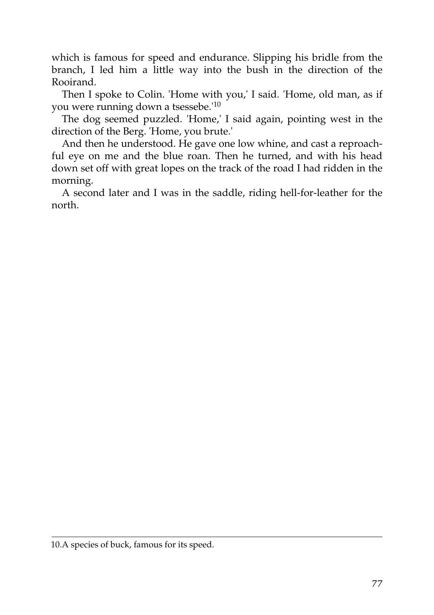which is famous for speed and endurance. Slipping his bridle from the branch, I led him a little way into the bush in the direction of the Rooirand.

Then I spoke to Colin. 'Home with you,' I said. 'Home, old man, as if you were running down a tsessebe.'<sup>10</sup>

The dog seemed puzzled. 'Home,' I said again, pointing west in the direction of the Berg. 'Home, you brute.'

And then he understood. He gave one low whine, and cast a reproachful eye on me and the blue roan. Then he turned, and with his head down set off with great lopes on the track of the road I had ridden in the morning.

A second later and I was in the saddle, riding hell-for-leather for the north.

<sup>10.</sup>A species of buck, famous for its speed.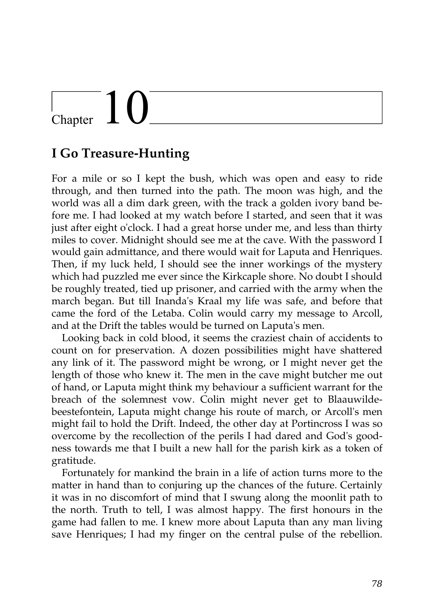# $\begin{array}{c} \begin{array}{c} \end{array}$  Chapter  $\begin{array}{c} \end{array}$

#### **I Go Treasure-Hunting**

For a mile or so I kept the bush, which was open and easy to ride through, and then turned into the path. The moon was high, and the world was all a dim dark green, with the track a golden ivory band before me. I had looked at my watch before I started, and seen that it was just after eight o'clock. I had a great horse under me, and less than thirty miles to cover. Midnight should see me at the cave. With the password I would gain admittance, and there would wait for Laputa and Henriques. Then, if my luck held, I should see the inner workings of the mystery which had puzzled me ever since the Kirkcaple shore. No doubt I should be roughly treated, tied up prisoner, and carried with the army when the march began. But till Inanda's Kraal my life was safe, and before that came the ford of the Letaba. Colin would carry my message to Arcoll, and at the Drift the tables would be turned on Laputa's men.

Looking back in cold blood, it seems the craziest chain of accidents to count on for preservation. A dozen possibilities might have shattered any link of it. The password might be wrong, or I might never get the length of those who knew it. The men in the cave might butcher me out of hand, or Laputa might think my behaviour a sufficient warrant for the breach of the solemnest vow. Colin might never get to Blaauwildebeestefontein, Laputa might change his route of march, or Arcoll's men might fail to hold the Drift. Indeed, the other day at Portincross I was so overcome by the recollection of the perils I had dared and God's goodness towards me that I built a new hall for the parish kirk as a token of gratitude.

Fortunately for mankind the brain in a life of action turns more to the matter in hand than to conjuring up the chances of the future. Certainly it was in no discomfort of mind that I swung along the moonlit path to the north. Truth to tell, I was almost happy. The first honours in the game had fallen to me. I knew more about Laputa than any man living save Henriques; I had my finger on the central pulse of the rebellion.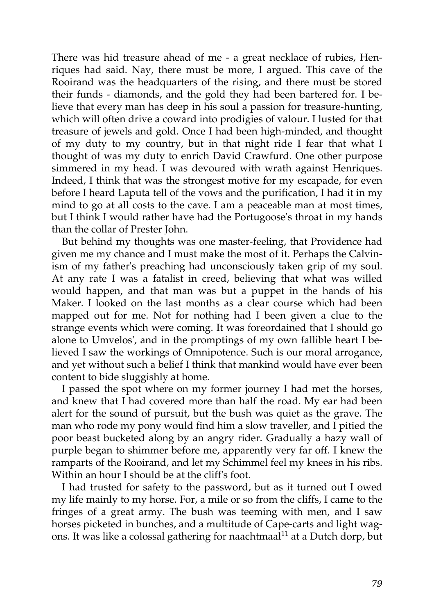There was hid treasure ahead of me - a great necklace of rubies, Henriques had said. Nay, there must be more, I argued. This cave of the Rooirand was the headquarters of the rising, and there must be stored their funds - diamonds, and the gold they had been bartered for. I believe that every man has deep in his soul a passion for treasure-hunting, which will often drive a coward into prodigies of valour. I lusted for that treasure of jewels and gold. Once I had been high-minded, and thought of my duty to my country, but in that night ride I fear that what I thought of was my duty to enrich David Crawfurd. One other purpose simmered in my head. I was devoured with wrath against Henriques. Indeed, I think that was the strongest motive for my escapade, for even before I heard Laputa tell of the vows and the purification, I had it in my mind to go at all costs to the cave. I am a peaceable man at most times, but I think I would rather have had the Portugoose's throat in my hands than the collar of Prester John.

But behind my thoughts was one master-feeling, that Providence had given me my chance and I must make the most of it. Perhaps the Calvinism of my father's preaching had unconsciously taken grip of my soul. At any rate I was a fatalist in creed, believing that what was willed would happen, and that man was but a puppet in the hands of his Maker. I looked on the last months as a clear course which had been mapped out for me. Not for nothing had I been given a clue to the strange events which were coming. It was foreordained that I should go alone to Umvelos', and in the promptings of my own fallible heart I believed I saw the workings of Omnipotence. Such is our moral arrogance, and yet without such a belief I think that mankind would have ever been content to bide sluggishly at home.

I passed the spot where on my former journey I had met the horses, and knew that I had covered more than half the road. My ear had been alert for the sound of pursuit, but the bush was quiet as the grave. The man who rode my pony would find him a slow traveller, and I pitied the poor beast bucketed along by an angry rider. Gradually a hazy wall of purple began to shimmer before me, apparently very far off. I knew the ramparts of the Rooirand, and let my Schimmel feel my knees in his ribs. Within an hour I should be at the cliff's foot.

I had trusted for safety to the password, but as it turned out I owed my life mainly to my horse. For, a mile or so from the cliffs, I came to the fringes of a great army. The bush was teeming with men, and I saw horses picketed in bunches, and a multitude of Cape-carts and light wagons. It was like a colossal gathering for naachtmaal<sup>11</sup> at a Dutch dorp, but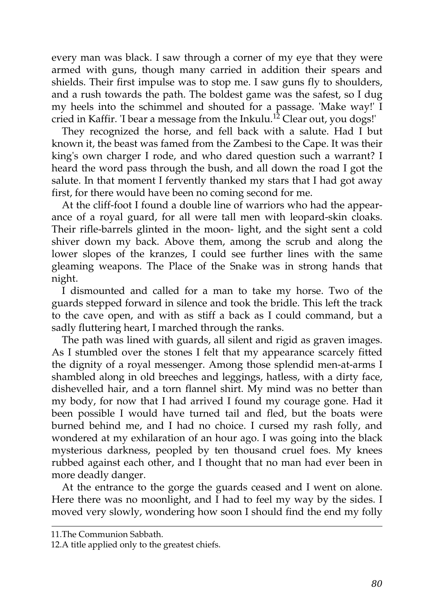every man was black. I saw through a corner of my eye that they were armed with guns, though many carried in addition their spears and shields. Their first impulse was to stop me. I saw guns fly to shoulders, and a rush towards the path. The boldest game was the safest, so I dug my heels into the schimmel and shouted for a passage. 'Make way!' I cried in Kaffir. 'I bear a message from the Inkulu.<sup>12</sup> Clear out, you dogs!'

They recognized the horse, and fell back with a salute. Had I but known it, the beast was famed from the Zambesi to the Cape. It was their king's own charger I rode, and who dared question such a warrant? I heard the word pass through the bush, and all down the road I got the salute. In that moment I fervently thanked my stars that I had got away first, for there would have been no coming second for me.

At the cliff-foot I found a double line of warriors who had the appearance of a royal guard, for all were tall men with leopard-skin cloaks. Their rifle-barrels glinted in the moon- light, and the sight sent a cold shiver down my back. Above them, among the scrub and along the lower slopes of the kranzes, I could see further lines with the same gleaming weapons. The Place of the Snake was in strong hands that night.

I dismounted and called for a man to take my horse. Two of the guards stepped forward in silence and took the bridle. This left the track to the cave open, and with as stiff a back as I could command, but a sadly fluttering heart, I marched through the ranks.

The path was lined with guards, all silent and rigid as graven images. As I stumbled over the stones I felt that my appearance scarcely fitted the dignity of a royal messenger. Among those splendid men-at-arms I shambled along in old breeches and leggings, hatless, with a dirty face, dishevelled hair, and a torn flannel shirt. My mind was no better than my body, for now that I had arrived I found my courage gone. Had it been possible I would have turned tail and fled, but the boats were burned behind me, and I had no choice. I cursed my rash folly, and wondered at my exhilaration of an hour ago. I was going into the black mysterious darkness, peopled by ten thousand cruel foes. My knees rubbed against each other, and I thought that no man had ever been in more deadly danger.

At the entrance to the gorge the guards ceased and I went on alone. Here there was no moonlight, and I had to feel my way by the sides. I moved very slowly, wondering how soon I should find the end my folly

<sup>11.</sup>The Communion Sabbath.

<sup>12.</sup>A title applied only to the greatest chiefs.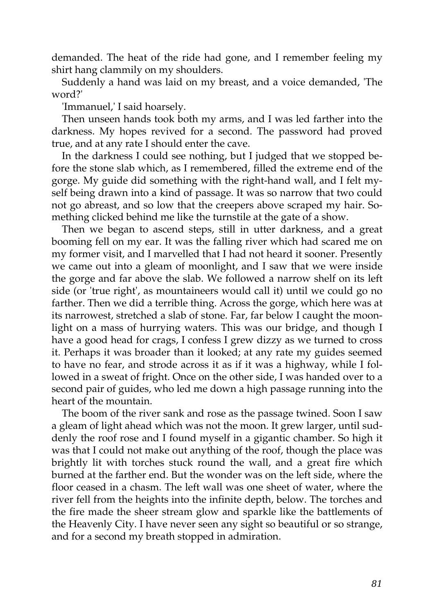demanded. The heat of the ride had gone, and I remember feeling my shirt hang clammily on my shoulders.

Suddenly a hand was laid on my breast, and a voice demanded, 'The word?'

'Immanuel,' I said hoarsely.

Then unseen hands took both my arms, and I was led farther into the darkness. My hopes revived for a second. The password had proved true, and at any rate I should enter the cave.

In the darkness I could see nothing, but I judged that we stopped before the stone slab which, as I remembered, filled the extreme end of the gorge. My guide did something with the right-hand wall, and I felt myself being drawn into a kind of passage. It was so narrow that two could not go abreast, and so low that the creepers above scraped my hair. Something clicked behind me like the turnstile at the gate of a show.

Then we began to ascend steps, still in utter darkness, and a great booming fell on my ear. It was the falling river which had scared me on my former visit, and I marvelled that I had not heard it sooner. Presently we came out into a gleam of moonlight, and I saw that we were inside the gorge and far above the slab. We followed a narrow shelf on its left side (or 'true right', as mountaineers would call it) until we could go no farther. Then we did a terrible thing. Across the gorge, which here was at its narrowest, stretched a slab of stone. Far, far below I caught the moonlight on a mass of hurrying waters. This was our bridge, and though I have a good head for crags, I confess I grew dizzy as we turned to cross it. Perhaps it was broader than it looked; at any rate my guides seemed to have no fear, and strode across it as if it was a highway, while I followed in a sweat of fright. Once on the other side, I was handed over to a second pair of guides, who led me down a high passage running into the heart of the mountain.

The boom of the river sank and rose as the passage twined. Soon I saw a gleam of light ahead which was not the moon. It grew larger, until suddenly the roof rose and I found myself in a gigantic chamber. So high it was that I could not make out anything of the roof, though the place was brightly lit with torches stuck round the wall, and a great fire which burned at the farther end. But the wonder was on the left side, where the floor ceased in a chasm. The left wall was one sheet of water, where the river fell from the heights into the infinite depth, below. The torches and the fire made the sheer stream glow and sparkle like the battlements of the Heavenly City. I have never seen any sight so beautiful or so strange, and for a second my breath stopped in admiration.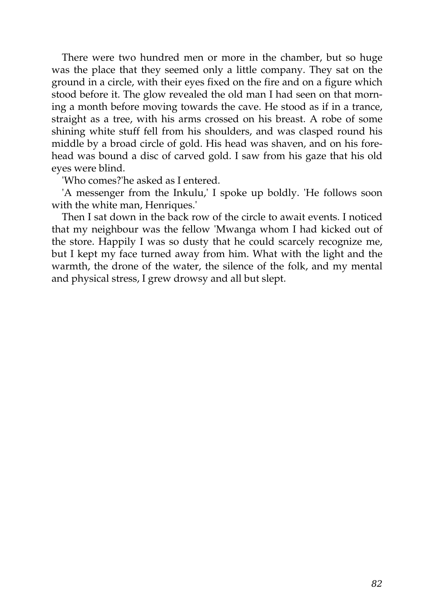There were two hundred men or more in the chamber, but so huge was the place that they seemed only a little company. They sat on the ground in a circle, with their eyes fixed on the fire and on a figure which stood before it. The glow revealed the old man I had seen on that morning a month before moving towards the cave. He stood as if in a trance, straight as a tree, with his arms crossed on his breast. A robe of some shining white stuff fell from his shoulders, and was clasped round his middle by a broad circle of gold. His head was shaven, and on his forehead was bound a disc of carved gold. I saw from his gaze that his old eyes were blind.

'Who comes?'he asked as I entered.

'A messenger from the Inkulu,' I spoke up boldly. 'He follows soon with the white man, Henriques.'

Then I sat down in the back row of the circle to await events. I noticed that my neighbour was the fellow 'Mwanga whom I had kicked out of the store. Happily I was so dusty that he could scarcely recognize me, but I kept my face turned away from him. What with the light and the warmth, the drone of the water, the silence of the folk, and my mental and physical stress, I grew drowsy and all but slept.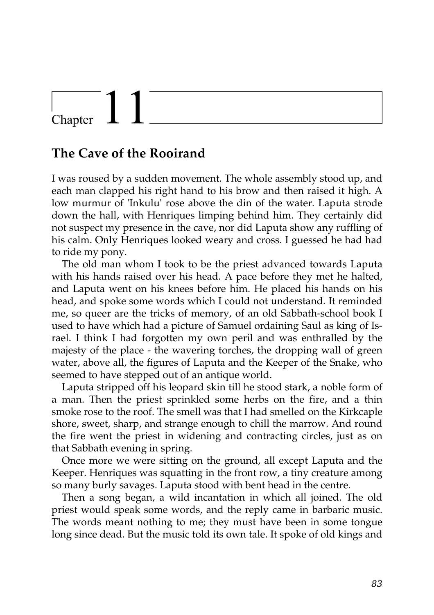### Chapter

#### **The Cave of the Rooirand**

I was roused by a sudden movement. The whole assembly stood up, and each man clapped his right hand to his brow and then raised it high. A low murmur of 'Inkulu' rose above the din of the water. Laputa strode down the hall, with Henriques limping behind him. They certainly did not suspect my presence in the cave, nor did Laputa show any ruffling of his calm. Only Henriques looked weary and cross. I guessed he had had to ride my pony.

The old man whom I took to be the priest advanced towards Laputa with his hands raised over his head. A pace before they met he halted, and Laputa went on his knees before him. He placed his hands on his head, and spoke some words which I could not understand. It reminded me, so queer are the tricks of memory, of an old Sabbath-school book I used to have which had a picture of Samuel ordaining Saul as king of Israel. I think I had forgotten my own peril and was enthralled by the majesty of the place - the wavering torches, the dropping wall of green water, above all, the figures of Laputa and the Keeper of the Snake, who seemed to have stepped out of an antique world.

Laputa stripped off his leopard skin till he stood stark, a noble form of a man. Then the priest sprinkled some herbs on the fire, and a thin smoke rose to the roof. The smell was that I had smelled on the Kirkcaple shore, sweet, sharp, and strange enough to chill the marrow. And round the fire went the priest in widening and contracting circles, just as on that Sabbath evening in spring.

Once more we were sitting on the ground, all except Laputa and the Keeper. Henriques was squatting in the front row, a tiny creature among so many burly savages. Laputa stood with bent head in the centre.

Then a song began, a wild incantation in which all joined. The old priest would speak some words, and the reply came in barbaric music. The words meant nothing to me; they must have been in some tongue long since dead. But the music told its own tale. It spoke of old kings and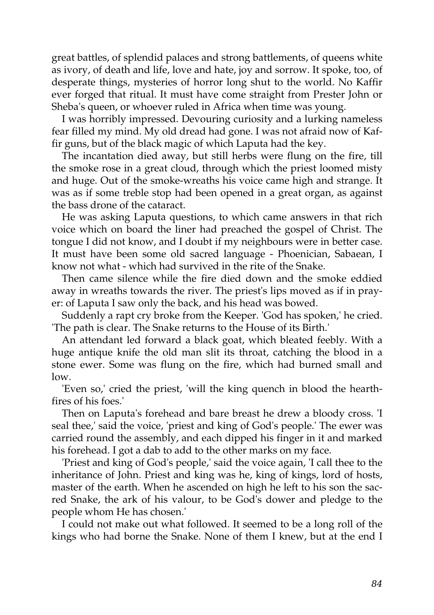great battles, of splendid palaces and strong battlements, of queens white as ivory, of death and life, love and hate, joy and sorrow. It spoke, too, of desperate things, mysteries of horror long shut to the world. No Kaffir ever forged that ritual. It must have come straight from Prester John or Sheba's queen, or whoever ruled in Africa when time was young.

I was horribly impressed. Devouring curiosity and a lurking nameless fear filled my mind. My old dread had gone. I was not afraid now of Kaffir guns, but of the black magic of which Laputa had the key.

The incantation died away, but still herbs were flung on the fire, till the smoke rose in a great cloud, through which the priest loomed misty and huge. Out of the smoke-wreaths his voice came high and strange. It was as if some treble stop had been opened in a great organ, as against the bass drone of the cataract.

He was asking Laputa questions, to which came answers in that rich voice which on board the liner had preached the gospel of Christ. The tongue I did not know, and I doubt if my neighbours were in better case. It must have been some old sacred language - Phoenician, Sabaean, I know not what - which had survived in the rite of the Snake.

Then came silence while the fire died down and the smoke eddied away in wreaths towards the river. The priest's lips moved as if in prayer: of Laputa I saw only the back, and his head was bowed.

Suddenly a rapt cry broke from the Keeper. 'God has spoken,' he cried. 'The path is clear. The Snake returns to the House of its Birth.'

An attendant led forward a black goat, which bleated feebly. With a huge antique knife the old man slit its throat, catching the blood in a stone ewer. Some was flung on the fire, which had burned small and low.

'Even so,' cried the priest, 'will the king quench in blood the hearthfires of his foes.'

Then on Laputa's forehead and bare breast he drew a bloody cross. 'I seal thee,' said the voice, 'priest and king of God's people.' The ewer was carried round the assembly, and each dipped his finger in it and marked his forehead. I got a dab to add to the other marks on my face.

'Priest and king of God's people,' said the voice again, 'I call thee to the inheritance of John. Priest and king was he, king of kings, lord of hosts, master of the earth. When he ascended on high he left to his son the sacred Snake, the ark of his valour, to be God's dower and pledge to the people whom He has chosen.'

I could not make out what followed. It seemed to be a long roll of the kings who had borne the Snake. None of them I knew, but at the end I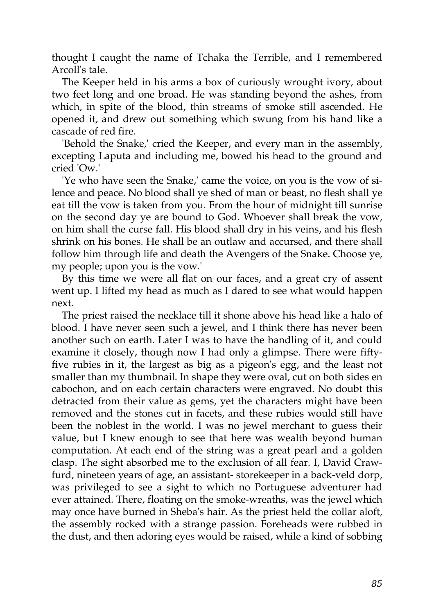thought I caught the name of Tchaka the Terrible, and I remembered Arcoll's tale.

The Keeper held in his arms a box of curiously wrought ivory, about two feet long and one broad. He was standing beyond the ashes, from which, in spite of the blood, thin streams of smoke still ascended. He opened it, and drew out something which swung from his hand like a cascade of red fire.

'Behold the Snake,' cried the Keeper, and every man in the assembly, excepting Laputa and including me, bowed his head to the ground and cried 'Ow.'

'Ye who have seen the Snake,' came the voice, on you is the vow of silence and peace. No blood shall ye shed of man or beast, no flesh shall ye eat till the vow is taken from you. From the hour of midnight till sunrise on the second day ye are bound to God. Whoever shall break the vow, on him shall the curse fall. His blood shall dry in his veins, and his flesh shrink on his bones. He shall be an outlaw and accursed, and there shall follow him through life and death the Avengers of the Snake. Choose ye, my people; upon you is the vow.'

By this time we were all flat on our faces, and a great cry of assent went up. I lifted my head as much as I dared to see what would happen next.

The priest raised the necklace till it shone above his head like a halo of blood. I have never seen such a jewel, and I think there has never been another such on earth. Later I was to have the handling of it, and could examine it closely, though now I had only a glimpse. There were fiftyfive rubies in it, the largest as big as a pigeon's egg, and the least not smaller than my thumbnail. In shape they were oval, cut on both sides en cabochon, and on each certain characters were engraved. No doubt this detracted from their value as gems, yet the characters might have been removed and the stones cut in facets, and these rubies would still have been the noblest in the world. I was no jewel merchant to guess their value, but I knew enough to see that here was wealth beyond human computation. At each end of the string was a great pearl and a golden clasp. The sight absorbed me to the exclusion of all fear. I, David Crawfurd, nineteen years of age, an assistant- storekeeper in a back-veld dorp, was privileged to see a sight to which no Portuguese adventurer had ever attained. There, floating on the smoke-wreaths, was the jewel which may once have burned in Sheba's hair. As the priest held the collar aloft, the assembly rocked with a strange passion. Foreheads were rubbed in the dust, and then adoring eyes would be raised, while a kind of sobbing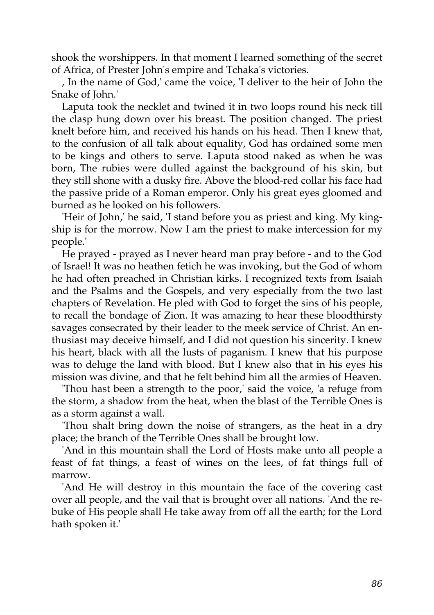shook the worshippers. In that moment I learned something of the secret of Africa, of Prester John's empire and Tchaka's victories.

, In the name of God,' came the voice, 'I deliver to the heir of John the Snake of John.'

Laputa took the necklet and twined it in two loops round his neck till the clasp hung down over his breast. The position changed. The priest knelt before him, and received his hands on his head. Then I knew that, to the confusion of all talk about equality, God has ordained some men to be kings and others to serve. Laputa stood naked as when he was born, The rubies were dulled against the background of his skin, but they still shone with a dusky fire. Above the blood-red collar his face had the passive pride of a Roman emperor. Only his great eyes gloomed and burned as he looked on his followers.

'Heir of John,' he said, 'I stand before you as priest and king. My kingship is for the morrow. Now I am the priest to make intercession for my people.'

He prayed - prayed as I never heard man pray before - and to the God of Israel! It was no heathen fetich he was invoking, but the God of whom he had often preached in Christian kirks. I recognized texts from Isaiah and the Psalms and the Gospels, and very especially from the two last chapters of Revelation. He pled with God to forget the sins of his people, to recall the bondage of Zion. It was amazing to hear these bloodthirsty savages consecrated by their leader to the meek service of Christ. An enthusiast may deceive himself, and I did not question his sincerity. I knew his heart, black with all the lusts of paganism. I knew that his purpose was to deluge the land with blood. But I knew also that in his eyes his mission was divine, and that he felt behind him all the armies of Heaven.

'Thou hast been a strength to the poor,' said the voice, 'a refuge from the storm, a shadow from the heat, when the blast of the Terrible Ones is as a storm against a wall.

'Thou shalt bring down the noise of strangers, as the heat in a dry place; the branch of the Terrible Ones shall be brought low.

'And in this mountain shall the Lord of Hosts make unto all people a feast of fat things, a feast of wines on the lees, of fat things full of marrow.

'And He will destroy in this mountain the face of the covering cast over all people, and the vail that is brought over all nations. 'And the rebuke of His people shall He take away from off all the earth; for the Lord hath spoken it.'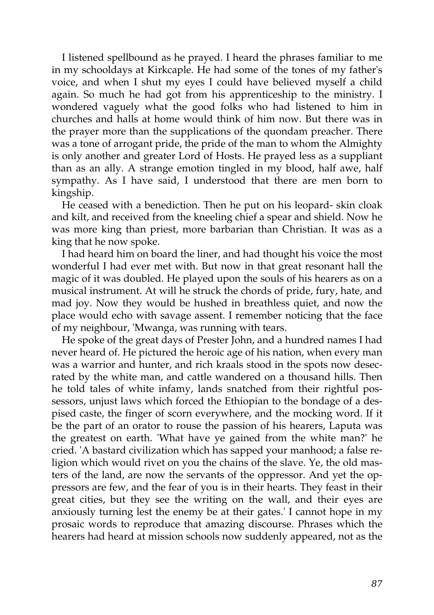I listened spellbound as he prayed. I heard the phrases familiar to me in my schooldays at Kirkcaple. He had some of the tones of my father's voice, and when I shut my eyes I could have believed myself a child again. So much he had got from his apprenticeship to the ministry. I wondered vaguely what the good folks who had listened to him in churches and halls at home would think of him now. But there was in the prayer more than the supplications of the quondam preacher. There was a tone of arrogant pride, the pride of the man to whom the Almighty is only another and greater Lord of Hosts. He prayed less as a suppliant than as an ally. A strange emotion tingled in my blood, half awe, half sympathy. As I have said, I understood that there are men born to kingship.

He ceased with a benediction. Then he put on his leopard- skin cloak and kilt, and received from the kneeling chief a spear and shield. Now he was more king than priest, more barbarian than Christian. It was as a king that he now spoke.

I had heard him on board the liner, and had thought his voice the most wonderful I had ever met with. But now in that great resonant hall the magic of it was doubled. He played upon the souls of his hearers as on a musical instrument. At will he struck the chords of pride, fury, hate, and mad joy. Now they would be hushed in breathless quiet, and now the place would echo with savage assent. I remember noticing that the face of my neighbour, 'Mwanga, was running with tears.

He spoke of the great days of Prester John, and a hundred names I had never heard of. He pictured the heroic age of his nation, when every man was a warrior and hunter, and rich kraals stood in the spots now desecrated by the white man, and cattle wandered on a thousand hills. Then he told tales of white infamy, lands snatched from their rightful possessors, unjust laws which forced the Ethiopian to the bondage of a despised caste, the finger of scorn everywhere, and the mocking word. If it be the part of an orator to rouse the passion of his hearers, Laputa was the greatest on earth. 'What have ye gained from the white man?' he cried. 'A bastard civilization which has sapped your manhood; a false religion which would rivet on you the chains of the slave. Ye, the old masters of the land, are now the servants of the oppressor. And yet the oppressors are few, and the fear of you is in their hearts. They feast in their great cities, but they see the writing on the wall, and their eyes are anxiously turning lest the enemy be at their gates.' I cannot hope in my prosaic words to reproduce that amazing discourse. Phrases which the hearers had heard at mission schools now suddenly appeared, not as the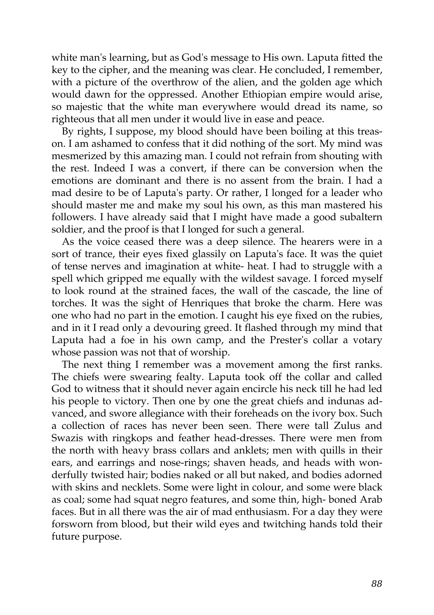white man's learning, but as God's message to His own. Laputa fitted the key to the cipher, and the meaning was clear. He concluded, I remember, with a picture of the overthrow of the alien, and the golden age which would dawn for the oppressed. Another Ethiopian empire would arise, so majestic that the white man everywhere would dread its name, so righteous that all men under it would live in ease and peace.

By rights, I suppose, my blood should have been boiling at this treason. I am ashamed to confess that it did nothing of the sort. My mind was mesmerized by this amazing man. I could not refrain from shouting with the rest. Indeed I was a convert, if there can be conversion when the emotions are dominant and there is no assent from the brain. I had a mad desire to be of Laputa's party. Or rather, I longed for a leader who should master me and make my soul his own, as this man mastered his followers. I have already said that I might have made a good subaltern soldier, and the proof is that I longed for such a general.

As the voice ceased there was a deep silence. The hearers were in a sort of trance, their eyes fixed glassily on Laputa's face. It was the quiet of tense nerves and imagination at white- heat. I had to struggle with a spell which gripped me equally with the wildest savage. I forced myself to look round at the strained faces, the wall of the cascade, the line of torches. It was the sight of Henriques that broke the charm. Here was one who had no part in the emotion. I caught his eye fixed on the rubies, and in it I read only a devouring greed. It flashed through my mind that Laputa had a foe in his own camp, and the Prester's collar a votary whose passion was not that of worship.

The next thing I remember was a movement among the first ranks. The chiefs were swearing fealty. Laputa took off the collar and called God to witness that it should never again encircle his neck till he had led his people to victory. Then one by one the great chiefs and indunas advanced, and swore allegiance with their foreheads on the ivory box. Such a collection of races has never been seen. There were tall Zulus and Swazis with ringkops and feather head-dresses. There were men from the north with heavy brass collars and anklets; men with quills in their ears, and earrings and nose-rings; shaven heads, and heads with wonderfully twisted hair; bodies naked or all but naked, and bodies adorned with skins and necklets. Some were light in colour, and some were black as coal; some had squat negro features, and some thin, high- boned Arab faces. But in all there was the air of mad enthusiasm. For a day they were forsworn from blood, but their wild eyes and twitching hands told their future purpose.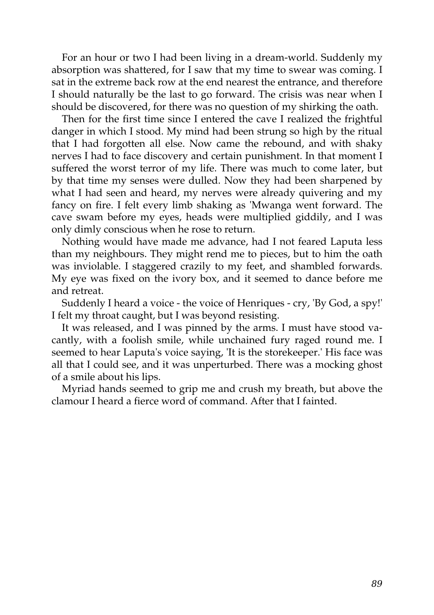For an hour or two I had been living in a dream-world. Suddenly my absorption was shattered, for I saw that my time to swear was coming. I sat in the extreme back row at the end nearest the entrance, and therefore I should naturally be the last to go forward. The crisis was near when I should be discovered, for there was no question of my shirking the oath.

Then for the first time since I entered the cave I realized the frightful danger in which I stood. My mind had been strung so high by the ritual that I had forgotten all else. Now came the rebound, and with shaky nerves I had to face discovery and certain punishment. In that moment I suffered the worst terror of my life. There was much to come later, but by that time my senses were dulled. Now they had been sharpened by what I had seen and heard, my nerves were already quivering and my fancy on fire. I felt every limb shaking as 'Mwanga went forward. The cave swam before my eyes, heads were multiplied giddily, and I was only dimly conscious when he rose to return.

Nothing would have made me advance, had I not feared Laputa less than my neighbours. They might rend me to pieces, but to him the oath was inviolable. I staggered crazily to my feet, and shambled forwards. My eye was fixed on the ivory box, and it seemed to dance before me and retreat.

Suddenly I heard a voice - the voice of Henriques - cry, 'By God, a spy!' I felt my throat caught, but I was beyond resisting.

It was released, and I was pinned by the arms. I must have stood vacantly, with a foolish smile, while unchained fury raged round me. I seemed to hear Laputa's voice saying, 'It is the storekeeper.' His face was all that I could see, and it was unperturbed. There was a mocking ghost of a smile about his lips.

Myriad hands seemed to grip me and crush my breath, but above the clamour I heard a fierce word of command. After that I fainted.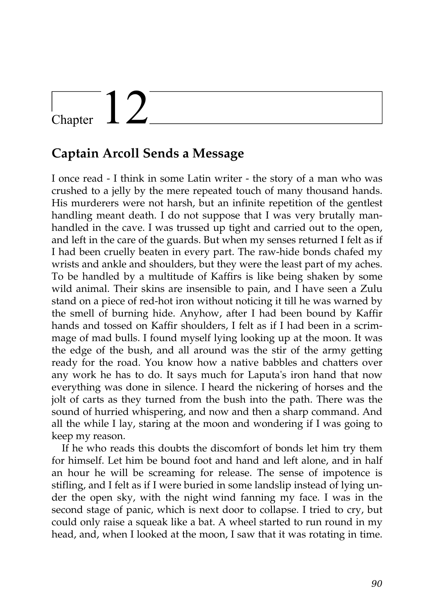## Chapter  $12$

#### **Captain Arcoll Sends a Message**

I once read - I think in some Latin writer - the story of a man who was crushed to a jelly by the mere repeated touch of many thousand hands. His murderers were not harsh, but an infinite repetition of the gentlest handling meant death. I do not suppose that I was very brutally manhandled in the cave. I was trussed up tight and carried out to the open, and left in the care of the guards. But when my senses returned I felt as if I had been cruelly beaten in every part. The raw-hide bonds chafed my wrists and ankle and shoulders, but they were the least part of my aches. To be handled by a multitude of Kaffirs is like being shaken by some wild animal. Their skins are insensible to pain, and I have seen a Zulu stand on a piece of red-hot iron without noticing it till he was warned by the smell of burning hide. Anyhow, after I had been bound by Kaffir hands and tossed on Kaffir shoulders, I felt as if I had been in a scrimmage of mad bulls. I found myself lying looking up at the moon. It was the edge of the bush, and all around was the stir of the army getting ready for the road. You know how a native babbles and chatters over any work he has to do. It says much for Laputa's iron hand that now everything was done in silence. I heard the nickering of horses and the jolt of carts as they turned from the bush into the path. There was the sound of hurried whispering, and now and then a sharp command. And all the while I lay, staring at the moon and wondering if I was going to keep my reason.

If he who reads this doubts the discomfort of bonds let him try them for himself. Let him be bound foot and hand and left alone, and in half an hour he will be screaming for release. The sense of impotence is stifling, and I felt as if I were buried in some landslip instead of lying under the open sky, with the night wind fanning my face. I was in the second stage of panic, which is next door to collapse. I tried to cry, but could only raise a squeak like a bat. A wheel started to run round in my head, and, when I looked at the moon, I saw that it was rotating in time.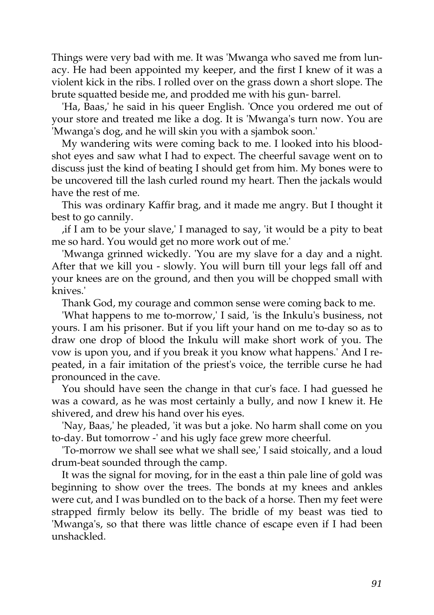Things were very bad with me. It was 'Mwanga who saved me from lunacy. He had been appointed my keeper, and the first I knew of it was a violent kick in the ribs. I rolled over on the grass down a short slope. The brute squatted beside me, and prodded me with his gun- barrel.

'Ha, Baas,' he said in his queer English. 'Once you ordered me out of your store and treated me like a dog. It is 'Mwanga's turn now. You are 'Mwanga's dog, and he will skin you with a sjambok soon.'

My wandering wits were coming back to me. I looked into his bloodshot eyes and saw what I had to expect. The cheerful savage went on to discuss just the kind of beating I should get from him. My bones were to be uncovered till the lash curled round my heart. Then the jackals would have the rest of me.

This was ordinary Kaffir brag, and it made me angry. But I thought it best to go cannily.

,if I am to be your slave,' I managed to say, 'it would be a pity to beat me so hard. You would get no more work out of me.'

'Mwanga grinned wickedly. 'You are my slave for a day and a night. After that we kill you - slowly. You will burn till your legs fall off and your knees are on the ground, and then you will be chopped small with knives.'

Thank God, my courage and common sense were coming back to me.

'What happens to me to-morrow,' I said, 'is the Inkulu's business, not yours. I am his prisoner. But if you lift your hand on me to-day so as to draw one drop of blood the Inkulu will make short work of you. The vow is upon you, and if you break it you know what happens.' And I repeated, in a fair imitation of the priest's voice, the terrible curse he had pronounced in the cave.

You should have seen the change in that cur's face. I had guessed he was a coward, as he was most certainly a bully, and now I knew it. He shivered, and drew his hand over his eyes.

'Nay, Baas,' he pleaded, 'it was but a joke. No harm shall come on you to-day. But tomorrow -' and his ugly face grew more cheerful.

'To-morrow we shall see what we shall see,' I said stoically, and a loud drum-beat sounded through the camp.

It was the signal for moving, for in the east a thin pale line of gold was beginning to show over the trees. The bonds at my knees and ankles were cut, and I was bundled on to the back of a horse. Then my feet were strapped firmly below its belly. The bridle of my beast was tied to 'Mwanga's, so that there was little chance of escape even if I had been unshackled.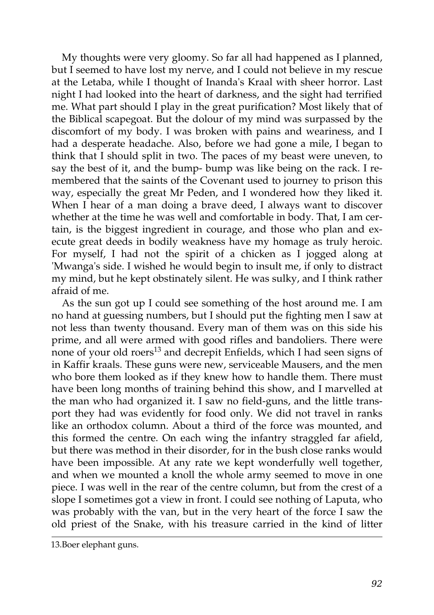My thoughts were very gloomy. So far all had happened as I planned, but I seemed to have lost my nerve, and I could not believe in my rescue at the Letaba, while I thought of Inanda's Kraal with sheer horror. Last night I had looked into the heart of darkness, and the sight had terrified me. What part should I play in the great purification? Most likely that of the Biblical scapegoat. But the dolour of my mind was surpassed by the discomfort of my body. I was broken with pains and weariness, and I had a desperate headache. Also, before we had gone a mile, I began to think that I should split in two. The paces of my beast were uneven, to say the best of it, and the bump- bump was like being on the rack. I remembered that the saints of the Covenant used to journey to prison this way, especially the great Mr Peden, and I wondered how they liked it. When I hear of a man doing a brave deed, I always want to discover whether at the time he was well and comfortable in body. That, I am certain, is the biggest ingredient in courage, and those who plan and execute great deeds in bodily weakness have my homage as truly heroic. For myself, I had not the spirit of a chicken as I jogged along at 'Mwanga's side. I wished he would begin to insult me, if only to distract my mind, but he kept obstinately silent. He was sulky, and I think rather afraid of me.

As the sun got up I could see something of the host around me. I am no hand at guessing numbers, but I should put the fighting men I saw at not less than twenty thousand. Every man of them was on this side his prime, and all were armed with good rifles and bandoliers. There were none of your old roers<sup>13</sup> and decrepit Enfields, which I had seen signs of in Kaffir kraals. These guns were new, serviceable Mausers, and the men who bore them looked as if they knew how to handle them. There must have been long months of training behind this show, and I marvelled at the man who had organized it. I saw no field-guns, and the little transport they had was evidently for food only. We did not travel in ranks like an orthodox column. About a third of the force was mounted, and this formed the centre. On each wing the infantry straggled far afield, but there was method in their disorder, for in the bush close ranks would have been impossible. At any rate we kept wonderfully well together, and when we mounted a knoll the whole army seemed to move in one piece. I was well in the rear of the centre column, but from the crest of a slope I sometimes got a view in front. I could see nothing of Laputa, who was probably with the van, but in the very heart of the force I saw the old priest of the Snake, with his treasure carried in the kind of litter

<sup>13.</sup>Boer elephant guns.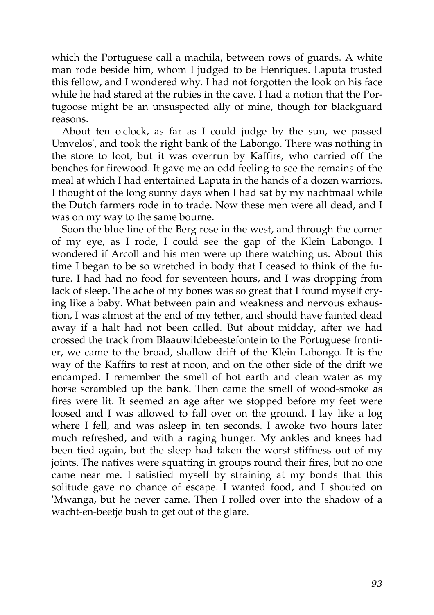which the Portuguese call a machila, between rows of guards. A white man rode beside him, whom I judged to be Henriques. Laputa trusted this fellow, and I wondered why. I had not forgotten the look on his face while he had stared at the rubies in the cave. I had a notion that the Portugoose might be an unsuspected ally of mine, though for blackguard reasons.

About ten o'clock, as far as I could judge by the sun, we passed Umvelos', and took the right bank of the Labongo. There was nothing in the store to loot, but it was overrun by Kaffirs, who carried off the benches for firewood. It gave me an odd feeling to see the remains of the meal at which I had entertained Laputa in the hands of a dozen warriors. I thought of the long sunny days when I had sat by my nachtmaal while the Dutch farmers rode in to trade. Now these men were all dead, and I was on my way to the same bourne.

Soon the blue line of the Berg rose in the west, and through the corner of my eye, as I rode, I could see the gap of the Klein Labongo. I wondered if Arcoll and his men were up there watching us. About this time I began to be so wretched in body that I ceased to think of the future. I had had no food for seventeen hours, and I was dropping from lack of sleep. The ache of my bones was so great that I found myself crying like a baby. What between pain and weakness and nervous exhaustion, I was almost at the end of my tether, and should have fainted dead away if a halt had not been called. But about midday, after we had crossed the track from Blaauwildebeestefontein to the Portuguese frontier, we came to the broad, shallow drift of the Klein Labongo. It is the way of the Kaffirs to rest at noon, and on the other side of the drift we encamped. I remember the smell of hot earth and clean water as my horse scrambled up the bank. Then came the smell of wood-smoke as fires were lit. It seemed an age after we stopped before my feet were loosed and I was allowed to fall over on the ground. I lay like a log where I fell, and was asleep in ten seconds. I awoke two hours later much refreshed, and with a raging hunger. My ankles and knees had been tied again, but the sleep had taken the worst stiffness out of my joints. The natives were squatting in groups round their fires, but no one came near me. I satisfied myself by straining at my bonds that this solitude gave no chance of escape. I wanted food, and I shouted on 'Mwanga, but he never came. Then I rolled over into the shadow of a wacht-en-beetje bush to get out of the glare.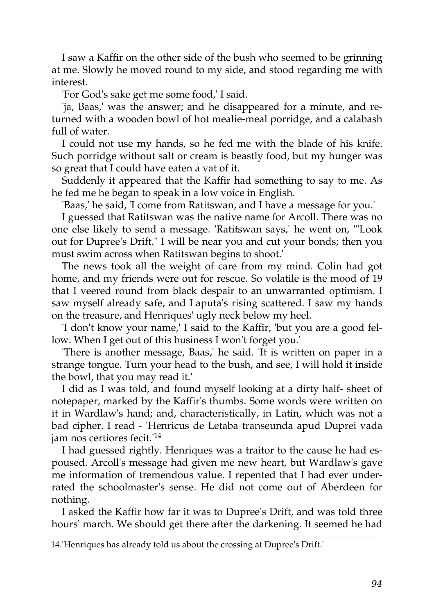I saw a Kaffir on the other side of the bush who seemed to be grinning at me. Slowly he moved round to my side, and stood regarding me with interest.

'For God's sake get me some food,' I said.

'ja, Baas,' was the answer; and he disappeared for a minute, and returned with a wooden bowl of hot mealie-meal porridge, and a calabash full of water.

I could not use my hands, so he fed me with the blade of his knife. Such porridge without salt or cream is beastly food, but my hunger was so great that I could have eaten a vat of it.

Suddenly it appeared that the Kaffir had something to say to me. As he fed me he began to speak in a low voice in English.

'Baas,' he said, 'I come from Ratitswan, and I have a message for you.'

I guessed that Ratitswan was the native name for Arcoll. There was no one else likely to send a message. 'Ratitswan says,' he went on, "'Look out for Dupree's Drift." I will be near you and cut your bonds; then you must swim across when Ratitswan begins to shoot.'

The news took all the weight of care from my mind. Colin had got home, and my friends were out for rescue. So volatile is the mood of 19 that I veered round from black despair to an unwarranted optimism. I saw myself already safe, and Laputa's rising scattered. I saw my hands on the treasure, and Henriques' ugly neck below my heel.

'I don't know your name,' I said to the Kaffir, 'but you are a good fellow. When I get out of this business I won't forget you.'

'There is another message, Baas,' he said. 'It is written on paper in a strange tongue. Turn your head to the bush, and see, I will hold it inside the bowl, that you may read it.'

I did as I was told, and found myself looking at a dirty half- sheet of notepaper, marked by the Kaffir's thumbs. Some words were written on it in Wardlaw's hand; and, characteristically, in Latin, which was not a bad cipher. I read - 'Henricus de Letaba transeunda apud Duprei vada jam nos certiores fecit.'<sup>14</sup>

I had guessed rightly. Henriques was a traitor to the cause he had espoused. Arcoll's message had given me new heart, but Wardlaw's gave me information of tremendous value. I repented that I had ever underrated the schoolmaster's sense. He did not come out of Aberdeen for nothing.

I asked the Kaffir how far it was to Dupree's Drift, and was told three hours' march. We should get there after the darkening. It seemed he had

<sup>14.&#</sup>x27;Henriques has already told us about the crossing at Dupree's Drift.'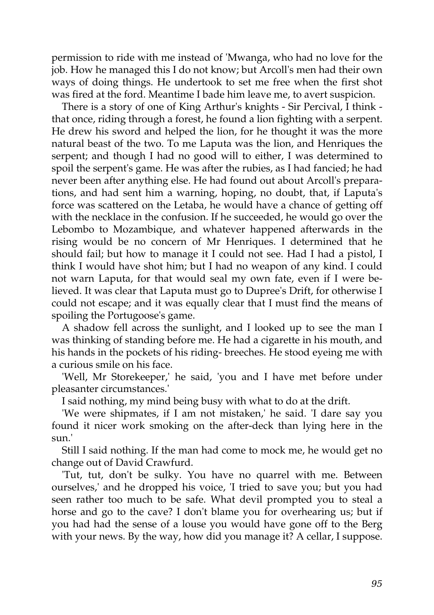permission to ride with me instead of 'Mwanga, who had no love for the job. How he managed this I do not know; but Arcoll's men had their own ways of doing things. He undertook to set me free when the first shot was fired at the ford. Meantime I bade him leave me, to avert suspicion.

There is a story of one of King Arthur's knights - Sir Percival, I think that once, riding through a forest, he found a lion fighting with a serpent. He drew his sword and helped the lion, for he thought it was the more natural beast of the two. To me Laputa was the lion, and Henriques the serpent; and though I had no good will to either, I was determined to spoil the serpent's game. He was after the rubies, as I had fancied; he had never been after anything else. He had found out about Arcoll's preparations, and had sent him a warning, hoping, no doubt, that, if Laputa's force was scattered on the Letaba, he would have a chance of getting off with the necklace in the confusion. If he succeeded, he would go over the Lebombo to Mozambique, and whatever happened afterwards in the rising would be no concern of Mr Henriques. I determined that he should fail; but how to manage it I could not see. Had I had a pistol, I think I would have shot him; but I had no weapon of any kind. I could not warn Laputa, for that would seal my own fate, even if I were believed. It was clear that Laputa must go to Dupree's Drift, for otherwise I could not escape; and it was equally clear that I must find the means of spoiling the Portugoose's game.

A shadow fell across the sunlight, and I looked up to see the man I was thinking of standing before me. He had a cigarette in his mouth, and his hands in the pockets of his riding- breeches. He stood eyeing me with a curious smile on his face.

'Well, Mr Storekeeper,' he said, 'you and I have met before under pleasanter circumstances.'

I said nothing, my mind being busy with what to do at the drift.

'We were shipmates, if I am not mistaken,' he said. 'I dare say you found it nicer work smoking on the after-deck than lying here in the sun.'

Still I said nothing. If the man had come to mock me, he would get no change out of David Crawfurd.

'Tut, tut, don't be sulky. You have no quarrel with me. Between ourselves,' and he dropped his voice, 'I tried to save you; but you had seen rather too much to be safe. What devil prompted you to steal a horse and go to the cave? I don't blame you for overhearing us; but if you had had the sense of a louse you would have gone off to the Berg with your news. By the way, how did you manage it? A cellar, I suppose.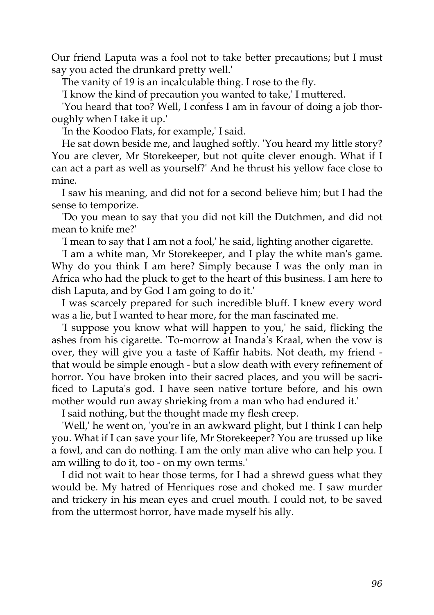Our friend Laputa was a fool not to take better precautions; but I must say you acted the drunkard pretty well.'

The vanity of 19 is an incalculable thing. I rose to the fly.

'I know the kind of precaution you wanted to take,' I muttered.

'You heard that too? Well, I confess I am in favour of doing a job thoroughly when I take it up.'

'In the Koodoo Flats, for example,' I said.

He sat down beside me, and laughed softly. 'You heard my little story? You are clever, Mr Storekeeper, but not quite clever enough. What if I can act a part as well as yourself?' And he thrust his yellow face close to mine.

I saw his meaning, and did not for a second believe him; but I had the sense to temporize.

'Do you mean to say that you did not kill the Dutchmen, and did not mean to knife me?'

'I mean to say that I am not a fool,' he said, lighting another cigarette.

'I am a white man, Mr Storekeeper, and I play the white man's game. Why do you think I am here? Simply because I was the only man in Africa who had the pluck to get to the heart of this business. I am here to dish Laputa, and by God I am going to do it.'

I was scarcely prepared for such incredible bluff. I knew every word was a lie, but I wanted to hear more, for the man fascinated me.

'I suppose you know what will happen to you,' he said, flicking the ashes from his cigarette. 'To-morrow at Inanda's Kraal, when the vow is over, they will give you a taste of Kaffir habits. Not death, my friend that would be simple enough - but a slow death with every refinement of horror. You have broken into their sacred places, and you will be sacrificed to Laputa's god. I have seen native torture before, and his own mother would run away shrieking from a man who had endured it.'

I said nothing, but the thought made my flesh creep.

'Well,' he went on, 'you're in an awkward plight, but I think I can help you. What if I can save your life, Mr Storekeeper? You are trussed up like a fowl, and can do nothing. I am the only man alive who can help you. I am willing to do it, too - on my own terms.'

I did not wait to hear those terms, for I had a shrewd guess what they would be. My hatred of Henriques rose and choked me. I saw murder and trickery in his mean eyes and cruel mouth. I could not, to be saved from the uttermost horror, have made myself his ally.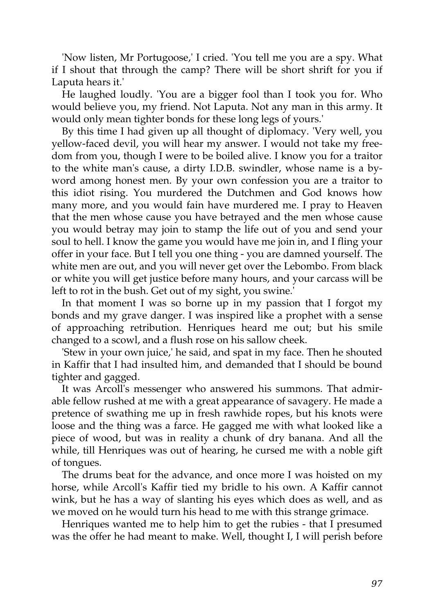'Now listen, Mr Portugoose,' I cried. 'You tell me you are a spy. What if I shout that through the camp? There will be short shrift for you if Laputa hears it.'

He laughed loudly. 'You are a bigger fool than I took you for. Who would believe you, my friend. Not Laputa. Not any man in this army. It would only mean tighter bonds for these long legs of yours.'

By this time I had given up all thought of diplomacy. 'Very well, you yellow-faced devil, you will hear my answer. I would not take my freedom from you, though I were to be boiled alive. I know you for a traitor to the white man's cause, a dirty I.D.B. swindler, whose name is a byword among honest men. By your own confession you are a traitor to this idiot rising. You murdered the Dutchmen and God knows how many more, and you would fain have murdered me. I pray to Heaven that the men whose cause you have betrayed and the men whose cause you would betray may join to stamp the life out of you and send your soul to hell. I know the game you would have me join in, and I fling your offer in your face. But I tell you one thing - you are damned yourself. The white men are out, and you will never get over the Lebombo. From black or white you will get justice before many hours, and your carcass will be left to rot in the bush. Get out of my sight, you swine.'

In that moment I was so borne up in my passion that I forgot my bonds and my grave danger. I was inspired like a prophet with a sense of approaching retribution. Henriques heard me out; but his smile changed to a scowl, and a flush rose on his sallow cheek.

'Stew in your own juice,' he said, and spat in my face. Then he shouted in Kaffir that I had insulted him, and demanded that I should be bound tighter and gagged.

It was Arcoll's messenger who answered his summons. That admirable fellow rushed at me with a great appearance of savagery. He made a pretence of swathing me up in fresh rawhide ropes, but his knots were loose and the thing was a farce. He gagged me with what looked like a piece of wood, but was in reality a chunk of dry banana. And all the while, till Henriques was out of hearing, he cursed me with a noble gift of tongues.

The drums beat for the advance, and once more I was hoisted on my horse, while Arcoll's Kaffir tied my bridle to his own. A Kaffir cannot wink, but he has a way of slanting his eyes which does as well, and as we moved on he would turn his head to me with this strange grimace.

Henriques wanted me to help him to get the rubies - that I presumed was the offer he had meant to make. Well, thought I, I will perish before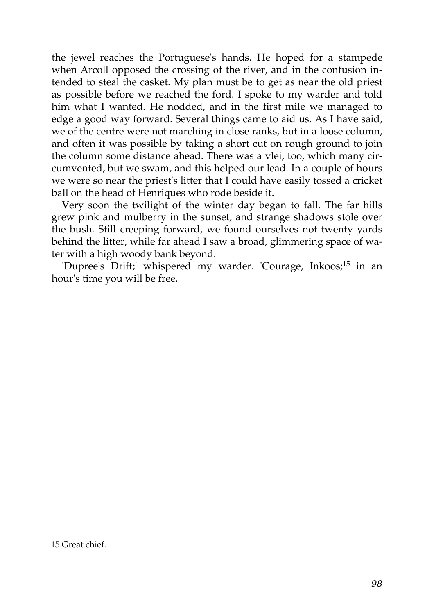the jewel reaches the Portuguese's hands. He hoped for a stampede when Arcoll opposed the crossing of the river, and in the confusion intended to steal the casket. My plan must be to get as near the old priest as possible before we reached the ford. I spoke to my warder and told him what I wanted. He nodded, and in the first mile we managed to edge a good way forward. Several things came to aid us. As I have said, we of the centre were not marching in close ranks, but in a loose column, and often it was possible by taking a short cut on rough ground to join the column some distance ahead. There was a vlei, too, which many circumvented, but we swam, and this helped our lead. In a couple of hours we were so near the priest's litter that I could have easily tossed a cricket ball on the head of Henriques who rode beside it.

Very soon the twilight of the winter day began to fall. The far hills grew pink and mulberry in the sunset, and strange shadows stole over the bush. Still creeping forward, we found ourselves not twenty yards behind the litter, while far ahead I saw a broad, glimmering space of water with a high woody bank beyond.

'Dupree's Drift;' whispered my warder. 'Courage, Inkoos;<sup>15</sup> in an hour's time you will be free.'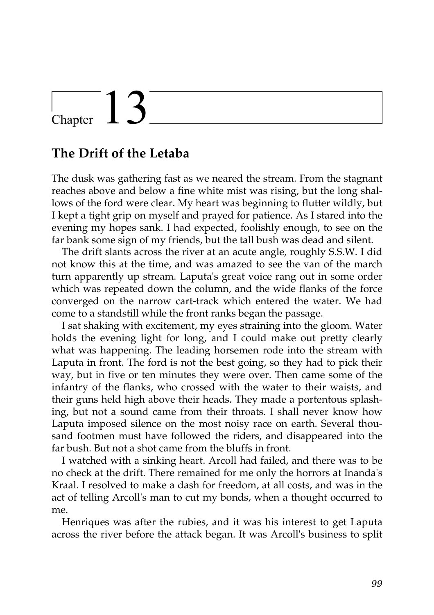# $\frac{1}{3}$

#### **The Drift of the Letaba**

The dusk was gathering fast as we neared the stream. From the stagnant reaches above and below a fine white mist was rising, but the long shallows of the ford were clear. My heart was beginning to flutter wildly, but I kept a tight grip on myself and prayed for patience. As I stared into the evening my hopes sank. I had expected, foolishly enough, to see on the far bank some sign of my friends, but the tall bush was dead and silent.

The drift slants across the river at an acute angle, roughly S.S.W. I did not know this at the time, and was amazed to see the van of the march turn apparently up stream. Laputa's great voice rang out in some order which was repeated down the column, and the wide flanks of the force converged on the narrow cart-track which entered the water. We had come to a standstill while the front ranks began the passage.

I sat shaking with excitement, my eyes straining into the gloom. Water holds the evening light for long, and I could make out pretty clearly what was happening. The leading horsemen rode into the stream with Laputa in front. The ford is not the best going, so they had to pick their way, but in five or ten minutes they were over. Then came some of the infantry of the flanks, who crossed with the water to their waists, and their guns held high above their heads. They made a portentous splashing, but not a sound came from their throats. I shall never know how Laputa imposed silence on the most noisy race on earth. Several thousand footmen must have followed the riders, and disappeared into the far bush. But not a shot came from the bluffs in front.

I watched with a sinking heart. Arcoll had failed, and there was to be no check at the drift. There remained for me only the horrors at Inanda's Kraal. I resolved to make a dash for freedom, at all costs, and was in the act of telling Arcoll's man to cut my bonds, when a thought occurred to me.

Henriques was after the rubies, and it was his interest to get Laputa across the river before the attack began. It was Arcoll's business to split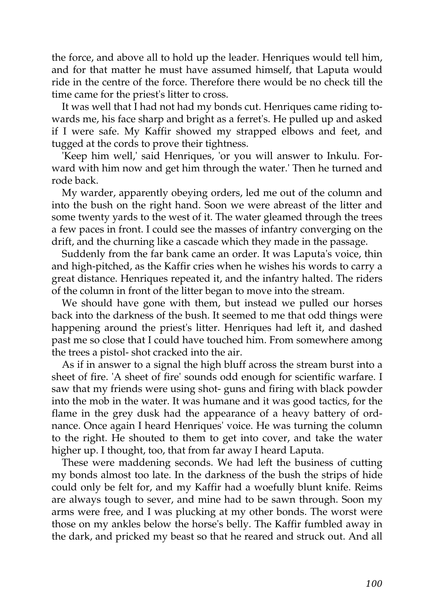the force, and above all to hold up the leader. Henriques would tell him, and for that matter he must have assumed himself, that Laputa would ride in the centre of the force. Therefore there would be no check till the time came for the priest's litter to cross.

It was well that I had not had my bonds cut. Henriques came riding towards me, his face sharp and bright as a ferret's. He pulled up and asked if I were safe. My Kaffir showed my strapped elbows and feet, and tugged at the cords to prove their tightness.

'Keep him well,' said Henriques, 'or you will answer to Inkulu. Forward with him now and get him through the water.' Then he turned and rode back.

My warder, apparently obeying orders, led me out of the column and into the bush on the right hand. Soon we were abreast of the litter and some twenty yards to the west of it. The water gleamed through the trees a few paces in front. I could see the masses of infantry converging on the drift, and the churning like a cascade which they made in the passage.

Suddenly from the far bank came an order. It was Laputa's voice, thin and high-pitched, as the Kaffir cries when he wishes his words to carry a great distance. Henriques repeated it, and the infantry halted. The riders of the column in front of the litter began to move into the stream.

We should have gone with them, but instead we pulled our horses back into the darkness of the bush. It seemed to me that odd things were happening around the priest's litter. Henriques had left it, and dashed past me so close that I could have touched him. From somewhere among the trees a pistol- shot cracked into the air.

As if in answer to a signal the high bluff across the stream burst into a sheet of fire. 'A sheet of fire' sounds odd enough for scientific warfare. I saw that my friends were using shot- guns and firing with black powder into the mob in the water. It was humane and it was good tactics, for the flame in the grey dusk had the appearance of a heavy battery of ordnance. Once again I heard Henriques' voice. He was turning the column to the right. He shouted to them to get into cover, and take the water higher up. I thought, too, that from far away I heard Laputa.

These were maddening seconds. We had left the business of cutting my bonds almost too late. In the darkness of the bush the strips of hide could only be felt for, and my Kaffir had a woefully blunt knife. Reims are always tough to sever, and mine had to be sawn through. Soon my arms were free, and I was plucking at my other bonds. The worst were those on my ankles below the horse's belly. The Kaffir fumbled away in the dark, and pricked my beast so that he reared and struck out. And all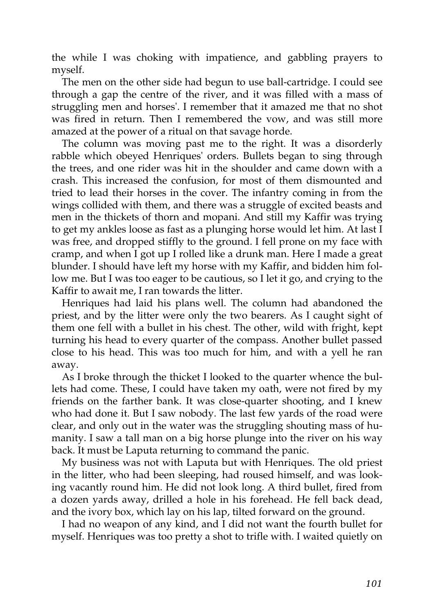the while I was choking with impatience, and gabbling prayers to myself.

The men on the other side had begun to use ball-cartridge. I could see through a gap the centre of the river, and it was filled with a mass of struggling men and horses'. I remember that it amazed me that no shot was fired in return. Then I remembered the vow, and was still more amazed at the power of a ritual on that savage horde.

The column was moving past me to the right. It was a disorderly rabble which obeyed Henriques' orders. Bullets began to sing through the trees, and one rider was hit in the shoulder and came down with a crash. This increased the confusion, for most of them dismounted and tried to lead their horses in the cover. The infantry coming in from the wings collided with them, and there was a struggle of excited beasts and men in the thickets of thorn and mopani. And still my Kaffir was trying to get my ankles loose as fast as a plunging horse would let him. At last I was free, and dropped stiffly to the ground. I fell prone on my face with cramp, and when I got up I rolled like a drunk man. Here I made a great blunder. I should have left my horse with my Kaffir, and bidden him follow me. But I was too eager to be cautious, so I let it go, and crying to the Kaffir to await me, I ran towards the litter.

Henriques had laid his plans well. The column had abandoned the priest, and by the litter were only the two bearers. As I caught sight of them one fell with a bullet in his chest. The other, wild with fright, kept turning his head to every quarter of the compass. Another bullet passed close to his head. This was too much for him, and with a yell he ran away.

As I broke through the thicket I looked to the quarter whence the bullets had come. These, I could have taken my oath, were not fired by my friends on the farther bank. It was close-quarter shooting, and I knew who had done it. But I saw nobody. The last few yards of the road were clear, and only out in the water was the struggling shouting mass of humanity. I saw a tall man on a big horse plunge into the river on his way back. It must be Laputa returning to command the panic.

My business was not with Laputa but with Henriques. The old priest in the litter, who had been sleeping, had roused himself, and was looking vacantly round him. He did not look long. A third bullet, fired from a dozen yards away, drilled a hole in his forehead. He fell back dead, and the ivory box, which lay on his lap, tilted forward on the ground.

I had no weapon of any kind, and I did not want the fourth bullet for myself. Henriques was too pretty a shot to trifle with. I waited quietly on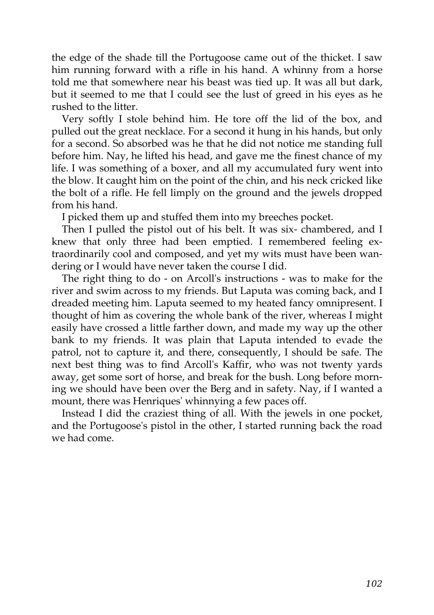the edge of the shade till the Portugoose came out of the thicket. I saw him running forward with a rifle in his hand. A whinny from a horse told me that somewhere near his beast was tied up. It was all but dark, but it seemed to me that I could see the lust of greed in his eyes as he rushed to the litter.

Very softly I stole behind him. He tore off the lid of the box, and pulled out the great necklace. For a second it hung in his hands, but only for a second. So absorbed was he that he did not notice me standing full before him. Nay, he lifted his head, and gave me the finest chance of my life. I was something of a boxer, and all my accumulated fury went into the blow. It caught him on the point of the chin, and his neck cricked like the bolt of a rifle. He fell limply on the ground and the jewels dropped from his hand.

I picked them up and stuffed them into my breeches pocket.

Then I pulled the pistol out of his belt. It was six- chambered, and I knew that only three had been emptied. I remembered feeling extraordinarily cool and composed, and yet my wits must have been wandering or I would have never taken the course I did.

The right thing to do - on Arcoll's instructions - was to make for the river and swim across to my friends. But Laputa was coming back, and I dreaded meeting him. Laputa seemed to my heated fancy omnipresent. I thought of him as covering the whole bank of the river, whereas I might easily have crossed a little farther down, and made my way up the other bank to my friends. It was plain that Laputa intended to evade the patrol, not to capture it, and there, consequently, I should be safe. The next best thing was to find Arcoll's Kaffir, who was not twenty yards away, get some sort of horse, and break for the bush. Long before morning we should have been over the Berg and in safety. Nay, if I wanted a mount, there was Henriques' whinnying a few paces off.

Instead I did the craziest thing of all. With the jewels in one pocket, and the Portugoose's pistol in the other, I started running back the road we had come.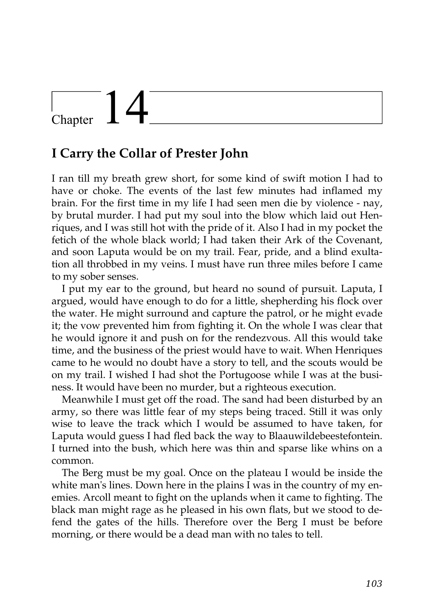# $\frac{1}{\text{Chapter}}$   $\frac{1}{\sqrt{2}}$

#### **I Carry the Collar of Prester John**

I ran till my breath grew short, for some kind of swift motion I had to have or choke. The events of the last few minutes had inflamed my brain. For the first time in my life I had seen men die by violence - nay, by brutal murder. I had put my soul into the blow which laid out Henriques, and I was still hot with the pride of it. Also I had in my pocket the fetich of the whole black world; I had taken their Ark of the Covenant, and soon Laputa would be on my trail. Fear, pride, and a blind exultation all throbbed in my veins. I must have run three miles before I came to my sober senses.

I put my ear to the ground, but heard no sound of pursuit. Laputa, I argued, would have enough to do for a little, shepherding his flock over the water. He might surround and capture the patrol, or he might evade it; the vow prevented him from fighting it. On the whole I was clear that he would ignore it and push on for the rendezvous. All this would take time, and the business of the priest would have to wait. When Henriques came to he would no doubt have a story to tell, and the scouts would be on my trail. I wished I had shot the Portugoose while I was at the business. It would have been no murder, but a righteous execution.

Meanwhile I must get off the road. The sand had been disturbed by an army, so there was little fear of my steps being traced. Still it was only wise to leave the track which I would be assumed to have taken, for Laputa would guess I had fled back the way to Blaauwildebeestefontein. I turned into the bush, which here was thin and sparse like whins on a common.

The Berg must be my goal. Once on the plateau I would be inside the white man's lines. Down here in the plains I was in the country of my enemies. Arcoll meant to fight on the uplands when it came to fighting. The black man might rage as he pleased in his own flats, but we stood to defend the gates of the hills. Therefore over the Berg I must be before morning, or there would be a dead man with no tales to tell.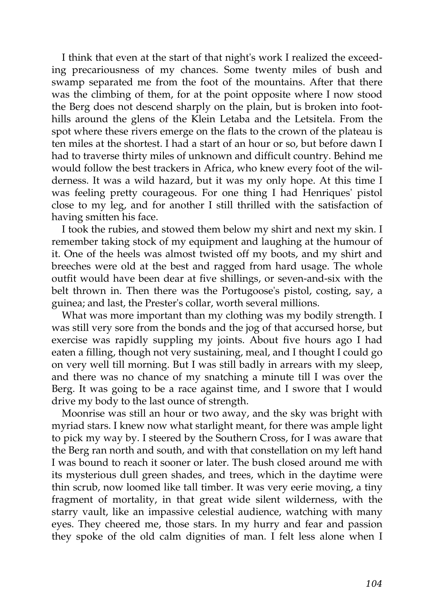I think that even at the start of that night's work I realized the exceeding precariousness of my chances. Some twenty miles of bush and swamp separated me from the foot of the mountains. After that there was the climbing of them, for at the point opposite where I now stood the Berg does not descend sharply on the plain, but is broken into foothills around the glens of the Klein Letaba and the Letsitela. From the spot where these rivers emerge on the flats to the crown of the plateau is ten miles at the shortest. I had a start of an hour or so, but before dawn I had to traverse thirty miles of unknown and difficult country. Behind me would follow the best trackers in Africa, who knew every foot of the wilderness. It was a wild hazard, but it was my only hope. At this time I was feeling pretty courageous. For one thing I had Henriques' pistol close to my leg, and for another I still thrilled with the satisfaction of having smitten his face.

I took the rubies, and stowed them below my shirt and next my skin. I remember taking stock of my equipment and laughing at the humour of it. One of the heels was almost twisted off my boots, and my shirt and breeches were old at the best and ragged from hard usage. The whole outfit would have been dear at five shillings, or seven-and-six with the belt thrown in. Then there was the Portugoose's pistol, costing, say, a guinea; and last, the Prester's collar, worth several millions.

What was more important than my clothing was my bodily strength. I was still very sore from the bonds and the jog of that accursed horse, but exercise was rapidly suppling my joints. About five hours ago I had eaten a filling, though not very sustaining, meal, and I thought I could go on very well till morning. But I was still badly in arrears with my sleep, and there was no chance of my snatching a minute till I was over the Berg. It was going to be a race against time, and I swore that I would drive my body to the last ounce of strength.

Moonrise was still an hour or two away, and the sky was bright with myriad stars. I knew now what starlight meant, for there was ample light to pick my way by. I steered by the Southern Cross, for I was aware that the Berg ran north and south, and with that constellation on my left hand I was bound to reach it sooner or later. The bush closed around me with its mysterious dull green shades, and trees, which in the daytime were thin scrub, now loomed like tall timber. It was very eerie moving, a tiny fragment of mortality, in that great wide silent wilderness, with the starry vault, like an impassive celestial audience, watching with many eyes. They cheered me, those stars. In my hurry and fear and passion they spoke of the old calm dignities of man. I felt less alone when I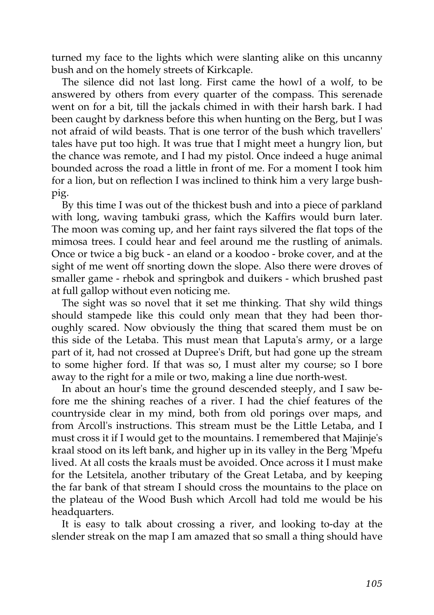turned my face to the lights which were slanting alike on this uncanny bush and on the homely streets of Kirkcaple.

The silence did not last long. First came the howl of a wolf, to be answered by others from every quarter of the compass. This serenade went on for a bit, till the jackals chimed in with their harsh bark. I had been caught by darkness before this when hunting on the Berg, but I was not afraid of wild beasts. That is one terror of the bush which travellers' tales have put too high. It was true that I might meet a hungry lion, but the chance was remote, and I had my pistol. Once indeed a huge animal bounded across the road a little in front of me. For a moment I took him for a lion, but on reflection I was inclined to think him a very large bushpig.

By this time I was out of the thickest bush and into a piece of parkland with long, waving tambuki grass, which the Kaffirs would burn later. The moon was coming up, and her faint rays silvered the flat tops of the mimosa trees. I could hear and feel around me the rustling of animals. Once or twice a big buck - an eland or a koodoo - broke cover, and at the sight of me went off snorting down the slope. Also there were droves of smaller game - rhebok and springbok and duikers - which brushed past at full gallop without even noticing me.

The sight was so novel that it set me thinking. That shy wild things should stampede like this could only mean that they had been thoroughly scared. Now obviously the thing that scared them must be on this side of the Letaba. This must mean that Laputa's army, or a large part of it, had not crossed at Dupree's Drift, but had gone up the stream to some higher ford. If that was so, I must alter my course; so I bore away to the right for a mile or two, making a line due north-west.

In about an hour's time the ground descended steeply, and I saw before me the shining reaches of a river. I had the chief features of the countryside clear in my mind, both from old porings over maps, and from Arcoll's instructions. This stream must be the Little Letaba, and I must cross it if I would get to the mountains. I remembered that Majinje's kraal stood on its left bank, and higher up in its valley in the Berg 'Mpefu lived. At all costs the kraals must be avoided. Once across it I must make for the Letsitela, another tributary of the Great Letaba, and by keeping the far bank of that stream I should cross the mountains to the place on the plateau of the Wood Bush which Arcoll had told me would be his headquarters.

It is easy to talk about crossing a river, and looking to-day at the slender streak on the map I am amazed that so small a thing should have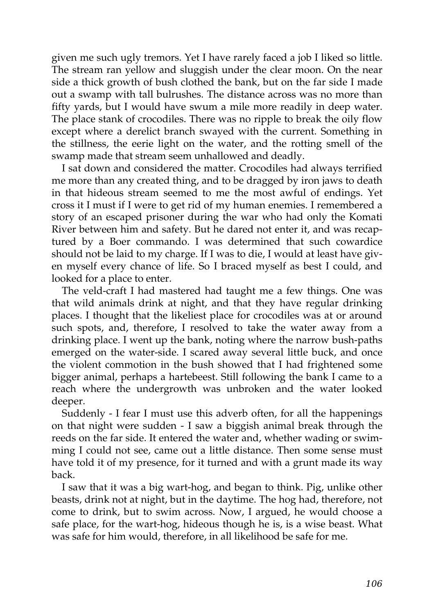given me such ugly tremors. Yet I have rarely faced a job I liked so little. The stream ran yellow and sluggish under the clear moon. On the near side a thick growth of bush clothed the bank, but on the far side I made out a swamp with tall bulrushes. The distance across was no more than fifty yards, but I would have swum a mile more readily in deep water. The place stank of crocodiles. There was no ripple to break the oily flow except where a derelict branch swayed with the current. Something in the stillness, the eerie light on the water, and the rotting smell of the swamp made that stream seem unhallowed and deadly.

I sat down and considered the matter. Crocodiles had always terrified me more than any created thing, and to be dragged by iron jaws to death in that hideous stream seemed to me the most awful of endings. Yet cross it I must if I were to get rid of my human enemies. I remembered a story of an escaped prisoner during the war who had only the Komati River between him and safety. But he dared not enter it, and was recaptured by a Boer commando. I was determined that such cowardice should not be laid to my charge. If I was to die, I would at least have given myself every chance of life. So I braced myself as best I could, and looked for a place to enter.

The veld-craft I had mastered had taught me a few things. One was that wild animals drink at night, and that they have regular drinking places. I thought that the likeliest place for crocodiles was at or around such spots, and, therefore, I resolved to take the water away from a drinking place. I went up the bank, noting where the narrow bush-paths emerged on the water-side. I scared away several little buck, and once the violent commotion in the bush showed that I had frightened some bigger animal, perhaps a hartebeest. Still following the bank I came to a reach where the undergrowth was unbroken and the water looked deeper.

Suddenly - I fear I must use this adverb often, for all the happenings on that night were sudden - I saw a biggish animal break through the reeds on the far side. It entered the water and, whether wading or swimming I could not see, came out a little distance. Then some sense must have told it of my presence, for it turned and with a grunt made its way back.

I saw that it was a big wart-hog, and began to think. Pig, unlike other beasts, drink not at night, but in the daytime. The hog had, therefore, not come to drink, but to swim across. Now, I argued, he would choose a safe place, for the wart-hog, hideous though he is, is a wise beast. What was safe for him would, therefore, in all likelihood be safe for me.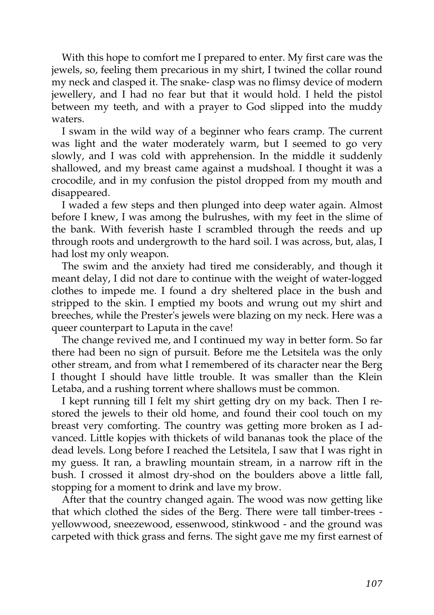With this hope to comfort me I prepared to enter. My first care was the jewels, so, feeling them precarious in my shirt, I twined the collar round my neck and clasped it. The snake- clasp was no flimsy device of modern jewellery, and I had no fear but that it would hold. I held the pistol between my teeth, and with a prayer to God slipped into the muddy waters.

I swam in the wild way of a beginner who fears cramp. The current was light and the water moderately warm, but I seemed to go very slowly, and I was cold with apprehension. In the middle it suddenly shallowed, and my breast came against a mudshoal. I thought it was a crocodile, and in my confusion the pistol dropped from my mouth and disappeared.

I waded a few steps and then plunged into deep water again. Almost before I knew, I was among the bulrushes, with my feet in the slime of the bank. With feverish haste I scrambled through the reeds and up through roots and undergrowth to the hard soil. I was across, but, alas, I had lost my only weapon.

The swim and the anxiety had tired me considerably, and though it meant delay, I did not dare to continue with the weight of water-logged clothes to impede me. I found a dry sheltered place in the bush and stripped to the skin. I emptied my boots and wrung out my shirt and breeches, while the Prester's jewels were blazing on my neck. Here was a queer counterpart to Laputa in the cave!

The change revived me, and I continued my way in better form. So far there had been no sign of pursuit. Before me the Letsitela was the only other stream, and from what I remembered of its character near the Berg I thought I should have little trouble. It was smaller than the Klein Letaba, and a rushing torrent where shallows must be common.

I kept running till I felt my shirt getting dry on my back. Then I restored the jewels to their old home, and found their cool touch on my breast very comforting. The country was getting more broken as I advanced. Little kopjes with thickets of wild bananas took the place of the dead levels. Long before I reached the Letsitela, I saw that I was right in my guess. It ran, a brawling mountain stream, in a narrow rift in the bush. I crossed it almost dry-shod on the boulders above a little fall, stopping for a moment to drink and lave my brow.

After that the country changed again. The wood was now getting like that which clothed the sides of the Berg. There were tall timber-trees yellowwood, sneezewood, essenwood, stinkwood - and the ground was carpeted with thick grass and ferns. The sight gave me my first earnest of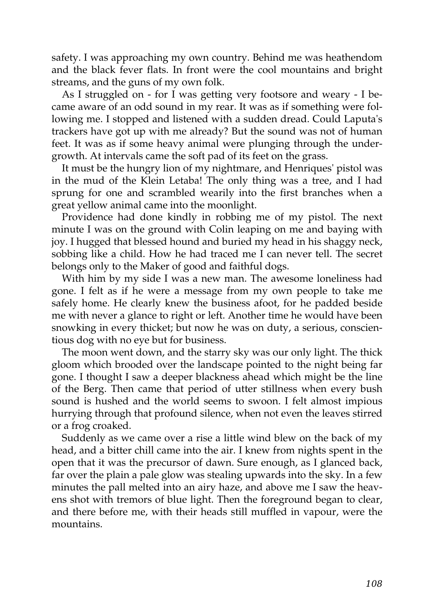safety. I was approaching my own country. Behind me was heathendom and the black fever flats. In front were the cool mountains and bright streams, and the guns of my own folk.

As I struggled on - for I was getting very footsore and weary - I became aware of an odd sound in my rear. It was as if something were following me. I stopped and listened with a sudden dread. Could Laputa's trackers have got up with me already? But the sound was not of human feet. It was as if some heavy animal were plunging through the undergrowth. At intervals came the soft pad of its feet on the grass.

It must be the hungry lion of my nightmare, and Henriques' pistol was in the mud of the Klein Letaba! The only thing was a tree, and I had sprung for one and scrambled wearily into the first branches when a great yellow animal came into the moonlight.

Providence had done kindly in robbing me of my pistol. The next minute I was on the ground with Colin leaping on me and baying with joy. I hugged that blessed hound and buried my head in his shaggy neck, sobbing like a child. How he had traced me I can never tell. The secret belongs only to the Maker of good and faithful dogs.

With him by my side I was a new man. The awesome loneliness had gone. I felt as if he were a message from my own people to take me safely home. He clearly knew the business afoot, for he padded beside me with never a glance to right or left. Another time he would have been snowking in every thicket; but now he was on duty, a serious, conscientious dog with no eye but for business.

The moon went down, and the starry sky was our only light. The thick gloom which brooded over the landscape pointed to the night being far gone. I thought I saw a deeper blackness ahead which might be the line of the Berg. Then came that period of utter stillness when every bush sound is hushed and the world seems to swoon. I felt almost impious hurrying through that profound silence, when not even the leaves stirred or a frog croaked.

Suddenly as we came over a rise a little wind blew on the back of my head, and a bitter chill came into the air. I knew from nights spent in the open that it was the precursor of dawn. Sure enough, as I glanced back, far over the plain a pale glow was stealing upwards into the sky. In a few minutes the pall melted into an airy haze, and above me I saw the heavens shot with tremors of blue light. Then the foreground began to clear, and there before me, with their heads still muffled in vapour, were the mountains.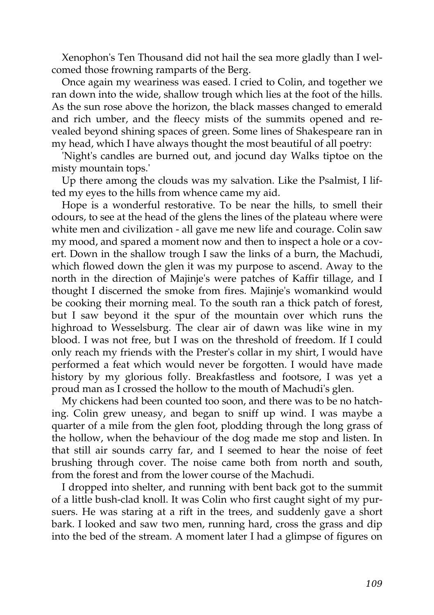Xenophon's Ten Thousand did not hail the sea more gladly than I welcomed those frowning ramparts of the Berg.

Once again my weariness was eased. I cried to Colin, and together we ran down into the wide, shallow trough which lies at the foot of the hills. As the sun rose above the horizon, the black masses changed to emerald and rich umber, and the fleecy mists of the summits opened and revealed beyond shining spaces of green. Some lines of Shakespeare ran in my head, which I have always thought the most beautiful of all poetry:

'Night's candles are burned out, and jocund day Walks tiptoe on the misty mountain tops.'

Up there among the clouds was my salvation. Like the Psalmist, I lifted my eyes to the hills from whence came my aid.

Hope is a wonderful restorative. To be near the hills, to smell their odours, to see at the head of the glens the lines of the plateau where were white men and civilization - all gave me new life and courage. Colin saw my mood, and spared a moment now and then to inspect a hole or a covert. Down in the shallow trough I saw the links of a burn, the Machudi, which flowed down the glen it was my purpose to ascend. Away to the north in the direction of Majinje's were patches of Kaffir tillage, and I thought I discerned the smoke from fires. Majinje's womankind would be cooking their morning meal. To the south ran a thick patch of forest, but I saw beyond it the spur of the mountain over which runs the highroad to Wesselsburg. The clear air of dawn was like wine in my blood. I was not free, but I was on the threshold of freedom. If I could only reach my friends with the Prester's collar in my shirt, I would have performed a feat which would never be forgotten. I would have made history by my glorious folly. Breakfastless and footsore, I was yet a proud man as I crossed the hollow to the mouth of Machudi's glen.

My chickens had been counted too soon, and there was to be no hatching. Colin grew uneasy, and began to sniff up wind. I was maybe a quarter of a mile from the glen foot, plodding through the long grass of the hollow, when the behaviour of the dog made me stop and listen. In that still air sounds carry far, and I seemed to hear the noise of feet brushing through cover. The noise came both from north and south, from the forest and from the lower course of the Machudi.

I dropped into shelter, and running with bent back got to the summit of a little bush-clad knoll. It was Colin who first caught sight of my pursuers. He was staring at a rift in the trees, and suddenly gave a short bark. I looked and saw two men, running hard, cross the grass and dip into the bed of the stream. A moment later I had a glimpse of figures on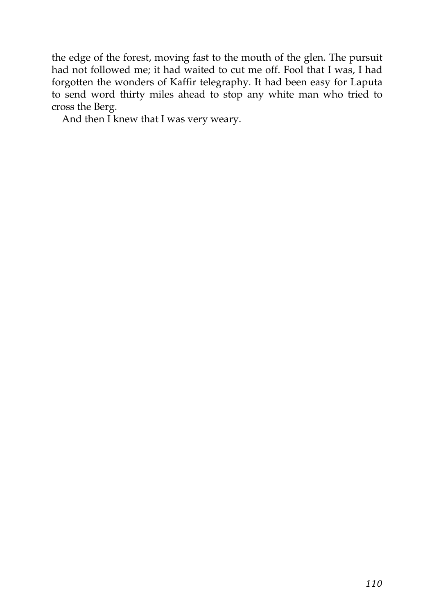the edge of the forest, moving fast to the mouth of the glen. The pursuit had not followed me; it had waited to cut me off. Fool that I was, I had forgotten the wonders of Kaffir telegraphy. It had been easy for Laputa to send word thirty miles ahead to stop any white man who tried to cross the Berg.

And then I knew that I was very weary.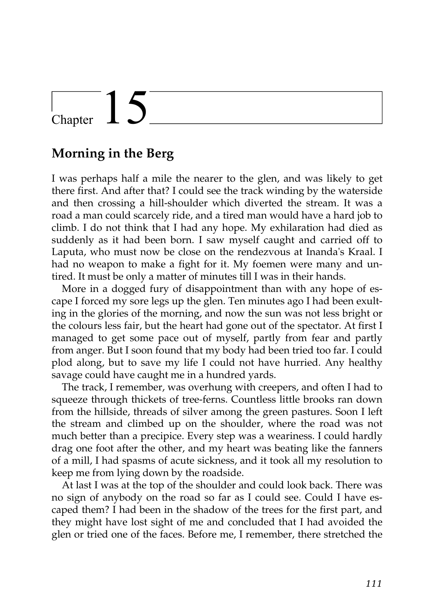## Chapter  $15$

#### **Morning in the Berg**

I was perhaps half a mile the nearer to the glen, and was likely to get there first. And after that? I could see the track winding by the waterside and then crossing a hill-shoulder which diverted the stream. It was a road a man could scarcely ride, and a tired man would have a hard job to climb. I do not think that I had any hope. My exhilaration had died as suddenly as it had been born. I saw myself caught and carried off to Laputa, who must now be close on the rendezvous at Inanda's Kraal. I had no weapon to make a fight for it. My foemen were many and untired. It must be only a matter of minutes till I was in their hands.

More in a dogged fury of disappointment than with any hope of escape I forced my sore legs up the glen. Ten minutes ago I had been exulting in the glories of the morning, and now the sun was not less bright or the colours less fair, but the heart had gone out of the spectator. At first I managed to get some pace out of myself, partly from fear and partly from anger. But I soon found that my body had been tried too far. I could plod along, but to save my life I could not have hurried. Any healthy savage could have caught me in a hundred yards.

The track, I remember, was overhung with creepers, and often I had to squeeze through thickets of tree-ferns. Countless little brooks ran down from the hillside, threads of silver among the green pastures. Soon I left the stream and climbed up on the shoulder, where the road was not much better than a precipice. Every step was a weariness. I could hardly drag one foot after the other, and my heart was beating like the fanners of a mill, I had spasms of acute sickness, and it took all my resolution to keep me from lying down by the roadside.

At last I was at the top of the shoulder and could look back. There was no sign of anybody on the road so far as I could see. Could I have escaped them? I had been in the shadow of the trees for the first part, and they might have lost sight of me and concluded that I had avoided the glen or tried one of the faces. Before me, I remember, there stretched the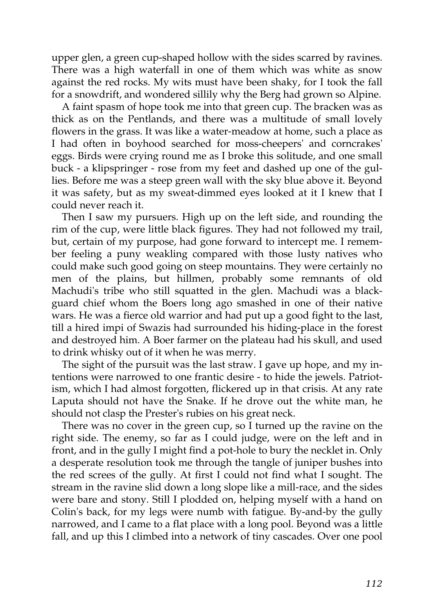upper glen, a green cup-shaped hollow with the sides scarred by ravines. There was a high waterfall in one of them which was white as snow against the red rocks. My wits must have been shaky, for I took the fall for a snowdrift, and wondered sillily why the Berg had grown so Alpine.

A faint spasm of hope took me into that green cup. The bracken was as thick as on the Pentlands, and there was a multitude of small lovely flowers in the grass. It was like a water-meadow at home, such a place as I had often in boyhood searched for moss-cheepers' and corncrakes' eggs. Birds were crying round me as I broke this solitude, and one small buck - a klipspringer - rose from my feet and dashed up one of the gullies. Before me was a steep green wall with the sky blue above it. Beyond it was safety, but as my sweat-dimmed eyes looked at it I knew that I could never reach it.

Then I saw my pursuers. High up on the left side, and rounding the rim of the cup, were little black figures. They had not followed my trail, but, certain of my purpose, had gone forward to intercept me. I remember feeling a puny weakling compared with those lusty natives who could make such good going on steep mountains. They were certainly no men of the plains, but hillmen, probably some remnants of old Machudi's tribe who still squatted in the glen. Machudi was a blackguard chief whom the Boers long ago smashed in one of their native wars. He was a fierce old warrior and had put up a good fight to the last, till a hired impi of Swazis had surrounded his hiding-place in the forest and destroyed him. A Boer farmer on the plateau had his skull, and used to drink whisky out of it when he was merry.

The sight of the pursuit was the last straw. I gave up hope, and my intentions were narrowed to one frantic desire - to hide the jewels. Patriotism, which I had almost forgotten, flickered up in that crisis. At any rate Laputa should not have the Snake. If he drove out the white man, he should not clasp the Prester's rubies on his great neck.

There was no cover in the green cup, so I turned up the ravine on the right side. The enemy, so far as I could judge, were on the left and in front, and in the gully I might find a pot-hole to bury the necklet in. Only a desperate resolution took me through the tangle of juniper bushes into the red screes of the gully. At first I could not find what I sought. The stream in the ravine slid down a long slope like a mill-race, and the sides were bare and stony. Still I plodded on, helping myself with a hand on Colin's back, for my legs were numb with fatigue. By-and-by the gully narrowed, and I came to a flat place with a long pool. Beyond was a little fall, and up this I climbed into a network of tiny cascades. Over one pool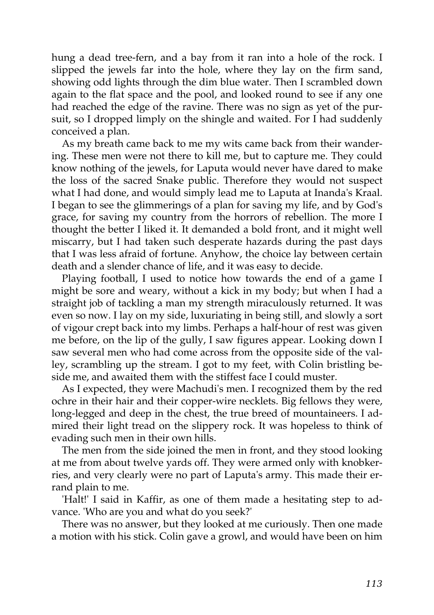hung a dead tree-fern, and a bay from it ran into a hole of the rock. I slipped the jewels far into the hole, where they lay on the firm sand, showing odd lights through the dim blue water. Then I scrambled down again to the flat space and the pool, and looked round to see if any one had reached the edge of the ravine. There was no sign as yet of the pursuit, so I dropped limply on the shingle and waited. For I had suddenly conceived a plan.

As my breath came back to me my wits came back from their wandering. These men were not there to kill me, but to capture me. They could know nothing of the jewels, for Laputa would never have dared to make the loss of the sacred Snake public. Therefore they would not suspect what I had done, and would simply lead me to Laputa at Inanda's Kraal. I began to see the glimmerings of a plan for saving my life, and by God's grace, for saving my country from the horrors of rebellion. The more I thought the better I liked it. It demanded a bold front, and it might well miscarry, but I had taken such desperate hazards during the past days that I was less afraid of fortune. Anyhow, the choice lay between certain death and a slender chance of life, and it was easy to decide.

Playing football, I used to notice how towards the end of a game I might be sore and weary, without a kick in my body; but when I had a straight job of tackling a man my strength miraculously returned. It was even so now. I lay on my side, luxuriating in being still, and slowly a sort of vigour crept back into my limbs. Perhaps a half-hour of rest was given me before, on the lip of the gully, I saw figures appear. Looking down I saw several men who had come across from the opposite side of the valley, scrambling up the stream. I got to my feet, with Colin bristling beside me, and awaited them with the stiffest face I could muster.

As I expected, they were Machudi's men. I recognized them by the red ochre in their hair and their copper-wire necklets. Big fellows they were, long-legged and deep in the chest, the true breed of mountaineers. I admired their light tread on the slippery rock. It was hopeless to think of evading such men in their own hills.

The men from the side joined the men in front, and they stood looking at me from about twelve yards off. They were armed only with knobkerries, and very clearly were no part of Laputa's army. This made their errand plain to me.

'Halt!' I said in Kaffir, as one of them made a hesitating step to advance. 'Who are you and what do you seek?'

There was no answer, but they looked at me curiously. Then one made a motion with his stick. Colin gave a growl, and would have been on him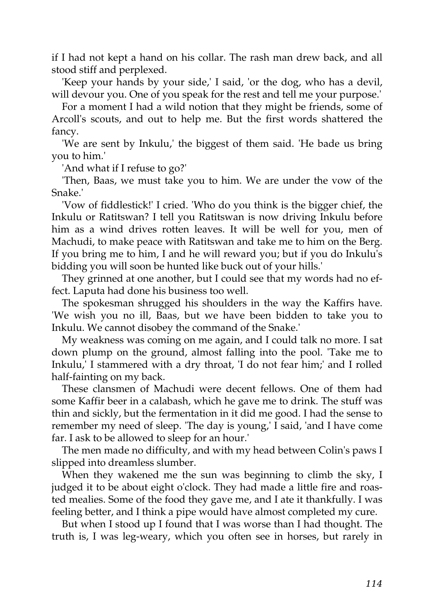if I had not kept a hand on his collar. The rash man drew back, and all stood stiff and perplexed.

'Keep your hands by your side,' I said, 'or the dog, who has a devil, will devour you. One of you speak for the rest and tell me your purpose.'

For a moment I had a wild notion that they might be friends, some of Arcoll's scouts, and out to help me. But the first words shattered the fancy.

'We are sent by Inkulu,' the biggest of them said. 'He bade us bring you to him.'

'And what if I refuse to go?'

'Then, Baas, we must take you to him. We are under the vow of the Snake.'

'Vow of fiddlestick!' I cried. 'Who do you think is the bigger chief, the Inkulu or Ratitswan? I tell you Ratitswan is now driving Inkulu before him as a wind drives rotten leaves. It will be well for you, men of Machudi, to make peace with Ratitswan and take me to him on the Berg. If you bring me to him, I and he will reward you; but if you do Inkulu's bidding you will soon be hunted like buck out of your hills.'

They grinned at one another, but I could see that my words had no effect. Laputa had done his business too well.

The spokesman shrugged his shoulders in the way the Kaffirs have. 'We wish you no ill, Baas, but we have been bidden to take you to Inkulu. We cannot disobey the command of the Snake.'

My weakness was coming on me again, and I could talk no more. I sat down plump on the ground, almost falling into the pool. 'Take me to Inkulu,' I stammered with a dry throat, 'I do not fear him;' and I rolled half-fainting on my back.

These clansmen of Machudi were decent fellows. One of them had some Kaffir beer in a calabash, which he gave me to drink. The stuff was thin and sickly, but the fermentation in it did me good. I had the sense to remember my need of sleep. 'The day is young,' I said, 'and I have come far. I ask to be allowed to sleep for an hour.'

The men made no difficulty, and with my head between Colin's paws I slipped into dreamless slumber.

When they wakened me the sun was beginning to climb the sky, I judged it to be about eight o'clock. They had made a little fire and roasted mealies. Some of the food they gave me, and I ate it thankfully. I was feeling better, and I think a pipe would have almost completed my cure.

But when I stood up I found that I was worse than I had thought. The truth is, I was leg-weary, which you often see in horses, but rarely in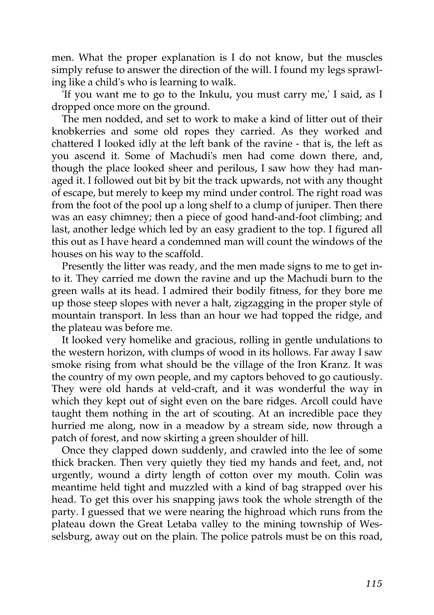men. What the proper explanation is I do not know, but the muscles simply refuse to answer the direction of the will. I found my legs sprawling like a child's who is learning to walk.

'If you want me to go to the Inkulu, you must carry me,' I said, as I dropped once more on the ground.

The men nodded, and set to work to make a kind of litter out of their knobkerries and some old ropes they carried. As they worked and chattered I looked idly at the left bank of the ravine - that is, the left as you ascend it. Some of Machudi's men had come down there, and, though the place looked sheer and perilous, I saw how they had managed it. I followed out bit by bit the track upwards, not with any thought of escape, but merely to keep my mind under control. The right road was from the foot of the pool up a long shelf to a clump of juniper. Then there was an easy chimney; then a piece of good hand-and-foot climbing; and last, another ledge which led by an easy gradient to the top. I figured all this out as I have heard a condemned man will count the windows of the houses on his way to the scaffold.

Presently the litter was ready, and the men made signs to me to get into it. They carried me down the ravine and up the Machudi burn to the green walls at its head. I admired their bodily fitness, for they bore me up those steep slopes with never a halt, zigzagging in the proper style of mountain transport. In less than an hour we had topped the ridge, and the plateau was before me.

It looked very homelike and gracious, rolling in gentle undulations to the western horizon, with clumps of wood in its hollows. Far away I saw smoke rising from what should be the village of the Iron Kranz. It was the country of my own people, and my captors behoved to go cautiously. They were old hands at veld-craft, and it was wonderful the way in which they kept out of sight even on the bare ridges. Arcoll could have taught them nothing in the art of scouting. At an incredible pace they hurried me along, now in a meadow by a stream side, now through a patch of forest, and now skirting a green shoulder of hill.

Once they clapped down suddenly, and crawled into the lee of some thick bracken. Then very quietly they tied my hands and feet, and, not urgently, wound a dirty length of cotton over my mouth. Colin was meantime held tight and muzzled with a kind of bag strapped over his head. To get this over his snapping jaws took the whole strength of the party. I guessed that we were nearing the highroad which runs from the plateau down the Great Letaba valley to the mining township of Wesselsburg, away out on the plain. The police patrols must be on this road,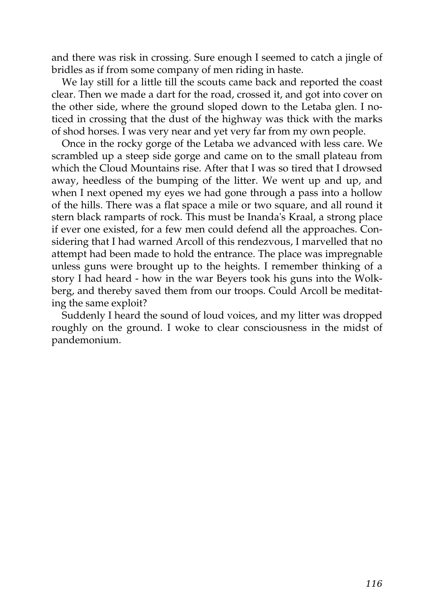and there was risk in crossing. Sure enough I seemed to catch a jingle of bridles as if from some company of men riding in haste.

We lay still for a little till the scouts came back and reported the coast clear. Then we made a dart for the road, crossed it, and got into cover on the other side, where the ground sloped down to the Letaba glen. I noticed in crossing that the dust of the highway was thick with the marks of shod horses. I was very near and yet very far from my own people.

Once in the rocky gorge of the Letaba we advanced with less care. We scrambled up a steep side gorge and came on to the small plateau from which the Cloud Mountains rise. After that I was so tired that I drowsed away, heedless of the bumping of the litter. We went up and up, and when I next opened my eyes we had gone through a pass into a hollow of the hills. There was a flat space a mile or two square, and all round it stern black ramparts of rock. This must be Inanda's Kraal, a strong place if ever one existed, for a few men could defend all the approaches. Considering that I had warned Arcoll of this rendezvous, I marvelled that no attempt had been made to hold the entrance. The place was impregnable unless guns were brought up to the heights. I remember thinking of a story I had heard - how in the war Beyers took his guns into the Wolkberg, and thereby saved them from our troops. Could Arcoll be meditating the same exploit?

Suddenly I heard the sound of loud voices, and my litter was dropped roughly on the ground. I woke to clear consciousness in the midst of pandemonium.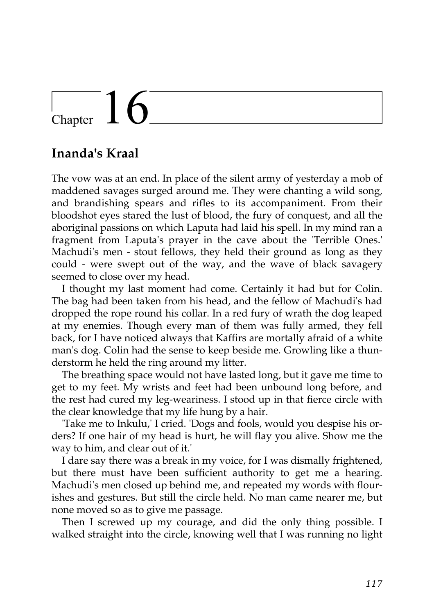# $\frac{1}{2}$ Chapter  $16$

#### **Inanda's Kraal**

The vow was at an end. In place of the silent army of yesterday a mob of maddened savages surged around me. They were chanting a wild song, and brandishing spears and rifles to its accompaniment. From their bloodshot eyes stared the lust of blood, the fury of conquest, and all the aboriginal passions on which Laputa had laid his spell. In my mind ran a fragment from Laputa's prayer in the cave about the 'Terrible Ones.' Machudi's men - stout fellows, they held their ground as long as they could - were swept out of the way, and the wave of black savagery seemed to close over my head.

I thought my last moment had come. Certainly it had but for Colin. The bag had been taken from his head, and the fellow of Machudi's had dropped the rope round his collar. In a red fury of wrath the dog leaped at my enemies. Though every man of them was fully armed, they fell back, for I have noticed always that Kaffirs are mortally afraid of a white man's dog. Colin had the sense to keep beside me. Growling like a thunderstorm he held the ring around my litter.

The breathing space would not have lasted long, but it gave me time to get to my feet. My wrists and feet had been unbound long before, and the rest had cured my leg-weariness. I stood up in that fierce circle with the clear knowledge that my life hung by a hair.

'Take me to Inkulu,' I cried. 'Dogs and fools, would you despise his orders? If one hair of my head is hurt, he will flay you alive. Show me the way to him, and clear out of it.'

I dare say there was a break in my voice, for I was dismally frightened, but there must have been sufficient authority to get me a hearing. Machudi's men closed up behind me, and repeated my words with flourishes and gestures. But still the circle held. No man came nearer me, but none moved so as to give me passage.

Then I screwed up my courage, and did the only thing possible. I walked straight into the circle, knowing well that I was running no light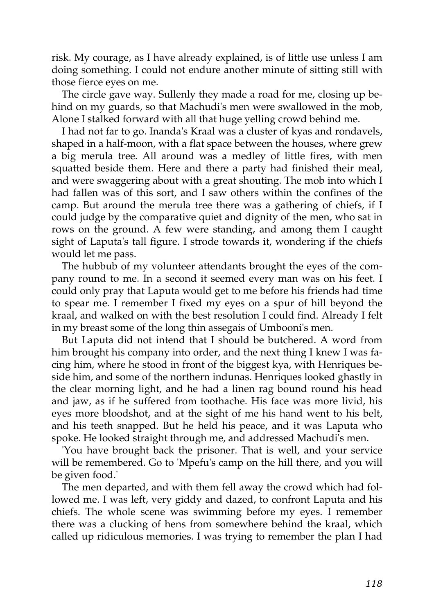risk. My courage, as I have already explained, is of little use unless I am doing something. I could not endure another minute of sitting still with those fierce eyes on me.

The circle gave way. Sullenly they made a road for me, closing up behind on my guards, so that Machudi's men were swallowed in the mob, Alone I stalked forward with all that huge yelling crowd behind me.

I had not far to go. Inanda's Kraal was a cluster of kyas and rondavels, shaped in a half-moon, with a flat space between the houses, where grew a big merula tree. All around was a medley of little fires, with men squatted beside them. Here and there a party had finished their meal, and were swaggering about with a great shouting. The mob into which I had fallen was of this sort, and I saw others within the confines of the camp. But around the merula tree there was a gathering of chiefs, if I could judge by the comparative quiet and dignity of the men, who sat in rows on the ground. A few were standing, and among them I caught sight of Laputa's tall figure. I strode towards it, wondering if the chiefs would let me pass.

The hubbub of my volunteer attendants brought the eyes of the company round to me. In a second it seemed every man was on his feet. I could only pray that Laputa would get to me before his friends had time to spear me. I remember I fixed my eyes on a spur of hill beyond the kraal, and walked on with the best resolution I could find. Already I felt in my breast some of the long thin assegais of Umbooni's men.

But Laputa did not intend that I should be butchered. A word from him brought his company into order, and the next thing I knew I was facing him, where he stood in front of the biggest kya, with Henriques beside him, and some of the northern indunas. Henriques looked ghastly in the clear morning light, and he had a linen rag bound round his head and jaw, as if he suffered from toothache. His face was more livid, his eyes more bloodshot, and at the sight of me his hand went to his belt, and his teeth snapped. But he held his peace, and it was Laputa who spoke. He looked straight through me, and addressed Machudi's men.

'You have brought back the prisoner. That is well, and your service will be remembered. Go to 'Mpefu's camp on the hill there, and you will be given food.'

The men departed, and with them fell away the crowd which had followed me. I was left, very giddy and dazed, to confront Laputa and his chiefs. The whole scene was swimming before my eyes. I remember there was a clucking of hens from somewhere behind the kraal, which called up ridiculous memories. I was trying to remember the plan I had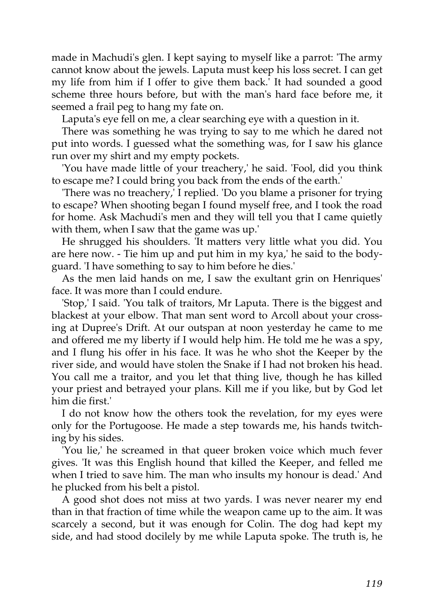made in Machudi's glen. I kept saying to myself like a parrot: 'The army cannot know about the jewels. Laputa must keep his loss secret. I can get my life from him if I offer to give them back.' It had sounded a good scheme three hours before, but with the man's hard face before me, it seemed a frail peg to hang my fate on.

Laputa's eye fell on me, a clear searching eye with a question in it.

There was something he was trying to say to me which he dared not put into words. I guessed what the something was, for I saw his glance run over my shirt and my empty pockets.

'You have made little of your treachery,' he said. 'Fool, did you think to escape me? I could bring you back from the ends of the earth.'

'There was no treachery,' I replied. 'Do you blame a prisoner for trying to escape? When shooting began I found myself free, and I took the road for home. Ask Machudi's men and they will tell you that I came quietly with them, when I saw that the game was up.'

He shrugged his shoulders. 'It matters very little what you did. You are here now. - Tie him up and put him in my kya,' he said to the bodyguard. 'I have something to say to him before he dies.'

As the men laid hands on me, I saw the exultant grin on Henriques' face. It was more than I could endure.

'Stop,' I said. 'You talk of traitors, Mr Laputa. There is the biggest and blackest at your elbow. That man sent word to Arcoll about your crossing at Dupree's Drift. At our outspan at noon yesterday he came to me and offered me my liberty if I would help him. He told me he was a spy, and I flung his offer in his face. It was he who shot the Keeper by the river side, and would have stolen the Snake if I had not broken his head. You call me a traitor, and you let that thing live, though he has killed your priest and betrayed your plans. Kill me if you like, but by God let him die first.'

I do not know how the others took the revelation, for my eyes were only for the Portugoose. He made a step towards me, his hands twitching by his sides.

'You lie,' he screamed in that queer broken voice which much fever gives. 'It was this English hound that killed the Keeper, and felled me when I tried to save him. The man who insults my honour is dead.' And he plucked from his belt a pistol.

A good shot does not miss at two yards. I was never nearer my end than in that fraction of time while the weapon came up to the aim. It was scarcely a second, but it was enough for Colin. The dog had kept my side, and had stood docilely by me while Laputa spoke. The truth is, he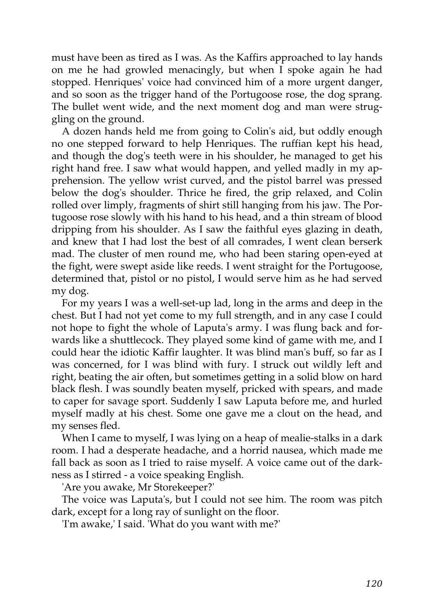must have been as tired as I was. As the Kaffirs approached to lay hands on me he had growled menacingly, but when I spoke again he had stopped. Henriques' voice had convinced him of a more urgent danger, and so soon as the trigger hand of the Portugoose rose, the dog sprang. The bullet went wide, and the next moment dog and man were struggling on the ground.

A dozen hands held me from going to Colin's aid, but oddly enough no one stepped forward to help Henriques. The ruffian kept his head, and though the dog's teeth were in his shoulder, he managed to get his right hand free. I saw what would happen, and yelled madly in my apprehension. The yellow wrist curved, and the pistol barrel was pressed below the dog's shoulder. Thrice he fired, the grip relaxed, and Colin rolled over limply, fragments of shirt still hanging from his jaw. The Portugoose rose slowly with his hand to his head, and a thin stream of blood dripping from his shoulder. As I saw the faithful eyes glazing in death, and knew that I had lost the best of all comrades, I went clean berserk mad. The cluster of men round me, who had been staring open-eyed at the fight, were swept aside like reeds. I went straight for the Portugoose, determined that, pistol or no pistol, I would serve him as he had served my dog.

For my years I was a well-set-up lad, long in the arms and deep in the chest. But I had not yet come to my full strength, and in any case I could not hope to fight the whole of Laputa's army. I was flung back and forwards like a shuttlecock. They played some kind of game with me, and I could hear the idiotic Kaffir laughter. It was blind man's buff, so far as I was concerned, for I was blind with fury. I struck out wildly left and right, beating the air often, but sometimes getting in a solid blow on hard black flesh. I was soundly beaten myself, pricked with spears, and made to caper for savage sport. Suddenly I saw Laputa before me, and hurled myself madly at his chest. Some one gave me a clout on the head, and my senses fled.

When I came to myself, I was lying on a heap of mealie-stalks in a dark room. I had a desperate headache, and a horrid nausea, which made me fall back as soon as I tried to raise myself. A voice came out of the darkness as I stirred - a voice speaking English.

'Are you awake, Mr Storekeeper?'

The voice was Laputa's, but I could not see him. The room was pitch dark, except for a long ray of sunlight on the floor.

'I'm awake,' I said. 'What do you want with me?'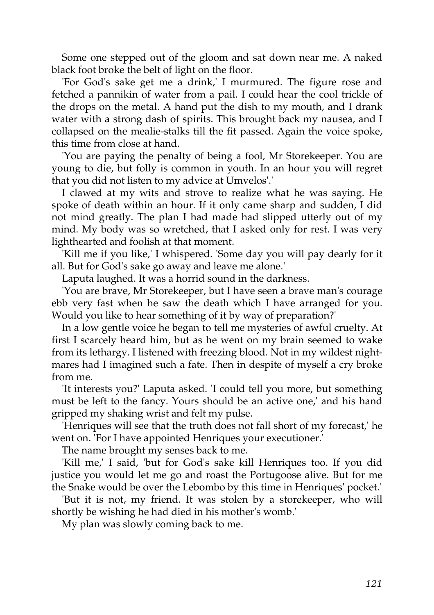Some one stepped out of the gloom and sat down near me. A naked black foot broke the belt of light on the floor.

'For God's sake get me a drink,' I murmured. The figure rose and fetched a pannikin of water from a pail. I could hear the cool trickle of the drops on the metal. A hand put the dish to my mouth, and I drank water with a strong dash of spirits. This brought back my nausea, and I collapsed on the mealie-stalks till the fit passed. Again the voice spoke, this time from close at hand.

'You are paying the penalty of being a fool, Mr Storekeeper. You are young to die, but folly is common in youth. In an hour you will regret that you did not listen to my advice at Umvelos'.'

I clawed at my wits and strove to realize what he was saying. He spoke of death within an hour. If it only came sharp and sudden, I did not mind greatly. The plan I had made had slipped utterly out of my mind. My body was so wretched, that I asked only for rest. I was very lighthearted and foolish at that moment.

'Kill me if you like,' I whispered. 'Some day you will pay dearly for it all. But for God's sake go away and leave me alone.'

Laputa laughed. It was a horrid sound in the darkness.

'You are brave, Mr Storekeeper, but I have seen a brave man's courage ebb very fast when he saw the death which I have arranged for you. Would you like to hear something of it by way of preparation?'

In a low gentle voice he began to tell me mysteries of awful cruelty. At first I scarcely heard him, but as he went on my brain seemed to wake from its lethargy. I listened with freezing blood. Not in my wildest nightmares had I imagined such a fate. Then in despite of myself a cry broke from me.

'It interests you?' Laputa asked. 'I could tell you more, but something must be left to the fancy. Yours should be an active one,' and his hand gripped my shaking wrist and felt my pulse.

'Henriques will see that the truth does not fall short of my forecast,' he went on. 'For I have appointed Henriques your executioner.'

The name brought my senses back to me.

'Kill me,' I said, 'but for God's sake kill Henriques too. If you did justice you would let me go and roast the Portugoose alive. But for me the Snake would be over the Lebombo by this time in Henriques' pocket.'

'But it is not, my friend. It was stolen by a storekeeper, who will shortly be wishing he had died in his mother's womb.'

My plan was slowly coming back to me.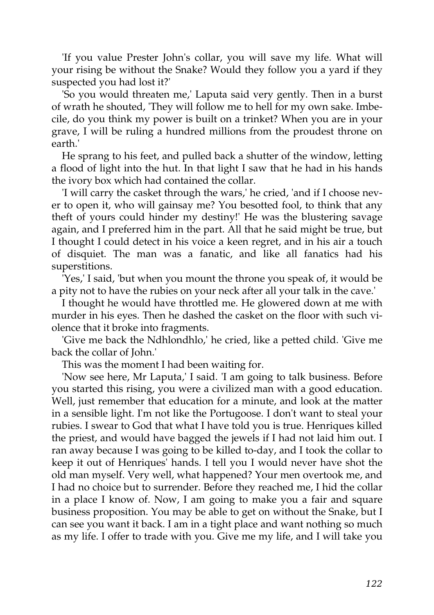'If you value Prester John's collar, you will save my life. What will your rising be without the Snake? Would they follow you a yard if they suspected you had lost it?'

'So you would threaten me,' Laputa said very gently. Then in a burst of wrath he shouted, 'They will follow me to hell for my own sake. Imbecile, do you think my power is built on a trinket? When you are in your grave, I will be ruling a hundred millions from the proudest throne on earth.'

He sprang to his feet, and pulled back a shutter of the window, letting a flood of light into the hut. In that light I saw that he had in his hands the ivory box which had contained the collar.

'I will carry the casket through the wars,' he cried, 'and if I choose never to open it, who will gainsay me? You besotted fool, to think that any theft of yours could hinder my destiny!' He was the blustering savage again, and I preferred him in the part. All that he said might be true, but I thought I could detect in his voice a keen regret, and in his air a touch of disquiet. The man was a fanatic, and like all fanatics had his superstitions.

'Yes,' I said, 'but when you mount the throne you speak of, it would be a pity not to have the rubies on your neck after all your talk in the cave.'

I thought he would have throttled me. He glowered down at me with murder in his eyes. Then he dashed the casket on the floor with such violence that it broke into fragments.

'Give me back the Ndhlondhlo,' he cried, like a petted child. 'Give me back the collar of John.'

This was the moment I had been waiting for.

'Now see here, Mr Laputa,' I said. 'I am going to talk business. Before you started this rising, you were a civilized man with a good education. Well, just remember that education for a minute, and look at the matter in a sensible light. I'm not like the Portugoose. I don't want to steal your rubies. I swear to God that what I have told you is true. Henriques killed the priest, and would have bagged the jewels if I had not laid him out. I ran away because I was going to be killed to-day, and I took the collar to keep it out of Henriques' hands. I tell you I would never have shot the old man myself. Very well, what happened? Your men overtook me, and I had no choice but to surrender. Before they reached me, I hid the collar in a place I know of. Now, I am going to make you a fair and square business proposition. You may be able to get on without the Snake, but I can see you want it back. I am in a tight place and want nothing so much as my life. I offer to trade with you. Give me my life, and I will take you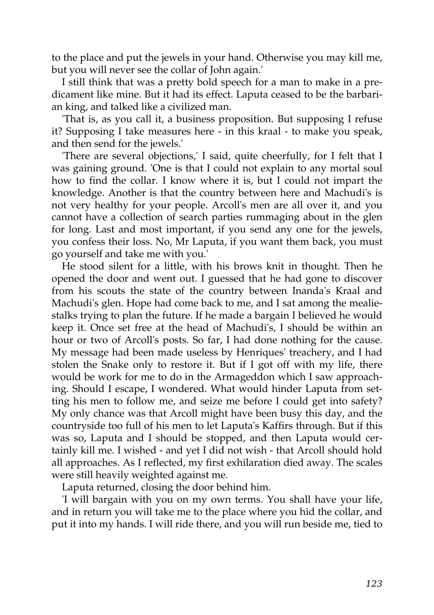to the place and put the jewels in your hand. Otherwise you may kill me, but you will never see the collar of John again.'

I still think that was a pretty bold speech for a man to make in a predicament like mine. But it had its effect. Laputa ceased to be the barbarian king, and talked like a civilized man.

'That is, as you call it, a business proposition. But supposing I refuse it? Supposing I take measures here - in this kraal - to make you speak, and then send for the jewels.'

'There are several objections,' I said, quite cheerfully, for I felt that I was gaining ground. 'One is that I could not explain to any mortal soul how to find the collar. I know where it is, but I could not impart the knowledge. Another is that the country between here and Machudi's is not very healthy for your people. Arcoll's men are all over it, and you cannot have a collection of search parties rummaging about in the glen for long. Last and most important, if you send any one for the jewels, you confess their loss. No, Mr Laputa, if you want them back, you must go yourself and take me with you.'

He stood silent for a little, with his brows knit in thought. Then he opened the door and went out. I guessed that he had gone to discover from his scouts the state of the country between Inanda's Kraal and Machudi's glen. Hope had come back to me, and I sat among the mealiestalks trying to plan the future. If he made a bargain I believed he would keep it. Once set free at the head of Machudi's, I should be within an hour or two of Arcoll's posts. So far, I had done nothing for the cause. My message had been made useless by Henriques' treachery, and I had stolen the Snake only to restore it. But if I got off with my life, there would be work for me to do in the Armageddon which I saw approaching. Should I escape, I wondered. What would hinder Laputa from setting his men to follow me, and seize me before I could get into safety? My only chance was that Arcoll might have been busy this day, and the countryside too full of his men to let Laputa's Kaffirs through. But if this was so, Laputa and I should be stopped, and then Laputa would certainly kill me. I wished - and yet I did not wish - that Arcoll should hold all approaches. As I reflected, my first exhilaration died away. The scales were still heavily weighted against me.

Laputa returned, closing the door behind him.

'I will bargain with you on my own terms. You shall have your life, and in return you will take me to the place where you hid the collar, and put it into my hands. I will ride there, and you will run beside me, tied to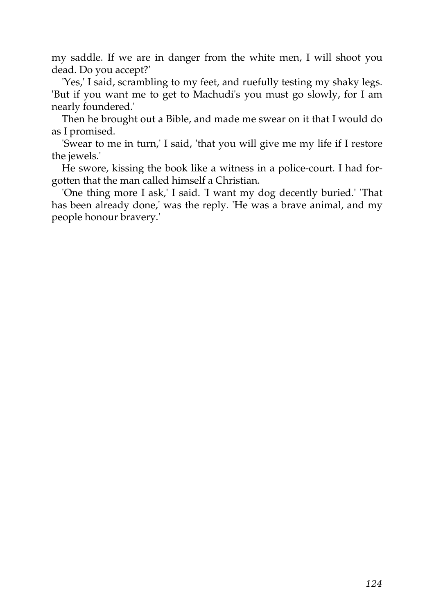my saddle. If we are in danger from the white men, I will shoot you dead. Do you accept?'

'Yes,' I said, scrambling to my feet, and ruefully testing my shaky legs. 'But if you want me to get to Machudi's you must go slowly, for I am nearly foundered.'

Then he brought out a Bible, and made me swear on it that I would do as I promised.

'Swear to me in turn,' I said, 'that you will give me my life if I restore the jewels.'

He swore, kissing the book like a witness in a police-court. I had forgotten that the man called himself a Christian.

'One thing more I ask,' I said. 'I want my dog decently buried.' 'That has been already done,' was the reply. 'He was a brave animal, and my people honour bravery.'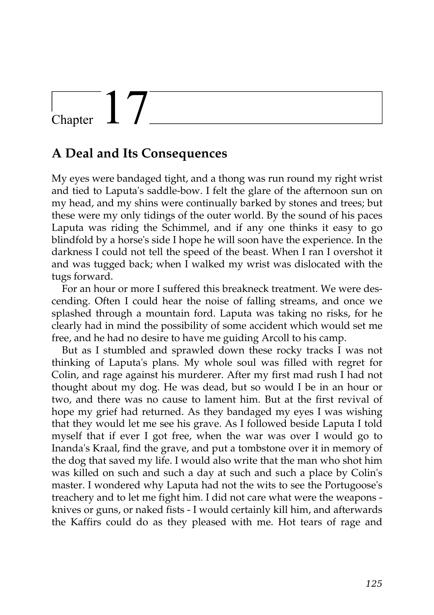## Chapter  $\frac{1}{\sqrt{2}}$

#### **A Deal and Its Consequences**

My eyes were bandaged tight, and a thong was run round my right wrist and tied to Laputa's saddle-bow. I felt the glare of the afternoon sun on my head, and my shins were continually barked by stones and trees; but these were my only tidings of the outer world. By the sound of his paces Laputa was riding the Schimmel, and if any one thinks it easy to go blindfold by a horse's side I hope he will soon have the experience. In the darkness I could not tell the speed of the beast. When I ran I overshot it and was tugged back; when I walked my wrist was dislocated with the tugs forward.

For an hour or more I suffered this breakneck treatment. We were descending. Often I could hear the noise of falling streams, and once we splashed through a mountain ford. Laputa was taking no risks, for he clearly had in mind the possibility of some accident which would set me free, and he had no desire to have me guiding Arcoll to his camp.

But as I stumbled and sprawled down these rocky tracks I was not thinking of Laputa's plans. My whole soul was filled with regret for Colin, and rage against his murderer. After my first mad rush I had not thought about my dog. He was dead, but so would I be in an hour or two, and there was no cause to lament him. But at the first revival of hope my grief had returned. As they bandaged my eyes I was wishing that they would let me see his grave. As I followed beside Laputa I told myself that if ever I got free, when the war was over I would go to Inanda's Kraal, find the grave, and put a tombstone over it in memory of the dog that saved my life. I would also write that the man who shot him was killed on such and such a day at such and such a place by Colin's master. I wondered why Laputa had not the wits to see the Portugoose's treachery and to let me fight him. I did not care what were the weapons knives or guns, or naked fists - I would certainly kill him, and afterwards the Kaffirs could do as they pleased with me. Hot tears of rage and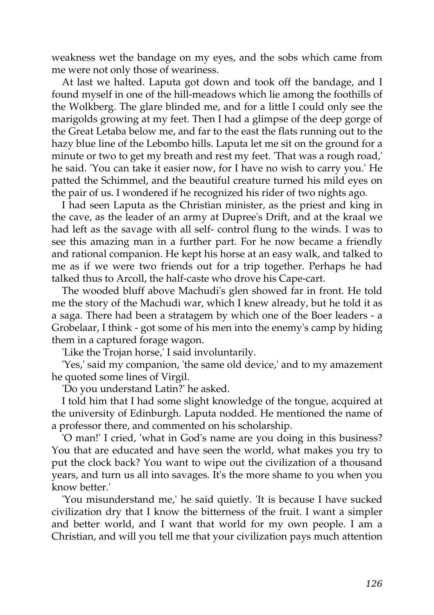weakness wet the bandage on my eyes, and the sobs which came from me were not only those of weariness.

At last we halted. Laputa got down and took off the bandage, and I found myself in one of the hill-meadows which lie among the foothills of the Wolkberg. The glare blinded me, and for a little I could only see the marigolds growing at my feet. Then I had a glimpse of the deep gorge of the Great Letaba below me, and far to the east the flats running out to the hazy blue line of the Lebombo hills. Laputa let me sit on the ground for a minute or two to get my breath and rest my feet. 'That was a rough road,' he said. 'You can take it easier now, for I have no wish to carry you.' He patted the Schimmel, and the beautiful creature turned his mild eyes on the pair of us. I wondered if he recognized his rider of two nights ago.

I had seen Laputa as the Christian minister, as the priest and king in the cave, as the leader of an army at Dupree's Drift, and at the kraal we had left as the savage with all self- control flung to the winds. I was to see this amazing man in a further part. For he now became a friendly and rational companion. He kept his horse at an easy walk, and talked to me as if we were two friends out for a trip together. Perhaps he had talked thus to Arcoll, the half-caste who drove his Cape-cart.

The wooded bluff above Machudi's glen showed far in front. He told me the story of the Machudi war, which I knew already, but he told it as a saga. There had been a stratagem by which one of the Boer leaders - a Grobelaar, I think - got some of his men into the enemy's camp by hiding them in a captured forage wagon.

'Like the Trojan horse,' I said involuntarily.

'Yes,' said my companion, 'the same old device,' and to my amazement he quoted some lines of Virgil.

'Do you understand Latin?' he asked.

I told him that I had some slight knowledge of the tongue, acquired at the university of Edinburgh. Laputa nodded. He mentioned the name of a professor there, and commented on his scholarship.

'O man!' I cried, 'what in God's name are you doing in this business? You that are educated and have seen the world, what makes you try to put the clock back? You want to wipe out the civilization of a thousand years, and turn us all into savages. It's the more shame to you when you know better.'

'You misunderstand me,' he said quietly. 'It is because I have sucked civilization dry that I know the bitterness of the fruit. I want a simpler and better world, and I want that world for my own people. I am a Christian, and will you tell me that your civilization pays much attention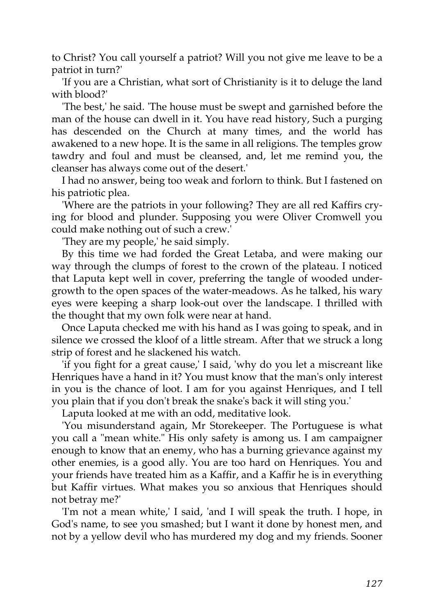to Christ? You call yourself a patriot? Will you not give me leave to be a patriot in turn?'

'If you are a Christian, what sort of Christianity is it to deluge the land with blood?'

'The best,' he said. 'The house must be swept and garnished before the man of the house can dwell in it. You have read history, Such a purging has descended on the Church at many times, and the world has awakened to a new hope. It is the same in all religions. The temples grow tawdry and foul and must be cleansed, and, let me remind you, the cleanser has always come out of the desert.'

I had no answer, being too weak and forlorn to think. But I fastened on his patriotic plea.

'Where are the patriots in your following? They are all red Kaffirs crying for blood and plunder. Supposing you were Oliver Cromwell you could make nothing out of such a crew.'

'They are my people,' he said simply.

By this time we had forded the Great Letaba, and were making our way through the clumps of forest to the crown of the plateau. I noticed that Laputa kept well in cover, preferring the tangle of wooded undergrowth to the open spaces of the water-meadows. As he talked, his wary eyes were keeping a sharp look-out over the landscape. I thrilled with the thought that my own folk were near at hand.

Once Laputa checked me with his hand as I was going to speak, and in silence we crossed the kloof of a little stream. After that we struck a long strip of forest and he slackened his watch.

'if you fight for a great cause,' I said, 'why do you let a miscreant like Henriques have a hand in it? You must know that the man's only interest in you is the chance of loot. I am for you against Henriques, and I tell you plain that if you don't break the snake's back it will sting you.'

Laputa looked at me with an odd, meditative look.

'You misunderstand again, Mr Storekeeper. The Portuguese is what you call a "mean white." His only safety is among us. I am campaigner enough to know that an enemy, who has a burning grievance against my other enemies, is a good ally. You are too hard on Henriques. You and your friends have treated him as a Kaffir, and a Kaffir he is in everything but Kaffir virtues. What makes you so anxious that Henriques should not betray me?'

'I'm not a mean white,' I said, 'and I will speak the truth. I hope, in God's name, to see you smashed; but I want it done by honest men, and not by a yellow devil who has murdered my dog and my friends. Sooner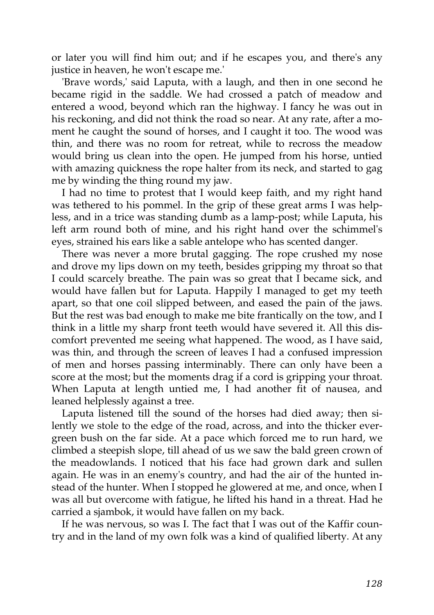or later you will find him out; and if he escapes you, and there's any justice in heaven, he won't escape me.'

'Brave words,' said Laputa, with a laugh, and then in one second he became rigid in the saddle. We had crossed a patch of meadow and entered a wood, beyond which ran the highway. I fancy he was out in his reckoning, and did not think the road so near. At any rate, after a moment he caught the sound of horses, and I caught it too. The wood was thin, and there was no room for retreat, while to recross the meadow would bring us clean into the open. He jumped from his horse, untied with amazing quickness the rope halter from its neck, and started to gag me by winding the thing round my jaw.

I had no time to protest that I would keep faith, and my right hand was tethered to his pommel. In the grip of these great arms I was helpless, and in a trice was standing dumb as a lamp-post; while Laputa, his left arm round both of mine, and his right hand over the schimmel's eyes, strained his ears like a sable antelope who has scented danger.

There was never a more brutal gagging. The rope crushed my nose and drove my lips down on my teeth, besides gripping my throat so that I could scarcely breathe. The pain was so great that I became sick, and would have fallen but for Laputa. Happily I managed to get my teeth apart, so that one coil slipped between, and eased the pain of the jaws. But the rest was bad enough to make me bite frantically on the tow, and I think in a little my sharp front teeth would have severed it. All this discomfort prevented me seeing what happened. The wood, as I have said, was thin, and through the screen of leaves I had a confused impression of men and horses passing interminably. There can only have been a score at the most; but the moments drag if a cord is gripping your throat. When Laputa at length untied me, I had another fit of nausea, and leaned helplessly against a tree.

Laputa listened till the sound of the horses had died away; then silently we stole to the edge of the road, across, and into the thicker evergreen bush on the far side. At a pace which forced me to run hard, we climbed a steepish slope, till ahead of us we saw the bald green crown of the meadowlands. I noticed that his face had grown dark and sullen again. He was in an enemy's country, and had the air of the hunted instead of the hunter. When I stopped he glowered at me, and once, when I was all but overcome with fatigue, he lifted his hand in a threat. Had he carried a sjambok, it would have fallen on my back.

If he was nervous, so was I. The fact that I was out of the Kaffir country and in the land of my own folk was a kind of qualified liberty. At any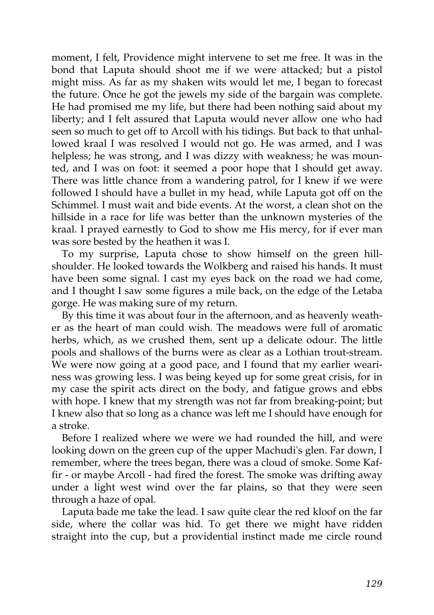moment, I felt, Providence might intervene to set me free. It was in the bond that Laputa should shoot me if we were attacked; but a pistol might miss. As far as my shaken wits would let me, I began to forecast the future. Once he got the jewels my side of the bargain was complete. He had promised me my life, but there had been nothing said about my liberty; and I felt assured that Laputa would never allow one who had seen so much to get off to Arcoll with his tidings. But back to that unhallowed kraal I was resolved I would not go. He was armed, and I was helpless; he was strong, and I was dizzy with weakness; he was mounted, and I was on foot: it seemed a poor hope that I should get away. There was little chance from a wandering patrol, for I knew if we were followed I should have a bullet in my head, while Laputa got off on the Schimmel. I must wait and bide events. At the worst, a clean shot on the hillside in a race for life was better than the unknown mysteries of the kraal. I prayed earnestly to God to show me His mercy, for if ever man was sore bested by the heathen it was I.

To my surprise, Laputa chose to show himself on the green hillshoulder. He looked towards the Wolkberg and raised his hands. It must have been some signal. I cast my eyes back on the road we had come, and I thought I saw some figures a mile back, on the edge of the Letaba gorge. He was making sure of my return.

By this time it was about four in the afternoon, and as heavenly weather as the heart of man could wish. The meadows were full of aromatic herbs, which, as we crushed them, sent up a delicate odour. The little pools and shallows of the burns were as clear as a Lothian trout-stream. We were now going at a good pace, and I found that my earlier weariness was growing less. I was being keyed up for some great crisis, for in my case the spirit acts direct on the body, and fatigue grows and ebbs with hope. I knew that my strength was not far from breaking-point; but I knew also that so long as a chance was left me I should have enough for a stroke.

Before I realized where we were we had rounded the hill, and were looking down on the green cup of the upper Machudi's glen. Far down, I remember, where the trees began, there was a cloud of smoke. Some Kaffir - or maybe Arcoll - had fired the forest. The smoke was drifting away under a light west wind over the far plains, so that they were seen through a haze of opal.

Laputa bade me take the lead. I saw quite clear the red kloof on the far side, where the collar was hid. To get there we might have ridden straight into the cup, but a providential instinct made me circle round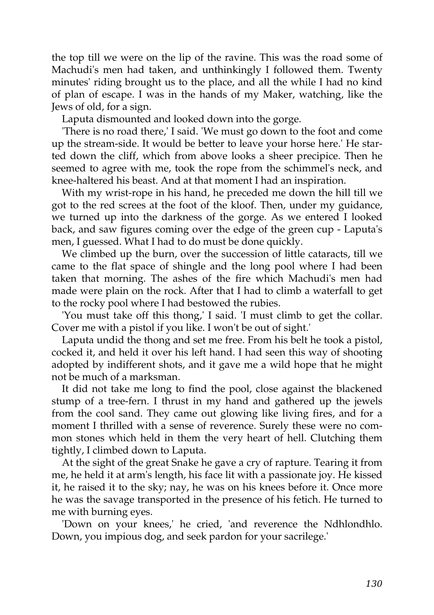the top till we were on the lip of the ravine. This was the road some of Machudi's men had taken, and unthinkingly I followed them. Twenty minutes' riding brought us to the place, and all the while I had no kind of plan of escape. I was in the hands of my Maker, watching, like the Jews of old, for a sign.

Laputa dismounted and looked down into the gorge.

'There is no road there,' I said. 'We must go down to the foot and come up the stream-side. It would be better to leave your horse here.' He started down the cliff, which from above looks a sheer precipice. Then he seemed to agree with me, took the rope from the schimmel's neck, and knee-haltered his beast. And at that moment I had an inspiration.

With my wrist-rope in his hand, he preceded me down the hill till we got to the red screes at the foot of the kloof. Then, under my guidance, we turned up into the darkness of the gorge. As we entered I looked back, and saw figures coming over the edge of the green cup - Laputa's men, I guessed. What I had to do must be done quickly.

We climbed up the burn, over the succession of little cataracts, till we came to the flat space of shingle and the long pool where I had been taken that morning. The ashes of the fire which Machudi's men had made were plain on the rock. After that I had to climb a waterfall to get to the rocky pool where I had bestowed the rubies.

'You must take off this thong,' I said. 'I must climb to get the collar. Cover me with a pistol if you like. I won't be out of sight.'

Laputa undid the thong and set me free. From his belt he took a pistol, cocked it, and held it over his left hand. I had seen this way of shooting adopted by indifferent shots, and it gave me a wild hope that he might not be much of a marksman.

It did not take me long to find the pool, close against the blackened stump of a tree-fern. I thrust in my hand and gathered up the jewels from the cool sand. They came out glowing like living fires, and for a moment I thrilled with a sense of reverence. Surely these were no common stones which held in them the very heart of hell. Clutching them tightly, I climbed down to Laputa.

At the sight of the great Snake he gave a cry of rapture. Tearing it from me, he held it at arm's length, his face lit with a passionate joy. He kissed it, he raised it to the sky; nay, he was on his knees before it. Once more he was the savage transported in the presence of his fetich. He turned to me with burning eyes.

'Down on your knees,' he cried, 'and reverence the Ndhlondhlo. Down, you impious dog, and seek pardon for your sacrilege.'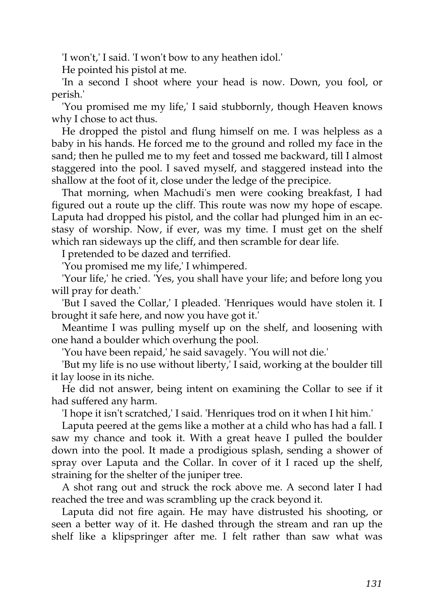'I won't,' I said. 'I won't bow to any heathen idol.'

He pointed his pistol at me.

'In a second I shoot where your head is now. Down, you fool, or perish.'

'You promised me my life,' I said stubbornly, though Heaven knows why I chose to act thus.

He dropped the pistol and flung himself on me. I was helpless as a baby in his hands. He forced me to the ground and rolled my face in the sand; then he pulled me to my feet and tossed me backward, till I almost staggered into the pool. I saved myself, and staggered instead into the shallow at the foot of it, close under the ledge of the precipice.

That morning, when Machudi's men were cooking breakfast, I had figured out a route up the cliff. This route was now my hope of escape. Laputa had dropped his pistol, and the collar had plunged him in an ecstasy of worship. Now, if ever, was my time. I must get on the shelf which ran sideways up the cliff, and then scramble for dear life.

I pretended to be dazed and terrified.

'You promised me my life,' I whimpered.

'Your life,' he cried. 'Yes, you shall have your life; and before long you will pray for death.'

'But I saved the Collar,' I pleaded. 'Henriques would have stolen it. I brought it safe here, and now you have got it.'

Meantime I was pulling myself up on the shelf, and loosening with one hand a boulder which overhung the pool.

'You have been repaid,' he said savagely. 'You will not die.'

'But my life is no use without liberty,' I said, working at the boulder till it lay loose in its niche.

He did not answer, being intent on examining the Collar to see if it had suffered any harm.

'I hope it isn't scratched,' I said. 'Henriques trod on it when I hit him.'

Laputa peered at the gems like a mother at a child who has had a fall. I saw my chance and took it. With a great heave I pulled the boulder down into the pool. It made a prodigious splash, sending a shower of spray over Laputa and the Collar. In cover of it I raced up the shelf, straining for the shelter of the juniper tree.

A shot rang out and struck the rock above me. A second later I had reached the tree and was scrambling up the crack beyond it.

Laputa did not fire again. He may have distrusted his shooting, or seen a better way of it. He dashed through the stream and ran up the shelf like a klipspringer after me. I felt rather than saw what was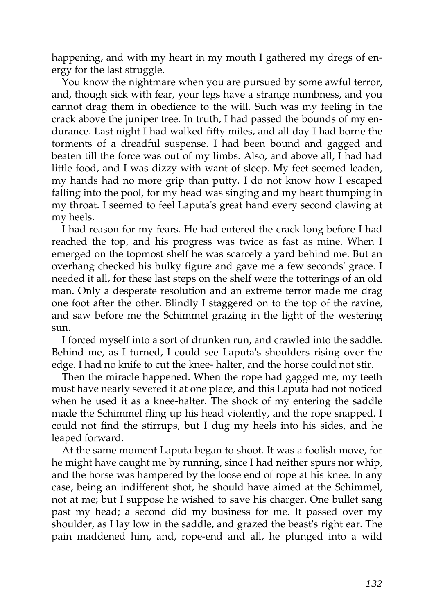happening, and with my heart in my mouth I gathered my dregs of energy for the last struggle.

You know the nightmare when you are pursued by some awful terror, and, though sick with fear, your legs have a strange numbness, and you cannot drag them in obedience to the will. Such was my feeling in the crack above the juniper tree. In truth, I had passed the bounds of my endurance. Last night I had walked fifty miles, and all day I had borne the torments of a dreadful suspense. I had been bound and gagged and beaten till the force was out of my limbs. Also, and above all, I had had little food, and I was dizzy with want of sleep. My feet seemed leaden, my hands had no more grip than putty. I do not know how I escaped falling into the pool, for my head was singing and my heart thumping in my throat. I seemed to feel Laputa's great hand every second clawing at my heels.

I had reason for my fears. He had entered the crack long before I had reached the top, and his progress was twice as fast as mine. When I emerged on the topmost shelf he was scarcely a yard behind me. But an overhang checked his bulky figure and gave me a few seconds' grace. I needed it all, for these last steps on the shelf were the totterings of an old man. Only a desperate resolution and an extreme terror made me drag one foot after the other. Blindly I staggered on to the top of the ravine, and saw before me the Schimmel grazing in the light of the westering sun.

I forced myself into a sort of drunken run, and crawled into the saddle. Behind me, as I turned, I could see Laputa's shoulders rising over the edge. I had no knife to cut the knee- halter, and the horse could not stir.

Then the miracle happened. When the rope had gagged me, my teeth must have nearly severed it at one place, and this Laputa had not noticed when he used it as a knee-halter. The shock of my entering the saddle made the Schimmel fling up his head violently, and the rope snapped. I could not find the stirrups, but I dug my heels into his sides, and he leaped forward.

At the same moment Laputa began to shoot. It was a foolish move, for he might have caught me by running, since I had neither spurs nor whip, and the horse was hampered by the loose end of rope at his knee. In any case, being an indifferent shot, he should have aimed at the Schimmel, not at me; but I suppose he wished to save his charger. One bullet sang past my head; a second did my business for me. It passed over my shoulder, as I lay low in the saddle, and grazed the beast's right ear. The pain maddened him, and, rope-end and all, he plunged into a wild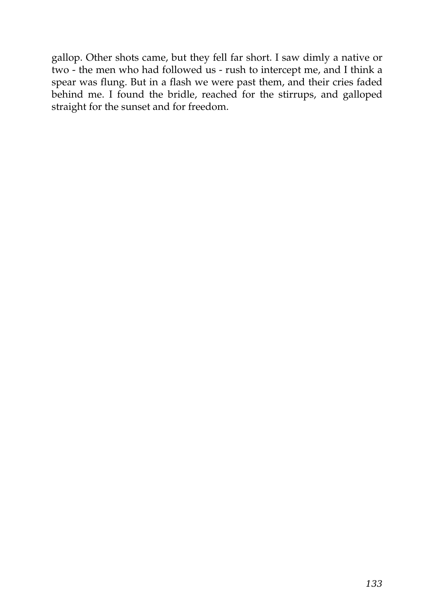gallop. Other shots came, but they fell far short. I saw dimly a native or two - the men who had followed us - rush to intercept me, and I think a spear was flung. But in a flash we were past them, and their cries faded behind me. I found the bridle, reached for the stirrups, and galloped straight for the sunset and for freedom.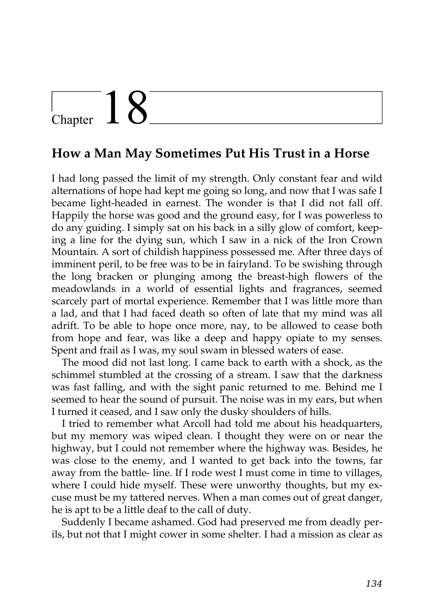## $\frac{1}{2}$  Chapter  $18$

#### **How a Man May Sometimes Put His Trust in a Horse**

I had long passed the limit of my strength. Only constant fear and wild alternations of hope had kept me going so long, and now that I was safe I became light-headed in earnest. The wonder is that I did not fall off. Happily the horse was good and the ground easy, for I was powerless to do any guiding. I simply sat on his back in a silly glow of comfort, keeping a line for the dying sun, which I saw in a nick of the Iron Crown Mountain. A sort of childish happiness possessed me. After three days of imminent peril, to be free was to be in fairyland. To be swishing through the long bracken or plunging among the breast-high flowers of the meadowlands in a world of essential lights and fragrances, seemed scarcely part of mortal experience. Remember that I was little more than a lad, and that I had faced death so often of late that my mind was all adrift. To be able to hope once more, nay, to be allowed to cease both from hope and fear, was like a deep and happy opiate to my senses. Spent and frail as I was, my soul swam in blessed waters of ease.

The mood did not last long. I came back to earth with a shock, as the schimmel stumbled at the crossing of a stream. I saw that the darkness was fast falling, and with the sight panic returned to me. Behind me I seemed to hear the sound of pursuit. The noise was in my ears, but when I turned it ceased, and I saw only the dusky shoulders of hills.

I tried to remember what Arcoll had told me about his headquarters, but my memory was wiped clean. I thought they were on or near the highway, but I could not remember where the highway was. Besides, he was close to the enemy, and I wanted to get back into the towns, far away from the battle- line. If I rode west I must come in time to villages, where I could hide myself. These were unworthy thoughts, but my excuse must be my tattered nerves. When a man comes out of great danger, he is apt to be a little deaf to the call of duty.

Suddenly I became ashamed. God had preserved me from deadly perils, but not that I might cower in some shelter. I had a mission as clear as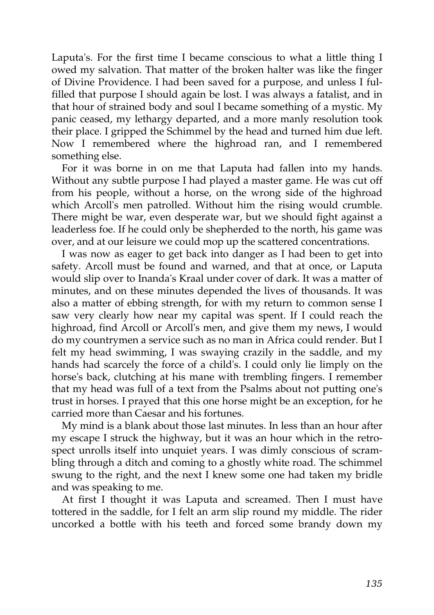Laputa's. For the first time I became conscious to what a little thing I owed my salvation. That matter of the broken halter was like the finger of Divine Providence. I had been saved for a purpose, and unless I fulfilled that purpose I should again be lost. I was always a fatalist, and in that hour of strained body and soul I became something of a mystic. My panic ceased, my lethargy departed, and a more manly resolution took their place. I gripped the Schimmel by the head and turned him due left. Now I remembered where the highroad ran, and I remembered something else.

For it was borne in on me that Laputa had fallen into my hands. Without any subtle purpose I had played a master game. He was cut off from his people, without a horse, on the wrong side of the highroad which Arcoll's men patrolled. Without him the rising would crumble. There might be war, even desperate war, but we should fight against a leaderless foe. If he could only be shepherded to the north, his game was over, and at our leisure we could mop up the scattered concentrations.

I was now as eager to get back into danger as I had been to get into safety. Arcoll must be found and warned, and that at once, or Laputa would slip over to Inanda's Kraal under cover of dark. It was a matter of minutes, and on these minutes depended the lives of thousands. It was also a matter of ebbing strength, for with my return to common sense I saw very clearly how near my capital was spent. If I could reach the highroad, find Arcoll or Arcoll's men, and give them my news, I would do my countrymen a service such as no man in Africa could render. But I felt my head swimming, I was swaying crazily in the saddle, and my hands had scarcely the force of a child's. I could only lie limply on the horse's back, clutching at his mane with trembling fingers. I remember that my head was full of a text from the Psalms about not putting one's trust in horses. I prayed that this one horse might be an exception, for he carried more than Caesar and his fortunes.

My mind is a blank about those last minutes. In less than an hour after my escape I struck the highway, but it was an hour which in the retrospect unrolls itself into unquiet years. I was dimly conscious of scrambling through a ditch and coming to a ghostly white road. The schimmel swung to the right, and the next I knew some one had taken my bridle and was speaking to me.

At first I thought it was Laputa and screamed. Then I must have tottered in the saddle, for I felt an arm slip round my middle. The rider uncorked a bottle with his teeth and forced some brandy down my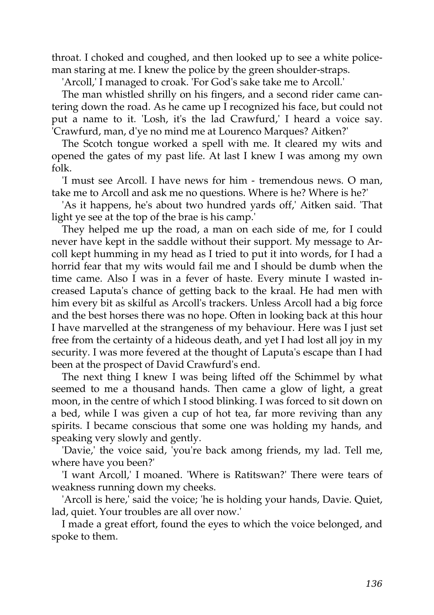throat. I choked and coughed, and then looked up to see a white policeman staring at me. I knew the police by the green shoulder-straps.

'Arcoll,' I managed to croak. 'For God's sake take me to Arcoll.'

The man whistled shrilly on his fingers, and a second rider came cantering down the road. As he came up I recognized his face, but could not put a name to it. 'Losh, it's the lad Crawfurd,' I heard a voice say. 'Crawfurd, man, d'ye no mind me at Lourenco Marques? Aitken?'

The Scotch tongue worked a spell with me. It cleared my wits and opened the gates of my past life. At last I knew I was among my own folk.

'I must see Arcoll. I have news for him - tremendous news. O man, take me to Arcoll and ask me no questions. Where is he? Where is he?'

'As it happens, he's about two hundred yards off,' Aitken said. 'That light ye see at the top of the brae is his camp.'

They helped me up the road, a man on each side of me, for I could never have kept in the saddle without their support. My message to Arcoll kept humming in my head as I tried to put it into words, for I had a horrid fear that my wits would fail me and I should be dumb when the time came. Also I was in a fever of haste. Every minute I wasted increased Laputa's chance of getting back to the kraal. He had men with him every bit as skilful as Arcoll's trackers. Unless Arcoll had a big force and the best horses there was no hope. Often in looking back at this hour I have marvelled at the strangeness of my behaviour. Here was I just set free from the certainty of a hideous death, and yet I had lost all joy in my security. I was more fevered at the thought of Laputa's escape than I had been at the prospect of David Crawfurd's end.

The next thing I knew I was being lifted off the Schimmel by what seemed to me a thousand hands. Then came a glow of light, a great moon, in the centre of which I stood blinking. I was forced to sit down on a bed, while I was given a cup of hot tea, far more reviving than any spirits. I became conscious that some one was holding my hands, and speaking very slowly and gently.

'Davie,' the voice said, 'you're back among friends, my lad. Tell me, where have you been?'

'I want Arcoll,' I moaned. 'Where is Ratitswan?' There were tears of weakness running down my cheeks.

'Arcoll is here,' said the voice; 'he is holding your hands, Davie. Quiet, lad, quiet. Your troubles are all over now.'

I made a great effort, found the eyes to which the voice belonged, and spoke to them.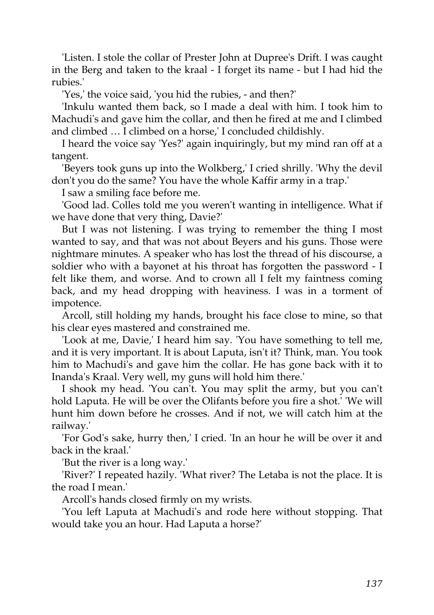'Listen. I stole the collar of Prester John at Dupree's Drift. I was caught in the Berg and taken to the kraal - I forget its name - but I had hid the rubies.'

'Yes,' the voice said, 'you hid the rubies, - and then?'

'Inkulu wanted them back, so I made a deal with him. I took him to Machudi's and gave him the collar, and then he fired at me and I climbed and climbed … I climbed on a horse,' I concluded childishly.

I heard the voice say 'Yes?' again inquiringly, but my mind ran off at a tangent.

'Beyers took guns up into the Wolkberg,' I cried shrilly. 'Why the devil don't you do the same? You have the whole Kaffir army in a trap.'

I saw a smiling face before me.

'Good lad. Colles told me you weren't wanting in intelligence. What if we have done that very thing, Davie?'

But I was not listening. I was trying to remember the thing I most wanted to say, and that was not about Beyers and his guns. Those were nightmare minutes. A speaker who has lost the thread of his discourse, a soldier who with a bayonet at his throat has forgotten the password - I felt like them, and worse. And to crown all I felt my faintness coming back, and my head dropping with heaviness. I was in a torment of impotence.

Arcoll, still holding my hands, brought his face close to mine, so that his clear eyes mastered and constrained me.

'Look at me, Davie,' I heard him say. 'You have something to tell me, and it is very important. It is about Laputa, isn't it? Think, man. You took him to Machudi's and gave him the collar. He has gone back with it to Inanda's Kraal. Very well, my guns will hold him there.'

I shook my head. 'You can't. You may split the army, but you can't hold Laputa. He will be over the Olifants before you fire a shot.' 'We will hunt him down before he crosses. And if not, we will catch him at the railway.'

'For God's sake, hurry then,' I cried. 'In an hour he will be over it and back in the kraal.'

'But the river is a long way.'

'River?' I repeated hazily. 'What river? The Letaba is not the place. It is the road I mean.'

Arcoll's hands closed firmly on my wrists.

'You left Laputa at Machudi's and rode here without stopping. That would take you an hour. Had Laputa a horse?'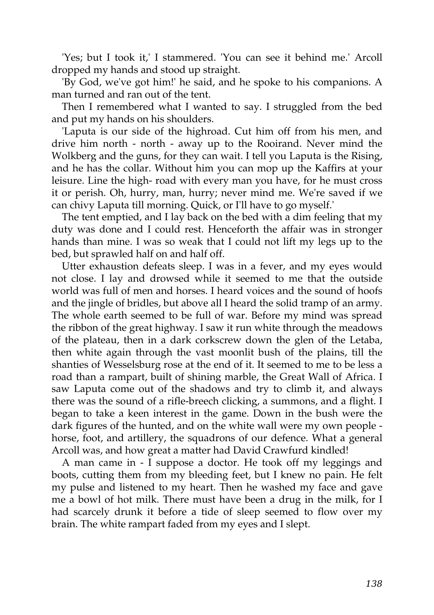'Yes; but I took it,' I stammered. 'You can see it behind me.' Arcoll dropped my hands and stood up straight.

'By God, we've got him!' he said, and he spoke to his companions. A man turned and ran out of the tent.

Then I remembered what I wanted to say. I struggled from the bed and put my hands on his shoulders.

'Laputa is our side of the highroad. Cut him off from his men, and drive him north - north - away up to the Rooirand. Never mind the Wolkberg and the guns, for they can wait. I tell you Laputa is the Rising, and he has the collar. Without him you can mop up the Kaffirs at your leisure. Line the high- road with every man you have, for he must cross it or perish. Oh, hurry, man, hurry; never mind me. We're saved if we can chivy Laputa till morning. Quick, or I'll have to go myself.'

The tent emptied, and I lay back on the bed with a dim feeling that my duty was done and I could rest. Henceforth the affair was in stronger hands than mine. I was so weak that I could not lift my legs up to the bed, but sprawled half on and half off.

Utter exhaustion defeats sleep. I was in a fever, and my eyes would not close. I lay and drowsed while it seemed to me that the outside world was full of men and horses. I heard voices and the sound of hoofs and the jingle of bridles, but above all I heard the solid tramp of an army. The whole earth seemed to be full of war. Before my mind was spread the ribbon of the great highway. I saw it run white through the meadows of the plateau, then in a dark corkscrew down the glen of the Letaba, then white again through the vast moonlit bush of the plains, till the shanties of Wesselsburg rose at the end of it. It seemed to me to be less a road than a rampart, built of shining marble, the Great Wall of Africa. I saw Laputa come out of the shadows and try to climb it, and always there was the sound of a rifle-breech clicking, a summons, and a flight. I began to take a keen interest in the game. Down in the bush were the dark figures of the hunted, and on the white wall were my own people horse, foot, and artillery, the squadrons of our defence. What a general Arcoll was, and how great a matter had David Crawfurd kindled!

A man came in - I suppose a doctor. He took off my leggings and boots, cutting them from my bleeding feet, but I knew no pain. He felt my pulse and listened to my heart. Then he washed my face and gave me a bowl of hot milk. There must have been a drug in the milk, for I had scarcely drunk it before a tide of sleep seemed to flow over my brain. The white rampart faded from my eyes and I slept.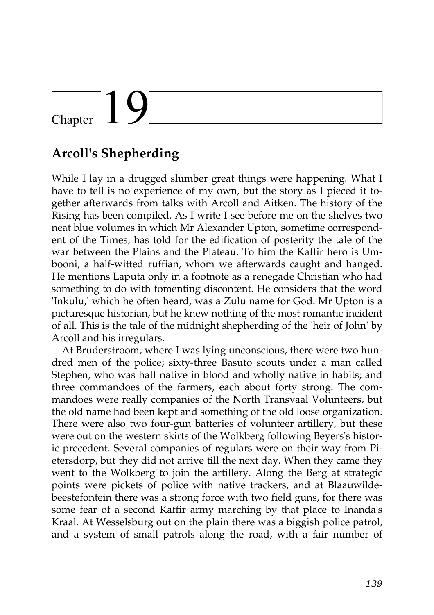## $\begin{matrix} \end{matrix}$  Chapter  $\begin{matrix} 1 \end{matrix}$

### **Arcoll's Shepherding**

While I lay in a drugged slumber great things were happening. What I have to tell is no experience of my own, but the story as I pieced it together afterwards from talks with Arcoll and Aitken. The history of the Rising has been compiled. As I write I see before me on the shelves two neat blue volumes in which Mr Alexander Upton, sometime correspondent of the Times, has told for the edification of posterity the tale of the war between the Plains and the Plateau. To him the Kaffir hero is Umbooni, a half-witted ruffian, whom we afterwards caught and hanged. He mentions Laputa only in a footnote as a renegade Christian who had something to do with fomenting discontent. He considers that the word 'Inkulu,' which he often heard, was a Zulu name for God. Mr Upton is a picturesque historian, but he knew nothing of the most romantic incident of all. This is the tale of the midnight shepherding of the 'heir of John' by Arcoll and his irregulars.

At Bruderstroom, where I was lying unconscious, there were two hundred men of the police; sixty-three Basuto scouts under a man called Stephen, who was half native in blood and wholly native in habits; and three commandoes of the farmers, each about forty strong. The commandoes were really companies of the North Transvaal Volunteers, but the old name had been kept and something of the old loose organization. There were also two four-gun batteries of volunteer artillery, but these were out on the western skirts of the Wolkberg following Beyers's historic precedent. Several companies of regulars were on their way from Pietersdorp, but they did not arrive till the next day. When they came they went to the Wolkberg to join the artillery. Along the Berg at strategic points were pickets of police with native trackers, and at Blaauwildebeestefontein there was a strong force with two field guns, for there was some fear of a second Kaffir army marching by that place to Inanda's Kraal. At Wesselsburg out on the plain there was a biggish police patrol, and a system of small patrols along the road, with a fair number of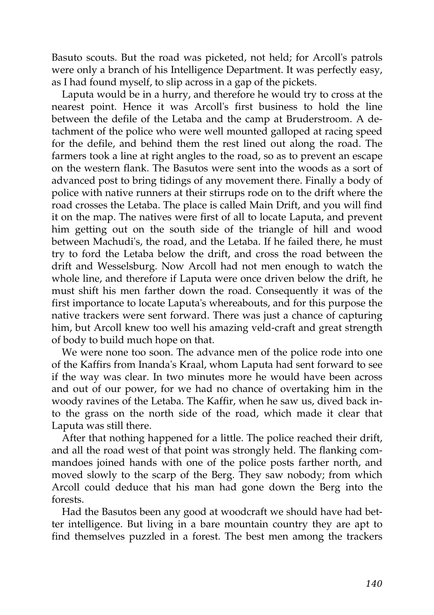Basuto scouts. But the road was picketed, not held; for Arcoll's patrols were only a branch of his Intelligence Department. It was perfectly easy, as I had found myself, to slip across in a gap of the pickets.

Laputa would be in a hurry, and therefore he would try to cross at the nearest point. Hence it was Arcoll's first business to hold the line between the defile of the Letaba and the camp at Bruderstroom. A detachment of the police who were well mounted galloped at racing speed for the defile, and behind them the rest lined out along the road. The farmers took a line at right angles to the road, so as to prevent an escape on the western flank. The Basutos were sent into the woods as a sort of advanced post to bring tidings of any movement there. Finally a body of police with native runners at their stirrups rode on to the drift where the road crosses the Letaba. The place is called Main Drift, and you will find it on the map. The natives were first of all to locate Laputa, and prevent him getting out on the south side of the triangle of hill and wood between Machudi's, the road, and the Letaba. If he failed there, he must try to ford the Letaba below the drift, and cross the road between the drift and Wesselsburg. Now Arcoll had not men enough to watch the whole line, and therefore if Laputa were once driven below the drift, he must shift his men farther down the road. Consequently it was of the first importance to locate Laputa's whereabouts, and for this purpose the native trackers were sent forward. There was just a chance of capturing him, but Arcoll knew too well his amazing veld-craft and great strength of body to build much hope on that.

We were none too soon. The advance men of the police rode into one of the Kaffirs from Inanda's Kraal, whom Laputa had sent forward to see if the way was clear. In two minutes more he would have been across and out of our power, for we had no chance of overtaking him in the woody ravines of the Letaba. The Kaffir, when he saw us, dived back into the grass on the north side of the road, which made it clear that Laputa was still there.

After that nothing happened for a little. The police reached their drift, and all the road west of that point was strongly held. The flanking commandoes joined hands with one of the police posts farther north, and moved slowly to the scarp of the Berg. They saw nobody; from which Arcoll could deduce that his man had gone down the Berg into the forests.

Had the Basutos been any good at woodcraft we should have had better intelligence. But living in a bare mountain country they are apt to find themselves puzzled in a forest. The best men among the trackers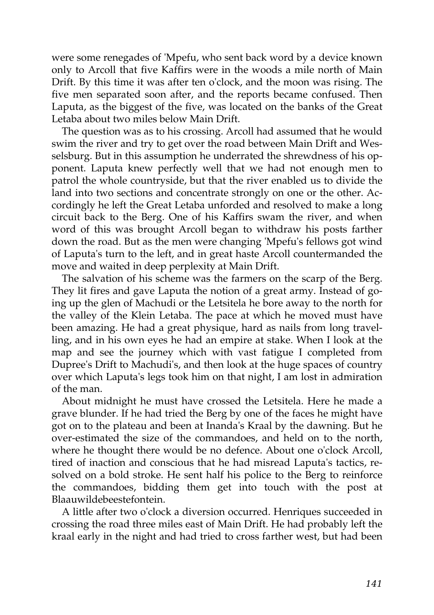were some renegades of 'Mpefu, who sent back word by a device known only to Arcoll that five Kaffirs were in the woods a mile north of Main Drift. By this time it was after ten o'clock, and the moon was rising. The five men separated soon after, and the reports became confused. Then Laputa, as the biggest of the five, was located on the banks of the Great Letaba about two miles below Main Drift.

The question was as to his crossing. Arcoll had assumed that he would swim the river and try to get over the road between Main Drift and Wesselsburg. But in this assumption he underrated the shrewdness of his opponent. Laputa knew perfectly well that we had not enough men to patrol the whole countryside, but that the river enabled us to divide the land into two sections and concentrate strongly on one or the other. Accordingly he left the Great Letaba unforded and resolved to make a long circuit back to the Berg. One of his Kaffirs swam the river, and when word of this was brought Arcoll began to withdraw his posts farther down the road. But as the men were changing 'Mpefu's fellows got wind of Laputa's turn to the left, and in great haste Arcoll countermanded the move and waited in deep perplexity at Main Drift.

The salvation of his scheme was the farmers on the scarp of the Berg. They lit fires and gave Laputa the notion of a great army. Instead of going up the glen of Machudi or the Letsitela he bore away to the north for the valley of the Klein Letaba. The pace at which he moved must have been amazing. He had a great physique, hard as nails from long travelling, and in his own eyes he had an empire at stake. When I look at the map and see the journey which with vast fatigue I completed from Dupree's Drift to Machudi's, and then look at the huge spaces of country over which Laputa's legs took him on that night, I am lost in admiration of the man.

About midnight he must have crossed the Letsitela. Here he made a grave blunder. If he had tried the Berg by one of the faces he might have got on to the plateau and been at Inanda's Kraal by the dawning. But he over-estimated the size of the commandoes, and held on to the north, where he thought there would be no defence. About one o'clock Arcoll, tired of inaction and conscious that he had misread Laputa's tactics, resolved on a bold stroke. He sent half his police to the Berg to reinforce the commandoes, bidding them get into touch with the post at Blaauwildebeestefontein.

A little after two o'clock a diversion occurred. Henriques succeeded in crossing the road three miles east of Main Drift. He had probably left the kraal early in the night and had tried to cross farther west, but had been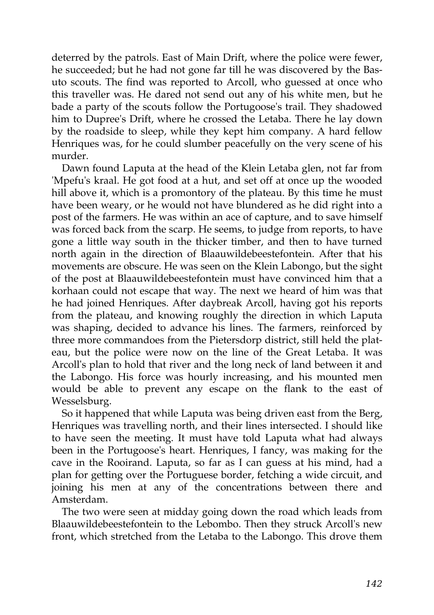deterred by the patrols. East of Main Drift, where the police were fewer, he succeeded; but he had not gone far till he was discovered by the Basuto scouts. The find was reported to Arcoll, who guessed at once who this traveller was. He dared not send out any of his white men, but he bade a party of the scouts follow the Portugoose's trail. They shadowed him to Dupree's Drift, where he crossed the Letaba. There he lay down by the roadside to sleep, while they kept him company. A hard fellow Henriques was, for he could slumber peacefully on the very scene of his murder.

Dawn found Laputa at the head of the Klein Letaba glen, not far from 'Mpefu's kraal. He got food at a hut, and set off at once up the wooded hill above it, which is a promontory of the plateau. By this time he must have been weary, or he would not have blundered as he did right into a post of the farmers. He was within an ace of capture, and to save himself was forced back from the scarp. He seems, to judge from reports, to have gone a little way south in the thicker timber, and then to have turned north again in the direction of Blaauwildebeestefontein. After that his movements are obscure. He was seen on the Klein Labongo, but the sight of the post at Blaauwildebeestefontein must have convinced him that a korhaan could not escape that way. The next we heard of him was that he had joined Henriques. After daybreak Arcoll, having got his reports from the plateau, and knowing roughly the direction in which Laputa was shaping, decided to advance his lines. The farmers, reinforced by three more commandoes from the Pietersdorp district, still held the plateau, but the police were now on the line of the Great Letaba. It was Arcoll's plan to hold that river and the long neck of land between it and the Labongo. His force was hourly increasing, and his mounted men would be able to prevent any escape on the flank to the east of Wesselsburg.

So it happened that while Laputa was being driven east from the Berg, Henriques was travelling north, and their lines intersected. I should like to have seen the meeting. It must have told Laputa what had always been in the Portugoose's heart. Henriques, I fancy, was making for the cave in the Rooirand. Laputa, so far as I can guess at his mind, had a plan for getting over the Portuguese border, fetching a wide circuit, and joining his men at any of the concentrations between there and Amsterdam.

The two were seen at midday going down the road which leads from Blaauwildebeestefontein to the Lebombo. Then they struck Arcoll's new front, which stretched from the Letaba to the Labongo. This drove them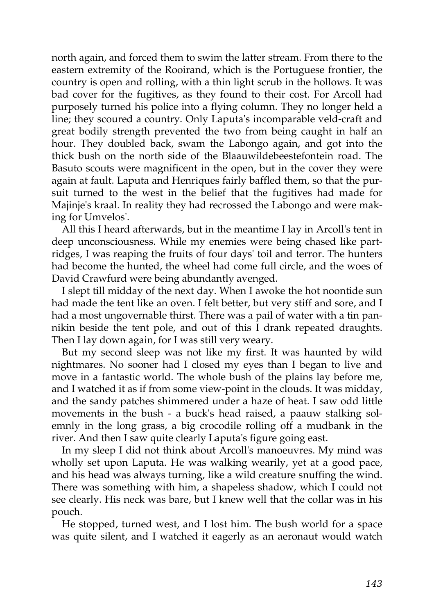north again, and forced them to swim the latter stream. From there to the eastern extremity of the Rooirand, which is the Portuguese frontier, the country is open and rolling, with a thin light scrub in the hollows. It was bad cover for the fugitives, as they found to their cost. For Arcoll had purposely turned his police into a flying column. They no longer held a line; they scoured a country. Only Laputa's incomparable veld-craft and great bodily strength prevented the two from being caught in half an hour. They doubled back, swam the Labongo again, and got into the thick bush on the north side of the Blaauwildebeestefontein road. The Basuto scouts were magnificent in the open, but in the cover they were again at fault. Laputa and Henriques fairly baffled them, so that the pursuit turned to the west in the belief that the fugitives had made for Majinje's kraal. In reality they had recrossed the Labongo and were making for Umvelos'.

All this I heard afterwards, but in the meantime I lay in Arcoll's tent in deep unconsciousness. While my enemies were being chased like partridges, I was reaping the fruits of four days' toil and terror. The hunters had become the hunted, the wheel had come full circle, and the woes of David Crawfurd were being abundantly avenged.

I slept till midday of the next day. When I awoke the hot noontide sun had made the tent like an oven. I felt better, but very stiff and sore, and I had a most ungovernable thirst. There was a pail of water with a tin pannikin beside the tent pole, and out of this I drank repeated draughts. Then I lay down again, for I was still very weary.

But my second sleep was not like my first. It was haunted by wild nightmares. No sooner had I closed my eyes than I began to live and move in a fantastic world. The whole bush of the plains lay before me, and I watched it as if from some view-point in the clouds. It was midday, and the sandy patches shimmered under a haze of heat. I saw odd little movements in the bush - a buck's head raised, a paauw stalking solemnly in the long grass, a big crocodile rolling off a mudbank in the river. And then I saw quite clearly Laputa's figure going east.

In my sleep I did not think about Arcoll's manoeuvres. My mind was wholly set upon Laputa. He was walking wearily, yet at a good pace, and his head was always turning, like a wild creature snuffing the wind. There was something with him, a shapeless shadow, which I could not see clearly. His neck was bare, but I knew well that the collar was in his pouch.

He stopped, turned west, and I lost him. The bush world for a space was quite silent, and I watched it eagerly as an aeronaut would watch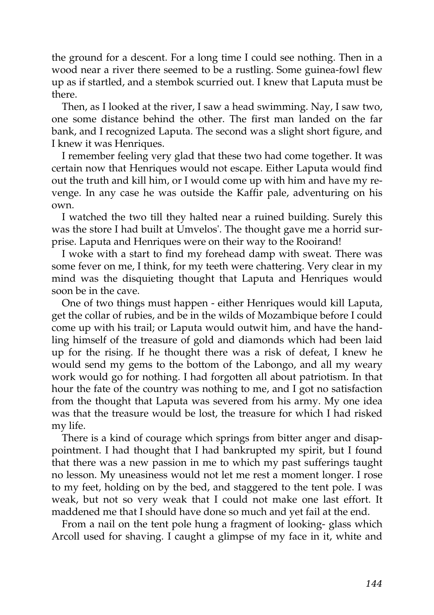the ground for a descent. For a long time I could see nothing. Then in a wood near a river there seemed to be a rustling. Some guinea-fowl flew up as if startled, and a stembok scurried out. I knew that Laputa must be there.

Then, as I looked at the river, I saw a head swimming. Nay, I saw two, one some distance behind the other. The first man landed on the far bank, and I recognized Laputa. The second was a slight short figure, and I knew it was Henriques.

I remember feeling very glad that these two had come together. It was certain now that Henriques would not escape. Either Laputa would find out the truth and kill him, or I would come up with him and have my revenge. In any case he was outside the Kaffir pale, adventuring on his own.

I watched the two till they halted near a ruined building. Surely this was the store I had built at Umvelos'. The thought gave me a horrid surprise. Laputa and Henriques were on their way to the Rooirand!

I woke with a start to find my forehead damp with sweat. There was some fever on me, I think, for my teeth were chattering. Very clear in my mind was the disquieting thought that Laputa and Henriques would soon be in the cave.

One of two things must happen - either Henriques would kill Laputa, get the collar of rubies, and be in the wilds of Mozambique before I could come up with his trail; or Laputa would outwit him, and have the handling himself of the treasure of gold and diamonds which had been laid up for the rising. If he thought there was a risk of defeat, I knew he would send my gems to the bottom of the Labongo, and all my weary work would go for nothing. I had forgotten all about patriotism. In that hour the fate of the country was nothing to me, and I got no satisfaction from the thought that Laputa was severed from his army. My one idea was that the treasure would be lost, the treasure for which I had risked my life.

There is a kind of courage which springs from bitter anger and disappointment. I had thought that I had bankrupted my spirit, but I found that there was a new passion in me to which my past sufferings taught no lesson. My uneasiness would not let me rest a moment longer. I rose to my feet, holding on by the bed, and staggered to the tent pole. I was weak, but not so very weak that I could not make one last effort. It maddened me that I should have done so much and yet fail at the end.

From a nail on the tent pole hung a fragment of looking- glass which Arcoll used for shaving. I caught a glimpse of my face in it, white and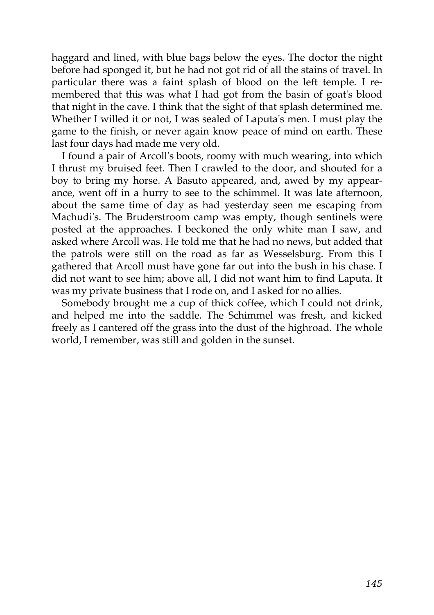haggard and lined, with blue bags below the eyes. The doctor the night before had sponged it, but he had not got rid of all the stains of travel. In particular there was a faint splash of blood on the left temple. I remembered that this was what I had got from the basin of goat's blood that night in the cave. I think that the sight of that splash determined me. Whether I willed it or not, I was sealed of Laputa's men. I must play the game to the finish, or never again know peace of mind on earth. These last four days had made me very old.

I found a pair of Arcoll's boots, roomy with much wearing, into which I thrust my bruised feet. Then I crawled to the door, and shouted for a boy to bring my horse. A Basuto appeared, and, awed by my appearance, went off in a hurry to see to the schimmel. It was late afternoon, about the same time of day as had yesterday seen me escaping from Machudi's. The Bruderstroom camp was empty, though sentinels were posted at the approaches. I beckoned the only white man I saw, and asked where Arcoll was. He told me that he had no news, but added that the patrols were still on the road as far as Wesselsburg. From this I gathered that Arcoll must have gone far out into the bush in his chase. I did not want to see him; above all, I did not want him to find Laputa. It was my private business that I rode on, and I asked for no allies.

Somebody brought me a cup of thick coffee, which I could not drink, and helped me into the saddle. The Schimmel was fresh, and kicked freely as I cantered off the grass into the dust of the highroad. The whole world, I remember, was still and golden in the sunset.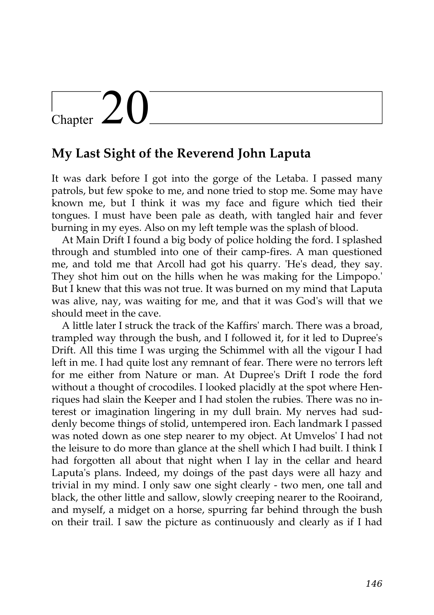# Chapter  $20$

### **My Last Sight of the Reverend John Laputa**

It was dark before I got into the gorge of the Letaba. I passed many patrols, but few spoke to me, and none tried to stop me. Some may have known me, but I think it was my face and figure which tied their tongues. I must have been pale as death, with tangled hair and fever burning in my eyes. Also on my left temple was the splash of blood.

At Main Drift I found a big body of police holding the ford. I splashed through and stumbled into one of their camp-fires. A man questioned me, and told me that Arcoll had got his quarry. 'He's dead, they say. They shot him out on the hills when he was making for the Limpopo.' But I knew that this was not true. It was burned on my mind that Laputa was alive, nay, was waiting for me, and that it was God's will that we should meet in the cave.

A little later I struck the track of the Kaffirs' march. There was a broad, trampled way through the bush, and I followed it, for it led to Dupree's Drift. All this time I was urging the Schimmel with all the vigour I had left in me. I had quite lost any remnant of fear. There were no terrors left for me either from Nature or man. At Dupree's Drift I rode the ford without a thought of crocodiles. I looked placidly at the spot where Henriques had slain the Keeper and I had stolen the rubies. There was no interest or imagination lingering in my dull brain. My nerves had suddenly become things of stolid, untempered iron. Each landmark I passed was noted down as one step nearer to my object. At Umvelos' I had not the leisure to do more than glance at the shell which I had built. I think I had forgotten all about that night when I lay in the cellar and heard Laputa's plans. Indeed, my doings of the past days were all hazy and trivial in my mind. I only saw one sight clearly - two men, one tall and black, the other little and sallow, slowly creeping nearer to the Rooirand, and myself, a midget on a horse, spurring far behind through the bush on their trail. I saw the picture as continuously and clearly as if I had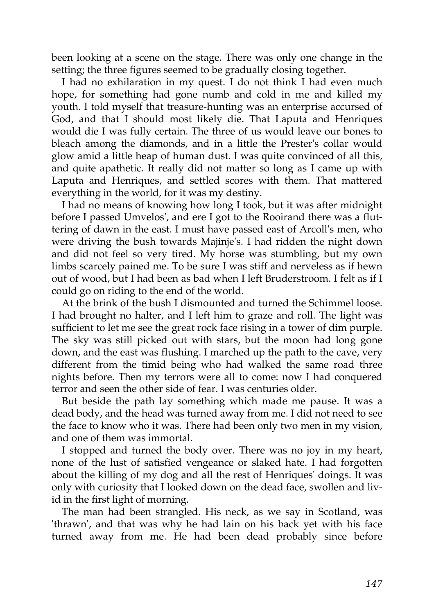been looking at a scene on the stage. There was only one change in the setting; the three figures seemed to be gradually closing together.

I had no exhilaration in my quest. I do not think I had even much hope, for something had gone numb and cold in me and killed my youth. I told myself that treasure-hunting was an enterprise accursed of God, and that I should most likely die. That Laputa and Henriques would die I was fully certain. The three of us would leave our bones to bleach among the diamonds, and in a little the Prester's collar would glow amid a little heap of human dust. I was quite convinced of all this, and quite apathetic. It really did not matter so long as I came up with Laputa and Henriques, and settled scores with them. That mattered everything in the world, for it was my destiny.

I had no means of knowing how long I took, but it was after midnight before I passed Umvelos', and ere I got to the Rooirand there was a fluttering of dawn in the east. I must have passed east of Arcoll's men, who were driving the bush towards Majinje's. I had ridden the night down and did not feel so very tired. My horse was stumbling, but my own limbs scarcely pained me. To be sure I was stiff and nerveless as if hewn out of wood, but I had been as bad when I left Bruderstroom. I felt as if I could go on riding to the end of the world.

At the brink of the bush I dismounted and turned the Schimmel loose. I had brought no halter, and I left him to graze and roll. The light was sufficient to let me see the great rock face rising in a tower of dim purple. The sky was still picked out with stars, but the moon had long gone down, and the east was flushing. I marched up the path to the cave, very different from the timid being who had walked the same road three nights before. Then my terrors were all to come: now I had conquered terror and seen the other side of fear. I was centuries older.

But beside the path lay something which made me pause. It was a dead body, and the head was turned away from me. I did not need to see the face to know who it was. There had been only two men in my vision, and one of them was immortal.

I stopped and turned the body over. There was no joy in my heart, none of the lust of satisfied vengeance or slaked hate. I had forgotten about the killing of my dog and all the rest of Henriques' doings. It was only with curiosity that I looked down on the dead face, swollen and livid in the first light of morning.

The man had been strangled. His neck, as we say in Scotland, was 'thrawn', and that was why he had lain on his back yet with his face turned away from me. He had been dead probably since before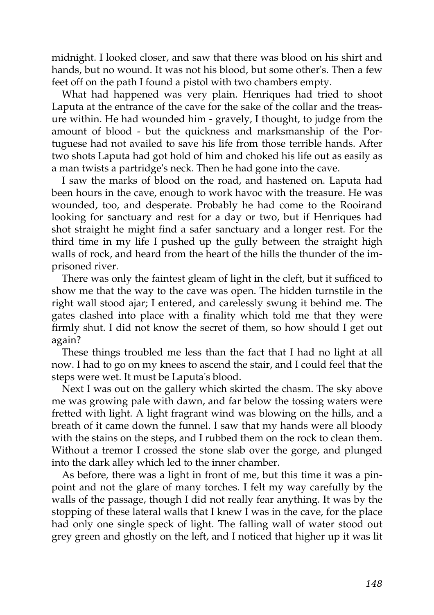midnight. I looked closer, and saw that there was blood on his shirt and hands, but no wound. It was not his blood, but some other's. Then a few feet off on the path I found a pistol with two chambers empty.

What had happened was very plain. Henriques had tried to shoot Laputa at the entrance of the cave for the sake of the collar and the treasure within. He had wounded him - gravely, I thought, to judge from the amount of blood - but the quickness and marksmanship of the Portuguese had not availed to save his life from those terrible hands. After two shots Laputa had got hold of him and choked his life out as easily as a man twists a partridge's neck. Then he had gone into the cave.

I saw the marks of blood on the road, and hastened on. Laputa had been hours in the cave, enough to work havoc with the treasure. He was wounded, too, and desperate. Probably he had come to the Rooirand looking for sanctuary and rest for a day or two, but if Henriques had shot straight he might find a safer sanctuary and a longer rest. For the third time in my life I pushed up the gully between the straight high walls of rock, and heard from the heart of the hills the thunder of the imprisoned river.

There was only the faintest gleam of light in the cleft, but it sufficed to show me that the way to the cave was open. The hidden turnstile in the right wall stood ajar; I entered, and carelessly swung it behind me. The gates clashed into place with a finality which told me that they were firmly shut. I did not know the secret of them, so how should I get out again?

These things troubled me less than the fact that I had no light at all now. I had to go on my knees to ascend the stair, and I could feel that the steps were wet. It must be Laputa's blood.

Next I was out on the gallery which skirted the chasm. The sky above me was growing pale with dawn, and far below the tossing waters were fretted with light. A light fragrant wind was blowing on the hills, and a breath of it came down the funnel. I saw that my hands were all bloody with the stains on the steps, and I rubbed them on the rock to clean them. Without a tremor I crossed the stone slab over the gorge, and plunged into the dark alley which led to the inner chamber.

As before, there was a light in front of me, but this time it was a pinpoint and not the glare of many torches. I felt my way carefully by the walls of the passage, though I did not really fear anything. It was by the stopping of these lateral walls that I knew I was in the cave, for the place had only one single speck of light. The falling wall of water stood out grey green and ghostly on the left, and I noticed that higher up it was lit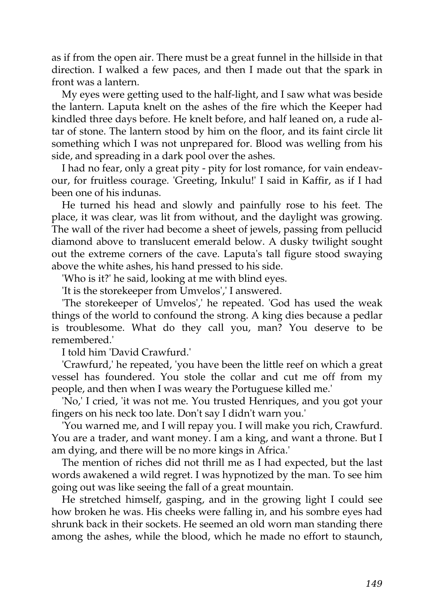as if from the open air. There must be a great funnel in the hillside in that direction. I walked a few paces, and then I made out that the spark in front was a lantern.

My eyes were getting used to the half-light, and I saw what was beside the lantern. Laputa knelt on the ashes of the fire which the Keeper had kindled three days before. He knelt before, and half leaned on, a rude altar of stone. The lantern stood by him on the floor, and its faint circle lit something which I was not unprepared for. Blood was welling from his side, and spreading in a dark pool over the ashes.

I had no fear, only a great pity - pity for lost romance, for vain endeavour, for fruitless courage. 'Greeting, Inkulu!' I said in Kaffir, as if I had been one of his indunas.

He turned his head and slowly and painfully rose to his feet. The place, it was clear, was lit from without, and the daylight was growing. The wall of the river had become a sheet of jewels, passing from pellucid diamond above to translucent emerald below. A dusky twilight sought out the extreme corners of the cave. Laputa's tall figure stood swaying above the white ashes, his hand pressed to his side.

'Who is it?' he said, looking at me with blind eyes.

'It is the storekeeper from Umvelos',' I answered.

'The storekeeper of Umvelos',' he repeated. 'God has used the weak things of the world to confound the strong. A king dies because a pedlar is troublesome. What do they call you, man? You deserve to be remembered.'

I told him 'David Crawfurd.'

'Crawfurd,' he repeated, 'you have been the little reef on which a great vessel has foundered. You stole the collar and cut me off from my people, and then when I was weary the Portuguese killed me.'

'No,' I cried, 'it was not me. You trusted Henriques, and you got your fingers on his neck too late. Don't say I didn't warn you.'

'You warned me, and I will repay you. I will make you rich, Crawfurd. You are a trader, and want money. I am a king, and want a throne. But I am dying, and there will be no more kings in Africa.'

The mention of riches did not thrill me as I had expected, but the last words awakened a wild regret. I was hypnotized by the man. To see him going out was like seeing the fall of a great mountain.

He stretched himself, gasping, and in the growing light I could see how broken he was. His cheeks were falling in, and his sombre eyes had shrunk back in their sockets. He seemed an old worn man standing there among the ashes, while the blood, which he made no effort to staunch,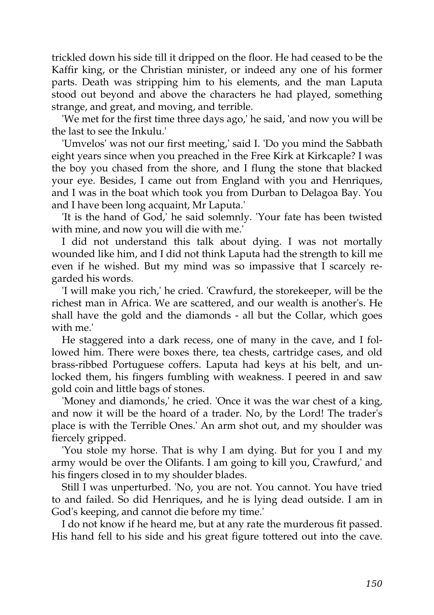trickled down his side till it dripped on the floor. He had ceased to be the Kaffir king, or the Christian minister, or indeed any one of his former parts. Death was stripping him to his elements, and the man Laputa stood out beyond and above the characters he had played, something strange, and great, and moving, and terrible.

'We met for the first time three days ago,' he said, 'and now you will be the last to see the Inkulu.'

'Umvelos' was not our first meeting,' said I. 'Do you mind the Sabbath eight years since when you preached in the Free Kirk at Kirkcaple? I was the boy you chased from the shore, and I flung the stone that blacked your eye. Besides, I came out from England with you and Henriques, and I was in the boat which took you from Durban to Delagoa Bay. You and I have been long acquaint, Mr Laputa.'

'It is the hand of God,' he said solemnly. 'Your fate has been twisted with mine, and now you will die with me.'

I did not understand this talk about dying. I was not mortally wounded like him, and I did not think Laputa had the strength to kill me even if he wished. But my mind was so impassive that I scarcely regarded his words.

'I will make you rich,' he cried. 'Crawfurd, the storekeeper, will be the richest man in Africa. We are scattered, and our wealth is another's. He shall have the gold and the diamonds - all but the Collar, which goes with me.'

He staggered into a dark recess, one of many in the cave, and I followed him. There were boxes there, tea chests, cartridge cases, and old brass-ribbed Portuguese coffers. Laputa had keys at his belt, and unlocked them, his fingers fumbling with weakness. I peered in and saw gold coin and little bags of stones.

'Money and diamonds,' he cried. 'Once it was the war chest of a king, and now it will be the hoard of a trader. No, by the Lord! The trader's place is with the Terrible Ones.' An arm shot out, and my shoulder was fiercely gripped.

'You stole my horse. That is why I am dying. But for you I and my army would be over the Olifants. I am going to kill you, Crawfurd,' and his fingers closed in to my shoulder blades.

Still I was unperturbed. 'No, you are not. You cannot. You have tried to and failed. So did Henriques, and he is lying dead outside. I am in God's keeping, and cannot die before my time.'

I do not know if he heard me, but at any rate the murderous fit passed. His hand fell to his side and his great figure tottered out into the cave.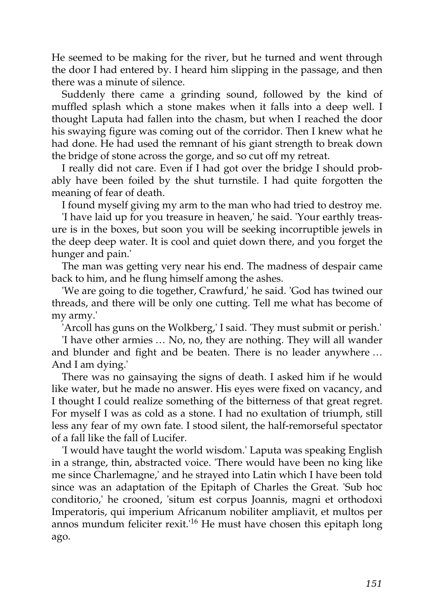He seemed to be making for the river, but he turned and went through the door I had entered by. I heard him slipping in the passage, and then there was a minute of silence.

Suddenly there came a grinding sound, followed by the kind of muffled splash which a stone makes when it falls into a deep well. I thought Laputa had fallen into the chasm, but when I reached the door his swaying figure was coming out of the corridor. Then I knew what he had done. He had used the remnant of his giant strength to break down the bridge of stone across the gorge, and so cut off my retreat.

I really did not care. Even if I had got over the bridge I should probably have been foiled by the shut turnstile. I had quite forgotten the meaning of fear of death.

I found myself giving my arm to the man who had tried to destroy me.

'I have laid up for you treasure in heaven,' he said. 'Your earthly treasure is in the boxes, but soon you will be seeking incorruptible jewels in the deep deep water. It is cool and quiet down there, and you forget the hunger and pain.'

The man was getting very near his end. The madness of despair came back to him, and he flung himself among the ashes.

'We are going to die together, Crawfurd,' he said. 'God has twined our threads, and there will be only one cutting. Tell me what has become of my army.'

'Arcoll has guns on the Wolkberg,' I said. 'They must submit or perish.'

'I have other armies … No, no, they are nothing. They will all wander and blunder and fight and be beaten. There is no leader anywhere … And I am dying.'

There was no gainsaying the signs of death. I asked him if he would like water, but he made no answer. His eyes were fixed on vacancy, and I thought I could realize something of the bitterness of that great regret. For myself I was as cold as a stone. I had no exultation of triumph, still less any fear of my own fate. I stood silent, the half-remorseful spectator of a fall like the fall of Lucifer.

'I would have taught the world wisdom.' Laputa was speaking English in a strange, thin, abstracted voice. 'There would have been no king like me since Charlemagne,' and he strayed into Latin which I have been told since was an adaptation of the Epitaph of Charles the Great. 'Sub hoc conditorio,' he crooned, 'situm est corpus Joannis, magni et orthodoxi Imperatoris, qui imperium Africanum nobiliter ampliavit, et multos per annos mundum feliciter rexit.'<sup>16</sup> He must have chosen this epitaph long ago.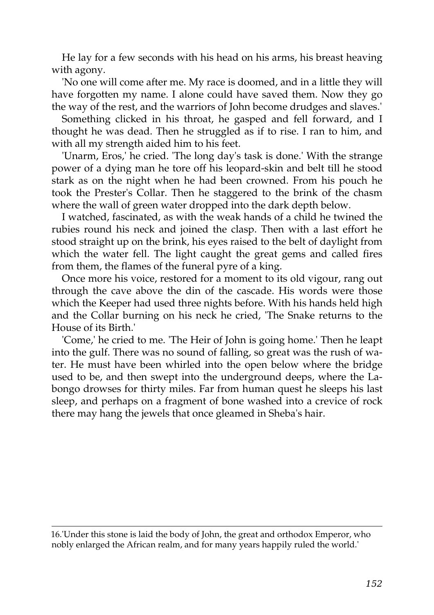He lay for a few seconds with his head on his arms, his breast heaving with agony.

'No one will come after me. My race is doomed, and in a little they will have forgotten my name. I alone could have saved them. Now they go the way of the rest, and the warriors of John become drudges and slaves.'

Something clicked in his throat, he gasped and fell forward, and I thought he was dead. Then he struggled as if to rise. I ran to him, and with all my strength aided him to his feet.

'Unarm, Eros,' he cried. 'The long day's task is done.' With the strange power of a dying man he tore off his leopard-skin and belt till he stood stark as on the night when he had been crowned. From his pouch he took the Prester's Collar. Then he staggered to the brink of the chasm where the wall of green water dropped into the dark depth below.

I watched, fascinated, as with the weak hands of a child he twined the rubies round his neck and joined the clasp. Then with a last effort he stood straight up on the brink, his eyes raised to the belt of daylight from which the water fell. The light caught the great gems and called fires from them, the flames of the funeral pyre of a king.

Once more his voice, restored for a moment to its old vigour, rang out through the cave above the din of the cascade. His words were those which the Keeper had used three nights before. With his hands held high and the Collar burning on his neck he cried, 'The Snake returns to the House of its Birth.'

'Come,' he cried to me. 'The Heir of John is going home.' Then he leapt into the gulf. There was no sound of falling, so great was the rush of water. He must have been whirled into the open below where the bridge used to be, and then swept into the underground deeps, where the Labongo drowses for thirty miles. Far from human quest he sleeps his last sleep, and perhaps on a fragment of bone washed into a crevice of rock there may hang the jewels that once gleamed in Sheba's hair.

<sup>16.&#</sup>x27;Under this stone is laid the body of John, the great and orthodox Emperor, who nobly enlarged the African realm, and for many years happily ruled the world.'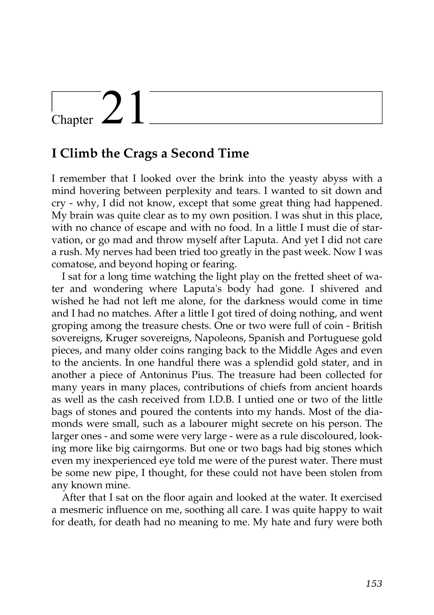## $\sum$

### **I Climb the Crags a Second Time**

I remember that I looked over the brink into the yeasty abyss with a mind hovering between perplexity and tears. I wanted to sit down and cry - why, I did not know, except that some great thing had happened. My brain was quite clear as to my own position. I was shut in this place, with no chance of escape and with no food. In a little I must die of starvation, or go mad and throw myself after Laputa. And yet I did not care a rush. My nerves had been tried too greatly in the past week. Now I was comatose, and beyond hoping or fearing.

I sat for a long time watching the light play on the fretted sheet of water and wondering where Laputa's body had gone. I shivered and wished he had not left me alone, for the darkness would come in time and I had no matches. After a little I got tired of doing nothing, and went groping among the treasure chests. One or two were full of coin - British sovereigns, Kruger sovereigns, Napoleons, Spanish and Portuguese gold pieces, and many older coins ranging back to the Middle Ages and even to the ancients. In one handful there was a splendid gold stater, and in another a piece of Antoninus Pius. The treasure had been collected for many years in many places, contributions of chiefs from ancient hoards as well as the cash received from I.D.B. I untied one or two of the little bags of stones and poured the contents into my hands. Most of the diamonds were small, such as a labourer might secrete on his person. The larger ones - and some were very large - were as a rule discoloured, looking more like big cairngorms. But one or two bags had big stones which even my inexperienced eye told me were of the purest water. There must be some new pipe, I thought, for these could not have been stolen from any known mine.

After that I sat on the floor again and looked at the water. It exercised a mesmeric influence on me, soothing all care. I was quite happy to wait for death, for death had no meaning to me. My hate and fury were both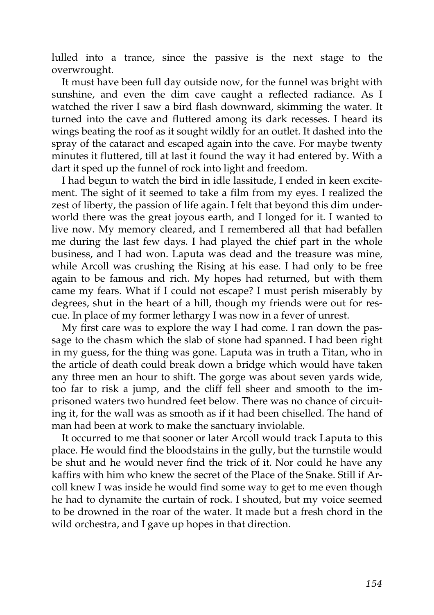lulled into a trance, since the passive is the next stage to the overwrought.

It must have been full day outside now, for the funnel was bright with sunshine, and even the dim cave caught a reflected radiance. As I watched the river I saw a bird flash downward, skimming the water. It turned into the cave and fluttered among its dark recesses. I heard its wings beating the roof as it sought wildly for an outlet. It dashed into the spray of the cataract and escaped again into the cave. For maybe twenty minutes it fluttered, till at last it found the way it had entered by. With a dart it sped up the funnel of rock into light and freedom.

I had begun to watch the bird in idle lassitude, I ended in keen excitement. The sight of it seemed to take a film from my eyes. I realized the zest of liberty, the passion of life again. I felt that beyond this dim underworld there was the great joyous earth, and I longed for it. I wanted to live now. My memory cleared, and I remembered all that had befallen me during the last few days. I had played the chief part in the whole business, and I had won. Laputa was dead and the treasure was mine, while Arcoll was crushing the Rising at his ease. I had only to be free again to be famous and rich. My hopes had returned, but with them came my fears. What if I could not escape? I must perish miserably by degrees, shut in the heart of a hill, though my friends were out for rescue. In place of my former lethargy I was now in a fever of unrest.

My first care was to explore the way I had come. I ran down the passage to the chasm which the slab of stone had spanned. I had been right in my guess, for the thing was gone. Laputa was in truth a Titan, who in the article of death could break down a bridge which would have taken any three men an hour to shift. The gorge was about seven yards wide, too far to risk a jump, and the cliff fell sheer and smooth to the imprisoned waters two hundred feet below. There was no chance of circuiting it, for the wall was as smooth as if it had been chiselled. The hand of man had been at work to make the sanctuary inviolable.

It occurred to me that sooner or later Arcoll would track Laputa to this place. He would find the bloodstains in the gully, but the turnstile would be shut and he would never find the trick of it. Nor could he have any kaffirs with him who knew the secret of the Place of the Snake. Still if Arcoll knew I was inside he would find some way to get to me even though he had to dynamite the curtain of rock. I shouted, but my voice seemed to be drowned in the roar of the water. It made but a fresh chord in the wild orchestra, and I gave up hopes in that direction.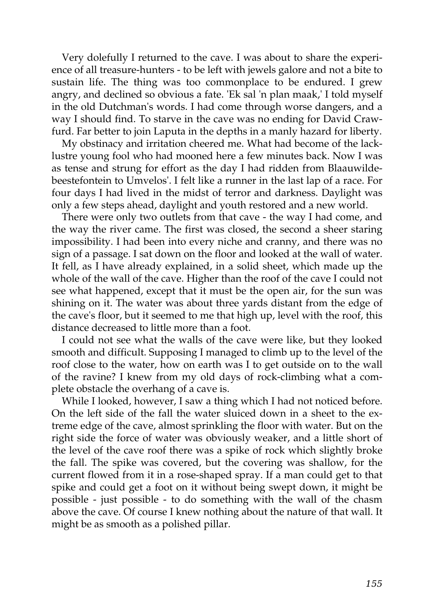Very dolefully I returned to the cave. I was about to share the experience of all treasure-hunters - to be left with jewels galore and not a bite to sustain life. The thing was too commonplace to be endured. I grew angry, and declined so obvious a fate. 'Ek sal 'n plan maak,' I told myself in the old Dutchman's words. I had come through worse dangers, and a way I should find. To starve in the cave was no ending for David Crawfurd. Far better to join Laputa in the depths in a manly hazard for liberty.

My obstinacy and irritation cheered me. What had become of the lacklustre young fool who had mooned here a few minutes back. Now I was as tense and strung for effort as the day I had ridden from Blaauwildebeestefontein to Umvelos'. I felt like a runner in the last lap of a race. For four days I had lived in the midst of terror and darkness. Daylight was only a few steps ahead, daylight and youth restored and a new world.

There were only two outlets from that cave - the way I had come, and the way the river came. The first was closed, the second a sheer staring impossibility. I had been into every niche and cranny, and there was no sign of a passage. I sat down on the floor and looked at the wall of water. It fell, as I have already explained, in a solid sheet, which made up the whole of the wall of the cave. Higher than the roof of the cave I could not see what happened, except that it must be the open air, for the sun was shining on it. The water was about three yards distant from the edge of the cave's floor, but it seemed to me that high up, level with the roof, this distance decreased to little more than a foot.

I could not see what the walls of the cave were like, but they looked smooth and difficult. Supposing I managed to climb up to the level of the roof close to the water, how on earth was I to get outside on to the wall of the ravine? I knew from my old days of rock-climbing what a complete obstacle the overhang of a cave is.

While I looked, however, I saw a thing which I had not noticed before. On the left side of the fall the water sluiced down in a sheet to the extreme edge of the cave, almost sprinkling the floor with water. But on the right side the force of water was obviously weaker, and a little short of the level of the cave roof there was a spike of rock which slightly broke the fall. The spike was covered, but the covering was shallow, for the current flowed from it in a rose-shaped spray. If a man could get to that spike and could get a foot on it without being swept down, it might be possible - just possible - to do something with the wall of the chasm above the cave. Of course I knew nothing about the nature of that wall. It might be as smooth as a polished pillar.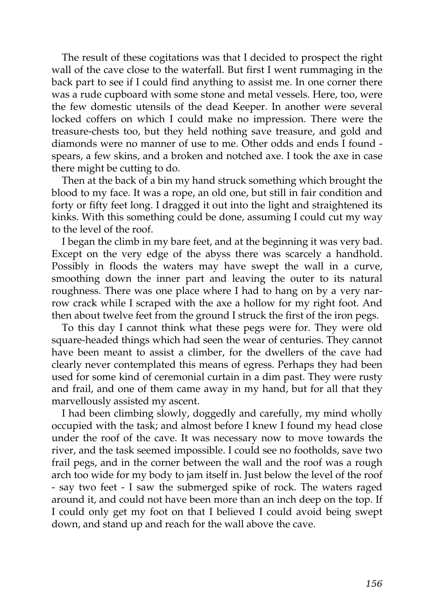The result of these cogitations was that I decided to prospect the right wall of the cave close to the waterfall. But first I went rummaging in the back part to see if I could find anything to assist me. In one corner there was a rude cupboard with some stone and metal vessels. Here, too, were the few domestic utensils of the dead Keeper. In another were several locked coffers on which I could make no impression. There were the treasure-chests too, but they held nothing save treasure, and gold and diamonds were no manner of use to me. Other odds and ends I found spears, a few skins, and a broken and notched axe. I took the axe in case there might be cutting to do.

Then at the back of a bin my hand struck something which brought the blood to my face. It was a rope, an old one, but still in fair condition and forty or fifty feet long. I dragged it out into the light and straightened its kinks. With this something could be done, assuming I could cut my way to the level of the roof.

I began the climb in my bare feet, and at the beginning it was very bad. Except on the very edge of the abyss there was scarcely a handhold. Possibly in floods the waters may have swept the wall in a curve, smoothing down the inner part and leaving the outer to its natural roughness. There was one place where I had to hang on by a very narrow crack while I scraped with the axe a hollow for my right foot. And then about twelve feet from the ground I struck the first of the iron pegs.

To this day I cannot think what these pegs were for. They were old square-headed things which had seen the wear of centuries. They cannot have been meant to assist a climber, for the dwellers of the cave had clearly never contemplated this means of egress. Perhaps they had been used for some kind of ceremonial curtain in a dim past. They were rusty and frail, and one of them came away in my hand, but for all that they marvellously assisted my ascent.

I had been climbing slowly, doggedly and carefully, my mind wholly occupied with the task; and almost before I knew I found my head close under the roof of the cave. It was necessary now to move towards the river, and the task seemed impossible. I could see no footholds, save two frail pegs, and in the corner between the wall and the roof was a rough arch too wide for my body to jam itself in. Just below the level of the roof - say two feet - I saw the submerged spike of rock. The waters raged around it, and could not have been more than an inch deep on the top. If I could only get my foot on that I believed I could avoid being swept down, and stand up and reach for the wall above the cave.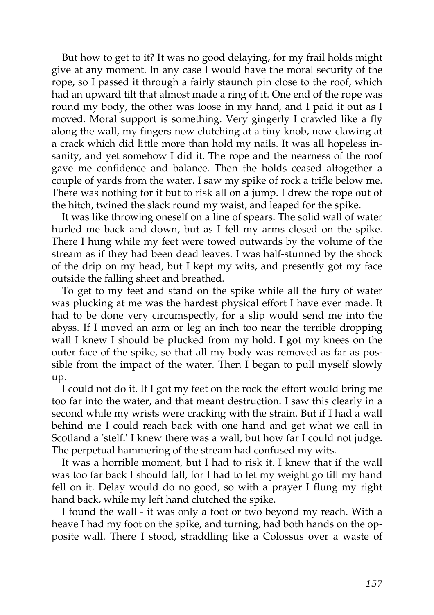But how to get to it? It was no good delaying, for my frail holds might give at any moment. In any case I would have the moral security of the rope, so I passed it through a fairly staunch pin close to the roof, which had an upward tilt that almost made a ring of it. One end of the rope was round my body, the other was loose in my hand, and I paid it out as I moved. Moral support is something. Very gingerly I crawled like a fly along the wall, my fingers now clutching at a tiny knob, now clawing at a crack which did little more than hold my nails. It was all hopeless insanity, and yet somehow I did it. The rope and the nearness of the roof gave me confidence and balance. Then the holds ceased altogether a couple of yards from the water. I saw my spike of rock a trifle below me. There was nothing for it but to risk all on a jump. I drew the rope out of the hitch, twined the slack round my waist, and leaped for the spike.

It was like throwing oneself on a line of spears. The solid wall of water hurled me back and down, but as I fell my arms closed on the spike. There I hung while my feet were towed outwards by the volume of the stream as if they had been dead leaves. I was half-stunned by the shock of the drip on my head, but I kept my wits, and presently got my face outside the falling sheet and breathed.

To get to my feet and stand on the spike while all the fury of water was plucking at me was the hardest physical effort I have ever made. It had to be done very circumspectly, for a slip would send me into the abyss. If I moved an arm or leg an inch too near the terrible dropping wall I knew I should be plucked from my hold. I got my knees on the outer face of the spike, so that all my body was removed as far as possible from the impact of the water. Then I began to pull myself slowly up.

I could not do it. If I got my feet on the rock the effort would bring me too far into the water, and that meant destruction. I saw this clearly in a second while my wrists were cracking with the strain. But if I had a wall behind me I could reach back with one hand and get what we call in Scotland a 'stelf.' I knew there was a wall, but how far I could not judge. The perpetual hammering of the stream had confused my wits.

It was a horrible moment, but I had to risk it. I knew that if the wall was too far back I should fall, for I had to let my weight go till my hand fell on it. Delay would do no good, so with a prayer I flung my right hand back, while my left hand clutched the spike.

I found the wall - it was only a foot or two beyond my reach. With a heave I had my foot on the spike, and turning, had both hands on the opposite wall. There I stood, straddling like a Colossus over a waste of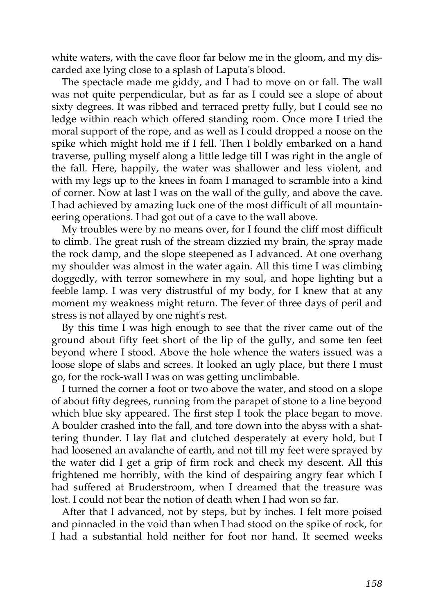white waters, with the cave floor far below me in the gloom, and my discarded axe lying close to a splash of Laputa's blood.

The spectacle made me giddy, and I had to move on or fall. The wall was not quite perpendicular, but as far as I could see a slope of about sixty degrees. It was ribbed and terraced pretty fully, but I could see no ledge within reach which offered standing room. Once more I tried the moral support of the rope, and as well as I could dropped a noose on the spike which might hold me if I fell. Then I boldly embarked on a hand traverse, pulling myself along a little ledge till I was right in the angle of the fall. Here, happily, the water was shallower and less violent, and with my legs up to the knees in foam I managed to scramble into a kind of corner. Now at last I was on the wall of the gully, and above the cave. I had achieved by amazing luck one of the most difficult of all mountaineering operations. I had got out of a cave to the wall above.

My troubles were by no means over, for I found the cliff most difficult to climb. The great rush of the stream dizzied my brain, the spray made the rock damp, and the slope steepened as I advanced. At one overhang my shoulder was almost in the water again. All this time I was climbing doggedly, with terror somewhere in my soul, and hope lighting but a feeble lamp. I was very distrustful of my body, for I knew that at any moment my weakness might return. The fever of three days of peril and stress is not allayed by one night's rest.

By this time I was high enough to see that the river came out of the ground about fifty feet short of the lip of the gully, and some ten feet beyond where I stood. Above the hole whence the waters issued was a loose slope of slabs and screes. It looked an ugly place, but there I must go, for the rock-wall I was on was getting unclimbable.

I turned the corner a foot or two above the water, and stood on a slope of about fifty degrees, running from the parapet of stone to a line beyond which blue sky appeared. The first step I took the place began to move. A boulder crashed into the fall, and tore down into the abyss with a shattering thunder. I lay flat and clutched desperately at every hold, but I had loosened an avalanche of earth, and not till my feet were sprayed by the water did I get a grip of firm rock and check my descent. All this frightened me horribly, with the kind of despairing angry fear which I had suffered at Bruderstroom, when I dreamed that the treasure was lost. I could not bear the notion of death when I had won so far.

After that I advanced, not by steps, but by inches. I felt more poised and pinnacled in the void than when I had stood on the spike of rock, for I had a substantial hold neither for foot nor hand. It seemed weeks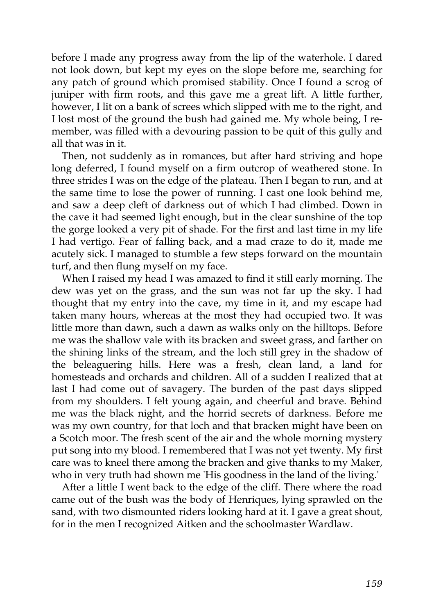before I made any progress away from the lip of the waterhole. I dared not look down, but kept my eyes on the slope before me, searching for any patch of ground which promised stability. Once I found a scrog of juniper with firm roots, and this gave me a great lift. A little further, however, I lit on a bank of screes which slipped with me to the right, and I lost most of the ground the bush had gained me. My whole being, I remember, was filled with a devouring passion to be quit of this gully and all that was in it.

Then, not suddenly as in romances, but after hard striving and hope long deferred, I found myself on a firm outcrop of weathered stone. In three strides I was on the edge of the plateau. Then I began to run, and at the same time to lose the power of running. I cast one look behind me, and saw a deep cleft of darkness out of which I had climbed. Down in the cave it had seemed light enough, but in the clear sunshine of the top the gorge looked a very pit of shade. For the first and last time in my life I had vertigo. Fear of falling back, and a mad craze to do it, made me acutely sick. I managed to stumble a few steps forward on the mountain turf, and then flung myself on my face.

When I raised my head I was amazed to find it still early morning. The dew was yet on the grass, and the sun was not far up the sky. I had thought that my entry into the cave, my time in it, and my escape had taken many hours, whereas at the most they had occupied two. It was little more than dawn, such a dawn as walks only on the hilltops. Before me was the shallow vale with its bracken and sweet grass, and farther on the shining links of the stream, and the loch still grey in the shadow of the beleaguering hills. Here was a fresh, clean land, a land for homesteads and orchards and children. All of a sudden I realized that at last I had come out of savagery. The burden of the past days slipped from my shoulders. I felt young again, and cheerful and brave. Behind me was the black night, and the horrid secrets of darkness. Before me was my own country, for that loch and that bracken might have been on a Scotch moor. The fresh scent of the air and the whole morning mystery put song into my blood. I remembered that I was not yet twenty. My first care was to kneel there among the bracken and give thanks to my Maker, who in very truth had shown me 'His goodness in the land of the living.'

After a little I went back to the edge of the cliff. There where the road came out of the bush was the body of Henriques, lying sprawled on the sand, with two dismounted riders looking hard at it. I gave a great shout, for in the men I recognized Aitken and the schoolmaster Wardlaw.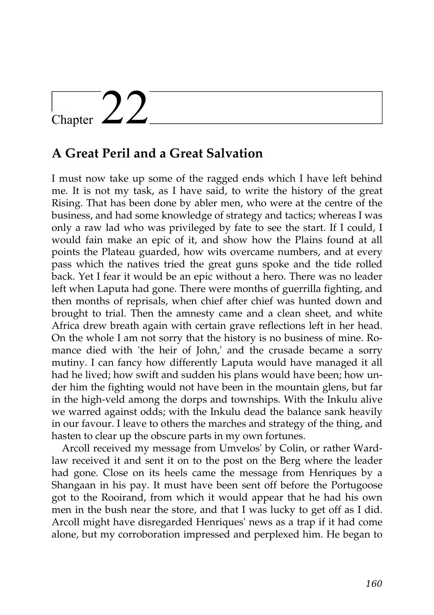## Chapter  $22$

### **A Great Peril and a Great Salvation**

I must now take up some of the ragged ends which I have left behind me. It is not my task, as I have said, to write the history of the great Rising. That has been done by abler men, who were at the centre of the business, and had some knowledge of strategy and tactics; whereas I was only a raw lad who was privileged by fate to see the start. If I could, I would fain make an epic of it, and show how the Plains found at all points the Plateau guarded, how wits overcame numbers, and at every pass which the natives tried the great guns spoke and the tide rolled back. Yet I fear it would be an epic without a hero. There was no leader left when Laputa had gone. There were months of guerrilla fighting, and then months of reprisals, when chief after chief was hunted down and brought to trial. Then the amnesty came and a clean sheet, and white Africa drew breath again with certain grave reflections left in her head. On the whole I am not sorry that the history is no business of mine. Romance died with 'the heir of John,' and the crusade became a sorry mutiny. I can fancy how differently Laputa would have managed it all had he lived; how swift and sudden his plans would have been; how under him the fighting would not have been in the mountain glens, but far in the high-veld among the dorps and townships. With the Inkulu alive we warred against odds; with the Inkulu dead the balance sank heavily in our favour. I leave to others the marches and strategy of the thing, and hasten to clear up the obscure parts in my own fortunes.

Arcoll received my message from Umvelos' by Colin, or rather Wardlaw received it and sent it on to the post on the Berg where the leader had gone. Close on its heels came the message from Henriques by a Shangaan in his pay. It must have been sent off before the Portugoose got to the Rooirand, from which it would appear that he had his own men in the bush near the store, and that I was lucky to get off as I did. Arcoll might have disregarded Henriques' news as a trap if it had come alone, but my corroboration impressed and perplexed him. He began to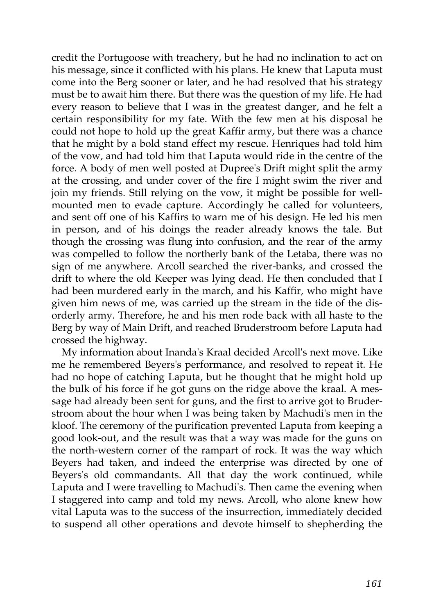credit the Portugoose with treachery, but he had no inclination to act on his message, since it conflicted with his plans. He knew that Laputa must come into the Berg sooner or later, and he had resolved that his strategy must be to await him there. But there was the question of my life. He had every reason to believe that I was in the greatest danger, and he felt a certain responsibility for my fate. With the few men at his disposal he could not hope to hold up the great Kaffir army, but there was a chance that he might by a bold stand effect my rescue. Henriques had told him of the vow, and had told him that Laputa would ride in the centre of the force. A body of men well posted at Dupree's Drift might split the army at the crossing, and under cover of the fire I might swim the river and join my friends. Still relying on the vow, it might be possible for wellmounted men to evade capture. Accordingly he called for volunteers, and sent off one of his Kaffirs to warn me of his design. He led his men in person, and of his doings the reader already knows the tale. But though the crossing was flung into confusion, and the rear of the army was compelled to follow the northerly bank of the Letaba, there was no sign of me anywhere. Arcoll searched the river-banks, and crossed the drift to where the old Keeper was lying dead. He then concluded that I had been murdered early in the march, and his Kaffir, who might have given him news of me, was carried up the stream in the tide of the disorderly army. Therefore, he and his men rode back with all haste to the Berg by way of Main Drift, and reached Bruderstroom before Laputa had crossed the highway.

My information about Inanda's Kraal decided Arcoll's next move. Like me he remembered Beyers's performance, and resolved to repeat it. He had no hope of catching Laputa, but he thought that he might hold up the bulk of his force if he got guns on the ridge above the kraal. A message had already been sent for guns, and the first to arrive got to Bruderstroom about the hour when I was being taken by Machudi's men in the kloof. The ceremony of the purification prevented Laputa from keeping a good look-out, and the result was that a way was made for the guns on the north-western corner of the rampart of rock. It was the way which Beyers had taken, and indeed the enterprise was directed by one of Beyers's old commandants. All that day the work continued, while Laputa and I were travelling to Machudi's. Then came the evening when I staggered into camp and told my news. Arcoll, who alone knew how vital Laputa was to the success of the insurrection, immediately decided to suspend all other operations and devote himself to shepherding the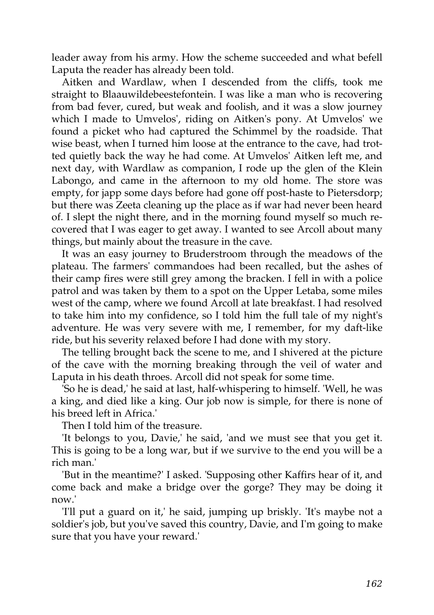leader away from his army. How the scheme succeeded and what befell Laputa the reader has already been told.

Aitken and Wardlaw, when I descended from the cliffs, took me straight to Blaauwildebeestefontein. I was like a man who is recovering from bad fever, cured, but weak and foolish, and it was a slow journey which I made to Umvelos', riding on Aitken's pony. At Umvelos' we found a picket who had captured the Schimmel by the roadside. That wise beast, when I turned him loose at the entrance to the cave, had trotted quietly back the way he had come. At Umvelos' Aitken left me, and next day, with Wardlaw as companion, I rode up the glen of the Klein Labongo, and came in the afternoon to my old home. The store was empty, for japp some days before had gone off post-haste to Pietersdorp; but there was Zeeta cleaning up the place as if war had never been heard of. I slept the night there, and in the morning found myself so much recovered that I was eager to get away. I wanted to see Arcoll about many things, but mainly about the treasure in the cave.

It was an easy journey to Bruderstroom through the meadows of the plateau. The farmers' commandoes had been recalled, but the ashes of their camp fires were still grey among the bracken. I fell in with a police patrol and was taken by them to a spot on the Upper Letaba, some miles west of the camp, where we found Arcoll at late breakfast. I had resolved to take him into my confidence, so I told him the full tale of my night's adventure. He was very severe with me, I remember, for my daft-like ride, but his severity relaxed before I had done with my story.

The telling brought back the scene to me, and I shivered at the picture of the cave with the morning breaking through the veil of water and Laputa in his death throes. Arcoll did not speak for some time.

'So he is dead,' he said at last, half-whispering to himself. 'Well, he was a king, and died like a king. Our job now is simple, for there is none of his breed left in Africa.'

Then I told him of the treasure.

'It belongs to you, Davie,' he said, 'and we must see that you get it. This is going to be a long war, but if we survive to the end you will be a rich man.'

'But in the meantime?' I asked. 'Supposing other Kaffirs hear of it, and come back and make a bridge over the gorge? They may be doing it now.'

'I'll put a guard on it,' he said, jumping up briskly. 'It's maybe not a soldier's job, but you've saved this country, Davie, and I'm going to make sure that you have your reward.'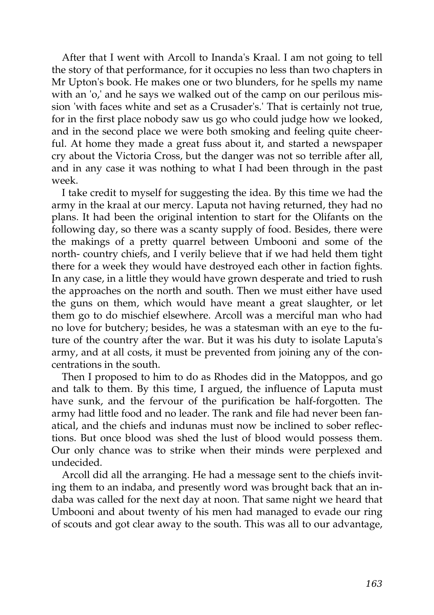After that I went with Arcoll to Inanda's Kraal. I am not going to tell the story of that performance, for it occupies no less than two chapters in Mr Upton's book. He makes one or two blunders, for he spells my name with an 'o,' and he says we walked out of the camp on our perilous mission 'with faces white and set as a Crusader's.' That is certainly not true, for in the first place nobody saw us go who could judge how we looked, and in the second place we were both smoking and feeling quite cheerful. At home they made a great fuss about it, and started a newspaper cry about the Victoria Cross, but the danger was not so terrible after all, and in any case it was nothing to what I had been through in the past week.

I take credit to myself for suggesting the idea. By this time we had the army in the kraal at our mercy. Laputa not having returned, they had no plans. It had been the original intention to start for the Olifants on the following day, so there was a scanty supply of food. Besides, there were the makings of a pretty quarrel between Umbooni and some of the north- country chiefs, and I verily believe that if we had held them tight there for a week they would have destroyed each other in faction fights. In any case, in a little they would have grown desperate and tried to rush the approaches on the north and south. Then we must either have used the guns on them, which would have meant a great slaughter, or let them go to do mischief elsewhere. Arcoll was a merciful man who had no love for butchery; besides, he was a statesman with an eye to the future of the country after the war. But it was his duty to isolate Laputa's army, and at all costs, it must be prevented from joining any of the concentrations in the south.

Then I proposed to him to do as Rhodes did in the Matoppos, and go and talk to them. By this time, I argued, the influence of Laputa must have sunk, and the fervour of the purification be half-forgotten. The army had little food and no leader. The rank and file had never been fanatical, and the chiefs and indunas must now be inclined to sober reflections. But once blood was shed the lust of blood would possess them. Our only chance was to strike when their minds were perplexed and undecided.

Arcoll did all the arranging. He had a message sent to the chiefs inviting them to an indaba, and presently word was brought back that an indaba was called for the next day at noon. That same night we heard that Umbooni and about twenty of his men had managed to evade our ring of scouts and got clear away to the south. This was all to our advantage,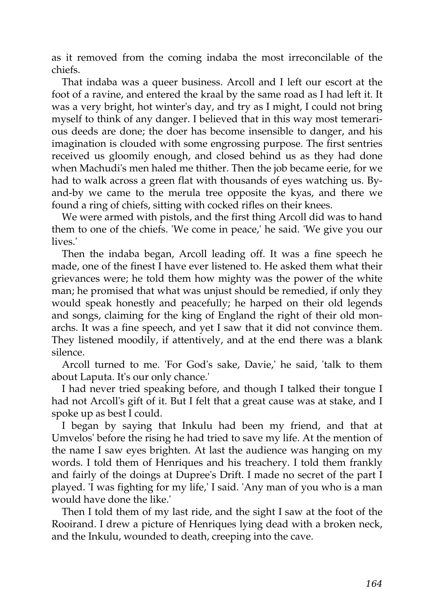as it removed from the coming indaba the most irreconcilable of the chiefs.

That indaba was a queer business. Arcoll and I left our escort at the foot of a ravine, and entered the kraal by the same road as I had left it. It was a very bright, hot winter's day, and try as I might, I could not bring myself to think of any danger. I believed that in this way most temerarious deeds are done; the doer has become insensible to danger, and his imagination is clouded with some engrossing purpose. The first sentries received us gloomily enough, and closed behind us as they had done when Machudi's men haled me thither. Then the job became eerie, for we had to walk across a green flat with thousands of eyes watching us. Byand-by we came to the merula tree opposite the kyas, and there we found a ring of chiefs, sitting with cocked rifles on their knees.

We were armed with pistols, and the first thing Arcoll did was to hand them to one of the chiefs. 'We come in peace,' he said. 'We give you our lives.'

Then the indaba began, Arcoll leading off. It was a fine speech he made, one of the finest I have ever listened to. He asked them what their grievances were; he told them how mighty was the power of the white man; he promised that what was unjust should be remedied, if only they would speak honestly and peacefully; he harped on their old legends and songs, claiming for the king of England the right of their old monarchs. It was a fine speech, and yet I saw that it did not convince them. They listened moodily, if attentively, and at the end there was a blank silence.

Arcoll turned to me. 'For God's sake, Davie,' he said, 'talk to them about Laputa. It's our only chance.'

I had never tried speaking before, and though I talked their tongue I had not Arcoll's gift of it. But I felt that a great cause was at stake, and I spoke up as best I could.

I began by saying that Inkulu had been my friend, and that at Umvelos' before the rising he had tried to save my life. At the mention of the name I saw eyes brighten. At last the audience was hanging on my words. I told them of Henriques and his treachery. I told them frankly and fairly of the doings at Dupree's Drift. I made no secret of the part I played. 'I was fighting for my life,' I said. 'Any man of you who is a man would have done the like.'

Then I told them of my last ride, and the sight I saw at the foot of the Rooirand. I drew a picture of Henriques lying dead with a broken neck, and the Inkulu, wounded to death, creeping into the cave.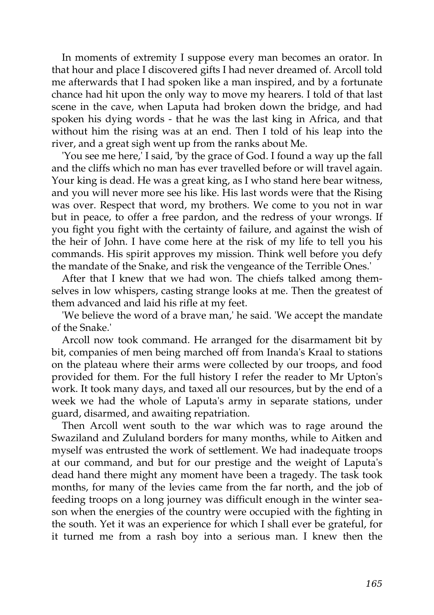In moments of extremity I suppose every man becomes an orator. In that hour and place I discovered gifts I had never dreamed of. Arcoll told me afterwards that I had spoken like a man inspired, and by a fortunate chance had hit upon the only way to move my hearers. I told of that last scene in the cave, when Laputa had broken down the bridge, and had spoken his dying words - that he was the last king in Africa, and that without him the rising was at an end. Then I told of his leap into the river, and a great sigh went up from the ranks about Me.

'You see me here,' I said, 'by the grace of God. I found a way up the fall and the cliffs which no man has ever travelled before or will travel again. Your king is dead. He was a great king, as I who stand here bear witness, and you will never more see his like. His last words were that the Rising was over. Respect that word, my brothers. We come to you not in war but in peace, to offer a free pardon, and the redress of your wrongs. If you fight you fight with the certainty of failure, and against the wish of the heir of John. I have come here at the risk of my life to tell you his commands. His spirit approves my mission. Think well before you defy the mandate of the Snake, and risk the vengeance of the Terrible Ones.'

After that I knew that we had won. The chiefs talked among themselves in low whispers, casting strange looks at me. Then the greatest of them advanced and laid his rifle at my feet.

'We believe the word of a brave man,' he said. 'We accept the mandate of the Snake.'

Arcoll now took command. He arranged for the disarmament bit by bit, companies of men being marched off from Inanda's Kraal to stations on the plateau where their arms were collected by our troops, and food provided for them. For the full history I refer the reader to Mr Upton's work. It took many days, and taxed all our resources, but by the end of a week we had the whole of Laputa's army in separate stations, under guard, disarmed, and awaiting repatriation.

Then Arcoll went south to the war which was to rage around the Swaziland and Zululand borders for many months, while to Aitken and myself was entrusted the work of settlement. We had inadequate troops at our command, and but for our prestige and the weight of Laputa's dead hand there might any moment have been a tragedy. The task took months, for many of the levies came from the far north, and the job of feeding troops on a long journey was difficult enough in the winter season when the energies of the country were occupied with the fighting in the south. Yet it was an experience for which I shall ever be grateful, for it turned me from a rash boy into a serious man. I knew then the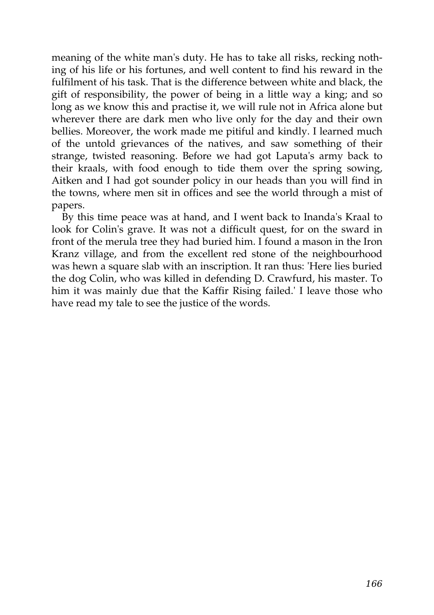meaning of the white man's duty. He has to take all risks, recking nothing of his life or his fortunes, and well content to find his reward in the fulfilment of his task. That is the difference between white and black, the gift of responsibility, the power of being in a little way a king; and so long as we know this and practise it, we will rule not in Africa alone but wherever there are dark men who live only for the day and their own bellies. Moreover, the work made me pitiful and kindly. I learned much of the untold grievances of the natives, and saw something of their strange, twisted reasoning. Before we had got Laputa's army back to their kraals, with food enough to tide them over the spring sowing, Aitken and I had got sounder policy in our heads than you will find in the towns, where men sit in offices and see the world through a mist of papers.

By this time peace was at hand, and I went back to Inanda's Kraal to look for Colin's grave. It was not a difficult quest, for on the sward in front of the merula tree they had buried him. I found a mason in the Iron Kranz village, and from the excellent red stone of the neighbourhood was hewn a square slab with an inscription. It ran thus: 'Here lies buried the dog Colin, who was killed in defending D. Crawfurd, his master. To him it was mainly due that the Kaffir Rising failed.' I leave those who have read my tale to see the justice of the words.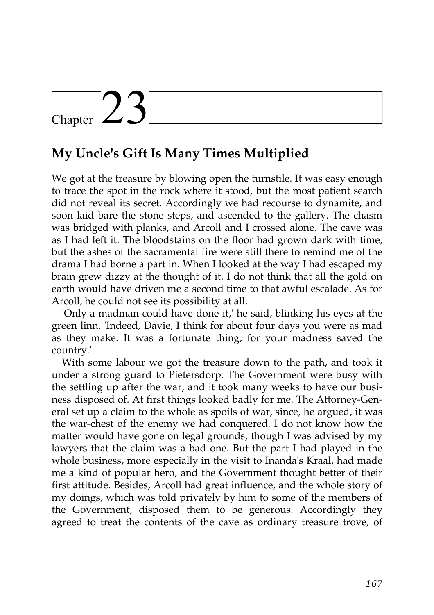# Chapter  $23$

### **My Uncle's Gift Is Many Times Multiplied**

We got at the treasure by blowing open the turnstile. It was easy enough to trace the spot in the rock where it stood, but the most patient search did not reveal its secret. Accordingly we had recourse to dynamite, and soon laid bare the stone steps, and ascended to the gallery. The chasm was bridged with planks, and Arcoll and I crossed alone. The cave was as I had left it. The bloodstains on the floor had grown dark with time, but the ashes of the sacramental fire were still there to remind me of the drama I had borne a part in. When I looked at the way I had escaped my brain grew dizzy at the thought of it. I do not think that all the gold on earth would have driven me a second time to that awful escalade. As for Arcoll, he could not see its possibility at all.

'Only a madman could have done it,' he said, blinking his eyes at the green linn. 'Indeed, Davie, I think for about four days you were as mad as they make. It was a fortunate thing, for your madness saved the country.'

With some labour we got the treasure down to the path, and took it under a strong guard to Pietersdorp. The Government were busy with the settling up after the war, and it took many weeks to have our business disposed of. At first things looked badly for me. The Attorney-General set up a claim to the whole as spoils of war, since, he argued, it was the war-chest of the enemy we had conquered. I do not know how the matter would have gone on legal grounds, though I was advised by my lawyers that the claim was a bad one. But the part I had played in the whole business, more especially in the visit to Inanda's Kraal, had made me a kind of popular hero, and the Government thought better of their first attitude. Besides, Arcoll had great influence, and the whole story of my doings, which was told privately by him to some of the members of the Government, disposed them to be generous. Accordingly they agreed to treat the contents of the cave as ordinary treasure trove, of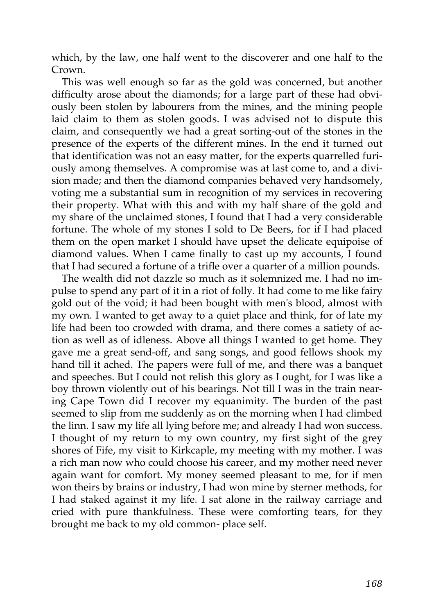which, by the law, one half went to the discoverer and one half to the Crown.

This was well enough so far as the gold was concerned, but another difficulty arose about the diamonds; for a large part of these had obviously been stolen by labourers from the mines, and the mining people laid claim to them as stolen goods. I was advised not to dispute this claim, and consequently we had a great sorting-out of the stones in the presence of the experts of the different mines. In the end it turned out that identification was not an easy matter, for the experts quarrelled furiously among themselves. A compromise was at last come to, and a division made; and then the diamond companies behaved very handsomely, voting me a substantial sum in recognition of my services in recovering their property. What with this and with my half share of the gold and my share of the unclaimed stones, I found that I had a very considerable fortune. The whole of my stones I sold to De Beers, for if I had placed them on the open market I should have upset the delicate equipoise of diamond values. When I came finally to cast up my accounts, I found that I had secured a fortune of a trifle over a quarter of a million pounds.

The wealth did not dazzle so much as it solemnized me. I had no impulse to spend any part of it in a riot of folly. It had come to me like fairy gold out of the void; it had been bought with men's blood, almost with my own. I wanted to get away to a quiet place and think, for of late my life had been too crowded with drama, and there comes a satiety of action as well as of idleness. Above all things I wanted to get home. They gave me a great send-off, and sang songs, and good fellows shook my hand till it ached. The papers were full of me, and there was a banquet and speeches. But I could not relish this glory as I ought, for I was like a boy thrown violently out of his bearings. Not till I was in the train nearing Cape Town did I recover my equanimity. The burden of the past seemed to slip from me suddenly as on the morning when I had climbed the linn. I saw my life all lying before me; and already I had won success. I thought of my return to my own country, my first sight of the grey shores of Fife, my visit to Kirkcaple, my meeting with my mother. I was a rich man now who could choose his career, and my mother need never again want for comfort. My money seemed pleasant to me, for if men won theirs by brains or industry, I had won mine by sterner methods, for I had staked against it my life. I sat alone in the railway carriage and cried with pure thankfulness. These were comforting tears, for they brought me back to my old common- place self.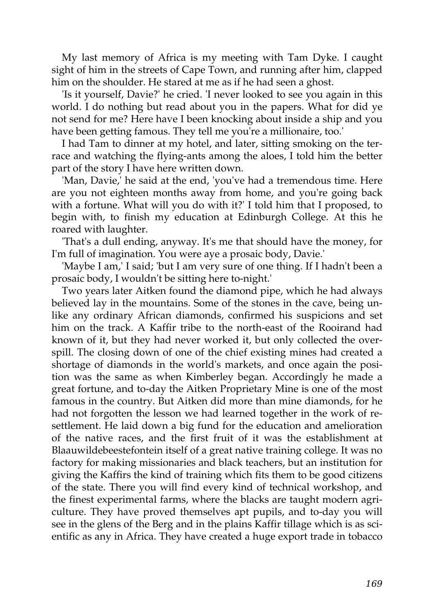My last memory of Africa is my meeting with Tam Dyke. I caught sight of him in the streets of Cape Town, and running after him, clapped him on the shoulder. He stared at me as if he had seen a ghost.

'Is it yourself, Davie?' he cried. 'I never looked to see you again in this world. I do nothing but read about you in the papers. What for did ye not send for me? Here have I been knocking about inside a ship and you have been getting famous. They tell me you're a millionaire, too.'

I had Tam to dinner at my hotel, and later, sitting smoking on the terrace and watching the flying-ants among the aloes, I told him the better part of the story I have here written down.

'Man, Davie,' he said at the end, 'you've had a tremendous time. Here are you not eighteen months away from home, and you're going back with a fortune. What will you do with it?' I told him that I proposed, to begin with, to finish my education at Edinburgh College. At this he roared with laughter.

'That's a dull ending, anyway. It's me that should have the money, for I'm full of imagination. You were aye a prosaic body, Davie.'

'Maybe I am,' I said; 'but I am very sure of one thing. If I hadn't been a prosaic body, I wouldn't be sitting here to-night.'

Two years later Aitken found the diamond pipe, which he had always believed lay in the mountains. Some of the stones in the cave, being unlike any ordinary African diamonds, confirmed his suspicions and set him on the track. A Kaffir tribe to the north-east of the Rooirand had known of it, but they had never worked it, but only collected the overspill. The closing down of one of the chief existing mines had created a shortage of diamonds in the world's markets, and once again the position was the same as when Kimberley began. Accordingly he made a great fortune, and to-day the Aitken Proprietary Mine is one of the most famous in the country. But Aitken did more than mine diamonds, for he had not forgotten the lesson we had learned together in the work of resettlement. He laid down a big fund for the education and amelioration of the native races, and the first fruit of it was the establishment at Blaauwildebeestefontein itself of a great native training college. It was no factory for making missionaries and black teachers, but an institution for giving the Kaffirs the kind of training which fits them to be good citizens of the state. There you will find every kind of technical workshop, and the finest experimental farms, where the blacks are taught modern agriculture. They have proved themselves apt pupils, and to-day you will see in the glens of the Berg and in the plains Kaffir tillage which is as scientific as any in Africa. They have created a huge export trade in tobacco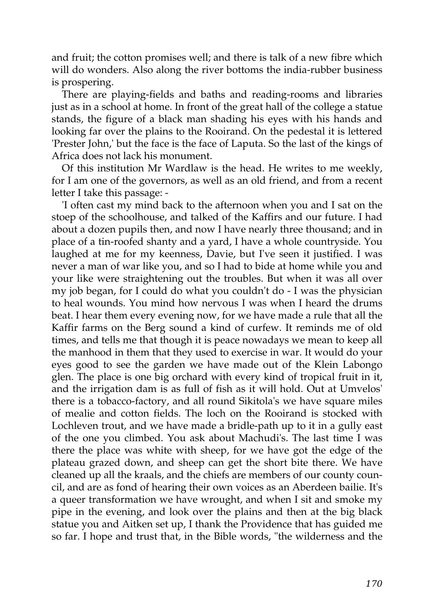and fruit; the cotton promises well; and there is talk of a new fibre which will do wonders. Also along the river bottoms the india-rubber business is prospering.

There are playing-fields and baths and reading-rooms and libraries just as in a school at home. In front of the great hall of the college a statue stands, the figure of a black man shading his eyes with his hands and looking far over the plains to the Rooirand. On the pedestal it is lettered 'Prester John,' but the face is the face of Laputa. So the last of the kings of Africa does not lack his monument.

Of this institution Mr Wardlaw is the head. He writes to me weekly, for I am one of the governors, as well as an old friend, and from a recent letter I take this passage: -

'I often cast my mind back to the afternoon when you and I sat on the stoep of the schoolhouse, and talked of the Kaffirs and our future. I had about a dozen pupils then, and now I have nearly three thousand; and in place of a tin-roofed shanty and a yard, I have a whole countryside. You laughed at me for my keenness, Davie, but I've seen it justified. I was never a man of war like you, and so I had to bide at home while you and your like were straightening out the troubles. But when it was all over my job began, for I could do what you couldn't do - I was the physician to heal wounds. You mind how nervous I was when I heard the drums beat. I hear them every evening now, for we have made a rule that all the Kaffir farms on the Berg sound a kind of curfew. It reminds me of old times, and tells me that though it is peace nowadays we mean to keep all the manhood in them that they used to exercise in war. It would do your eyes good to see the garden we have made out of the Klein Labongo glen. The place is one big orchard with every kind of tropical fruit in it, and the irrigation dam is as full of fish as it will hold. Out at Umvelos' there is a tobacco-factory, and all round Sikitola's we have square miles of mealie and cotton fields. The loch on the Rooirand is stocked with Lochleven trout, and we have made a bridle-path up to it in a gully east of the one you climbed. You ask about Machudi's. The last time I was there the place was white with sheep, for we have got the edge of the plateau grazed down, and sheep can get the short bite there. We have cleaned up all the kraals, and the chiefs are members of our county council, and are as fond of hearing their own voices as an Aberdeen bailie. It's a queer transformation we have wrought, and when I sit and smoke my pipe in the evening, and look over the plains and then at the big black statue you and Aitken set up, I thank the Providence that has guided me so far. I hope and trust that, in the Bible words, "the wilderness and the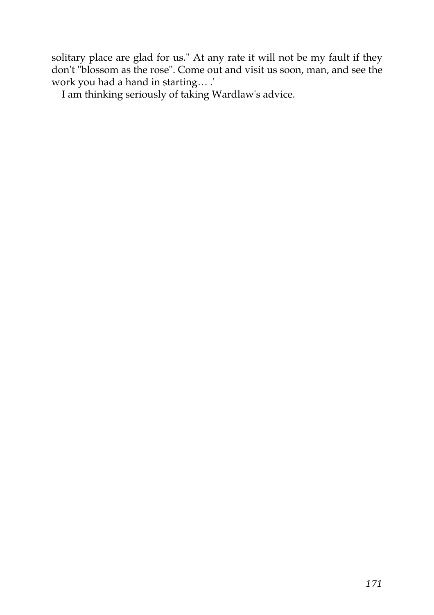solitary place are glad for us." At any rate it will not be my fault if they don't "blossom as the rose". Come out and visit us soon, man, and see the work you had a hand in starting… .'

I am thinking seriously of taking Wardlaw's advice.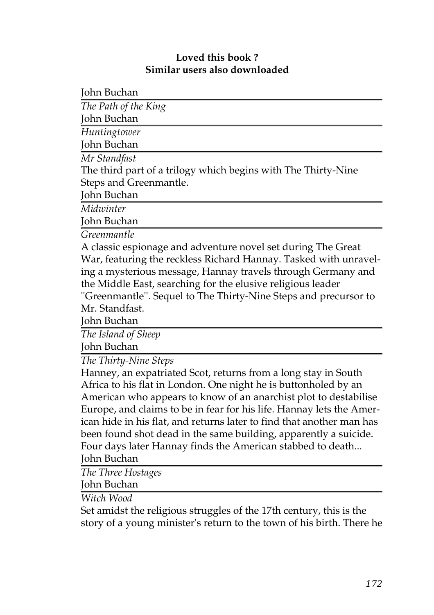#### **Loved this book ? Similar users also downloaded**

John Buchan

| The Path of the King                                             |
|------------------------------------------------------------------|
| John Buchan                                                      |
| Huntingtower                                                     |
| John Buchan                                                      |
| Mr Standfast                                                     |
| The third part of a trilogy which begins with The Thirty-Nine    |
| Steps and Greenmantle.                                           |
| John Buchan                                                      |
| Midwinter                                                        |
| John Buchan                                                      |
| Greenmantle                                                      |
| A classic espionage and adventure novel set during The Great     |
| War, featuring the reckless Richard Hannay. Tasked with unravel- |
| ing a mysterious message, Hannay travels through Germany and     |
| the Middle East, searching for the elusive religious leader      |
| "Greenmantle". Sequel to The Thirty-Nine Steps and precursor to  |
| Mr. Standfast.                                                   |
|                                                                  |

John Buchan

*[The Island of Sheep](http://generation.feedbooks.com/book/1211.pdf)*

John Buchan

*[The Thirty-Nine Steps](http://generation.feedbooks.com/book/41.pdf)*

Hanney, an expatriated Scot, returns from a long stay in South Africa to his flat in London. One night he is buttonholed by an American who appears to know of an anarchist plot to destabilise Europe, and claims to be in fear for his life. Hannay lets the American hide in his flat, and returns later to find that another man has been found shot dead in the same building, apparently a suicide. Four days later Hannay finds the American stabbed to death...

John Buchan

*[The Three Hostages](http://generation.feedbooks.com/book/1184.pdf)*

John Buchan

*[Witch Wood](http://generation.feedbooks.com/book/1191.pdf)*

Set amidst the religious struggles of the 17th century, this is the story of a young minister's return to the town of his birth. There he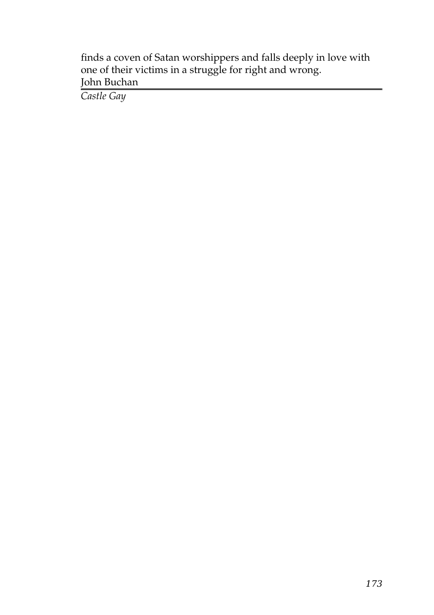finds a coven of Satan worshippers and falls deeply in love with one of their victims in a struggle for right and wrong. John Buchan

*[Castle Gay](http://generation.feedbooks.com/book/1192.pdf)*